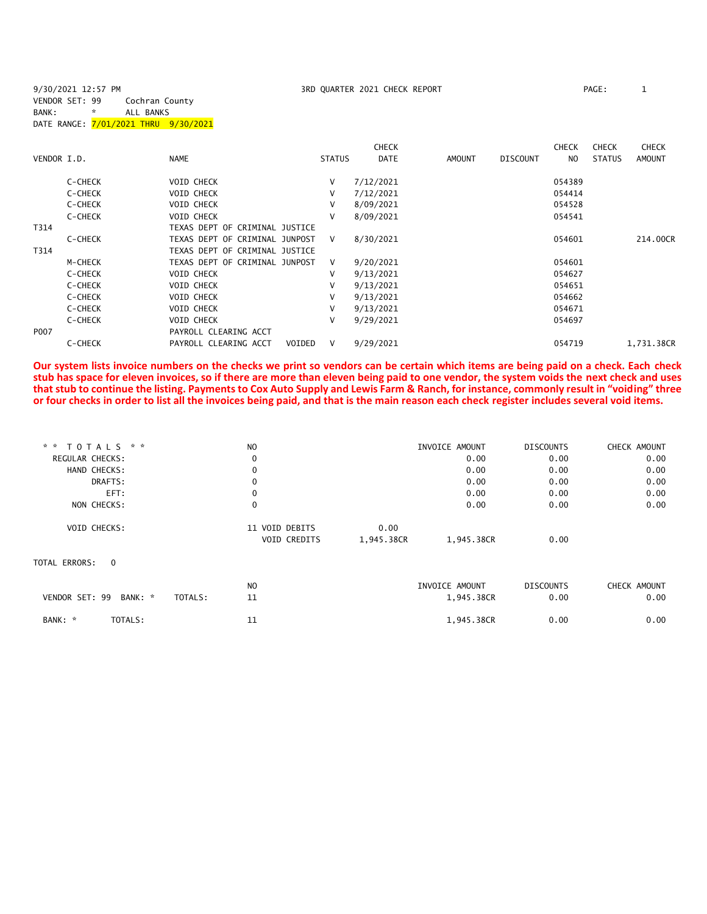9/30/2021 12:57 PM 3RD QUARTER 2021 CHECK REPORT PAGE: 1 VENDOR SET: 99 Cochran County BANK: \* ALL BANKS DATE RANGE: 7/01/2021 THRU 9/30/2021 **CHECK CHECK CHECK CHECK CHECK CHECK CHECK** VENDOR I.D. NAME STATUS DATE AMOUNT DISCOUNT NO STATUS AMOUNT C-CHECK VOID CHECK V 7/12/2021 054389 C-CHECK VOID CHECK V 7/12/2021 054414 C-CHECK VOID CHECK V 8/09/2021 054528 C-CHECK VOID CHECK V 8/09/2021 054541 T314 TEXAS DEPT OF CRIMINAL JUSTICE T314 TEXAS DEPT OF CRIMINAL JUSTICE

| C-CHECK          | TEXAS DEPT OF CRIMINAL JUNPOST  | V. | 8/30/2021 | 054601 | 214,00CR   |
|------------------|---------------------------------|----|-----------|--------|------------|
| T314             | TEXAS DEPT OF CRIMINAL JUSTICE  |    |           |        |            |
| M-CHECK          | TEXAS DEPT OF CRIMINAL JUNPOST  | V  | 9/20/2021 | 054601 |            |
| C-CHECK          | VOID CHECK                      | v  | 9/13/2021 | 054627 |            |
| C-CHECK          | VOID CHECK                      | v  | 9/13/2021 | 054651 |            |
| C-CHECK          | <b>VOID CHECK</b>               | v  | 9/13/2021 | 054662 |            |
| C-CHECK          | VOID CHECK                      | v  | 9/13/2021 | 054671 |            |
| C-CHECK          | <b>VOID CHECK</b>               | v  | 9/29/2021 | 054697 |            |
| P <sub>007</sub> | PAYROLL CLEARING ACCT           |    |           |        |            |
| C-CHECK          | PAYROLL CLEARING ACCT<br>VOIDED |    | 9/29/2021 | 054719 | 1.731.38CR |

**Our system lists invoice numbers on the checks we print so vendors can be certain which items are being paid on a check. Each check stub has space for eleven invoices, so if there are more than eleven being paid to one vendor, the system voids the next check and uses that stub to continue the listing. Payments to Cox Auto Supply and Lewis Farm & Ranch, for instance, commonly result in "voiding" three or four checks in order to list all the invoices being paid, and that is the main reason each check register includes several void items.**

| * * TOTALS * *                       | N <sub>O</sub> |            | INVOICE AMOUNT | <b>DISCOUNTS</b> | CHECK AMOUNT |
|--------------------------------------|----------------|------------|----------------|------------------|--------------|
| <b>REGULAR CHECKS:</b>               | $\mathbf 0$    |            | 0.00           | 0.00             | 0.00         |
| HAND CHECKS:                         | $\mathbf 0$    |            | 0.00           | 0.00             | 0.00         |
| DRAFTS:                              | $\mathbf 0$    |            | 0.00           | 0.00             | 0.00         |
| EFT:                                 | $\mathbf 0$    |            | 0.00           | 0.00             | 0.00         |
| NON CHECKS:                          | $\mathbf 0$    |            | 0.00           | 0.00             | 0.00         |
| <b>VOID CHECKS:</b>                  | 11 VOID DEBITS | 0.00       |                |                  |              |
|                                      | VOID CREDITS   | 1,945.38CR | 1,945.38CR     | 0.00             |              |
| TOTAL ERRORS:<br>$\overline{0}$      |                |            |                |                  |              |
|                                      | N <sub>O</sub> |            | INVOICE AMOUNT | <b>DISCOUNTS</b> | CHECK AMOUNT |
| VENDOR SET: 99<br>BANK: *<br>TOTALS: | 11             |            | 1,945.38CR     | 0.00             | 0.00         |
| TOTALS:<br>BANK: *                   | 11             |            | 1,945.38CR     | 0.00             | 0.00         |
|                                      |                |            |                |                  |              |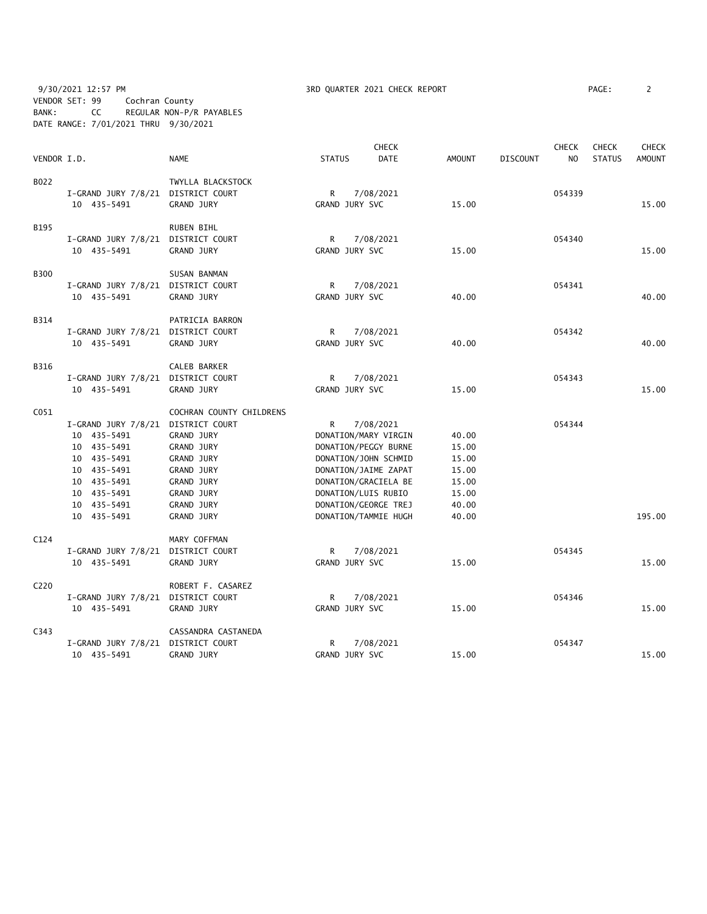9/30/2021 12:57 PM **3RD QUARTER 2021 CHECK REPORT** PAGE: 2 VENDOR SET: 99 Cochran County BANK: CC REGULAR NON-P/R PAYABLES DATE RANGE: 7/01/2021 THRU 9/30/2021

|                  |                                    |                          |                      | <b>CHECK</b>         |               |                 | <b>CHECK</b>   | <b>CHECK</b>  | <b>CHECK</b>  |
|------------------|------------------------------------|--------------------------|----------------------|----------------------|---------------|-----------------|----------------|---------------|---------------|
| VENDOR I.D.      |                                    | <b>NAME</b>              | <b>STATUS</b>        | <b>DATE</b>          | <b>AMOUNT</b> | <b>DISCOUNT</b> | N <sub>O</sub> | <b>STATUS</b> | <b>AMOUNT</b> |
| B022             |                                    | TWYLLA BLACKSTOCK        |                      |                      |               |                 |                |               |               |
|                  | I-GRAND JURY 7/8/21 DISTRICT COURT |                          | R                    | 7/08/2021            |               |                 | 054339         |               |               |
|                  | 10 435-5491                        | <b>GRAND JURY</b>        | GRAND JURY SVC       |                      | 15.00         |                 |                |               | 15.00         |
|                  |                                    |                          |                      |                      |               |                 |                |               |               |
| B195             |                                    | RUBEN BIHL               |                      |                      |               |                 |                |               |               |
|                  | I-GRAND JURY 7/8/21 DISTRICT COURT |                          | R                    | 7/08/2021            |               |                 | 054340         |               |               |
|                  | 10 435-5491                        | <b>GRAND JURY</b>        | GRAND JURY SVC       |                      | 15.00         |                 |                |               | 15.00         |
| <b>B300</b>      |                                    | SUSAN BANMAN             |                      |                      |               |                 |                |               |               |
|                  | I-GRAND JURY 7/8/21 DISTRICT COURT |                          | R                    | 7/08/2021            |               |                 | 054341         |               |               |
|                  | 10 435-5491                        | <b>GRAND JURY</b>        | GRAND JURY SVC       |                      | 40.00         |                 |                |               | 40.00         |
|                  |                                    |                          |                      |                      |               |                 |                |               |               |
| B314             |                                    | PATRICIA BARRON          |                      |                      |               |                 |                |               |               |
|                  | I-GRAND JURY 7/8/21 DISTRICT COURT |                          | R                    | 7/08/2021            |               |                 | 054342         |               |               |
|                  | 10 435-5491                        | <b>GRAND JURY</b>        | GRAND JURY SVC       |                      | 40.00         |                 |                |               | 40.00         |
|                  |                                    |                          |                      |                      |               |                 |                |               |               |
| B316             |                                    | CALEB BARKER             |                      |                      |               |                 | 054343         |               |               |
|                  | I-GRAND JURY 7/8/21 DISTRICT COURT |                          | R<br>GRAND JURY SVC  | 7/08/2021            |               |                 |                |               | 15.00         |
|                  | 10 435-5491                        | <b>GRAND JURY</b>        |                      |                      | 15.00         |                 |                |               |               |
| C051             |                                    | COCHRAN COUNTY CHILDRENS |                      |                      |               |                 |                |               |               |
|                  | I-GRAND JURY 7/8/21 DISTRICT COURT |                          | R                    | 7/08/2021            |               |                 | 054344         |               |               |
|                  | 10 435-5491                        | <b>GRAND JURY</b>        |                      | DONATION/MARY VIRGIN | 40.00         |                 |                |               |               |
|                  | 10 435-5491                        | <b>GRAND JURY</b>        | DONATION/PEGGY BURNE |                      | 15.00         |                 |                |               |               |
|                  | 10 435-5491                        | GRAND JURY               |                      | DONATION/JOHN SCHMID | 15.00         |                 |                |               |               |
|                  | 10 435-5491                        | <b>GRAND JURY</b>        |                      | DONATION/JAIME ZAPAT | 15.00         |                 |                |               |               |
|                  | 10 435-5491                        | <b>GRAND JURY</b>        | DONATION/GRACIELA BE |                      | 15.00         |                 |                |               |               |
|                  | 10 435-5491                        | GRAND JURY               | DONATION/LUIS RUBIO  |                      | 15.00         |                 |                |               |               |
|                  | 10 435-5491                        | <b>GRAND JURY</b>        | DONATION/GEORGE TREJ |                      | 40.00         |                 |                |               |               |
|                  | 10 435-5491                        | <b>GRAND JURY</b>        |                      | DONATION/TAMMIE HUGH | 40.00         |                 |                |               | 195.00        |
| C124             |                                    | MARY COFFMAN             |                      |                      |               |                 |                |               |               |
|                  | I-GRAND JURY 7/8/21 DISTRICT COURT |                          | R                    | 7/08/2021            |               |                 | 054345         |               |               |
|                  | 10 435-5491                        | GRAND JURY               | GRAND JURY SVC       |                      | 15.00         |                 |                |               | 15.00         |
|                  |                                    |                          |                      |                      |               |                 |                |               |               |
| C <sub>220</sub> |                                    | ROBERT F. CASAREZ        |                      |                      |               |                 |                |               |               |
|                  | I-GRAND JURY 7/8/21 DISTRICT COURT |                          | R                    | 7/08/2021            |               |                 | 054346         |               |               |
|                  | 10 435-5491                        | GRAND JURY               | GRAND JURY SVC       |                      | 15.00         |                 |                |               | 15.00         |
| C343             |                                    | CASSANDRA CASTANEDA      |                      |                      |               |                 |                |               |               |
|                  | I-GRAND JURY 7/8/21                | DISTRICT COURT           | R                    | 7/08/2021            |               |                 | 054347         |               |               |
|                  | 10 435-5491                        | <b>GRAND JURY</b>        | GRAND JURY SVC       |                      | 15.00         |                 |                |               | 15.00         |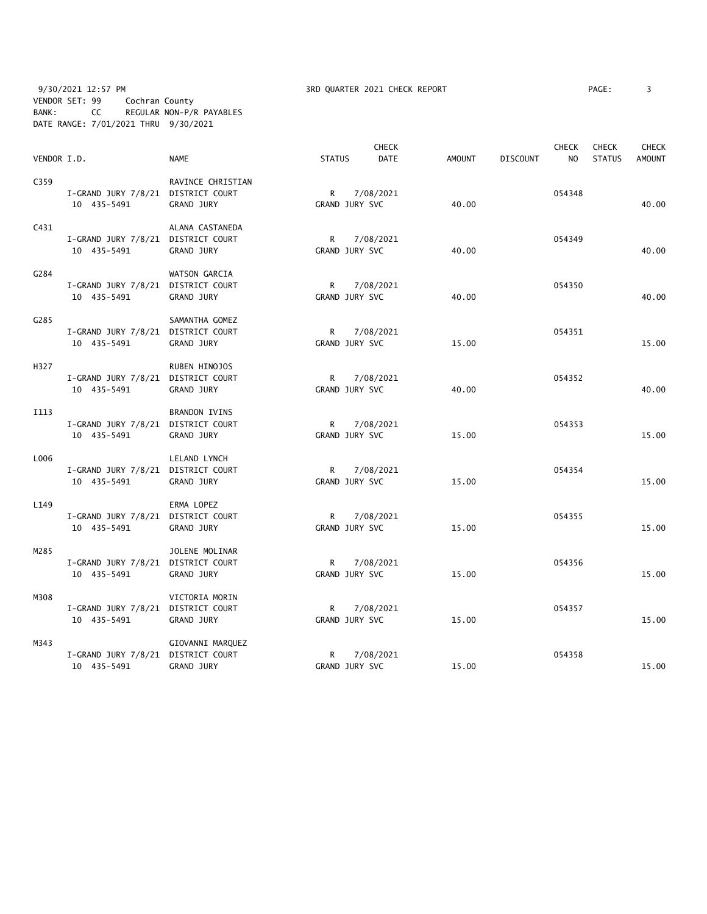9/30/2021 12:57 PM 3RD QUARTER 2021 CHECK REPORT PAGE: 3 VENDOR SET: 99 Cochran County BANK: CC REGULAR NON-P/R PAYABLES DATE RANGE: 7/01/2021 THRU 9/30/2021

| AGE : |  |
|-------|--|
|       |  |

| VENDOR I.D.      |                                                   | <b>NAME</b>                           | <b>STATUS</b>                  | <b>CHECK</b><br><b>DATE</b> | <b>AMOUNT</b> | <b>DISCOUNT</b> | <b>CHECK</b><br>N <sub>O</sub> | <b>CHECK</b><br><b>STATUS</b> | <b>CHECK</b><br><b>AMOUNT</b> |
|------------------|---------------------------------------------------|---------------------------------------|--------------------------------|-----------------------------|---------------|-----------------|--------------------------------|-------------------------------|-------------------------------|
| C359             | I-GRAND JURY 7/8/21 DISTRICT COURT<br>10 435-5491 | RAVINCE CHRISTIAN<br>GRAND JURY       | R<br>GRAND JURY SVC            | 7/08/2021                   | 40.00         |                 | 054348                         |                               | 40.00                         |
| C431             | I-GRAND JURY 7/8/21 DISTRICT COURT<br>10 435-5491 | ALANA CASTANEDA<br><b>GRAND JURY</b>  | R<br>GRAND JURY SVC            | 7/08/2021                   | 40.00         |                 | 054349                         |                               | 40.00                         |
| G284             | I-GRAND JURY 7/8/21 DISTRICT COURT<br>10 435-5491 | WATSON GARCIA<br>GRAND JURY           | $\mathsf{R}$<br>GRAND JURY SVC | 7/08/2021                   | 40.00         |                 | 054350                         |                               | 40.00                         |
| C <sub>285</sub> | I-GRAND JURY 7/8/21 DISTRICT COURT<br>10 435-5491 | SAMANTHA GOMEZ<br><b>GRAND JURY</b>   | GRAND JURY SVC                 | R 7/08/2021                 | 15.00         |                 | 054351                         |                               | 15.00                         |
| H327             | I-GRAND JURY 7/8/21 DISTRICT COURT<br>10 435-5491 | RUBEN HINOJOS<br><b>GRAND JURY</b>    | R<br>GRAND JURY SVC            | 7/08/2021                   | 40.00         |                 | 054352                         |                               | 40.00                         |
| I113             | I-GRAND JURY 7/8/21 DISTRICT COURT<br>10 435-5491 | <b>BRANDON IVINS</b><br>GRAND JURY    | $R \sim$<br>GRAND JURY SVC     | 7/08/2021                   | 15.00         |                 | 054353                         |                               | 15.00                         |
| L006             | I-GRAND JURY 7/8/21 DISTRICT COURT<br>10 435-5491 | LELAND LYNCH<br>GRAND JURY            | GRAND JURY SVC                 | R 7/08/2021                 | 15.00         |                 | 054354                         |                               | 15.00                         |
| L149             | I-GRAND JURY 7/8/21 DISTRICT COURT<br>10 435-5491 | ERMA LOPEZ<br><b>GRAND JURY</b>       | $R \sim$<br>GRAND JURY SVC     | 7/08/2021                   | 15.00         |                 | 054355                         |                               | 15.00                         |
| M285             | I-GRAND JURY 7/8/21 DISTRICT COURT<br>10 435-5491 | JOLENE MOLINAR<br><b>GRAND JURY</b>   | R<br>GRAND JURY SVC            | 7/08/2021                   | 15.00         |                 | 054356                         |                               | 15.00                         |
| M308             | I-GRAND JURY 7/8/21 DISTRICT COURT<br>10 435-5491 | VICTORIA MORIN<br>GRAND JURY          | $\mathsf{R}$<br>GRAND JURY SVC | 7/08/2021                   | 15.00         |                 | 054357                         |                               | 15.00                         |
| M343             | I-GRAND JURY 7/8/21 DISTRICT COURT<br>10 435-5491 | GIOVANNI MARQUEZ<br><b>GRAND JURY</b> | R<br>GRAND JURY SVC            | 7/08/2021                   | 15.00         |                 | 054358                         |                               | 15.00                         |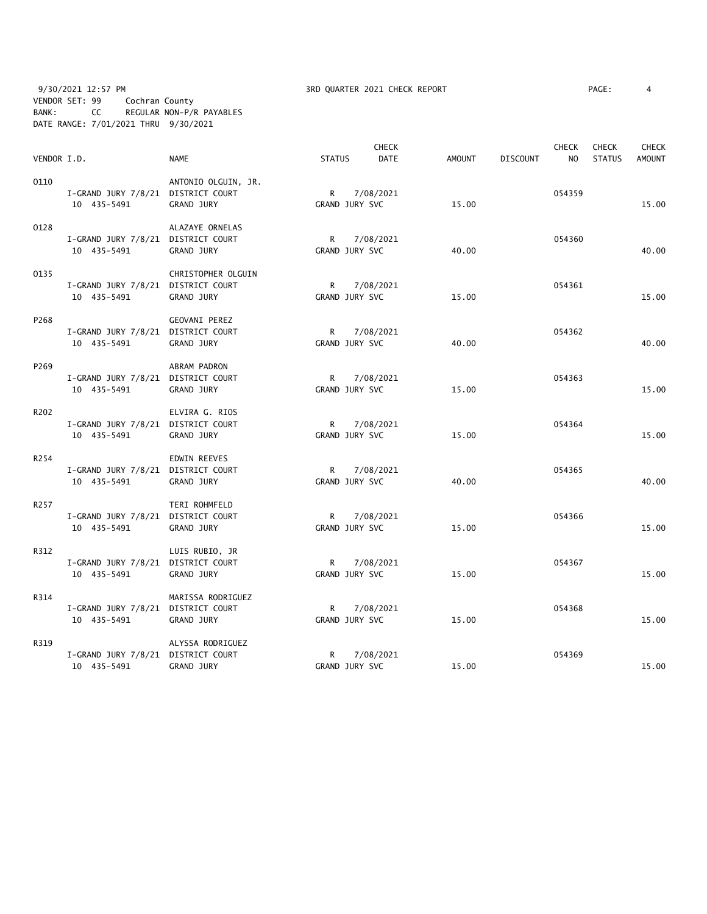9/30/2021 12:57 PM **3RD QUARTER 2021 CHECK REPORT** PAGE: 4 VENDOR SET: 99 Cochran County BANK: CC REGULAR NON-P/R PAYABLES DATE RANGE: 7/01/2021 THRU 9/30/2021

| VENDOR I.D. |                                                   | <b>NAME</b>                           | <b>STATUS</b>                  | <b>CHECK</b><br><b>DATE</b> | <b>AMOUNT</b> | <b>DISCOUNT</b> | <b>CHECK</b><br>N <sub>O</sub> | <b>CHECK</b><br><b>STATUS</b> | <b>CHECK</b><br><b>AMOUNT</b> |
|-------------|---------------------------------------------------|---------------------------------------|--------------------------------|-----------------------------|---------------|-----------------|--------------------------------|-------------------------------|-------------------------------|
| 0110        | I-GRAND JURY 7/8/21 DISTRICT COURT<br>10 435-5491 | ANTONIO OLGUIN, JR.<br>GRAND JURY     | $\mathsf{R}$<br>GRAND JURY SVC | 7/08/2021                   | 15.00         |                 | 054359                         |                               | 15.00                         |
| 0128        | I-GRAND JURY 7/8/21 DISTRICT COURT<br>10 435-5491 | ALAZAYE ORNELAS<br>GRAND JURY         | $\mathsf{R}$<br>GRAND JURY SVC | 7/08/2021                   | 40.00         |                 | 054360                         |                               | 40.00                         |
| 0135        | I-GRAND JURY 7/8/21 DISTRICT COURT<br>10 435-5491 | CHRISTOPHER OLGUIN<br>GRAND JURY      | R<br>GRAND JURY SVC            | 7/08/2021                   | 15.00         |                 | 054361                         |                               | 15.00                         |
| P268        | I-GRAND JURY 7/8/21 DISTRICT COURT<br>10 435-5491 | GEOVANI PEREZ<br>GRAND JURY           | R<br>GRAND JURY SVC            | 7/08/2021                   | 40.00         |                 | 054362                         |                               | 40.00                         |
| P269        | I-GRAND JURY 7/8/21 DISTRICT COURT<br>10 435-5491 | ABRAM PADRON<br>GRAND JURY            | R<br>GRAND JURY SVC            | 7/08/2021                   | 15.00         |                 | 054363                         |                               | 15.00                         |
| R202        | I-GRAND JURY 7/8/21 DISTRICT COURT<br>10 435-5491 | ELVIRA G. RIOS<br>GRAND JURY          | $R \sim$<br>GRAND JURY SVC     | 7/08/2021                   | 15.00         |                 | 054364                         |                               | 15.00                         |
| R254        | I-GRAND JURY 7/8/21 DISTRICT COURT<br>10 435-5491 | <b>EDWIN REEVES</b><br>GRAND JURY     | $R_{\perp}$<br>GRAND JURY SVC  | 7/08/2021                   | 40.00         |                 | 054365                         |                               | 40.00                         |
| R257        | I-GRAND JURY 7/8/21 DISTRICT COURT<br>10 435-5491 | TERI ROHMFELD<br>GRAND JURY           | $\mathsf{R}$<br>GRAND JURY SVC | 7/08/2021                   | 15.00         |                 | 054366                         |                               | 15.00                         |
| R312        | I-GRAND JURY 7/8/21 DISTRICT COURT<br>10 435-5491 | LUIS RUBIO, JR<br>GRAND JURY          | R<br>GRAND JURY SVC            | 7/08/2021                   | 15.00         |                 | 054367                         |                               | 15.00                         |
| R314        | I-GRAND JURY 7/8/21 DISTRICT COURT<br>10 435-5491 | MARISSA RODRIGUEZ<br>GRAND JURY       | R<br>GRAND JURY SVC            | 7/08/2021                   | 15.00         |                 | 054368                         |                               | 15.00                         |
| R319        | I-GRAND JURY 7/8/21 DISTRICT COURT<br>10 435-5491 | ALYSSA RODRIGUEZ<br><b>GRAND JURY</b> | R<br>GRAND JURY SVC            | 7/08/2021                   | 15.00         |                 | 054369                         |                               | 15.00                         |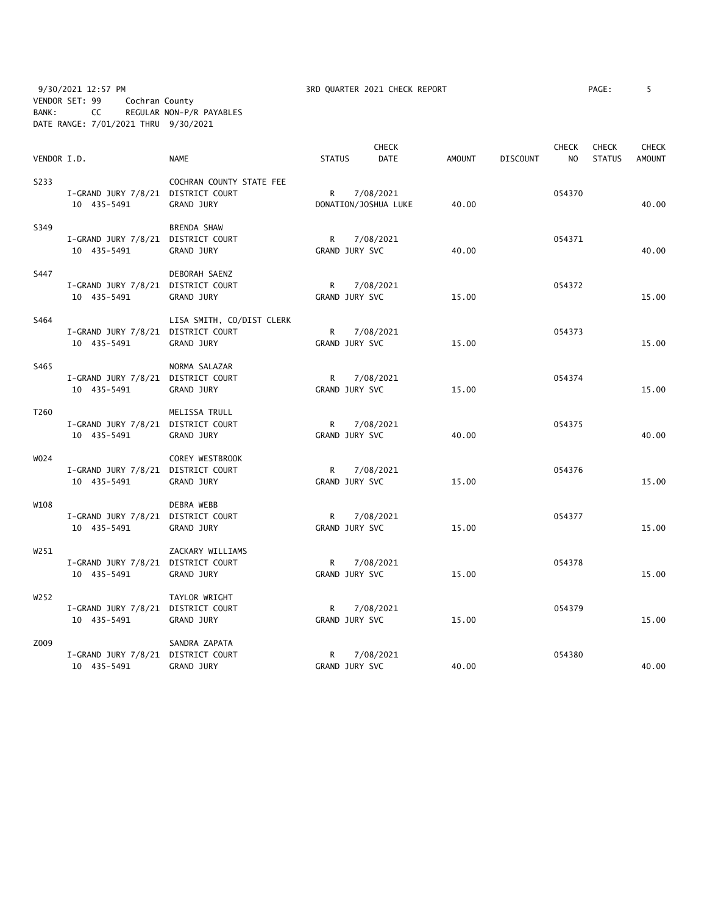9/30/2021 12:57 PM **3RD QUARTER 2021 CHECK REPORT** PAGE: 5 VENDOR SET: 99 Cochran County BANK: CC REGULAR NON-P/R PAYABLES DATE RANGE: 7/01/2021 THRU 9/30/2021

|             |                                    |                           | <b>CHECK</b>   |                      | <b>CHECK</b>  |                 |                | <b>CHECK</b>  | <b>CHECK</b>  |
|-------------|------------------------------------|---------------------------|----------------|----------------------|---------------|-----------------|----------------|---------------|---------------|
| VENDOR I.D. |                                    | <b>NAME</b>               | <b>STATUS</b>  | <b>DATE</b>          | <b>AMOUNT</b> | <b>DISCOUNT</b> | N <sub>O</sub> | <b>STATUS</b> | <b>AMOUNT</b> |
| S233        |                                    | COCHRAN COUNTY STATE FEE  |                |                      |               |                 |                |               |               |
|             | I-GRAND JURY 7/8/21 DISTRICT COURT |                           | R              | 7/08/2021            |               |                 | 054370         |               |               |
|             | 10 435-5491                        | <b>GRAND JURY</b>         |                | DONATION/JOSHUA LUKE | 40.00         |                 |                |               | 40.00         |
| S349        |                                    | <b>BRENDA SHAW</b>        |                |                      |               |                 |                |               |               |
|             | I-GRAND JURY 7/8/21 DISTRICT COURT |                           | R              | 7/08/2021            |               |                 | 054371         |               |               |
|             | 10 435-5491                        | <b>GRAND JURY</b>         | GRAND JURY SVC |                      | 40.00         |                 |                |               | 40.00         |
| S447        |                                    | DEBORAH SAENZ             |                |                      |               |                 |                |               |               |
|             | I-GRAND JURY 7/8/21 DISTRICT COURT |                           | R              | 7/08/2021            |               |                 | 054372         |               |               |
|             | 10 435-5491                        | <b>GRAND JURY</b>         | GRAND JURY SVC |                      | 15.00         |                 |                |               | 15.00         |
| S464        |                                    | LISA SMITH, CO/DIST CLERK |                |                      |               |                 |                |               |               |
|             | I-GRAND JURY 7/8/21 DISTRICT COURT |                           | $\mathsf{R}$   | 7/08/2021            |               |                 | 054373         |               |               |
|             | 10 435-5491                        | GRAND JURY                | GRAND JURY SVC |                      | 15.00         |                 |                |               | 15.00         |
| S465        |                                    | NORMA SALAZAR             |                |                      |               |                 |                |               |               |
|             | I-GRAND JURY 7/8/21 DISTRICT COURT |                           | R              | 7/08/2021            |               |                 | 054374         |               |               |
|             | 10 435-5491                        | GRAND JURY                | GRAND JURY SVC |                      | 15.00         |                 |                |               | 15.00         |
| T260        |                                    | MELISSA TRULL             |                |                      |               |                 |                |               |               |
|             | I-GRAND JURY 7/8/21 DISTRICT COURT |                           | R              | 7/08/2021            |               |                 | 054375         |               |               |
|             | 10 435-5491                        | GRAND JURY                | GRAND JURY SVC |                      | 40.00         |                 |                |               | 40.00         |
| W024        |                                    | COREY WESTBROOK           |                |                      |               |                 |                |               |               |
|             | I-GRAND JURY 7/8/21 DISTRICT COURT |                           | R              | 7/08/2021            |               |                 | 054376         |               |               |
|             | 10 435-5491                        | <b>GRAND JURY</b>         | GRAND JURY SVC |                      | 15.00         |                 |                |               | 15.00         |
| W108        |                                    | DEBRA WEBB                |                |                      |               |                 |                |               |               |
|             | I-GRAND JURY 7/8/21 DISTRICT COURT |                           | R.             | 7/08/2021            |               |                 | 054377         |               |               |
|             | 10 435-5491                        | <b>GRAND JURY</b>         | GRAND JURY SVC |                      | 15.00         |                 |                |               | 15.00         |
| W251        |                                    | ZACKARY WILLIAMS          |                |                      |               |                 |                |               |               |
|             | I-GRAND JURY 7/8/21 DISTRICT COURT |                           | R              | 7/08/2021            |               |                 | 054378         |               |               |
|             | 10 435-5491                        | GRAND JURY                | GRAND JURY SVC |                      | 15.00         |                 |                |               | 15.00         |
| W252        |                                    | TAYLOR WRIGHT             |                |                      |               |                 |                |               |               |
|             | I-GRAND JURY 7/8/21 DISTRICT COURT |                           | R              | 7/08/2021            |               |                 | 054379         |               |               |
|             | 10 435-5491                        | GRAND JURY                | GRAND JURY SVC |                      | 15.00         |                 |                |               | 15.00         |
| Z009        |                                    | SANDRA ZAPATA             |                |                      |               |                 |                |               |               |
|             | I-GRAND JURY 7/8/21 DISTRICT COURT |                           | R              | 7/08/2021            |               |                 | 054380         |               |               |
|             | 10 435-5491                        | GRAND JURY                | GRAND JURY SVC |                      | 40.00         |                 |                |               | 40.00         |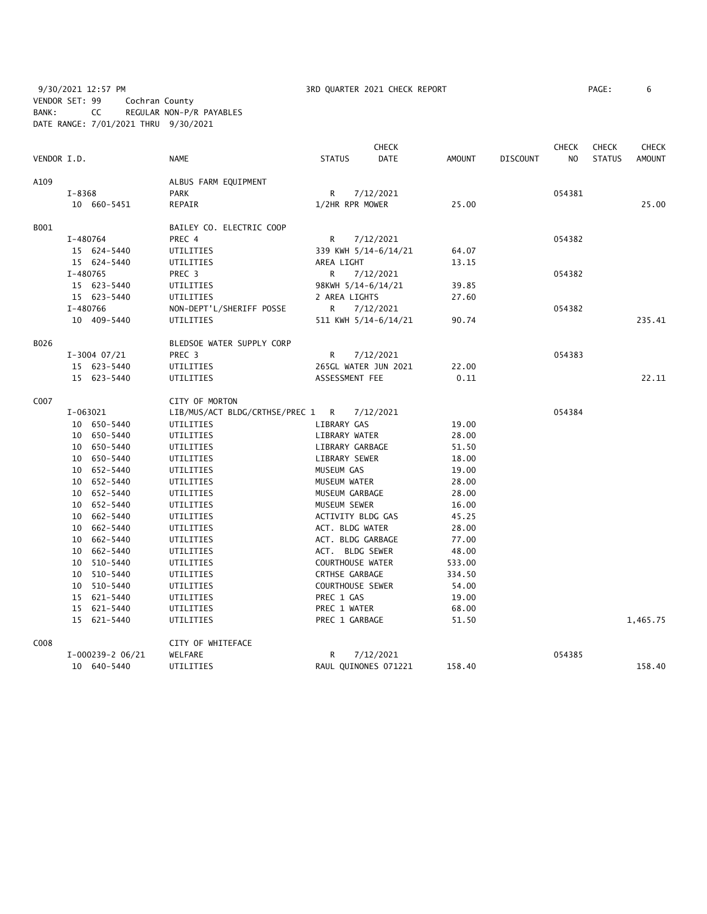9/30/2021 12:57 PM **3RD QUARTER 2021 CHECK REPORT** 9/30/2021 12:57 PM PAGE: 6 VENDOR SET: 99 Cochran County BANK: CC REGULAR NON-P/R PAYABLES DATE RANGE: 7/01/2021 THRU 9/30/2021

|             |            |                    |                                  |                         | <b>CHECK</b>         |               |                 | <b>CHECK</b> | <b>CHECK</b>  | <b>CHECK</b>  |
|-------------|------------|--------------------|----------------------------------|-------------------------|----------------------|---------------|-----------------|--------------|---------------|---------------|
| VENDOR I.D. |            |                    | <b>NAME</b>                      | <b>STATUS</b>           | <b>DATE</b>          | <b>AMOUNT</b> | <b>DISCOUNT</b> | NO           | <b>STATUS</b> | <b>AMOUNT</b> |
| A109        |            |                    | ALBUS FARM EQUIPMENT             |                         |                      |               |                 |              |               |               |
|             | $I - 8368$ |                    | <b>PARK</b>                      | R                       | 7/12/2021            |               |                 | 054381       |               |               |
|             |            | 10 660-5451        | REPAIR                           | 1/2HR RPR MOWER         |                      | 25.00         |                 |              |               | 25.00         |
| B001        |            |                    | BAILEY CO. ELECTRIC COOP         |                         |                      |               |                 |              |               |               |
|             |            | I-480764           | PREC 4                           | R                       | 7/12/2021            |               |                 | 054382       |               |               |
|             |            | 15 624-5440        | UTILITIES                        |                         | 339 KWH 5/14-6/14/21 | 64.07         |                 |              |               |               |
|             |            | 15 624-5440        | UTILITIES                        | AREA LIGHT              |                      | 13.15         |                 |              |               |               |
|             |            | I-480765           | PREC 3                           | R.                      | 7/12/2021            |               |                 | 054382       |               |               |
|             |            | 15 623-5440        | UTILITIES                        | 98KWH 5/14-6/14/21      |                      | 39.85         |                 |              |               |               |
|             |            | 15 623-5440        | UTILITIES                        | 2 AREA LIGHTS           |                      | 27.60         |                 |              |               |               |
|             |            | I-480766           | NON-DEPT'L/SHERIFF POSSE         | R.                      | 7/12/2021            |               |                 | 054382       |               |               |
|             |            | 10 409-5440        | UTILITIES                        |                         | 511 KWH 5/14-6/14/21 | 90.74         |                 |              |               | 235.41        |
| B026        |            |                    | BLEDSOE WATER SUPPLY CORP        |                         |                      |               |                 |              |               |               |
|             |            | $I-3004$ 07/21     | PREC 3                           | R                       | 7/12/2021            |               |                 | 054383       |               |               |
|             |            | 15 623-5440        | UTILITIES                        |                         | 265GL WATER JUN 2021 | 22.00         |                 |              |               |               |
|             |            | 15 623-5440        | UTILITIES                        | ASSESSMENT FEE          |                      | 0.11          |                 |              |               | 22.11         |
| C007        |            |                    | CITY OF MORTON                   |                         |                      |               |                 |              |               |               |
|             |            | I-063021           | LIB/MUS/ACT BLDG/CRTHSE/PREC 1 R |                         | 7/12/2021            |               |                 | 054384       |               |               |
|             |            | 10 650-5440        | UTILITIES                        | LIBRARY GAS             |                      | 19.00         |                 |              |               |               |
|             |            | 10 650-5440        | UTILITIES                        | LIBRARY WATER           |                      | 28.00         |                 |              |               |               |
|             |            | 10 650-5440        | UTILITIES                        | LIBRARY GARBAGE         |                      | 51.50         |                 |              |               |               |
|             |            | 10 650-5440        | UTILITIES                        | LIBRARY SEWER           |                      | 18.00         |                 |              |               |               |
|             |            | 10 652-5440        | UTILITIES                        | MUSEUM GAS              |                      | 19.00         |                 |              |               |               |
|             |            | 10 652-5440        | UTILITIES                        | MUSEUM WATER            |                      | 28.00         |                 |              |               |               |
|             |            | 10 652-5440        | UTILITIES                        | MUSEUM GARBAGE          |                      | 28.00         |                 |              |               |               |
|             |            | 10 652-5440        | UTILITIES                        | MUSEUM SEWER            |                      | 16.00         |                 |              |               |               |
|             |            | 10 662-5440        | UTILITIES                        | ACTIVITY BLDG GAS       |                      | 45.25         |                 |              |               |               |
|             |            | 10 662-5440        | UTILITIES                        | ACT. BLDG WATER         |                      | 28.00         |                 |              |               |               |
|             |            | 10 662-5440        | UTILITIES                        | ACT. BLDG GARBAGE       |                      | 77.00         |                 |              |               |               |
|             |            | 10 662-5440        | UTILITIES                        | ACT. BLDG SEWER         |                      | 48.00         |                 |              |               |               |
|             |            | 10 510-5440        | UTILITIES                        | <b>COURTHOUSE WATER</b> |                      | 533.00        |                 |              |               |               |
|             |            | 10 510-5440        | UTILITIES                        | <b>CRTHSE GARBAGE</b>   |                      | 334.50        |                 |              |               |               |
|             |            | 10 510-5440        | UTILITIES                        | COURTHOUSE SEWER        |                      | 54.00         |                 |              |               |               |
|             |            | 15 621-5440        | UTILITIES                        | PREC 1 GAS              |                      | 19.00         |                 |              |               |               |
|             |            | 15 621-5440        | UTILITIES                        | PREC 1 WATER            |                      | 68.00         |                 |              |               |               |
|             |            | 15 621-5440        | UTILITIES                        | PREC 1 GARBAGE          |                      | 51.50         |                 |              |               | 1,465.75      |
| C008        |            |                    | CITY OF WHITEFACE                |                         |                      |               |                 |              |               |               |
|             |            | $I-000239-2$ 06/21 | WELFARE                          | R                       | 7/12/2021            |               |                 | 054385       |               |               |
|             |            | 10 640-5440        | UTILITIES                        |                         | RAUL QUINONES 071221 | 158.40        |                 |              |               | 158.40        |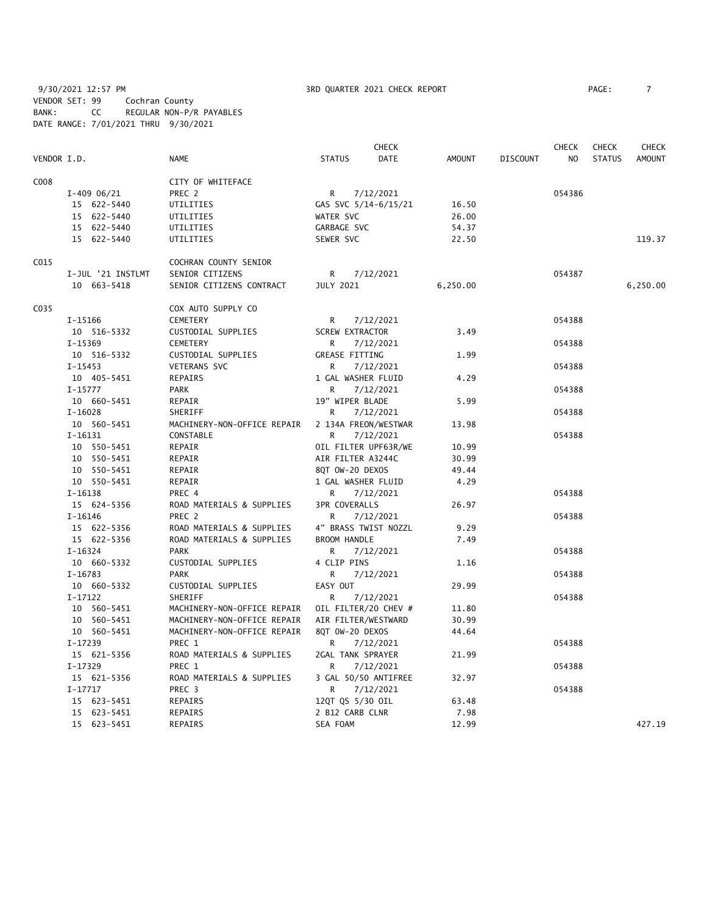9/30/2021 12:57 PM **3RD QUARTER 2021 CHECK REPORT** PAGE: 7 VENDOR SET: 99 Cochran County BANK: CC REGULAR NON-P/R PAYABLES DATE RANGE: 7/01/2021 THRU 9/30/2021

|             |                   |                             |                        | <b>CHECK</b> |          |          | <b>CHECK</b>   | <b>CHECK</b>  | CHECK         |
|-------------|-------------------|-----------------------------|------------------------|--------------|----------|----------|----------------|---------------|---------------|
| VENDOR I.D. |                   | <b>NAME</b>                 | <b>STATUS</b>          | DATE         | AMOUNT   | DISCOUNT | N <sub>O</sub> | <b>STATUS</b> | <b>AMOUNT</b> |
| C008        |                   | CITY OF WHITEFACE           |                        |              |          |          |                |               |               |
|             | $I-409$ 06/21     | PREC 2                      | R                      | 7/12/2021    |          |          | 054386         |               |               |
|             | 15 622-5440       | UTILITIES                   | GAS SVC 5/14-6/15/21   |              | 16.50    |          |                |               |               |
|             | 15 622-5440       | UTILITIES                   | WATER SVC              |              | 26.00    |          |                |               |               |
|             | 15 622-5440       | UTILITIES                   | GARBAGE SVC            |              | 54.37    |          |                |               |               |
|             | 15 622-5440       | UTILITIES                   | SEWER SVC              |              | 22.50    |          |                |               | 119.37        |
| C015        |                   | COCHRAN COUNTY SENIOR       |                        |              |          |          |                |               |               |
|             | I-JUL '21 INSTLMT | SENIOR CITIZENS             | R                      | 7/12/2021    |          |          | 054387         |               |               |
|             | 10 663-5418       | SENIOR CITIZENS CONTRACT    | <b>JULY 2021</b>       |              | 6,250.00 |          |                |               | 6,250.00      |
| C035        |                   | COX AUTO SUPPLY CO          |                        |              |          |          |                |               |               |
|             | I-15166           | CEMETERY                    | R                      | 7/12/2021    |          |          | 054388         |               |               |
|             | 10 516-5332       | CUSTODIAL SUPPLIES          | <b>SCREW EXTRACTOR</b> |              | 3.49     |          |                |               |               |
|             | $I-15369$         | CEMETERY                    | R                      | 7/12/2021    |          |          | 054388         |               |               |
|             | 10 516-5332       | CUSTODIAL SUPPLIES          | <b>GREASE FITTING</b>  |              | 1.99     |          |                |               |               |
|             | $I-15453$         | <b>VETERANS SVC</b>         | R                      | 7/12/2021    |          |          | 054388         |               |               |
|             | 10 405-5451       | REPAIRS                     | 1 GAL WASHER FLUID     |              | 4.29     |          |                |               |               |
|             | $I-15777$         | <b>PARK</b>                 | R                      | 7/12/2021    |          |          | 054388         |               |               |
|             | 10 660-5451       | REPAIR                      | 19" WIPER BLADE        |              | 5.99     |          |                |               |               |
|             | $I-16028$         | SHERIFF                     | R                      | 7/12/2021    |          |          | 054388         |               |               |
|             | 10 560-5451       | MACHINERY-NON-OFFICE REPAIR | 2 134A FREON/WESTWAR   |              | 13.98    |          |                |               |               |
|             | $I-16131$         | CONSTABLE                   | R                      | 7/12/2021    |          |          | 054388         |               |               |
|             | 10 550-5451       | REPAIR                      | OIL FILTER UPF63R/WE   |              | 10.99    |          |                |               |               |
|             | 10 550-5451       | REPAIR                      | AIR FILTER A3244C      |              | 30.99    |          |                |               |               |
|             | 10 550-5451       | REPAIR                      | 8QT OW-20 DEXOS        |              | 49.44    |          |                |               |               |
|             | 10 550-5451       | REPAIR                      | 1 GAL WASHER FLUID     |              | 4.29     |          |                |               |               |
|             | $I-16138$         | PREC 4                      | R                      | 7/12/2021    |          |          | 054388         |               |               |
|             | 15 624-5356       | ROAD MATERIALS & SUPPLIES   | <b>3PR COVERALLS</b>   |              | 26.97    |          |                |               |               |
|             | I-16146           | PREC 2                      | R                      | 7/12/2021    |          |          | 054388         |               |               |
|             | 15 622-5356       | ROAD MATERIALS & SUPPLIES   | 4" BRASS TWIST NOZZL   |              | 9.29     |          |                |               |               |
|             | 15 622-5356       | ROAD MATERIALS & SUPPLIES   | <b>BROOM HANDLE</b>    |              | 7.49     |          |                |               |               |
|             | I-16324           | <b>PARK</b>                 | R                      | 7/12/2021    |          |          | 054388         |               |               |
|             | 10 660-5332       | CUSTODIAL SUPPLIES          | 4 CLIP PINS            |              | 1.16     |          |                |               |               |
|             | I-16783           | <b>PARK</b>                 | R                      | 7/12/2021    |          |          | 054388         |               |               |
|             | 10 660-5332       | CUSTODIAL SUPPLIES          | EASY OUT               |              | 29.99    |          |                |               |               |
|             | $I-17122$         | SHERIFF                     | R                      | 7/12/2021    |          |          | 054388         |               |               |
|             | 10 560-5451       | MACHINERY-NON-OFFICE REPAIR | OIL FILTER/20 CHEV #   |              | 11.80    |          |                |               |               |
|             | 10 560-5451       | MACHINERY-NON-OFFICE REPAIR | AIR FILTER/WESTWARD    |              | 30.99    |          |                |               |               |
|             | 10 560-5451       | MACHINERY-NON-OFFICE REPAIR | 8QT 0W-20 DEXOS        |              | 44.64    |          |                |               |               |
|             | $I-17239$         | PREC 1                      | R                      | 7/12/2021    |          |          | 054388         |               |               |
|             | 15 621-5356       | ROAD MATERIALS & SUPPLIES   | 2GAL TANK SPRAYER      |              | 21.99    |          |                |               |               |
|             | I-17329           | PREC 1                      | R                      | 7/12/2021    |          |          | 054388         |               |               |
|             | 15 621-5356       | ROAD MATERIALS & SUPPLIES   | 3 GAL 50/50 ANTIFREE   |              | 32.97    |          |                |               |               |
|             | $I-17717$         | PREC <sub>3</sub>           | R                      | 7/12/2021    |          |          | 054388         |               |               |
|             | 15 623-5451       | REPAIRS                     | 12QT QS 5/30 OIL       |              | 63.48    |          |                |               |               |
|             | 15 623-5451       | <b>REPAIRS</b>              | 2 B12 CARB CLNR        |              | 7.98     |          |                |               |               |
|             | 15 623-5451       | REPAIRS                     | SEA FOAM               |              | 12.99    |          |                |               | 427.19        |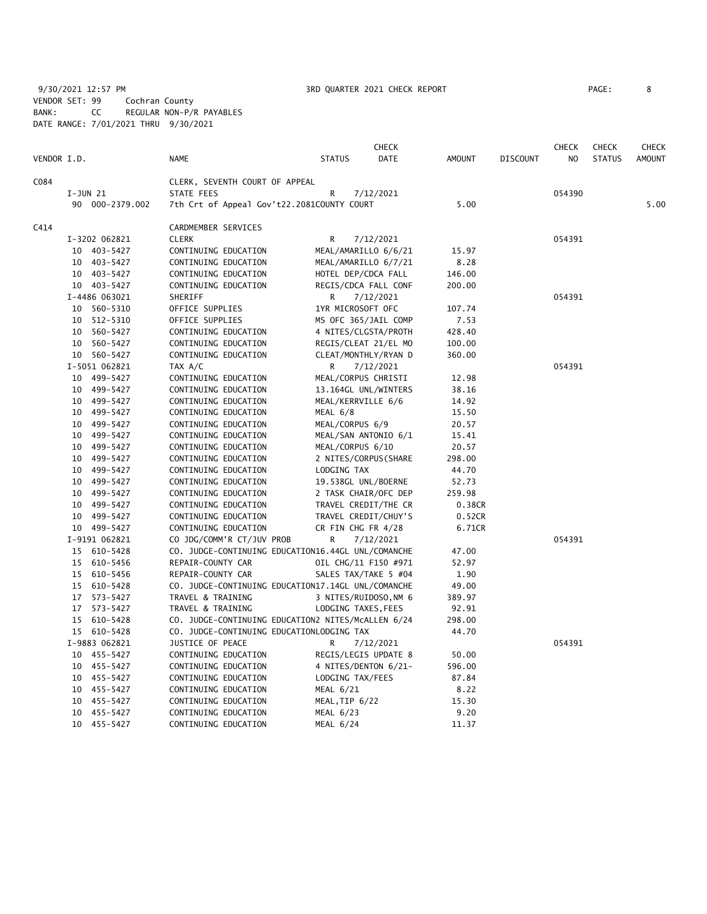9/30/2021 12:57 PM **3RD QUARTER 2021 CHECK REPORT** PAGE: 8 VENDOR SET: 99 Cochran County BANK: CC REGULAR NON-P/R PAYABLES DATE RANGE: 7/01/2021 THRU 9/30/2021

|             |                                                                                                                                                                                                                                                                                                                                                                                                                                                                                                                                                                                                                                                                                                              |                                                                                                                                                                |                                                                                                                                                                                                                                                                                                                                                                                                                                                                                                                                                                                                                     |                                                                                                                                                                                                                                                                                                                                                                                                                                                                                                                                                                                                                                                                                                                                                                                                                                                                                                                                                                                                                                                                   |                                                                                                                                                                                                                                                         | CHECK  |                            | <b>CHECK</b>  |
|-------------|--------------------------------------------------------------------------------------------------------------------------------------------------------------------------------------------------------------------------------------------------------------------------------------------------------------------------------------------------------------------------------------------------------------------------------------------------------------------------------------------------------------------------------------------------------------------------------------------------------------------------------------------------------------------------------------------------------------|----------------------------------------------------------------------------------------------------------------------------------------------------------------|---------------------------------------------------------------------------------------------------------------------------------------------------------------------------------------------------------------------------------------------------------------------------------------------------------------------------------------------------------------------------------------------------------------------------------------------------------------------------------------------------------------------------------------------------------------------------------------------------------------------|-------------------------------------------------------------------------------------------------------------------------------------------------------------------------------------------------------------------------------------------------------------------------------------------------------------------------------------------------------------------------------------------------------------------------------------------------------------------------------------------------------------------------------------------------------------------------------------------------------------------------------------------------------------------------------------------------------------------------------------------------------------------------------------------------------------------------------------------------------------------------------------------------------------------------------------------------------------------------------------------------------------------------------------------------------------------|---------------------------------------------------------------------------------------------------------------------------------------------------------------------------------------------------------------------------------------------------------|--------|----------------------------|---------------|
| VENDOR I.D. | <b>NAME</b>                                                                                                                                                                                                                                                                                                                                                                                                                                                                                                                                                                                                                                                                                                  | <b>STATUS</b>                                                                                                                                                  | <b>DATE</b>                                                                                                                                                                                                                                                                                                                                                                                                                                                                                                                                                                                                         | <b>AMOUNT</b>                                                                                                                                                                                                                                                                                                                                                                                                                                                                                                                                                                                                                                                                                                                                                                                                                                                                                                                                                                                                                                                     | <b>DISCOUNT</b>                                                                                                                                                                                                                                         | NO.    | <b>STATUS</b>              | <b>AMOUNT</b> |
|             |                                                                                                                                                                                                                                                                                                                                                                                                                                                                                                                                                                                                                                                                                                              |                                                                                                                                                                |                                                                                                                                                                                                                                                                                                                                                                                                                                                                                                                                                                                                                     |                                                                                                                                                                                                                                                                                                                                                                                                                                                                                                                                                                                                                                                                                                                                                                                                                                                                                                                                                                                                                                                                   |                                                                                                                                                                                                                                                         |        |                            |               |
|             | STATE FEES                                                                                                                                                                                                                                                                                                                                                                                                                                                                                                                                                                                                                                                                                                   | R                                                                                                                                                              |                                                                                                                                                                                                                                                                                                                                                                                                                                                                                                                                                                                                                     |                                                                                                                                                                                                                                                                                                                                                                                                                                                                                                                                                                                                                                                                                                                                                                                                                                                                                                                                                                                                                                                                   |                                                                                                                                                                                                                                                         | 054390 |                            |               |
|             |                                                                                                                                                                                                                                                                                                                                                                                                                                                                                                                                                                                                                                                                                                              |                                                                                                                                                                |                                                                                                                                                                                                                                                                                                                                                                                                                                                                                                                                                                                                                     | 5.00                                                                                                                                                                                                                                                                                                                                                                                                                                                                                                                                                                                                                                                                                                                                                                                                                                                                                                                                                                                                                                                              |                                                                                                                                                                                                                                                         |        |                            | 5.00          |
|             |                                                                                                                                                                                                                                                                                                                                                                                                                                                                                                                                                                                                                                                                                                              |                                                                                                                                                                |                                                                                                                                                                                                                                                                                                                                                                                                                                                                                                                                                                                                                     |                                                                                                                                                                                                                                                                                                                                                                                                                                                                                                                                                                                                                                                                                                                                                                                                                                                                                                                                                                                                                                                                   |                                                                                                                                                                                                                                                         |        |                            |               |
|             |                                                                                                                                                                                                                                                                                                                                                                                                                                                                                                                                                                                                                                                                                                              |                                                                                                                                                                |                                                                                                                                                                                                                                                                                                                                                                                                                                                                                                                                                                                                                     |                                                                                                                                                                                                                                                                                                                                                                                                                                                                                                                                                                                                                                                                                                                                                                                                                                                                                                                                                                                                                                                                   |                                                                                                                                                                                                                                                         |        |                            |               |
|             |                                                                                                                                                                                                                                                                                                                                                                                                                                                                                                                                                                                                                                                                                                              |                                                                                                                                                                |                                                                                                                                                                                                                                                                                                                                                                                                                                                                                                                                                                                                                     |                                                                                                                                                                                                                                                                                                                                                                                                                                                                                                                                                                                                                                                                                                                                                                                                                                                                                                                                                                                                                                                                   |                                                                                                                                                                                                                                                         |        |                            |               |
|             |                                                                                                                                                                                                                                                                                                                                                                                                                                                                                                                                                                                                                                                                                                              |                                                                                                                                                                |                                                                                                                                                                                                                                                                                                                                                                                                                                                                                                                                                                                                                     |                                                                                                                                                                                                                                                                                                                                                                                                                                                                                                                                                                                                                                                                                                                                                                                                                                                                                                                                                                                                                                                                   |                                                                                                                                                                                                                                                         |        |                            |               |
|             |                                                                                                                                                                                                                                                                                                                                                                                                                                                                                                                                                                                                                                                                                                              |                                                                                                                                                                |                                                                                                                                                                                                                                                                                                                                                                                                                                                                                                                                                                                                                     |                                                                                                                                                                                                                                                                                                                                                                                                                                                                                                                                                                                                                                                                                                                                                                                                                                                                                                                                                                                                                                                                   |                                                                                                                                                                                                                                                         |        |                            |               |
|             |                                                                                                                                                                                                                                                                                                                                                                                                                                                                                                                                                                                                                                                                                                              |                                                                                                                                                                |                                                                                                                                                                                                                                                                                                                                                                                                                                                                                                                                                                                                                     |                                                                                                                                                                                                                                                                                                                                                                                                                                                                                                                                                                                                                                                                                                                                                                                                                                                                                                                                                                                                                                                                   |                                                                                                                                                                                                                                                         |        |                            |               |
|             |                                                                                                                                                                                                                                                                                                                                                                                                                                                                                                                                                                                                                                                                                                              |                                                                                                                                                                |                                                                                                                                                                                                                                                                                                                                                                                                                                                                                                                                                                                                                     |                                                                                                                                                                                                                                                                                                                                                                                                                                                                                                                                                                                                                                                                                                                                                                                                                                                                                                                                                                                                                                                                   |                                                                                                                                                                                                                                                         |        |                            |               |
|             |                                                                                                                                                                                                                                                                                                                                                                                                                                                                                                                                                                                                                                                                                                              |                                                                                                                                                                |                                                                                                                                                                                                                                                                                                                                                                                                                                                                                                                                                                                                                     |                                                                                                                                                                                                                                                                                                                                                                                                                                                                                                                                                                                                                                                                                                                                                                                                                                                                                                                                                                                                                                                                   |                                                                                                                                                                                                                                                         |        |                            |               |
|             |                                                                                                                                                                                                                                                                                                                                                                                                                                                                                                                                                                                                                                                                                                              |                                                                                                                                                                |                                                                                                                                                                                                                                                                                                                                                                                                                                                                                                                                                                                                                     |                                                                                                                                                                                                                                                                                                                                                                                                                                                                                                                                                                                                                                                                                                                                                                                                                                                                                                                                                                                                                                                                   |                                                                                                                                                                                                                                                         |        |                            |               |
|             |                                                                                                                                                                                                                                                                                                                                                                                                                                                                                                                                                                                                                                                                                                              |                                                                                                                                                                |                                                                                                                                                                                                                                                                                                                                                                                                                                                                                                                                                                                                                     |                                                                                                                                                                                                                                                                                                                                                                                                                                                                                                                                                                                                                                                                                                                                                                                                                                                                                                                                                                                                                                                                   |                                                                                                                                                                                                                                                         |        |                            |               |
|             |                                                                                                                                                                                                                                                                                                                                                                                                                                                                                                                                                                                                                                                                                                              |                                                                                                                                                                |                                                                                                                                                                                                                                                                                                                                                                                                                                                                                                                                                                                                                     |                                                                                                                                                                                                                                                                                                                                                                                                                                                                                                                                                                                                                                                                                                                                                                                                                                                                                                                                                                                                                                                                   |                                                                                                                                                                                                                                                         |        |                            |               |
|             |                                                                                                                                                                                                                                                                                                                                                                                                                                                                                                                                                                                                                                                                                                              |                                                                                                                                                                |                                                                                                                                                                                                                                                                                                                                                                                                                                                                                                                                                                                                                     |                                                                                                                                                                                                                                                                                                                                                                                                                                                                                                                                                                                                                                                                                                                                                                                                                                                                                                                                                                                                                                                                   |                                                                                                                                                                                                                                                         |        |                            |               |
|             |                                                                                                                                                                                                                                                                                                                                                                                                                                                                                                                                                                                                                                                                                                              |                                                                                                                                                                |                                                                                                                                                                                                                                                                                                                                                                                                                                                                                                                                                                                                                     |                                                                                                                                                                                                                                                                                                                                                                                                                                                                                                                                                                                                                                                                                                                                                                                                                                                                                                                                                                                                                                                                   |                                                                                                                                                                                                                                                         |        |                            |               |
|             |                                                                                                                                                                                                                                                                                                                                                                                                                                                                                                                                                                                                                                                                                                              |                                                                                                                                                                |                                                                                                                                                                                                                                                                                                                                                                                                                                                                                                                                                                                                                     |                                                                                                                                                                                                                                                                                                                                                                                                                                                                                                                                                                                                                                                                                                                                                                                                                                                                                                                                                                                                                                                                   |                                                                                                                                                                                                                                                         |        |                            |               |
|             |                                                                                                                                                                                                                                                                                                                                                                                                                                                                                                                                                                                                                                                                                                              |                                                                                                                                                                |                                                                                                                                                                                                                                                                                                                                                                                                                                                                                                                                                                                                                     |                                                                                                                                                                                                                                                                                                                                                                                                                                                                                                                                                                                                                                                                                                                                                                                                                                                                                                                                                                                                                                                                   |                                                                                                                                                                                                                                                         |        |                            |               |
|             |                                                                                                                                                                                                                                                                                                                                                                                                                                                                                                                                                                                                                                                                                                              |                                                                                                                                                                |                                                                                                                                                                                                                                                                                                                                                                                                                                                                                                                                                                                                                     |                                                                                                                                                                                                                                                                                                                                                                                                                                                                                                                                                                                                                                                                                                                                                                                                                                                                                                                                                                                                                                                                   |                                                                                                                                                                                                                                                         |        |                            |               |
|             |                                                                                                                                                                                                                                                                                                                                                                                                                                                                                                                                                                                                                                                                                                              |                                                                                                                                                                |                                                                                                                                                                                                                                                                                                                                                                                                                                                                                                                                                                                                                     |                                                                                                                                                                                                                                                                                                                                                                                                                                                                                                                                                                                                                                                                                                                                                                                                                                                                                                                                                                                                                                                                   |                                                                                                                                                                                                                                                         |        |                            |               |
|             |                                                                                                                                                                                                                                                                                                                                                                                                                                                                                                                                                                                                                                                                                                              |                                                                                                                                                                |                                                                                                                                                                                                                                                                                                                                                                                                                                                                                                                                                                                                                     |                                                                                                                                                                                                                                                                                                                                                                                                                                                                                                                                                                                                                                                                                                                                                                                                                                                                                                                                                                                                                                                                   |                                                                                                                                                                                                                                                         |        |                            |               |
|             |                                                                                                                                                                                                                                                                                                                                                                                                                                                                                                                                                                                                                                                                                                              |                                                                                                                                                                |                                                                                                                                                                                                                                                                                                                                                                                                                                                                                                                                                                                                                     |                                                                                                                                                                                                                                                                                                                                                                                                                                                                                                                                                                                                                                                                                                                                                                                                                                                                                                                                                                                                                                                                   |                                                                                                                                                                                                                                                         |        |                            |               |
|             |                                                                                                                                                                                                                                                                                                                                                                                                                                                                                                                                                                                                                                                                                                              |                                                                                                                                                                |                                                                                                                                                                                                                                                                                                                                                                                                                                                                                                                                                                                                                     |                                                                                                                                                                                                                                                                                                                                                                                                                                                                                                                                                                                                                                                                                                                                                                                                                                                                                                                                                                                                                                                                   |                                                                                                                                                                                                                                                         |        |                            |               |
|             |                                                                                                                                                                                                                                                                                                                                                                                                                                                                                                                                                                                                                                                                                                              |                                                                                                                                                                |                                                                                                                                                                                                                                                                                                                                                                                                                                                                                                                                                                                                                     |                                                                                                                                                                                                                                                                                                                                                                                                                                                                                                                                                                                                                                                                                                                                                                                                                                                                                                                                                                                                                                                                   |                                                                                                                                                                                                                                                         |        |                            |               |
|             |                                                                                                                                                                                                                                                                                                                                                                                                                                                                                                                                                                                                                                                                                                              |                                                                                                                                                                |                                                                                                                                                                                                                                                                                                                                                                                                                                                                                                                                                                                                                     |                                                                                                                                                                                                                                                                                                                                                                                                                                                                                                                                                                                                                                                                                                                                                                                                                                                                                                                                                                                                                                                                   |                                                                                                                                                                                                                                                         |        |                            |               |
|             |                                                                                                                                                                                                                                                                                                                                                                                                                                                                                                                                                                                                                                                                                                              |                                                                                                                                                                |                                                                                                                                                                                                                                                                                                                                                                                                                                                                                                                                                                                                                     |                                                                                                                                                                                                                                                                                                                                                                                                                                                                                                                                                                                                                                                                                                                                                                                                                                                                                                                                                                                                                                                                   |                                                                                                                                                                                                                                                         |        |                            |               |
|             |                                                                                                                                                                                                                                                                                                                                                                                                                                                                                                                                                                                                                                                                                                              |                                                                                                                                                                |                                                                                                                                                                                                                                                                                                                                                                                                                                                                                                                                                                                                                     |                                                                                                                                                                                                                                                                                                                                                                                                                                                                                                                                                                                                                                                                                                                                                                                                                                                                                                                                                                                                                                                                   |                                                                                                                                                                                                                                                         |        |                            |               |
|             |                                                                                                                                                                                                                                                                                                                                                                                                                                                                                                                                                                                                                                                                                                              |                                                                                                                                                                |                                                                                                                                                                                                                                                                                                                                                                                                                                                                                                                                                                                                                     |                                                                                                                                                                                                                                                                                                                                                                                                                                                                                                                                                                                                                                                                                                                                                                                                                                                                                                                                                                                                                                                                   |                                                                                                                                                                                                                                                         |        |                            |               |
|             |                                                                                                                                                                                                                                                                                                                                                                                                                                                                                                                                                                                                                                                                                                              |                                                                                                                                                                |                                                                                                                                                                                                                                                                                                                                                                                                                                                                                                                                                                                                                     |                                                                                                                                                                                                                                                                                                                                                                                                                                                                                                                                                                                                                                                                                                                                                                                                                                                                                                                                                                                                                                                                   |                                                                                                                                                                                                                                                         |        |                            |               |
|             |                                                                                                                                                                                                                                                                                                                                                                                                                                                                                                                                                                                                                                                                                                              |                                                                                                                                                                |                                                                                                                                                                                                                                                                                                                                                                                                                                                                                                                                                                                                                     |                                                                                                                                                                                                                                                                                                                                                                                                                                                                                                                                                                                                                                                                                                                                                                                                                                                                                                                                                                                                                                                                   |                                                                                                                                                                                                                                                         |        |                            |               |
|             |                                                                                                                                                                                                                                                                                                                                                                                                                                                                                                                                                                                                                                                                                                              |                                                                                                                                                                |                                                                                                                                                                                                                                                                                                                                                                                                                                                                                                                                                                                                                     |                                                                                                                                                                                                                                                                                                                                                                                                                                                                                                                                                                                                                                                                                                                                                                                                                                                                                                                                                                                                                                                                   |                                                                                                                                                                                                                                                         | 054391 |                            |               |
|             |                                                                                                                                                                                                                                                                                                                                                                                                                                                                                                                                                                                                                                                                                                              |                                                                                                                                                                |                                                                                                                                                                                                                                                                                                                                                                                                                                                                                                                                                                                                                     |                                                                                                                                                                                                                                                                                                                                                                                                                                                                                                                                                                                                                                                                                                                                                                                                                                                                                                                                                                                                                                                                   |                                                                                                                                                                                                                                                         |        |                            |               |
|             |                                                                                                                                                                                                                                                                                                                                                                                                                                                                                                                                                                                                                                                                                                              |                                                                                                                                                                |                                                                                                                                                                                                                                                                                                                                                                                                                                                                                                                                                                                                                     |                                                                                                                                                                                                                                                                                                                                                                                                                                                                                                                                                                                                                                                                                                                                                                                                                                                                                                                                                                                                                                                                   |                                                                                                                                                                                                                                                         |        |                            |               |
|             |                                                                                                                                                                                                                                                                                                                                                                                                                                                                                                                                                                                                                                                                                                              |                                                                                                                                                                |                                                                                                                                                                                                                                                                                                                                                                                                                                                                                                                                                                                                                     |                                                                                                                                                                                                                                                                                                                                                                                                                                                                                                                                                                                                                                                                                                                                                                                                                                                                                                                                                                                                                                                                   |                                                                                                                                                                                                                                                         |        |                            |               |
|             |                                                                                                                                                                                                                                                                                                                                                                                                                                                                                                                                                                                                                                                                                                              |                                                                                                                                                                |                                                                                                                                                                                                                                                                                                                                                                                                                                                                                                                                                                                                                     | 49.00                                                                                                                                                                                                                                                                                                                                                                                                                                                                                                                                                                                                                                                                                                                                                                                                                                                                                                                                                                                                                                                             |                                                                                                                                                                                                                                                         |        |                            |               |
|             | TRAVEL & TRAINING                                                                                                                                                                                                                                                                                                                                                                                                                                                                                                                                                                                                                                                                                            |                                                                                                                                                                |                                                                                                                                                                                                                                                                                                                                                                                                                                                                                                                                                                                                                     | 389.97                                                                                                                                                                                                                                                                                                                                                                                                                                                                                                                                                                                                                                                                                                                                                                                                                                                                                                                                                                                                                                                            |                                                                                                                                                                                                                                                         |        |                            |               |
|             |                                                                                                                                                                                                                                                                                                                                                                                                                                                                                                                                                                                                                                                                                                              |                                                                                                                                                                |                                                                                                                                                                                                                                                                                                                                                                                                                                                                                                                                                                                                                     |                                                                                                                                                                                                                                                                                                                                                                                                                                                                                                                                                                                                                                                                                                                                                                                                                                                                                                                                                                                                                                                                   |                                                                                                                                                                                                                                                         |        |                            |               |
|             |                                                                                                                                                                                                                                                                                                                                                                                                                                                                                                                                                                                                                                                                                                              |                                                                                                                                                                |                                                                                                                                                                                                                                                                                                                                                                                                                                                                                                                                                                                                                     | 298.00                                                                                                                                                                                                                                                                                                                                                                                                                                                                                                                                                                                                                                                                                                                                                                                                                                                                                                                                                                                                                                                            |                                                                                                                                                                                                                                                         |        |                            |               |
|             |                                                                                                                                                                                                                                                                                                                                                                                                                                                                                                                                                                                                                                                                                                              |                                                                                                                                                                |                                                                                                                                                                                                                                                                                                                                                                                                                                                                                                                                                                                                                     | 44.70                                                                                                                                                                                                                                                                                                                                                                                                                                                                                                                                                                                                                                                                                                                                                                                                                                                                                                                                                                                                                                                             |                                                                                                                                                                                                                                                         |        |                            |               |
|             | JUSTICE OF PEACE                                                                                                                                                                                                                                                                                                                                                                                                                                                                                                                                                                                                                                                                                             | R                                                                                                                                                              |                                                                                                                                                                                                                                                                                                                                                                                                                                                                                                                                                                                                                     |                                                                                                                                                                                                                                                                                                                                                                                                                                                                                                                                                                                                                                                                                                                                                                                                                                                                                                                                                                                                                                                                   |                                                                                                                                                                                                                                                         | 054391 |                            |               |
|             | CONTINUING EDUCATION                                                                                                                                                                                                                                                                                                                                                                                                                                                                                                                                                                                                                                                                                         |                                                                                                                                                                |                                                                                                                                                                                                                                                                                                                                                                                                                                                                                                                                                                                                                     | 50.00                                                                                                                                                                                                                                                                                                                                                                                                                                                                                                                                                                                                                                                                                                                                                                                                                                                                                                                                                                                                                                                             |                                                                                                                                                                                                                                                         |        |                            |               |
|             | CONTINUING EDUCATION                                                                                                                                                                                                                                                                                                                                                                                                                                                                                                                                                                                                                                                                                         |                                                                                                                                                                |                                                                                                                                                                                                                                                                                                                                                                                                                                                                                                                                                                                                                     | 596.00                                                                                                                                                                                                                                                                                                                                                                                                                                                                                                                                                                                                                                                                                                                                                                                                                                                                                                                                                                                                                                                            |                                                                                                                                                                                                                                                         |        |                            |               |
|             | CONTINUING EDUCATION                                                                                                                                                                                                                                                                                                                                                                                                                                                                                                                                                                                                                                                                                         |                                                                                                                                                                |                                                                                                                                                                                                                                                                                                                                                                                                                                                                                                                                                                                                                     | 87.84                                                                                                                                                                                                                                                                                                                                                                                                                                                                                                                                                                                                                                                                                                                                                                                                                                                                                                                                                                                                                                                             |                                                                                                                                                                                                                                                         |        |                            |               |
|             | CONTINUING EDUCATION                                                                                                                                                                                                                                                                                                                                                                                                                                                                                                                                                                                                                                                                                         | MEAL 6/21                                                                                                                                                      |                                                                                                                                                                                                                                                                                                                                                                                                                                                                                                                                                                                                                     | 8.22                                                                                                                                                                                                                                                                                                                                                                                                                                                                                                                                                                                                                                                                                                                                                                                                                                                                                                                                                                                                                                                              |                                                                                                                                                                                                                                                         |        |                            |               |
|             | CONTINUING EDUCATION                                                                                                                                                                                                                                                                                                                                                                                                                                                                                                                                                                                                                                                                                         |                                                                                                                                                                |                                                                                                                                                                                                                                                                                                                                                                                                                                                                                                                                                                                                                     | 15.30                                                                                                                                                                                                                                                                                                                                                                                                                                                                                                                                                                                                                                                                                                                                                                                                                                                                                                                                                                                                                                                             |                                                                                                                                                                                                                                                         |        |                            |               |
|             | CONTINUING EDUCATION                                                                                                                                                                                                                                                                                                                                                                                                                                                                                                                                                                                                                                                                                         | MEAL 6/23                                                                                                                                                      |                                                                                                                                                                                                                                                                                                                                                                                                                                                                                                                                                                                                                     | 9.20                                                                                                                                                                                                                                                                                                                                                                                                                                                                                                                                                                                                                                                                                                                                                                                                                                                                                                                                                                                                                                                              |                                                                                                                                                                                                                                                         |        |                            |               |
|             | CONTINUING EDUCATION                                                                                                                                                                                                                                                                                                                                                                                                                                                                                                                                                                                                                                                                                         | MEAL 6/24                                                                                                                                                      |                                                                                                                                                                                                                                                                                                                                                                                                                                                                                                                                                                                                                     | 11.37                                                                                                                                                                                                                                                                                                                                                                                                                                                                                                                                                                                                                                                                                                                                                                                                                                                                                                                                                                                                                                                             |                                                                                                                                                                                                                                                         |        |                            |               |
|             | $I-JUN$ 21<br>90 000-2379.002<br>I-3202 062821<br>10 403-5427<br>10 403-5427<br>10 403-5427<br>10 403-5427<br>I-4486 063021<br>10 560-5310<br>10 512-5310<br>10 560-5427<br>10 560-5427<br>10 560-5427<br>I-5051 062821<br>10 499-5427<br>10 499-5427<br>10 499-5427<br>10 499-5427<br>10 499-5427<br>10 499-5427<br>10 499-5427<br>10 499-5427<br>10 499-5427<br>10 499-5427<br>10 499-5427<br>10 499-5427<br>10 499-5427<br>10 499-5427<br>I-9191 062821<br>15 610-5428<br>15 610-5456<br>15 610-5456<br>15 610-5428<br>17 573-5427<br>17 573-5427<br>15 610-5428<br>15 610-5428<br>I-9883 062821<br>10 455-5427<br>10 455-5427<br>10 455-5427<br>10 455-5427<br>10 455-5427<br>10 455-5427<br>10 455-5427 | CARDMEMBER SERVICES<br><b>CLERK</b><br>SHERIFF<br>OFFICE SUPPLIES<br>OFFICE SUPPLIES<br>TAX A/C<br>REPAIR-COUNTY CAR<br>REPAIR-COUNTY CAR<br>TRAVEL & TRAINING | CLERK, SEVENTH COURT OF APPEAL<br>R<br>CONTINUING EDUCATION<br>CONTINUING EDUCATION<br>CONTINUING EDUCATION<br>CONTINUING EDUCATION<br>R<br>CONTINUING EDUCATION<br>CONTINUING EDUCATION<br>CONTINUING EDUCATION<br>R<br>CONTINUING EDUCATION<br>CONTINUING EDUCATION<br>CONTINUING EDUCATION<br>CONTINUING EDUCATION<br>MEAL 6/8<br>CONTINUING EDUCATION<br>CONTINUING EDUCATION<br>CONTINUING EDUCATION<br>CONTINUING EDUCATION<br>CONTINUING EDUCATION<br>CONTINUING EDUCATION<br>CONTINUING EDUCATION<br>CONTINUING EDUCATION<br>CONTINUING EDUCATION<br>CONTINUING EDUCATION<br>R<br>CO JDG/COMM'R CT/JUV PROB | <b>CHECK</b><br>7/12/2021<br>7th Crt of Appeal Gov't22.2081COUNTY COURT<br>7/12/2021<br>MEAL/AMARILLO 6/6/21<br>MEAL/AMARILLO 6/7/21<br>HOTEL DEP/CDCA FALL<br>REGIS/CDCA FALL CONF<br>7/12/2021<br>1YR MICROSOFT OFC<br>MS OFC 365/JAIL COMP<br>4 NITES/CLGSTA/PROTH<br>REGIS/CLEAT 21/EL MO<br>CLEAT/MONTHLY/RYAN D<br>7/12/2021<br>MEAL/CORPUS CHRISTI<br>13.164GL UNL/WINTERS<br>MEAL/KERRVILLE 6/6<br>MEAL/CORPUS 6/9<br>MEAL/SAN ANTONIO 6/1<br>MEAL/CORPUS 6/10<br>2 NITES/CORPUS(SHARE<br>LODGING TAX<br>19.538GL UNL/BOERNE<br>2 TASK CHAIR/OFC DEP<br>TRAVEL CREDIT/THE CR<br>TRAVEL CREDIT/CHUY'S<br>CR FIN CHG FR 4/28<br>7/12/2021<br>CO. JUDGE-CONTINUING EDUCATION16.44GL UNL/COMANCHE<br>OIL CHG/11 F150 #971<br>SALES TAX/TAKE 5 #04<br>CO. JUDGE-CONTINUING EDUCATION17.14GL UNL/COMANCHE<br>3 NITES/RUIDOSO, NM 6<br>LODGING TAXES, FEES<br>CO. JUDGE-CONTINUING EDUCATION2 NITES/MCALLEN 6/24<br>CO. JUDGE-CONTINUING EDUCATIONLODGING TAX<br>7/12/2021<br>REGIS/LEGIS UPDATE 8<br>4 NITES/DENTON 6/21-<br>LODGING TAX/FEES<br>MEAL, TIP 6/22 | 15.97<br>8.28<br>146.00<br>200.00<br>107.74<br>7.53<br>428.40<br>100.00<br>360.00<br>12.98<br>38.16<br>14.92<br>15.50<br>20.57<br>15.41<br>20.57<br>298.00<br>44.70<br>52.73<br>259.98<br>0.38CR<br>0.52CR<br>6.71CR<br>47.00<br>52.97<br>1.90<br>92.91 |        | 054391<br>054391<br>054391 | <b>CHECK</b>  |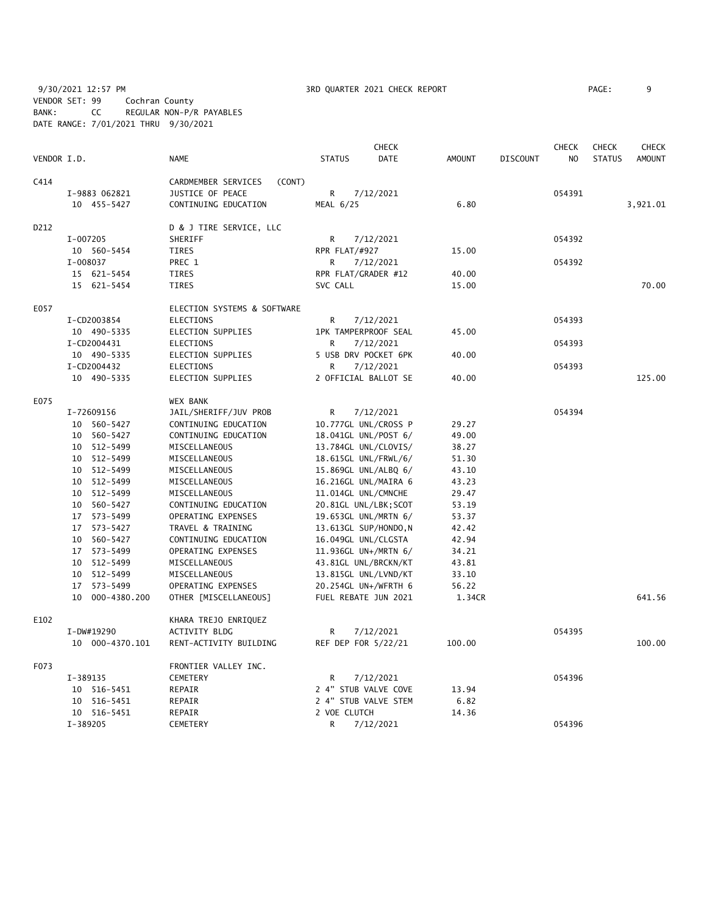9/30/2021 12:57 PM **3RD QUARTER 2021 CHECK REPORT** PAGE: 9 VENDOR SET: 99 Cochran County BANK: CC REGULAR NON-P/R PAYABLES DATE RANGE: 7/01/2021 THRU 9/30/2021

|             |                 |                               |                       | <b>CHECK</b> |               |                 | <b>CHECK</b> | <b>CHECK</b>  | <b>CHECK</b>  |
|-------------|-----------------|-------------------------------|-----------------------|--------------|---------------|-----------------|--------------|---------------|---------------|
| VENDOR I.D. |                 | <b>NAME</b>                   | <b>STATUS</b>         | <b>DATE</b>  | <b>AMOUNT</b> | <b>DISCOUNT</b> | NO           | <b>STATUS</b> | <b>AMOUNT</b> |
| C414        |                 | CARDMEMBER SERVICES<br>(CONT) |                       |              |               |                 |              |               |               |
|             | I-9883 062821   | JUSTICE OF PEACE              | R                     | 7/12/2021    |               |                 | 054391       |               |               |
|             | 10 455-5427     | CONTINUING EDUCATION          | MEAL 6/25             |              | 6.80          |                 |              |               | 3,921.01      |
| D212        |                 | D & J TIRE SERVICE, LLC       |                       |              |               |                 |              |               |               |
|             | I-007205        | SHERIFF                       | R                     | 7/12/2021    |               |                 | 054392       |               |               |
|             | 10 560-5454     | TIRES                         | RPR FLAT/#927         |              | 15.00         |                 |              |               |               |
|             | I-008037        | PREC 1                        | R                     | 7/12/2021    |               |                 | 054392       |               |               |
|             | 15 621-5454     | TIRES                         | RPR FLAT/GRADER #12   |              | 40.00         |                 |              |               |               |
|             | 15 621-5454     | <b>TIRES</b>                  | SVC CALL              |              | 15.00         |                 |              |               | 70.00         |
| E057        |                 | ELECTION SYSTEMS & SOFTWARE   |                       |              |               |                 |              |               |               |
|             | I-CD2003854     | <b>ELECTIONS</b>              | R                     | 7/12/2021    |               |                 | 054393       |               |               |
|             | 10 490-5335     | ELECTION SUPPLIES             | 1PK TAMPERPROOF SEAL  |              | 45.00         |                 |              |               |               |
|             | I-CD2004431     | <b>ELECTIONS</b>              | R                     | 7/12/2021    |               |                 | 054393       |               |               |
|             | 10 490-5335     | ELECTION SUPPLIES             | 5 USB DRV POCKET 6PK  |              | 40.00         |                 |              |               |               |
|             | I-CD2004432     | <b>ELECTIONS</b>              | R                     | 7/12/2021    |               |                 | 054393       |               |               |
|             | 10 490-5335     | ELECTION SUPPLIES             | 2 OFFICIAL BALLOT SE  |              | 40.00         |                 |              |               | 125.00        |
| E075        |                 | <b>WEX BANK</b>               |                       |              |               |                 |              |               |               |
|             | I-72609156      | JAIL/SHERIFF/JUV PROB         | R                     | 7/12/2021    |               |                 | 054394       |               |               |
|             | 10 560-5427     | CONTINUING EDUCATION          | 10.777GL UNL/CROSS P  |              | 29.27         |                 |              |               |               |
|             | 10 560-5427     | CONTINUING EDUCATION          | 18.041GL UNL/POST 6/  |              | 49.00         |                 |              |               |               |
|             | 10 512-5499     | MISCELLANEOUS                 | 13.784GL UNL/CLOVIS/  |              | 38.27         |                 |              |               |               |
|             | 10 512-5499     | MISCELLANEOUS                 | 18.615GL UNL/FRWL/6/  |              | 51.30         |                 |              |               |               |
|             | 10 512-5499     | MISCELLANEOUS                 | 15.869GL UNL/ALBQ 6/  |              | 43.10         |                 |              |               |               |
|             | 10 512-5499     | MISCELLANEOUS                 | 16.216GL UNL/MAIRA 6  |              | 43.23         |                 |              |               |               |
|             | 10 512-5499     | MISCELLANEOUS                 | 11.014GL UNL/CMNCHE   |              | 29.47         |                 |              |               |               |
|             | 10 560-5427     | CONTINUING EDUCATION          | 20.81GL UNL/LBK; SCOT |              | 53.19         |                 |              |               |               |
|             | 17 573-5499     | OPERATING EXPENSES            | 19.653GL UNL/MRTN 6/  |              | 53.37         |                 |              |               |               |
|             | 17 573-5427     | TRAVEL & TRAINING             | 13.613GL SUP/HONDO, N |              | 42.42         |                 |              |               |               |
|             | 10 560-5427     | CONTINUING EDUCATION          | 16.049GL UNL/CLGSTA   |              | 42.94         |                 |              |               |               |
|             | 17 573-5499     | OPERATING EXPENSES            | 11.936GL UN+/MRTN 6/  |              | 34.21         |                 |              |               |               |
|             | 10 512-5499     | MISCELLANEOUS                 | 43.81GL UNL/BRCKN/KT  |              | 43.81         |                 |              |               |               |
|             | 10 512-5499     | MISCELLANEOUS                 | 13.815GL UNL/LVND/KT  |              | 33.10         |                 |              |               |               |
|             | 17<br>573-5499  | OPERATING EXPENSES            | 20.254GL UN+/WFRTH 6  |              | 56.22         |                 |              |               |               |
|             | 10 000-4380.200 | OTHER [MISCELLANEOUS]         | FUEL REBATE JUN 2021  |              | 1.34CR        |                 |              |               | 641.56        |
| E102        |                 | KHARA TREJO ENRIQUEZ          |                       |              |               |                 |              |               |               |
|             | I-DW#19290      | <b>ACTIVITY BLDG</b>          | R                     | 7/12/2021    |               |                 | 054395       |               |               |
|             | 10 000-4370.101 | RENT-ACTIVITY BUILDING        | REF DEP FOR 5/22/21   |              | 100.00        |                 |              |               | 100.00        |
| F073        |                 | FRONTIER VALLEY INC.          |                       |              |               |                 |              |               |               |
|             | I-389135        | CEMETERY                      | R                     | 7/12/2021    |               |                 | 054396       |               |               |
|             | 10 516-5451     | REPAIR                        | 2 4" STUB VALVE COVE  |              | 13.94         |                 |              |               |               |
|             | 516-5451<br>10  | REPAIR                        | 2 4" STUB VALVE STEM  |              | 6.82          |                 |              |               |               |
|             | 10 516-5451     | REPAIR                        | 2 VOE CLUTCH          |              | 14.36         |                 |              |               |               |
|             | I-389205        | CEMETERY                      | R                     | 7/12/2021    |               |                 | 054396       |               |               |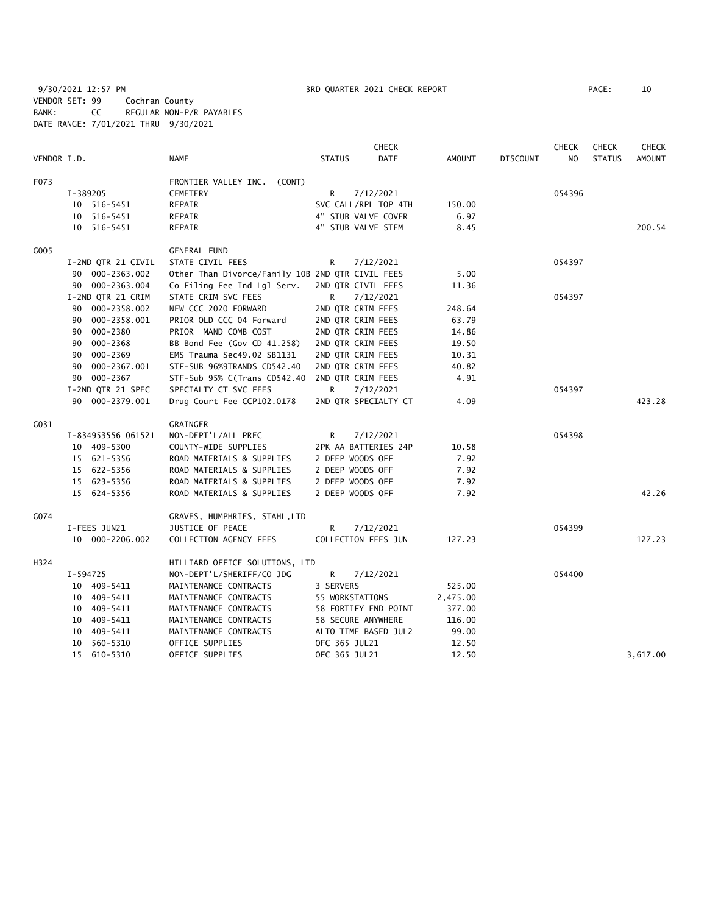9/30/2021 12:57 PM 3RD QUARTER 2021 CHECK REPORT PAGE: 10 VENDOR SET: 99 Cochran County BANK: CC REGULAR NON-P/R PAYABLES DATE RANGE: 7/01/2021 THRU 9/30/2021

|             |                    |                                                  |                      | <b>CHECK</b> |          |                 | <b>CHECK</b> | <b>CHECK</b>  | <b>CHECK</b> |
|-------------|--------------------|--------------------------------------------------|----------------------|--------------|----------|-----------------|--------------|---------------|--------------|
| VENDOR I.D. |                    | <b>NAME</b>                                      | <b>STATUS</b>        | DATE         | AMOUNT   | <b>DISCOUNT</b> | NO           | <b>STATUS</b> | AMOUNT       |
| F073        |                    | FRONTIER VALLEY INC. (CONT)                      |                      |              |          |                 |              |               |              |
|             | I-389205           | CEMETERY                                         | R                    | 7/12/2021    |          |                 | 054396       |               |              |
|             | 10 516-5451        | REPAIR                                           | SVC CALL/RPL TOP 4TH |              | 150.00   |                 |              |               |              |
|             | 10 516-5451        | REPAIR                                           | 4" STUB VALVE COVER  |              | 6.97     |                 |              |               |              |
|             | 10 516-5451        | REPAIR                                           | 4" STUB VALVE STEM   |              | 8.45     |                 |              |               | 200.54       |
| G005        |                    | <b>GENERAL FUND</b>                              |                      |              |          |                 |              |               |              |
|             | I-2ND QTR 21 CIVIL | STATE CIVIL FEES                                 | R                    | 7/12/2021    |          |                 | 054397       |               |              |
|             | 90 000-2363.002    | Other Than Divorce/Family 10B 2ND QTR CIVIL FEES |                      |              | 5.00     |                 |              |               |              |
|             | 90 000-2363.004    | Co Filing Fee Ind Lgl Serv.                      | 2ND QTR CIVIL FEES   |              | 11.36    |                 |              |               |              |
|             | I-2ND QTR 21 CRIM  | STATE CRIM SVC FEES                              | R                    | 7/12/2021    |          |                 | 054397       |               |              |
|             | 90 000-2358.002    | NEW CCC 2020 FORWARD                             | 2ND QTR CRIM FEES    |              | 248.64   |                 |              |               |              |
|             | 90 000-2358.001    | PRIOR OLD CCC 04 Forward                         | 2ND QTR CRIM FEES    |              | 63.79    |                 |              |               |              |
|             | 000-2380<br>90     | PRIOR MAND COMB COST                             | 2ND QTR CRIM FEES    |              | 14.86    |                 |              |               |              |
|             | 90 000-2368        | BB Bond Fee (Gov CD 41.258)                      | 2ND QTR CRIM FEES    |              | 19.50    |                 |              |               |              |
|             | 90 000-2369        | EMS Trauma Sec49.02 SB1131                       | 2ND QTR CRIM FEES    |              | 10.31    |                 |              |               |              |
|             | 90 000-2367.001    | STF-SUB 96%9TRANDS CD542.40                      | 2ND QTR CRIM FEES    |              | 40.82    |                 |              |               |              |
|             | 90 000-2367        | STF-Sub 95% C(Trans CD542.40                     | 2ND QTR CRIM FEES    |              | 4.91     |                 |              |               |              |
|             | I-2ND QTR 21 SPEC  | SPECIALTY CT SVC FEES                            | R                    | 7/12/2021    |          |                 | 054397       |               |              |
|             | 90 000-2379.001    | Drug Court Fee CCP102.0178                       | 2ND QTR SPECIALTY CT |              | 4.09     |                 |              |               | 423.28       |
| G031        |                    | <b>GRAINGER</b>                                  |                      |              |          |                 |              |               |              |
|             | I-834953556 061521 | NON-DEPT'L/ALL PREC                              | R                    | 7/12/2021    |          |                 | 054398       |               |              |
|             | 10 409-5300        | COUNTY-WIDE SUPPLIES                             | 2PK AA BATTERIES 24P |              | 10.58    |                 |              |               |              |
|             | 15 621-5356        | ROAD MATERIALS & SUPPLIES                        | 2 DEEP WOODS OFF     |              | 7.92     |                 |              |               |              |
|             | 15 622-5356        | ROAD MATERIALS & SUPPLIES                        | 2 DEEP WOODS OFF     |              | 7.92     |                 |              |               |              |
|             | 15 623-5356        | ROAD MATERIALS & SUPPLIES                        | 2 DEEP WOODS OFF     |              | 7.92     |                 |              |               |              |
|             | 15 624-5356        | ROAD MATERIALS & SUPPLIES                        | 2 DEEP WOODS OFF     |              | 7.92     |                 |              |               | 42.26        |
| G074        |                    | GRAVES, HUMPHRIES, STAHL, LTD                    |                      |              |          |                 |              |               |              |
|             | I-FEES JUN21       | JUSTICE OF PEACE                                 | R                    | 7/12/2021    |          |                 | 054399       |               |              |
|             | 10 000-2206.002    | COLLECTION AGENCY FEES                           | COLLECTION FEES JUN  |              | 127.23   |                 |              |               | 127.23       |
| H324        |                    | HILLIARD OFFICE SOLUTIONS, LTD                   |                      |              |          |                 |              |               |              |
|             | I-594725           | NON-DEPT'L/SHERIFF/CO JDG                        | R.                   | 7/12/2021    |          |                 | 054400       |               |              |
|             | 10 409-5411        | MAINTENANCE CONTRACTS                            | 3 SERVERS            |              | 525.00   |                 |              |               |              |
|             | 10 409-5411        | MAINTENANCE CONTRACTS                            | 55 WORKSTATIONS      |              | 2,475.00 |                 |              |               |              |
|             | 10 409-5411        | MAINTENANCE CONTRACTS                            | 58 FORTIFY END POINT |              | 377.00   |                 |              |               |              |
|             | 10 409-5411        | MAINTENANCE CONTRACTS                            | 58 SECURE ANYWHERE   |              | 116.00   |                 |              |               |              |
|             | 10 409-5411        | MAINTENANCE CONTRACTS                            | ALTO TIME BASED JUL2 |              | 99.00    |                 |              |               |              |
|             | 10 560-5310        | OFFICE SUPPLIES                                  | OFC 365 JUL21        |              | 12.50    |                 |              |               |              |
|             | 15 610-5310        | OFFICE SUPPLIES                                  | OFC 365 JUL21        |              | 12.50    |                 |              |               | 3,617.00     |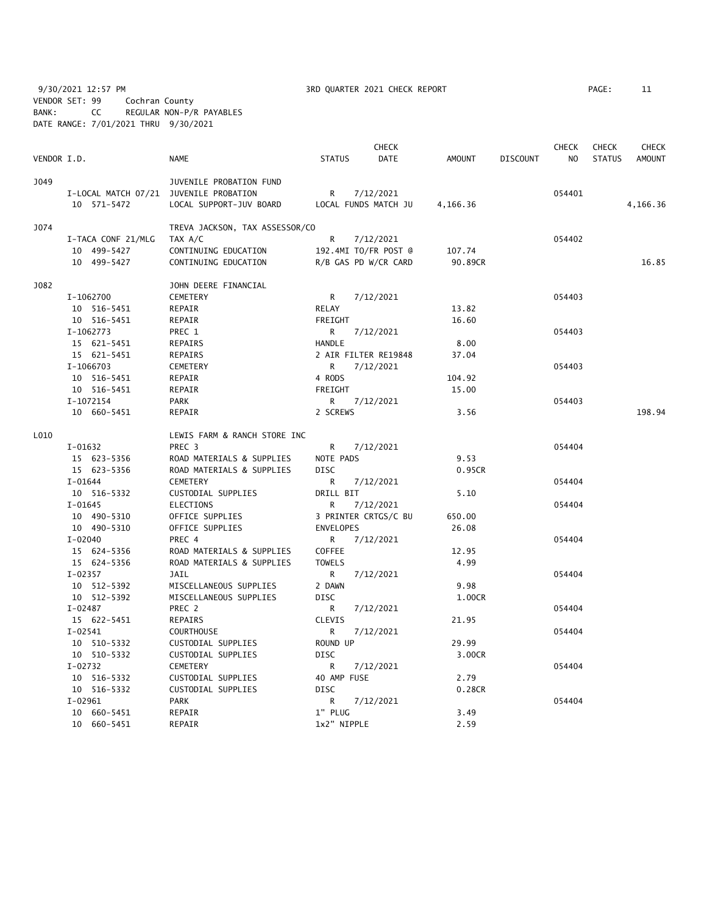9/30/2021 12:57 PM **3RD QUARTER 2021 CHECK REPORT** PAGE: 11 VENDOR SET: 99 Cochran County BANK: CC REGULAR NON-P/R PAYABLES DATE RANGE: 7/01/2021 THRU 9/30/2021

|             |                                        |                                |                  | <b>CHECK</b>         |          |          | <b>CHECK</b> | <b>CHECK</b>  | CHECK         |
|-------------|----------------------------------------|--------------------------------|------------------|----------------------|----------|----------|--------------|---------------|---------------|
| VENDOR I.D. |                                        | <b>NAME</b>                    | <b>STATUS</b>    | DATE                 | AMOUNT   | DISCOUNT | NO.          | <b>STATUS</b> | <b>AMOUNT</b> |
| J049        |                                        | JUVENILE PROBATION FUND        |                  |                      |          |          |              |               |               |
|             | I-LOCAL MATCH 07/21 JUVENILE PROBATION |                                | R                | 7/12/2021            |          |          | 054401       |               |               |
|             | 10 571-5472                            | LOCAL SUPPORT-JUV BOARD        |                  | LOCAL FUNDS MATCH JU | 4,166.36 |          |              |               | 4,166.36      |
| J074        |                                        | TREVA JACKSON, TAX ASSESSOR/CO |                  |                      |          |          |              |               |               |
|             | I-TACA CONF 21/MLG                     | TAX A/C                        | R                | 7/12/2021            |          |          | 054402       |               |               |
|             | 10 499-5427                            | CONTINUING EDUCATION           |                  | 192.4MI TO/FR POST @ | 107.74   |          |              |               |               |
|             | 10 499-5427                            | CONTINUING EDUCATION           |                  | R/B GAS PD W/CR CARD | 90.89CR  |          |              |               | 16.85         |
| J082        |                                        | JOHN DEERE FINANCIAL           |                  |                      |          |          |              |               |               |
|             | I-1062700                              | <b>CEMETERY</b>                | R                | 7/12/2021            |          |          | 054403       |               |               |
|             | 10 516-5451                            | REPAIR                         | RELAY            |                      | 13.82    |          |              |               |               |
|             | 10 516-5451                            | REPAIR                         | FREIGHT          |                      | 16.60    |          |              |               |               |
|             | I-1062773                              | PREC 1                         | R                | 7/12/2021            |          |          | 054403       |               |               |
|             | 15 621-5451                            | REPAIRS                        | HANDLE           |                      | 8.00     |          |              |               |               |
|             | 15 621-5451                            | REPAIRS                        |                  | 2 AIR FILTER RE19848 | 37.04    |          |              |               |               |
|             | I-1066703                              | CEMETERY                       | R                | 7/12/2021            |          |          | 054403       |               |               |
|             | 10 516-5451                            | REPAIR                         | 4 RODS           |                      | 104.92   |          |              |               |               |
|             | 10 516-5451                            | REPAIR                         | FREIGHT          |                      | 15.00    |          |              |               |               |
|             | I-1072154                              | PARK                           | R                | 7/12/2021            |          |          | 054403       |               |               |
|             | 10 660-5451                            | REPAIR                         | 2 SCREWS         |                      | 3.56     |          |              |               | 198.94        |
| L010        |                                        | LEWIS FARM & RANCH STORE INC   |                  |                      |          |          |              |               |               |
|             | I-01632                                | PREC <sub>3</sub>              | R                | 7/12/2021            |          |          | 054404       |               |               |
|             | 15 623-5356                            | ROAD MATERIALS & SUPPLIES      | NOTE PADS        |                      | 9.53     |          |              |               |               |
|             | 15 623-5356                            | ROAD MATERIALS & SUPPLIES      | <b>DISC</b>      |                      | 0.95CR   |          |              |               |               |
|             | I-01644                                | CEMETERY                       | R                | 7/12/2021            |          |          | 054404       |               |               |
|             | 10 516-5332                            | CUSTODIAL SUPPLIES             | DRILL BIT        |                      | 5.10     |          |              |               |               |
|             | $I-01645$                              | <b>ELECTIONS</b>               | R                | 7/12/2021            |          |          | 054404       |               |               |
|             | 10 490-5310                            | OFFICE SUPPLIES                |                  | 3 PRINTER CRTGS/C BU | 650.00   |          |              |               |               |
|             | 10 490-5310                            | OFFICE SUPPLIES                | <b>ENVELOPES</b> |                      | 26.08    |          |              |               |               |
|             | I-02040                                | PREC 4                         | R.               | 7/12/2021            |          |          | 054404       |               |               |
|             | 15 624-5356                            | ROAD MATERIALS & SUPPLIES      | <b>COFFEE</b>    |                      | 12.95    |          |              |               |               |
|             | 15 624-5356                            | ROAD MATERIALS & SUPPLIES      | <b>TOWELS</b>    |                      | 4.99     |          |              |               |               |
|             | I-02357                                | JAIL                           | R                | 7/12/2021            |          |          | 054404       |               |               |
|             | 10 512-5392                            | MISCELLANEOUS SUPPLIES         | 2 DAWN           |                      | 9.98     |          |              |               |               |
|             | 10 512-5392                            | MISCELLANEOUS SUPPLIES         | <b>DISC</b>      |                      | 1.00CR   |          |              |               |               |
|             | I-02487                                | PREC 2                         | R.               | 7/12/2021            |          |          | 054404       |               |               |
|             | 15 622-5451                            | REPAIRS                        | CLEVIS           |                      | 21.95    |          |              |               |               |
|             | $I-02541$                              | <b>COURTHOUSE</b>              | R                | 7/12/2021            |          |          | 054404       |               |               |
|             | 10 510-5332                            | CUSTODIAL SUPPLIES             | ROUND UP         |                      | 29.99    |          |              |               |               |
|             | 10 510-5332                            | CUSTODIAL SUPPLIES             | DISC             |                      | 3.00CR   |          |              |               |               |
|             | I-02732                                | CEMETERY                       | R                | 7/12/2021            |          |          | 054404       |               |               |
|             | 10 516-5332                            | CUSTODIAL SUPPLIES             | 40 AMP FUSE      |                      | 2.79     |          |              |               |               |
|             | 10 516-5332                            | CUSTODIAL SUPPLIES             | DISC             |                      | 0.28CR   |          |              |               |               |
|             | $I-02961$                              | <b>PARK</b>                    | R.               | 7/12/2021            |          |          | 054404       |               |               |
|             | 10 660-5451                            | REPAIR                         | 1" PLUG          |                      | 3.49     |          |              |               |               |
|             | 10 660-5451                            | REPAIR                         | 1x2" NIPPLE      |                      | 2.59     |          |              |               |               |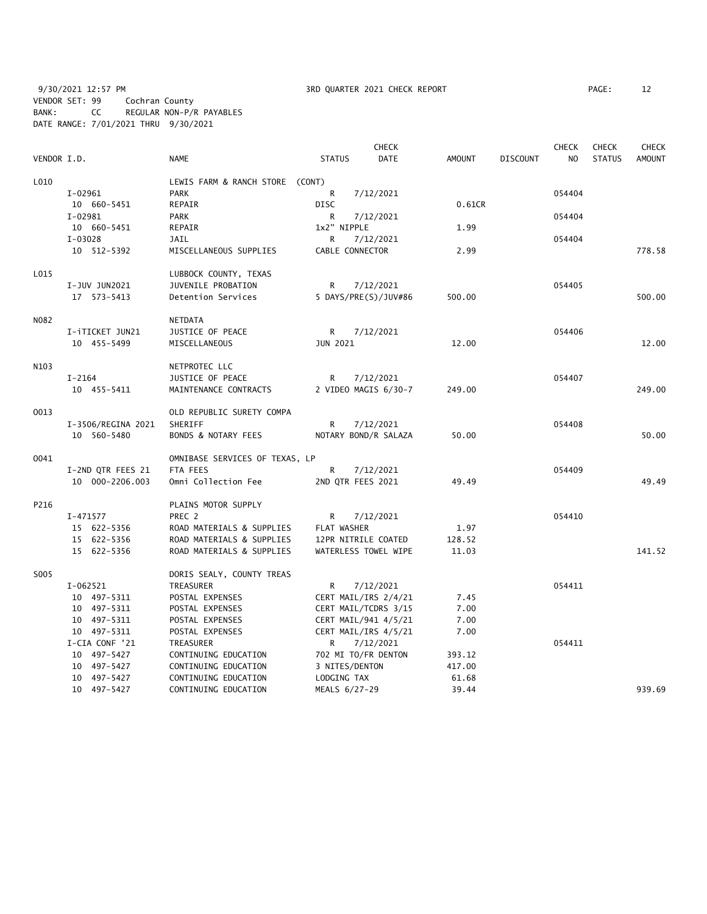9/30/2021 12:57 PM **3RD QUARTER 2021 CHECK REPORT** PAGE: 12 VENDOR SET: 99 Cochran County BANK: CC REGULAR NON-P/R PAYABLES DATE RANGE: 7/01/2021 THRU 9/30/2021

|             | <b>CHECK</b>       |                                 |                     |                      |               |                 | <b>CHECK</b> | <b>CHECK</b>  | <b>CHECK</b>  |
|-------------|--------------------|---------------------------------|---------------------|----------------------|---------------|-----------------|--------------|---------------|---------------|
| VENDOR I.D. |                    | <b>NAME</b>                     | <b>STATUS</b>       | DATE                 | <b>AMOUNT</b> | <b>DISCOUNT</b> | NO.          | <b>STATUS</b> | <b>AMOUNT</b> |
| L010        |                    | LEWIS FARM & RANCH STORE (CONT) |                     |                      |               |                 |              |               |               |
|             | $I-02961$          | <b>PARK</b>                     | R                   | 7/12/2021            |               |                 | 054404       |               |               |
|             | 10 660-5451        | REPAIR                          | <b>DISC</b>         |                      | 0.61CR        |                 |              |               |               |
|             | I-02981            | <b>PARK</b>                     | R                   | 7/12/2021            |               |                 | 054404       |               |               |
|             | 10 660-5451        | REPAIR                          | 1x2" NIPPLE         |                      | 1.99          |                 |              |               |               |
|             | I-03028            | JAIL                            | R                   | 7/12/2021            |               |                 | 054404       |               |               |
|             | 10 512-5392        | MISCELLANEOUS SUPPLIES          | CABLE CONNECTOR     |                      | 2.99          |                 |              |               | 778.58        |
| L015        |                    | LUBBOCK COUNTY, TEXAS           |                     |                      |               |                 |              |               |               |
|             | I-JUV JUN2021      | JUVENILE PROBATION              | R                   | 7/12/2021            |               |                 | 054405       |               |               |
|             | 17 573-5413        | Detention Services              |                     | 5 DAYS/PRE(S)/JUV#86 | 500.00        |                 |              |               | 500.00        |
| N082        |                    | NETDATA                         |                     |                      |               |                 |              |               |               |
|             | I-iTICKET JUN21    | JUSTICE OF PEACE                | R                   | 7/12/2021            |               |                 | 054406       |               |               |
|             | 10 455-5499        | MISCELLANEOUS                   | JUN 2021            |                      | 12.00         |                 |              |               | 12.00         |
| N103        |                    | NETPROTEC LLC                   |                     |                      |               |                 |              |               |               |
|             | $I-2164$           | JUSTICE OF PEACE                | R                   | 7/12/2021            |               |                 | 054407       |               |               |
|             | 10 455-5411        | MAINTENANCE CONTRACTS           |                     | 2 VIDEO MAGIS 6/30-7 | 249.00        |                 |              |               | 249.00        |
| 0013        |                    | OLD REPUBLIC SURETY COMPA       |                     |                      |               |                 |              |               |               |
|             | I-3506/REGINA 2021 | SHERIFF                         | R                   | 7/12/2021            |               |                 | 054408       |               |               |
|             | 10 560-5480        | BONDS & NOTARY FEES             |                     | NOTARY BOND/R SALAZA | 50.00         |                 |              |               | 50.00         |
| 0041        |                    | OMNIBASE SERVICES OF TEXAS, LP  |                     |                      |               |                 |              |               |               |
|             | I-2ND QTR FEES 21  | FTA FEES                        | R                   | 7/12/2021            |               |                 | 054409       |               |               |
|             | 10 000-2206.003    | Omni Collection Fee             | 2ND QTR FEES 2021   |                      | 49.49         |                 |              |               | 49.49         |
| P216        |                    | PLAINS MOTOR SUPPLY             |                     |                      |               |                 |              |               |               |
|             | I-471577           | PREC 2                          | R                   | 7/12/2021            |               |                 | 054410       |               |               |
|             | 15 622-5356        | ROAD MATERIALS & SUPPLIES       | FLAT WASHER         |                      | 1.97          |                 |              |               |               |
|             | 15 622-5356        | ROAD MATERIALS & SUPPLIES       | 12PR NITRILE COATED |                      | 128.52        |                 |              |               |               |
|             | 15 622-5356        | ROAD MATERIALS & SUPPLIES       |                     | WATERLESS TOWEL WIPE | 11.03         |                 |              |               | 141.52        |
| S005        |                    | DORIS SEALY, COUNTY TREAS       |                     |                      |               |                 |              |               |               |
|             | I-062521           | TREASURER                       | R                   | 7/12/2021            |               |                 | 054411       |               |               |
|             | 10 497-5311        | POSTAL EXPENSES                 |                     | CERT MAIL/IRS 2/4/21 | 7.45          |                 |              |               |               |
|             | 10 497-5311        | POSTAL EXPENSES                 |                     | CERT MAIL/TCDRS 3/15 | 7.00          |                 |              |               |               |
|             | 10 497-5311        | POSTAL EXPENSES                 |                     | CERT MAIL/941 4/5/21 | 7.00          |                 |              |               |               |
|             | 10 497-5311        | POSTAL EXPENSES                 |                     | CERT MAIL/IRS 4/5/21 | 7.00          |                 |              |               |               |
|             | I-CIA CONF '21     | TREASURER                       | R                   | 7/12/2021            |               |                 | 054411       |               |               |
|             | 10 497-5427        | CONTINUING EDUCATION            | 702 MI TO/FR DENTON |                      | 393.12        |                 |              |               |               |
|             | 10 497-5427        | CONTINUING EDUCATION            | 3 NITES/DENTON      |                      | 417.00        |                 |              |               |               |
|             | 10 497-5427        | CONTINUING EDUCATION            | LODGING TAX         |                      | 61.68         |                 |              |               |               |
|             | 10 497-5427        | CONTINUING EDUCATION            | MEALS 6/27-29       |                      | 39.44         |                 |              |               | 939.69        |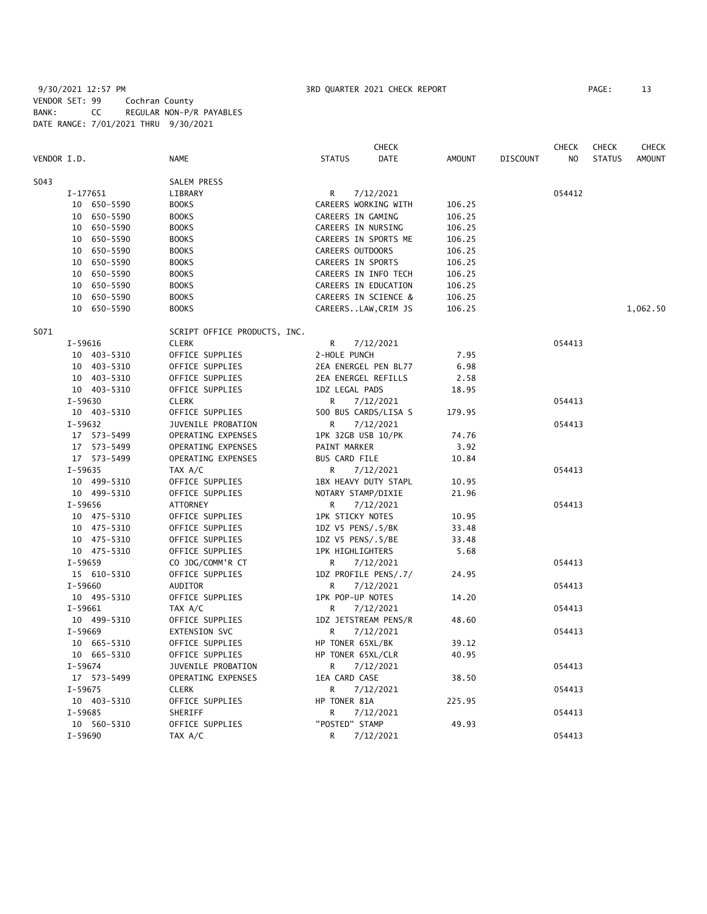# 9/30/2021 12:57 PM 3RD QUARTER 2021 CHECK REPORT PAGE: 13 VENDOR SET: 99 Cochran County BANK: CC REGULAR NON-P/R PAYABLES DATE RANGE: 7/01/2021 THRU 9/30/2021

| VENDOR I.D. | <b>NAME</b>                  | <b>CHECK</b><br><b>STATUS</b><br>DATE | AMOUNT | <b>DISCOUNT</b> | <b>CHECK</b><br>NO. | <b>CHECK</b><br><b>STATUS</b> | <b>CHECK</b><br><b>AMOUNT</b> |
|-------------|------------------------------|---------------------------------------|--------|-----------------|---------------------|-------------------------------|-------------------------------|
| S043        | SALEM PRESS                  |                                       |        |                 |                     |                               |                               |
| I-177651    | LIBRARY                      | 7/12/2021<br>R.                       |        |                 | 054412              |                               |                               |
| 10 650-5590 | <b>BOOKS</b>                 | CAREERS WORKING WITH                  | 106.25 |                 |                     |                               |                               |
| 10 650-5590 | <b>BOOKS</b>                 | CAREERS IN GAMING                     | 106.25 |                 |                     |                               |                               |
| 10 650-5590 | <b>BOOKS</b>                 | CAREERS IN NURSING                    | 106.25 |                 |                     |                               |                               |
| 10 650-5590 | <b>BOOKS</b>                 | CAREERS IN SPORTS ME                  | 106.25 |                 |                     |                               |                               |
| 10 650-5590 | <b>BOOKS</b>                 | CAREERS OUTDOORS                      | 106.25 |                 |                     |                               |                               |
| 10 650-5590 | <b>BOOKS</b>                 | CAREERS IN SPORTS                     | 106.25 |                 |                     |                               |                               |
| 10 650-5590 | <b>BOOKS</b>                 | CAREERS IN INFO TECH                  | 106.25 |                 |                     |                               |                               |
| 10 650-5590 | <b>BOOKS</b>                 | CAREERS IN EDUCATION                  | 106.25 |                 |                     |                               |                               |
| 10 650-5590 | <b>BOOKS</b>                 | CAREERS IN SCIENCE &                  | 106.25 |                 |                     |                               |                               |
| 10 650-5590 | <b>BOOKS</b>                 | CAREERSLAW, CRIM JS                   | 106.25 |                 |                     |                               | 1,062.50                      |
| S071        | SCRIPT OFFICE PRODUCTS, INC. |                                       |        |                 |                     |                               |                               |
| I-59616     | <b>CLERK</b>                 | R<br>7/12/2021                        |        |                 | 054413              |                               |                               |
| 10 403-5310 | OFFICE SUPPLIES              | 2-HOLE PUNCH                          | 7.95   |                 |                     |                               |                               |
| 10 403-5310 | OFFICE SUPPLIES              | 2EA ENERGEL PEN BL77                  | 6.98   |                 |                     |                               |                               |
| 10 403-5310 | OFFICE SUPPLIES              | 2EA ENERGEL REFILLS                   | 2.58   |                 |                     |                               |                               |
| 10 403-5310 | OFFICE SUPPLIES              | 1DZ LEGAL PADS                        | 18.95  |                 |                     |                               |                               |
| I-59630     | <b>CLERK</b>                 | 7/12/2021<br>R                        |        |                 | 054413              |                               |                               |
| 10 403-5310 | OFFICE SUPPLIES              | 500 BUS CARDS/LISA S                  | 179.95 |                 |                     |                               |                               |
| I-59632     | JUVENILE PROBATION           | 7/12/2021<br>R                        |        |                 | 054413              |                               |                               |
| 17 573-5499 | OPERATING EXPENSES           | 1PK 32GB USB 10/PK                    | 74.76  |                 |                     |                               |                               |
| 17 573-5499 | OPERATING EXPENSES           | PAINT MARKER                          | 3.92   |                 |                     |                               |                               |
| 17 573-5499 | OPERATING EXPENSES           | BUS CARD FILE                         | 10.84  |                 |                     |                               |                               |
| I-59635     | TAX A/C                      | 7/12/2021<br>R.                       |        |                 | 054413              |                               |                               |
| 10 499-5310 | OFFICE SUPPLIES              | 1BX HEAVY DUTY STAPL                  | 10.95  |                 |                     |                               |                               |
| 10 499-5310 | OFFICE SUPPLIES              | NOTARY STAMP/DIXIE                    | 21.96  |                 |                     |                               |                               |
| I-59656     | ATTORNEY                     | 7/12/2021<br>R                        |        |                 | 054413              |                               |                               |
| 10 475-5310 | OFFICE SUPPLIES              | 1PK STICKY NOTES                      | 10.95  |                 |                     |                               |                               |
| 10 475-5310 | OFFICE SUPPLIES              | 1DZ V5 PENS/.5/BK                     | 33.48  |                 |                     |                               |                               |
| 10 475-5310 | OFFICE SUPPLIES              | 1DZ V5 PENS/.5/BE                     | 33.48  |                 |                     |                               |                               |
| 10 475-5310 | OFFICE SUPPLIES              | 1PK HIGHLIGHTERS                      | 5.68   |                 |                     |                               |                               |
| I-59659     | CO JDG/COMM'R CT             | R<br>7/12/2021                        |        |                 | 054413              |                               |                               |
| 15 610-5310 | OFFICE SUPPLIES              | 1DZ PROFILE PENS/.7/                  | 24.95  |                 |                     |                               |                               |
| I-59660     | AUDITOR                      | 7/12/2021<br>R                        |        |                 | 054413              |                               |                               |
| 10 495-5310 | OFFICE SUPPLIES              | 1PK POP-UP NOTES                      | 14.20  |                 |                     |                               |                               |
| I-59661     | TAX A/C                      | 7/12/2021<br>R                        |        |                 | 054413              |                               |                               |
| 10 499-5310 | OFFICE SUPPLIES              | 1DZ JETSTREAM PENS/R                  | 48.60  |                 |                     |                               |                               |
| I-59669     | EXTENSION SVC                | 7/12/2021<br>R                        |        |                 | 054413              |                               |                               |
| 10 665-5310 | OFFICE SUPPLIES              | HP TONER 65XL/BK                      | 39.12  |                 |                     |                               |                               |
| 10 665-5310 | OFFICE SUPPLIES              | HP TONER 65XL/CLR                     | 40.95  |                 |                     |                               |                               |
| I-59674     | JUVENILE PROBATION           | 7/12/2021<br>R.                       |        |                 | 054413              |                               |                               |
| 17 573-5499 | OPERATING EXPENSES           | 1EA CARD CASE                         | 38.50  |                 |                     |                               |                               |
| $I-59675$   | CLERK                        | R<br>7/12/2021                        |        |                 | 054413              |                               |                               |
| 10 403-5310 | OFFICE SUPPLIES              | HP TONER 81A                          | 225.95 |                 |                     |                               |                               |
| I-59685     | SHERIFF                      | 7/12/2021<br>R                        |        |                 | 054413              |                               |                               |
| 10 560-5310 | OFFICE SUPPLIES              | "POSTED" STAMP                        | 49.93  |                 |                     |                               |                               |
| I-59690     | TAX A/C                      | 7/12/2021<br>R                        |        |                 | 054413              |                               |                               |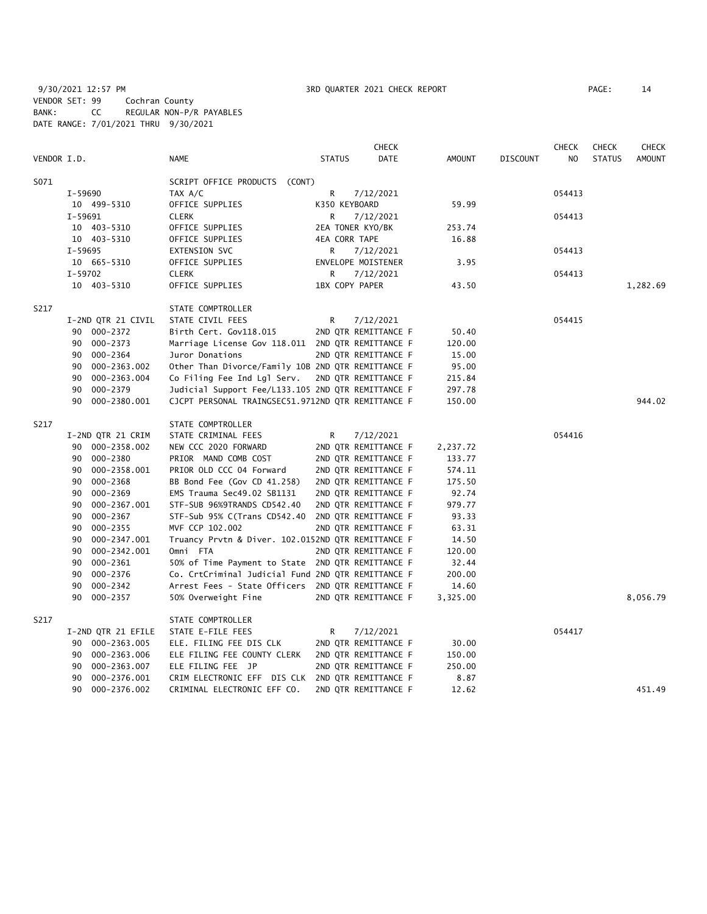9/30/2021 12:57 PM **3RD QUARTER 2021 CHECK REPORT** PAGE: 14 VENDOR SET: 99 Cochran County BANK: CC REGULAR NON-P/R PAYABLES DATE RANGE: 7/01/2021 THRU 9/30/2021

|             |                    |                                                    |                | <b>CHECK</b>         |               |                 | <b>CHECK</b> | <b>CHECK</b>  | <b>CHECK</b>  |
|-------------|--------------------|----------------------------------------------------|----------------|----------------------|---------------|-----------------|--------------|---------------|---------------|
| VENDOR I.D. |                    | <b>NAME</b>                                        | <b>STATUS</b>  | DATE                 | <b>AMOUNT</b> | <b>DISCOUNT</b> | NO.          | <b>STATUS</b> | <b>AMOUNT</b> |
| S071        |                    | SCRIPT OFFICE PRODUCTS (CONT)                      |                |                      |               |                 |              |               |               |
|             | I-59690            | TAX A/C                                            | R              | 7/12/2021            |               |                 | 054413       |               |               |
|             | 10 499-5310        | OFFICE SUPPLIES                                    | K350 KEYBOARD  |                      | 59.99         |                 |              |               |               |
|             | $I-59691$          | <b>CLERK</b>                                       | R              | 7/12/2021            |               |                 | 054413       |               |               |
|             | 10 403-5310        | OFFICE SUPPLIES                                    |                | 2EA TONER KYO/BK     | 253.74        |                 |              |               |               |
|             | 10 403-5310        | OFFICE SUPPLIES                                    | 4EA CORR TAPE  |                      | 16.88         |                 |              |               |               |
|             | I-59695            | EXTENSION SVC                                      | R              | 7/12/2021            |               |                 | 054413       |               |               |
|             | 10 665-5310        | OFFICE SUPPLIES                                    |                | ENVELOPE MOISTENER   | 3.95          |                 |              |               |               |
|             | I-59702            | <b>CLERK</b>                                       | R              | 7/12/2021            |               |                 | 054413       |               |               |
|             | 10 403-5310        | OFFICE SUPPLIES                                    | 1BX COPY PAPER |                      | 43.50         |                 |              |               | 1,282.69      |
| S217        |                    | STATE COMPTROLLER                                  |                |                      |               |                 |              |               |               |
|             | I-2ND QTR 21 CIVIL | STATE CIVIL FEES                                   | R              | 7/12/2021            |               |                 | 054415       |               |               |
|             | 90 000-2372        | Birth Cert. Gov118.015                             |                | 2ND QTR REMITTANCE F | 50.40         |                 |              |               |               |
|             | 000-2373<br>90     | Marriage License Gov 118.011 2ND QTR REMITTANCE F  |                |                      | 120.00        |                 |              |               |               |
|             | 000-2364<br>90     | Juror Donations                                    |                | 2ND QTR REMITTANCE F | 15.00         |                 |              |               |               |
|             | 000-2363.002<br>90 | Other Than Divorce/Family 10B 2ND QTR REMITTANCE F |                |                      | 95.00         |                 |              |               |               |
|             | 90<br>000-2363.004 | Co Filing Fee Ind Lgl Serv.                        |                | 2ND QTR REMITTANCE F | 215.84        |                 |              |               |               |
|             | 90<br>000-2379     | Judicial Support Fee/L133.105 2ND QTR REMITTANCE F |                |                      | 297.78        |                 |              |               |               |
|             | 90<br>000-2380.001 | CJCPT PERSONAL TRAINGSEC51.9712ND QTR REMITTANCE F |                |                      | 150.00        |                 |              |               | 944.02        |
| S217        |                    | STATE COMPTROLLER                                  |                |                      |               |                 |              |               |               |
|             | I-2ND QTR 21 CRIM  | STATE CRIMINAL FEES                                | R              | 7/12/2021            |               |                 | 054416       |               |               |
|             | 90 000-2358.002    | NEW CCC 2020 FORWARD                               |                | 2ND QTR REMITTANCE F | 2,237.72      |                 |              |               |               |
|             | 90 000-2380        | PRIOR MAND COMB COST                               |                | 2ND QTR REMITTANCE F | 133.77        |                 |              |               |               |
|             | 000-2358.001<br>90 | PRIOR OLD CCC 04 Forward                           |                | 2ND QTR REMITTANCE F | 574.11        |                 |              |               |               |
|             | 90<br>000-2368     | BB Bond Fee (Gov CD 41.258)                        |                | 2ND QTR REMITTANCE F | 175.50        |                 |              |               |               |
|             | 000-2369<br>90     | EMS Trauma Sec49.02 SB1131                         |                | 2ND QTR REMITTANCE F | 92.74         |                 |              |               |               |
|             | 000-2367.001<br>90 | STF-SUB 96%9TRANDS CD542.40                        |                | 2ND QTR REMITTANCE F | 979.77        |                 |              |               |               |
|             | 000-2367<br>90     | STF-Sub 95% C(Trans CD542.40 2ND QTR REMITTANCE F  |                |                      | 93.33         |                 |              |               |               |
|             | 000-2355<br>90     | MVF CCP 102.002                                    |                | 2ND QTR REMITTANCE F | 63.31         |                 |              |               |               |
|             | 90<br>000-2347.001 | Truancy Prvtn & Diver. 102.0152ND QTR REMITTANCE F |                |                      | 14.50         |                 |              |               |               |
|             | 000-2342.001<br>90 | Omni FTA                                           |                | 2ND QTR REMITTANCE F | 120.00        |                 |              |               |               |
|             | 90<br>000-2361     | 50% of Time Payment to State 2ND QTR REMITTANCE F  |                |                      | 32.44         |                 |              |               |               |
|             | 000-2376<br>90     | Co. CrtCriminal Judicial Fund 2ND QTR REMITTANCE F |                |                      | 200.00        |                 |              |               |               |
|             | 90<br>000-2342     | Arrest Fees - State Officers 2ND QTR REMITTANCE F  |                |                      | 14.60         |                 |              |               |               |
|             | 000-2357<br>90     | 50% Overweight Fine                                |                | 2ND QTR REMITTANCE F | 3,325.00      |                 |              |               | 8,056.79      |
| S217        |                    | STATE COMPTROLLER                                  |                |                      |               |                 |              |               |               |
|             | I-2ND QTR 21 EFILE | STATE E-FILE FEES                                  | R              | 7/12/2021            |               |                 | 054417       |               |               |
|             | 90 000-2363.005    | ELE. FILING FEE DIS CLK                            |                | 2ND QTR REMITTANCE F | 30.00         |                 |              |               |               |
|             | 000-2363.006<br>90 | ELE FILING FEE COUNTY CLERK                        |                | 2ND QTR REMITTANCE F | 150.00        |                 |              |               |               |
|             | 000-2363.007<br>90 | ELE FILING FEE JP                                  |                | 2ND QTR REMITTANCE F | 250.00        |                 |              |               |               |
|             | 000-2376.001<br>90 | CRIM ELECTRONIC EFF DIS CLK 2ND OTR REMITTANCE F   |                |                      | 8.87          |                 |              |               |               |
|             | 90<br>000-2376.002 | CRIMINAL ELECTRONIC EFF CO.                        |                | 2ND QTR REMITTANCE F | 12.62         |                 |              |               | 451.49        |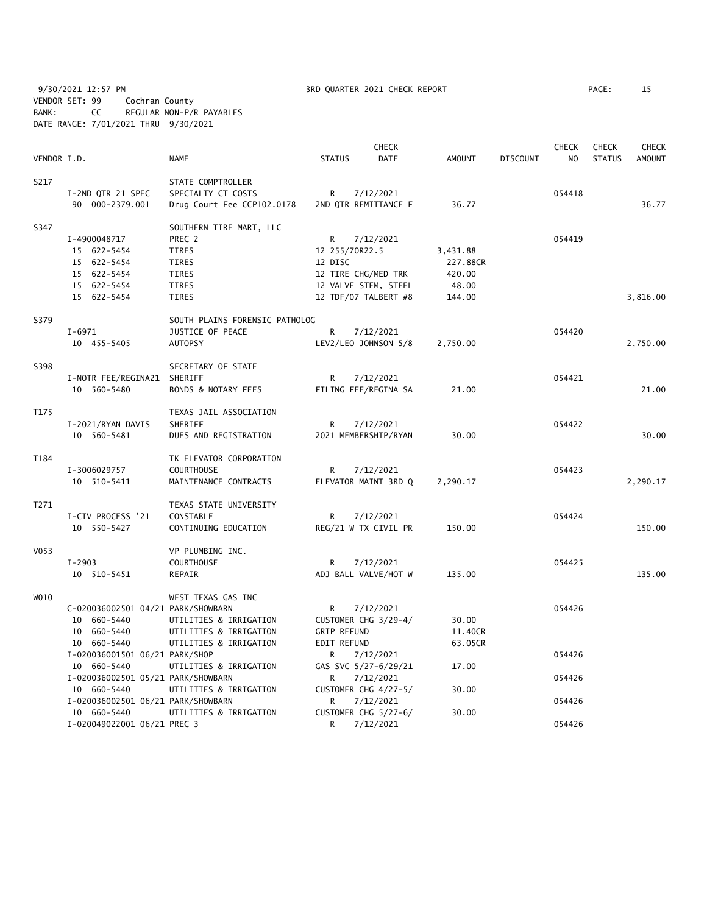9/30/2021 12:57 PM **3RD QUARTER 2021 CHECK REPORT** PAGE: 15 VENDOR SET: 99 Cochran County BANK: CC REGULAR NON-P/R PAYABLES DATE RANGE: 7/01/2021 THRU 9/30/2021

|             |                                    |                                | <b>CHECK</b>         |                      |               |          | <b>CHECK</b>   | <b>CHECK</b>  | <b>CHECK</b>  |
|-------------|------------------------------------|--------------------------------|----------------------|----------------------|---------------|----------|----------------|---------------|---------------|
| VENDOR I.D. |                                    | <b>NAME</b>                    | <b>STATUS</b>        | <b>DATE</b>          | <b>AMOUNT</b> | DISCOUNT | N <sub>O</sub> | <b>STATUS</b> | <b>AMOUNT</b> |
| S217        |                                    | STATE COMPTROLLER              |                      |                      |               |          |                |               |               |
|             | I-2ND QTR 21 SPEC                  | SPECIALTY CT COSTS             | R                    | 7/12/2021            |               |          | 054418         |               |               |
|             | 90 000-2379.001                    | Drug Court Fee CCP102.0178     | 2ND QTR REMITTANCE F |                      | 36.77         |          |                |               | 36.77         |
| S347        |                                    | SOUTHERN TIRE MART, LLC        |                      |                      |               |          |                |               |               |
|             | I-4900048717                       | PREC 2                         | R                    | 7/12/2021            |               |          | 054419         |               |               |
|             | 15 622-5454                        | TIRES                          | 12 255/70R22.5       |                      | 3,431.88      |          |                |               |               |
|             | 15 622-5454                        | TIRES                          | 12 DISC              |                      | 227.88CR      |          |                |               |               |
|             | 15 622-5454                        | TIRES                          | 12 TIRE CHG/MED TRK  |                      | 420.00        |          |                |               |               |
|             | 15 622-5454                        | TIRES                          | 12 VALVE STEM, STEEL |                      | 48.00         |          |                |               |               |
|             | 15 622-5454                        | <b>TIRES</b>                   | 12 TDF/07 TALBERT #8 |                      | 144.00        |          |                |               | 3,816.00      |
| S379        |                                    | SOUTH PLAINS FORENSIC PATHOLOG |                      |                      |               |          |                |               |               |
|             | I-6971                             | JUSTICE OF PEACE               | R                    | 7/12/2021            |               |          | 054420         |               |               |
|             | 10 455-5405                        | <b>AUTOPSY</b>                 | LEV2/LEO JOHNSON 5/8 |                      | 2,750.00      |          |                |               | 2,750.00      |
| S398        |                                    | SECRETARY OF STATE             |                      |                      |               |          |                |               |               |
|             | I-NOTR FEE/REGINA21 SHERIFF        |                                | R                    | 7/12/2021            |               |          | 054421         |               |               |
|             | 10 560-5480                        | BONDS & NOTARY FEES            | FILING FEE/REGINA SA |                      | 21.00         |          |                |               | 21.00         |
| T175        |                                    | TEXAS JAIL ASSOCIATION         |                      |                      |               |          |                |               |               |
|             | I-2021/RYAN DAVIS                  | SHERIFF                        | R                    | 7/12/2021            |               |          | 054422         |               |               |
|             | 10 560-5481                        | DUES AND REGISTRATION          | 2021 MEMBERSHIP/RYAN |                      | 30.00         |          |                |               | 30.00         |
| T184        |                                    | TK ELEVATOR CORPORATION        |                      |                      |               |          |                |               |               |
|             | I-3006029757                       | <b>COURTHOUSE</b>              | R                    | 7/12/2021            |               |          | 054423         |               |               |
|             | 10 510-5411                        | MAINTENANCE CONTRACTS          |                      | ELEVATOR MAINT 3RD Q | 2,290.17      |          |                |               | 2,290.17      |
| T271        |                                    | TEXAS STATE UNIVERSITY         |                      |                      |               |          |                |               |               |
|             | I-CIV PROCESS '21                  | CONSTABLE                      | R                    | 7/12/2021            |               |          | 054424         |               |               |
|             | 10 550-5427                        | CONTINUING EDUCATION           | REG/21 W TX CIVIL PR |                      | 150.00        |          |                |               | 150.00        |
| V053        |                                    | VP PLUMBING INC.               |                      |                      |               |          |                |               |               |
|             | $I-2903$                           | <b>COURTHOUSE</b>              | R                    | 7/12/2021            |               |          | 054425         |               |               |
|             | 10 510-5451                        | REPAIR                         | ADJ BALL VALVE/HOT W |                      | 135.00        |          |                |               | 135.00        |
| W010        |                                    | WEST TEXAS GAS INC             |                      |                      |               |          |                |               |               |
|             | C-020036002501 04/21 PARK/SHOWBARN |                                | R                    | 7/12/2021            |               |          | 054426         |               |               |
|             | 10 660-5440                        | UTILITIES & IRRIGATION         | CUSTOMER CHG 3/29-4/ |                      | 30.00         |          |                |               |               |
|             | 10 660-5440                        | UTILITIES & IRRIGATION         | <b>GRIP REFUND</b>   |                      | 11.40CR       |          |                |               |               |
|             | 10 660-5440                        | UTILITIES & IRRIGATION         | EDIT REFUND          |                      | 63.05CR       |          |                |               |               |
|             | I-020036001501 06/21 PARK/SHOP     |                                | R.                   | 7/12/2021            |               |          | 054426         |               |               |
|             | 10 660-5440                        | UTILITIES & IRRIGATION         | GAS SVC 5/27-6/29/21 |                      | 17.00         |          |                |               |               |
|             | I-020036002501 05/21 PARK/SHOWBARN |                                | R                    | 7/12/2021            |               |          | 054426         |               |               |
|             | 10 660-5440                        | UTILITIES & IRRIGATION         | CUSTOMER CHG 4/27-5/ |                      | 30.00         |          |                |               |               |
|             | I-020036002501 06/21 PARK/SHOWBARN |                                | R                    | 7/12/2021            |               |          | 054426         |               |               |
|             | 10 660-5440                        | UTILITIES & IRRIGATION         |                      | CUSTOMER CHG 5/27-6/ | 30.00         |          |                |               |               |
|             | I-020049022001 06/21 PREC 3        |                                | R                    | 7/12/2021            |               |          | 054426         |               |               |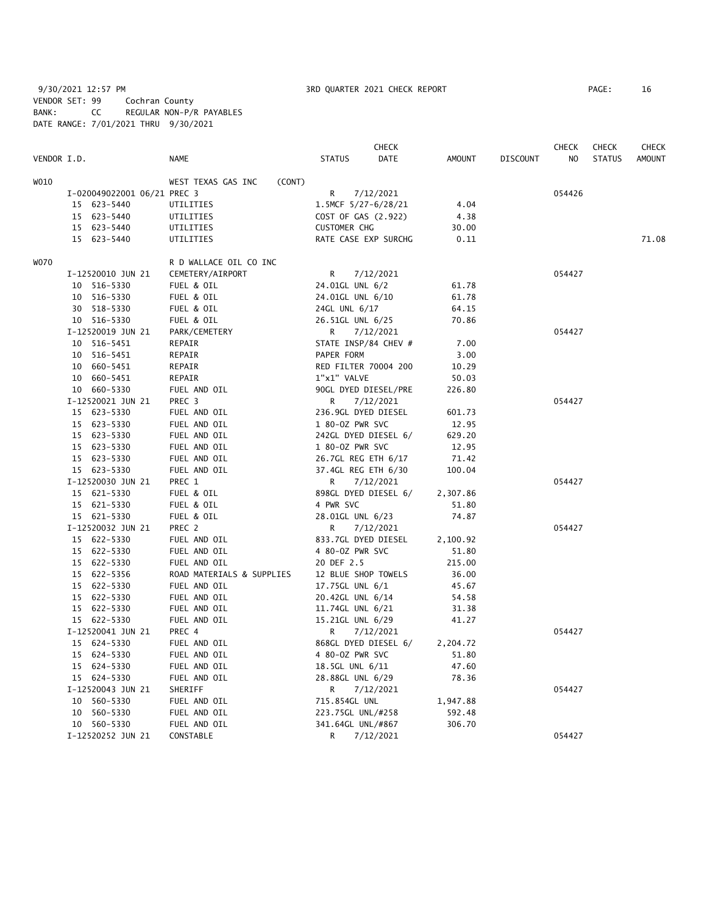9/30/2021 12:57 PM 3RD QUARTER 2021 CHECK REPORT PAGE: 16 VENDOR SET: 99 Cochran County BANK: CC REGULAR NON-P/R PAYABLES DATE RANGE: 7/01/2021 THRU 9/30/2021

|             |                             |                              |                      | <b>CHECK</b> |          |                 | CHECK  | <b>CHECK</b>  | <b>CHECK</b>  |
|-------------|-----------------------------|------------------------------|----------------------|--------------|----------|-----------------|--------|---------------|---------------|
| VENDOR I.D. |                             | <b>NAME</b>                  | <b>STATUS</b>        | DATE         | AMOUNT   | <b>DISCOUNT</b> | NO     | <b>STATUS</b> | <b>AMOUNT</b> |
| WO10        |                             | WEST TEXAS GAS INC<br>(CONT) |                      |              |          |                 |        |               |               |
|             | I-020049022001 06/21 PREC 3 |                              | R                    | 7/12/2021    |          |                 | 054426 |               |               |
|             | 15 623-5440                 | UTILITIES                    | 1.5MCF 5/27-6/28/21  |              | 4.04     |                 |        |               |               |
|             | 15 623-5440                 | UTILITIES                    | COST OF GAS (2.922)  |              | 4.38     |                 |        |               |               |
|             | 15 623-5440                 | UTILITIES                    | <b>CUSTOMER CHG</b>  |              | 30.00    |                 |        |               |               |
|             | 15 623-5440                 | UTILITIES                    | RATE CASE EXP SURCHG |              | 0.11     |                 |        |               | 71.08         |
| WO70        |                             | R D WALLACE OIL CO INC       |                      |              |          |                 |        |               |               |
|             | I-12520010 JUN 21           | CEMETERY/AIRPORT             | R                    | 7/12/2021    |          |                 | 054427 |               |               |
|             | 10 516-5330                 | FUEL & OIL                   | 24.01GL UNL 6/2      |              | 61.78    |                 |        |               |               |
|             | 10 516-5330                 | FUEL & OIL                   | 24.01GL UNL 6/10     |              | 61.78    |                 |        |               |               |
|             | 30 518-5330                 | FUEL & OIL                   | 24GL UNL 6/17        |              | 64.15    |                 |        |               |               |
|             | 10 516-5330                 | FUEL & OIL                   | 26.51GL UNL 6/25     |              | 70.86    |                 |        |               |               |
|             | I-12520019 JUN 21           | PARK/CEMETERY                | R                    | 7/12/2021    |          |                 | 054427 |               |               |
|             | 10 516-5451                 | REPAIR                       | STATE INSP/84 CHEV # |              | 7.00     |                 |        |               |               |
|             | 10 516-5451                 | REPAIR                       | PAPER FORM           |              | 3.00     |                 |        |               |               |
|             | 10 660-5451                 | REPAIR                       | RED FILTER 70004 200 |              | 10.29    |                 |        |               |               |
|             | 10 660-5451                 | REPAIR                       | 1"x1" VALVE          |              | 50.03    |                 |        |               |               |
|             | 10 660-5330                 | FUEL AND OIL                 | 90GL DYED DIESEL/PRE |              | 226.80   |                 |        |               |               |
|             | I-12520021 JUN 21           | PREC 3                       | R                    | 7/12/2021    |          |                 | 054427 |               |               |
|             | 15 623-5330                 | FUEL AND OIL                 | 236.9GL DYED DIESEL  |              | 601.73   |                 |        |               |               |
|             | 15 623-5330                 | FUEL AND OIL                 | 1 80-0Z PWR SVC      |              | 12.95    |                 |        |               |               |
|             | 15 623-5330                 | FUEL AND OIL                 | 242GL DYED DIESEL 6/ |              | 629.20   |                 |        |               |               |
|             | 15 623-5330                 | FUEL AND OIL                 | 1 80-0Z PWR SVC      |              | 12.95    |                 |        |               |               |
|             | 15 623-5330                 | FUEL AND OIL                 | 26.7GL REG ETH 6/17  |              | 71.42    |                 |        |               |               |
|             | 15 623-5330                 | FUEL AND OIL                 | 37.4GL REG ETH 6/30  |              | 100.04   |                 |        |               |               |
|             | I-12520030 JUN 21           | PREC 1                       | R                    | 7/12/2021    |          |                 | 054427 |               |               |
|             | 15 621-5330                 | FUEL & OIL                   | 898GL DYED DIESEL 6/ |              | 2,307.86 |                 |        |               |               |
|             | 15 621-5330                 | FUEL & OIL                   | 4 PWR SVC            |              | 51.80    |                 |        |               |               |
|             | 15 621-5330                 | FUEL & OIL                   | 28.01GL UNL 6/23     |              | 74.87    |                 |        |               |               |
|             | I-12520032 JUN 21           | PREC 2                       | R                    | 7/12/2021    |          |                 | 054427 |               |               |
|             | 15 622-5330                 | FUEL AND OIL                 | 833.7GL DYED DIESEL  |              | 2,100.92 |                 |        |               |               |
|             | 15 622-5330                 | FUEL AND OIL                 | 4 80-02 PWR SVC      |              | 51.80    |                 |        |               |               |
|             | 15 622-5330                 | FUEL AND OIL                 | 20 DEF 2.5           |              | 215.00   |                 |        |               |               |
|             | 15 622-5356                 | ROAD MATERIALS & SUPPLIES    | 12 BLUE SHOP TOWELS  |              | 36.00    |                 |        |               |               |
|             | 15 622-5330                 | FUEL AND OIL                 | 17.75GL UNL 6/1      |              | 45.67    |                 |        |               |               |
|             | 15 622-5330                 | FUEL AND OIL                 | 20.42GL UNL 6/14     |              | 54.58    |                 |        |               |               |
|             | 15 622-5330                 | FUEL AND OIL                 | 11.74GL UNL 6/21     |              | 31.38    |                 |        |               |               |
|             | 15 622-5330                 | FUEL AND OIL                 | 15.21GL UNL 6/29     |              | 41.27    |                 |        |               |               |
|             | I-12520041 JUN 21           | PREC 4                       | R                    | 7/12/2021    |          |                 | 054427 |               |               |
|             | 15 624-5330                 | FUEL AND OIL                 | 868GL DYED DIESEL 6/ |              | 2,204.72 |                 |        |               |               |
|             | 15 624-5330                 | FUEL AND OIL                 | 4 80-0Z PWR SVC      |              | 51.80    |                 |        |               |               |
|             | 15 624-5330                 | FUEL AND OIL                 | 18.5GL UNL 6/11      |              | 47.60    |                 |        |               |               |
|             | 15 624-5330                 | FUEL AND OIL                 | 28.88GL UNL 6/29     |              | 78.36    |                 |        |               |               |
|             | I-12520043 JUN 21           | SHERIFF                      | R                    | 7/12/2021    |          |                 | 054427 |               |               |
|             | 10 560-5330                 | FUEL AND OIL                 | 715.854GL UNL        |              | 1,947.88 |                 |        |               |               |
|             | 10 560-5330                 | FUEL AND OIL                 | 223.75GL UNL/#258    |              | 592.48   |                 |        |               |               |
|             | 10 560-5330                 | FUEL AND OIL                 | 341.64GL UNL/#867    |              | 306.70   |                 |        |               |               |
|             | I-12520252 JUN 21           | CONSTABLE                    | R                    | 7/12/2021    |          |                 | 054427 |               |               |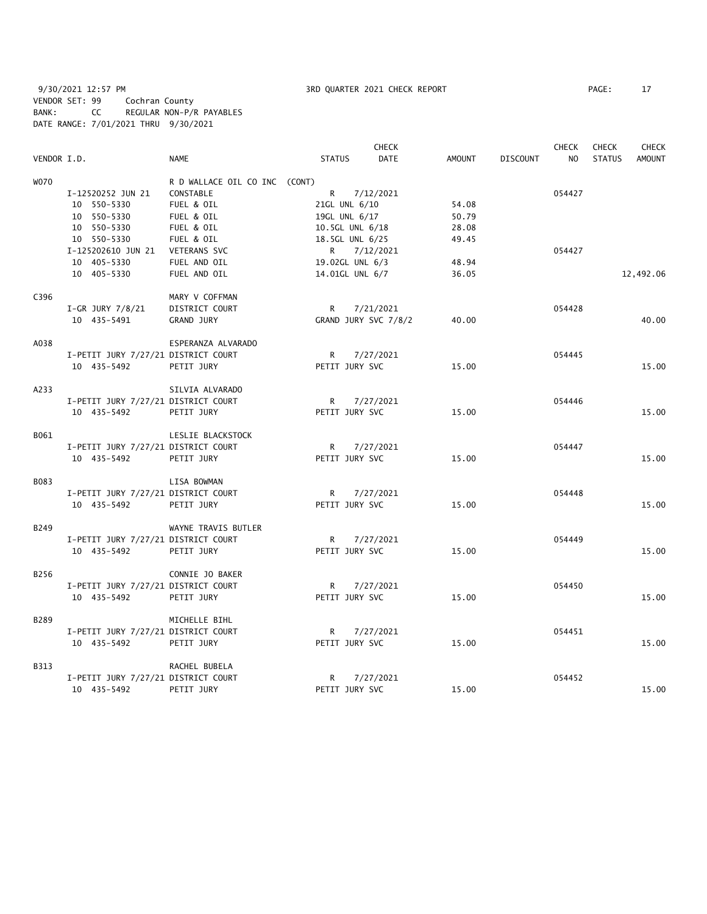9/30/2021 12:57 PM **3RD QUARTER 2021 CHECK REPORT** PAGE: 17 VENDOR SET: 99 Cochran County BANK: CC REGULAR NON-P/R PAYABLES DATE RANGE: 7/01/2021 THRU 9/30/2021

|             |                                     |                               |                 | <b>CHECK</b>         |               |                 | <b>CHECK</b>   | <b>CHECK</b>  | CHECK         |
|-------------|-------------------------------------|-------------------------------|-----------------|----------------------|---------------|-----------------|----------------|---------------|---------------|
| VENDOR I.D. |                                     | <b>NAME</b>                   | <b>STATUS</b>   | DATE                 | <b>AMOUNT</b> | <b>DISCOUNT</b> | N <sub>O</sub> | <b>STATUS</b> | <b>AMOUNT</b> |
| <b>WO70</b> |                                     | R D WALLACE OIL CO INC (CONT) |                 |                      |               |                 |                |               |               |
|             | I-12520252 JUN 21                   | CONSTABLE                     | R               | 7/12/2021            |               |                 | 054427         |               |               |
|             | 10 550-5330                         | FUEL & OIL                    | 21GL UNL 6/10   |                      | 54.08         |                 |                |               |               |
|             | 10 550-5330                         | FUEL & OIL                    | 19GL UNL 6/17   |                      | 50.79         |                 |                |               |               |
|             | 10 550-5330                         | FUEL & OIL                    | 10.5GL UNL 6/18 |                      | 28.08         |                 |                |               |               |
|             | 10 550-5330                         | FUEL & OIL                    | 18.5GL UNL 6/25 |                      | 49.45         |                 |                |               |               |
|             | I-125202610 JUN 21                  | <b>VETERANS SVC</b>           | R.              | 7/12/2021            |               |                 | 054427         |               |               |
|             | 10 405-5330                         | FUEL AND OIL                  | 19.02GL UNL 6/3 |                      | 48.94         |                 |                |               |               |
|             | 10 405-5330                         | FUEL AND OIL                  | 14.01GL UNL 6/7 |                      | 36.05         |                 |                |               | 12,492.06     |
| C396        |                                     | MARY V COFFMAN                |                 |                      |               |                 |                |               |               |
|             | $I-GR$ JURY $7/8/21$                | DISTRICT COURT                | R               | 7/21/2021            |               |                 | 054428         |               |               |
|             | 10 435-5491                         | <b>GRAND JURY</b>             |                 | GRAND JURY SVC 7/8/2 | 40.00         |                 |                |               | 40.00         |
|             |                                     |                               |                 |                      |               |                 |                |               |               |
| A038        |                                     | ESPERANZA ALVARADO            |                 |                      |               |                 |                |               |               |
|             | I-PETIT JURY 7/27/21 DISTRICT COURT |                               | R.              | 7/27/2021            |               |                 | 054445         |               |               |
|             | 10 435-5492                         | PETIT JURY                    | PETIT JURY SVC  |                      | 15.00         |                 |                |               | 15.00         |
| A233        |                                     | SILVIA ALVARADO               |                 |                      |               |                 |                |               |               |
|             | I-PETIT JURY 7/27/21 DISTRICT COURT |                               | $\mathsf{R}$    | 7/27/2021            |               |                 | 054446         |               |               |
|             | 10 435-5492                         | PETIT JURY                    | PETIT JURY SVC  |                      | 15.00         |                 |                |               | 15.00         |
| B061        |                                     | LESLIE BLACKSTOCK             |                 |                      |               |                 |                |               |               |
|             | I-PETIT JURY 7/27/21 DISTRICT COURT |                               | R               | 7/27/2021            |               |                 | 054447         |               |               |
|             | 10 435-5492                         | PETIT JURY                    | PETIT JURY SVC  |                      | 15.00         |                 |                |               | 15.00         |
| B083        |                                     | LISA BOWMAN                   |                 |                      |               |                 |                |               |               |
|             | I-PETIT JURY 7/27/21 DISTRICT COURT |                               | R               | 7/27/2021            |               |                 | 054448         |               |               |
|             | 10 435-5492                         |                               | PETIT JURY SVC  |                      | 15.00         |                 |                |               | 15.00         |
|             |                                     | PETIT JURY                    |                 |                      |               |                 |                |               |               |
| B249        |                                     | WAYNE TRAVIS BUTLER           |                 |                      |               |                 |                |               |               |
|             | I-PETIT JURY 7/27/21 DISTRICT COURT |                               | R               | 7/27/2021            |               |                 | 054449         |               |               |
|             | 10 435-5492                         | PETIT JURY                    | PETIT JURY SVC  |                      | 15.00         |                 |                |               | 15.00         |
| B256        |                                     | CONNIE JO BAKER               |                 |                      |               |                 |                |               |               |
|             | I-PETIT JURY 7/27/21 DISTRICT COURT |                               | R               | 7/27/2021            |               |                 | 054450         |               |               |
|             | 10 435-5492                         | PETIT JURY                    | PETIT JURY SVC  |                      | 15.00         |                 |                |               | 15.00         |
| B289        |                                     | MICHELLE BIHL                 |                 |                      |               |                 |                |               |               |
|             | I-PETIT JURY 7/27/21 DISTRICT COURT |                               | R               | 7/27/2021            |               |                 | 054451         |               |               |
|             | 10 435-5492                         | PETIT JURY                    | PETIT JURY SVC  |                      | 15.00         |                 |                |               | 15.00         |
| B313        |                                     | RACHEL BUBELA                 |                 |                      |               |                 |                |               |               |
|             | I-PETIT JURY 7/27/21 DISTRICT COURT |                               | R               | 7/27/2021            |               |                 | 054452         |               |               |
|             | 10 435-5492                         | PETIT JURY                    | PETIT JURY SVC  |                      | 15.00         |                 |                |               | 15.00         |
|             |                                     |                               |                 |                      |               |                 |                |               |               |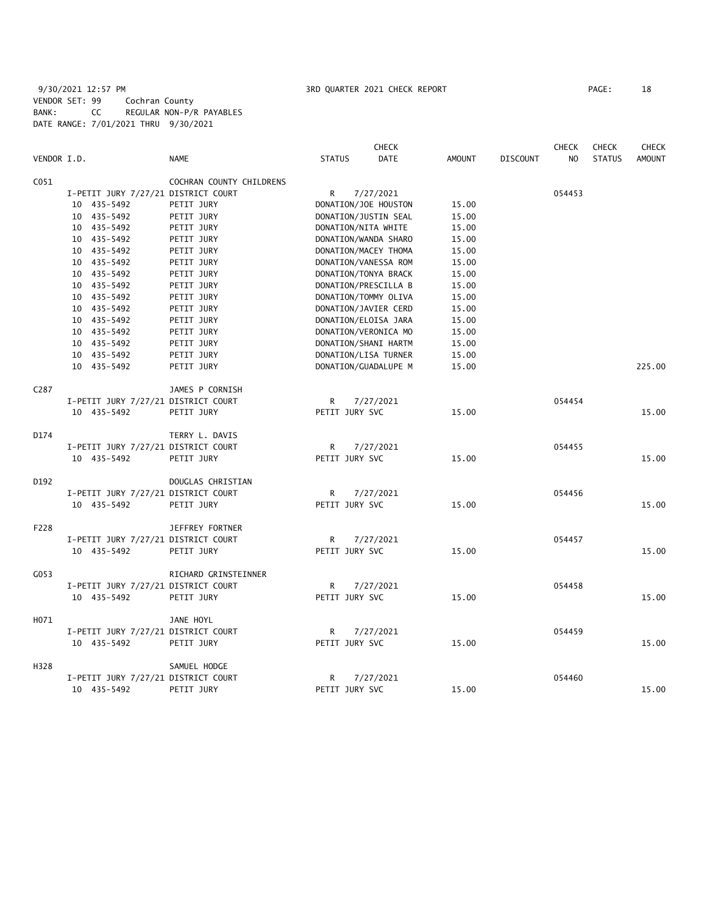# 9/30/2021 12:57 PM **3RD QUARTER 2021 CHECK REPORT** PAGE: 18 VENDOR SET: 99 Cochran County BANK: CC REGULAR NON-P/R PAYABLES DATE RANGE: 7/01/2021 THRU 9/30/2021

|                  |                                     |                          |                     | <b>CHECK</b>         |               |                 | <b>CHECK</b>   | <b>CHECK</b>  | <b>CHECK</b>  |
|------------------|-------------------------------------|--------------------------|---------------------|----------------------|---------------|-----------------|----------------|---------------|---------------|
| VENDOR I.D.      |                                     | <b>NAME</b>              | <b>STATUS</b>       | DATE                 | <b>AMOUNT</b> | <b>DISCOUNT</b> | N <sub>O</sub> | <b>STATUS</b> | <b>AMOUNT</b> |
| C <sub>051</sub> |                                     | COCHRAN COUNTY CHILDRENS |                     |                      |               |                 |                |               |               |
|                  | I-PETIT JURY 7/27/21 DISTRICT COURT |                          | R                   | 7/27/2021            |               |                 | 054453         |               |               |
|                  | 10 435-5492                         | PETIT JURY               |                     | DONATION/JOE HOUSTON | 15.00         |                 |                |               |               |
|                  | 10 435-5492                         | PETIT JURY               |                     | DONATION/JUSTIN SEAL | 15.00         |                 |                |               |               |
|                  | 10 435-5492                         | PETIT JURY               | DONATION/NITA WHITE |                      | 15.00         |                 |                |               |               |
|                  | 10 435-5492                         | PETIT JURY               |                     | DONATION/WANDA SHARO | 15.00         |                 |                |               |               |
|                  | 10 435-5492                         | PETIT JURY               |                     | DONATION/MACEY THOMA | 15.00         |                 |                |               |               |
|                  | 10 435-5492                         | PETIT JURY               |                     | DONATION/VANESSA ROM | 15.00         |                 |                |               |               |
|                  | 10 435-5492                         | PETIT JURY               |                     | DONATION/TONYA BRACK | 15.00         |                 |                |               |               |
|                  | 10 435-5492                         | PETIT JURY               |                     | DONATION/PRESCILLA B | 15.00         |                 |                |               |               |
|                  | 10 435-5492                         | PETIT JURY               |                     | DONATION/TOMMY OLIVA | 15.00         |                 |                |               |               |
|                  | 10 435-5492                         | PETIT JURY               |                     | DONATION/JAVIER CERD | 15.00         |                 |                |               |               |
|                  | 10 435-5492                         | PETIT JURY               |                     | DONATION/ELOISA JARA | 15.00         |                 |                |               |               |
|                  | 10 435-5492                         | PETIT JURY               |                     | DONATION/VERONICA MO | 15.00         |                 |                |               |               |
|                  | 10 435-5492                         | PETIT JURY               |                     | DONATION/SHANI HARTM | 15.00         |                 |                |               |               |
|                  | 10 435-5492                         | PETIT JURY               |                     | DONATION/LISA TURNER | 15.00         |                 |                |               |               |
|                  | 10 435-5492                         | PETIT JURY               |                     | DONATION/GUADALUPE M | 15.00         |                 |                |               | 225.00        |
| C287             |                                     | JAMES P CORNISH          |                     |                      |               |                 |                |               |               |
|                  | I-PETIT JURY 7/27/21 DISTRICT COURT |                          | R.                  | 7/27/2021            |               |                 | 054454         |               |               |
|                  | 10 435-5492                         | PETIT JURY               | PETIT JURY SVC      |                      | 15.00         |                 |                |               | 15.00         |
| D174             |                                     | TERRY L. DAVIS           |                     |                      |               |                 |                |               |               |
|                  | I-PETIT JURY 7/27/21 DISTRICT COURT |                          | R                   | 7/27/2021            |               |                 | 054455         |               |               |
|                  | 10 435-5492                         | PETIT JURY               | PETIT JURY SVC      |                      | 15.00         |                 |                |               | 15.00         |
| D192             |                                     | DOUGLAS CHRISTIAN        |                     |                      |               |                 |                |               |               |
|                  | I-PETIT JURY 7/27/21 DISTRICT COURT |                          | R                   | 7/27/2021            |               |                 | 054456         |               |               |
|                  | 10 435-5492                         | PETIT JURY               | PETIT JURY SVC      |                      | 15.00         |                 |                |               | 15.00         |
| F228             |                                     | JEFFREY FORTNER          |                     |                      |               |                 |                |               |               |
|                  | I-PETIT JURY 7/27/21 DISTRICT COURT |                          | R                   | 7/27/2021            |               |                 | 054457         |               |               |
|                  | 10 435-5492                         | PETIT JURY               | PETIT JURY SVC      |                      | 15.00         |                 |                |               | 15.00         |
| G053             |                                     | RICHARD GRINSTEINNER     |                     |                      |               |                 |                |               |               |
|                  | I-PETIT JURY 7/27/21 DISTRICT COURT |                          | R                   | 7/27/2021            |               |                 | 054458         |               |               |
|                  | 10 435-5492                         | PETIT JURY               | PETIT JURY SVC      |                      | 15.00         |                 |                |               | 15.00         |
| H071             |                                     | JANE HOYL                |                     |                      |               |                 |                |               |               |
|                  | I-PETIT JURY 7/27/21 DISTRICT COURT |                          | R                   | 7/27/2021            |               |                 | 054459         |               |               |
|                  | 10 435-5492                         | PETIT JURY               | PETIT JURY SVC      |                      | 15.00         |                 |                |               | 15.00         |
| H328             |                                     | SAMUEL HODGE             |                     |                      |               |                 |                |               |               |
|                  | I-PETIT JURY 7/27/21 DISTRICT COURT |                          | R                   | 7/27/2021            |               |                 | 054460         |               |               |
|                  | 10 435-5492                         | PETIT JURY               | PETIT JURY SVC      |                      | 15.00         |                 |                |               | 15.00         |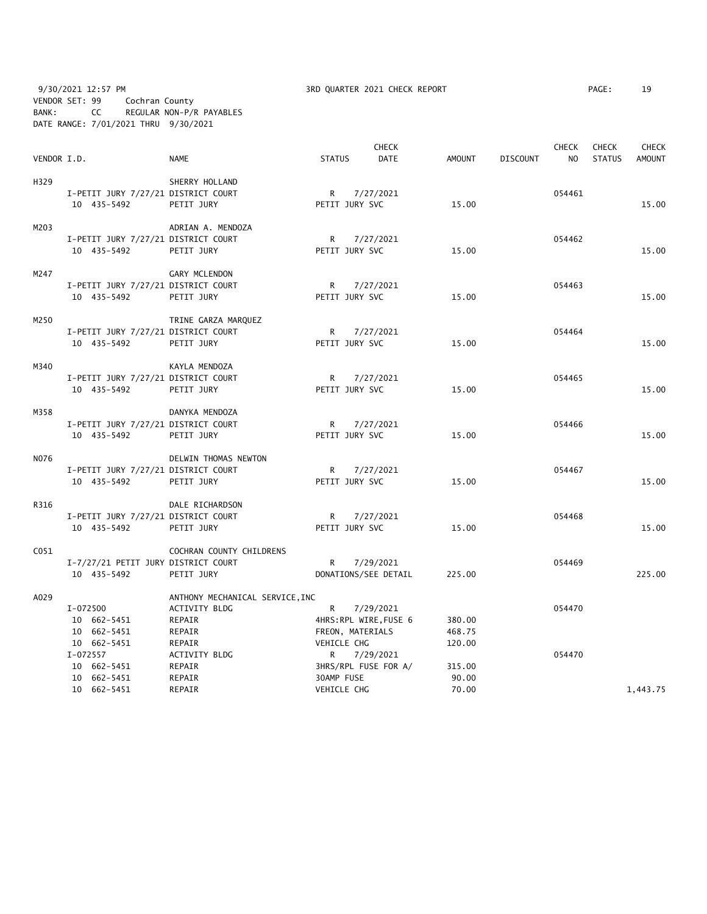9/30/2021 12:57 PM 3RD QUARTER 2021 CHECK REPORT PAGE: 19 VENDOR SET: 99 Cochran County BANK: CC REGULAR NON-P/R PAYABLES DATE RANGE: 7/01/2021 THRU 9/30/2021

|                  |                                     |                                 |                | <b>CHECK</b>          |        |                 | <b>CHECK</b>   | <b>CHECK</b>  | <b>CHECK</b>  |
|------------------|-------------------------------------|---------------------------------|----------------|-----------------------|--------|-----------------|----------------|---------------|---------------|
| VENDOR I.D.      |                                     | <b>NAME</b>                     | <b>STATUS</b>  | <b>DATE</b>           | AMOUNT | <b>DISCOUNT</b> | N <sub>O</sub> | <b>STATUS</b> | <b>AMOUNT</b> |
| H329             |                                     | SHERRY HOLLAND                  |                |                       |        |                 |                |               |               |
|                  | I-PETIT JURY 7/27/21 DISTRICT COURT |                                 |                | R 7/27/2021           |        |                 | 054461         |               |               |
|                  | 10 435-5492                         | PETIT JURY                      | PETIT JURY SVC |                       | 15.00  |                 |                |               | 15.00         |
|                  |                                     |                                 |                |                       |        |                 |                |               |               |
| M203             |                                     | ADRIAN A. MENDOZA               |                |                       |        |                 |                |               |               |
|                  | I-PETIT JURY 7/27/21 DISTRICT COURT |                                 |                | R 7/27/2021           |        |                 | 054462         |               |               |
|                  | 10 435-5492                         | PETIT JURY                      | PETIT JURY SVC |                       | 15.00  |                 |                |               | 15.00         |
| M247             |                                     | GARY MCLENDON                   |                |                       |        |                 |                |               |               |
|                  | I-PETIT JURY 7/27/21 DISTRICT COURT |                                 | R              | 7/27/2021             |        |                 | 054463         |               |               |
|                  | 10 435-5492                         | PETIT JURY                      | PETIT JURY SVC |                       | 15.00  |                 |                |               | 15.00         |
|                  |                                     |                                 |                |                       |        |                 |                |               |               |
| M250             |                                     | TRINE GARZA MARQUEZ             |                |                       |        |                 |                |               |               |
|                  | I-PETIT JURY 7/27/21 DISTRICT COURT |                                 | $\mathsf{R}$   | 7/27/2021             |        |                 | 054464         |               |               |
|                  | 10 435-5492                         | PETIT JURY                      | PETIT JURY SVC |                       | 15.00  |                 |                |               | 15.00         |
| M340             |                                     |                                 |                |                       |        |                 |                |               |               |
|                  |                                     | KAYLA MENDOZA                   |                |                       |        |                 | 054465         |               |               |
|                  | I-PETIT JURY 7/27/21 DISTRICT COURT |                                 |                | R 7/27/2021           | 15.00  |                 |                |               |               |
|                  | 10 435-5492                         | PETIT JURY                      | PETIT JURY SVC |                       |        |                 |                |               | 15.00         |
| M358             |                                     | DANYKA MENDOZA                  |                |                       |        |                 |                |               |               |
|                  | I-PETIT JURY 7/27/21 DISTRICT COURT |                                 | $R \sim$       | 7/27/2021             |        |                 | 054466         |               |               |
|                  | 10 435-5492                         | PETIT JURY                      | PETIT JURY SVC |                       | 15.00  |                 |                |               | 15.00         |
|                  |                                     |                                 |                |                       |        |                 |                |               |               |
| N076             |                                     | DELWIN THOMAS NEWTON            |                |                       |        |                 |                |               |               |
|                  | I-PETIT JURY 7/27/21 DISTRICT COURT |                                 | $R \sim$       | 7/27/2021             |        |                 | 054467         |               |               |
|                  | 10 435-5492                         | PETIT JURY                      | PETIT JURY SVC |                       | 15.00  |                 |                |               | 15.00         |
| R316             |                                     | DALE RICHARDSON                 |                |                       |        |                 |                |               |               |
|                  | I-PETIT JURY 7/27/21 DISTRICT COURT |                                 |                | R 7/27/2021           |        |                 | 054468         |               |               |
|                  | 10 435-5492                         | PETIT JURY                      | PETIT JURY SVC |                       | 15.00  |                 |                |               | 15.00         |
|                  |                                     |                                 |                |                       |        |                 |                |               |               |
| C <sub>051</sub> |                                     | COCHRAN COUNTY CHILDRENS        |                |                       |        |                 |                |               |               |
|                  | I-7/27/21 PETIT JURY DISTRICT COURT |                                 |                | R 7/29/2021           |        |                 | 054469         |               |               |
|                  | 10 435-5492                         | PETIT JURY                      |                | DONATIONS/SEE DETAIL  | 225.00 |                 |                |               | 225.00        |
| A029             |                                     | ANTHONY MECHANICAL SERVICE, INC |                |                       |        |                 |                |               |               |
|                  | I-072500                            | <b>ACTIVITY BLDG</b>            | R.             | 7/29/2021             |        |                 | 054470         |               |               |
|                  | 10 662-5451                         | REPAIR                          |                | 4HRS:RPL WIRE, FUSE 6 | 380.00 |                 |                |               |               |
|                  | 10 662-5451                         | REPAIR                          |                | FREON, MATERIALS      | 468.75 |                 |                |               |               |
|                  | 10 662-5451                         | REPAIR                          | VEHICLE CHG    |                       | 120.00 |                 |                |               |               |
|                  | I-072557                            | ACTIVITY BLDG                   |                | R 7/29/2021           |        |                 | 054470         |               |               |
|                  | 10 662-5451                         | REPAIR                          |                | 3HRS/RPL FUSE FOR A/  | 315.00 |                 |                |               |               |
|                  | 10 662-5451                         | REPAIR                          | 30AMP FUSE     |                       | 90.00  |                 |                |               |               |
|                  | 10 662-5451                         | REPAIR                          | VEHICLE CHG    |                       | 70.00  |                 |                |               | 1,443.75      |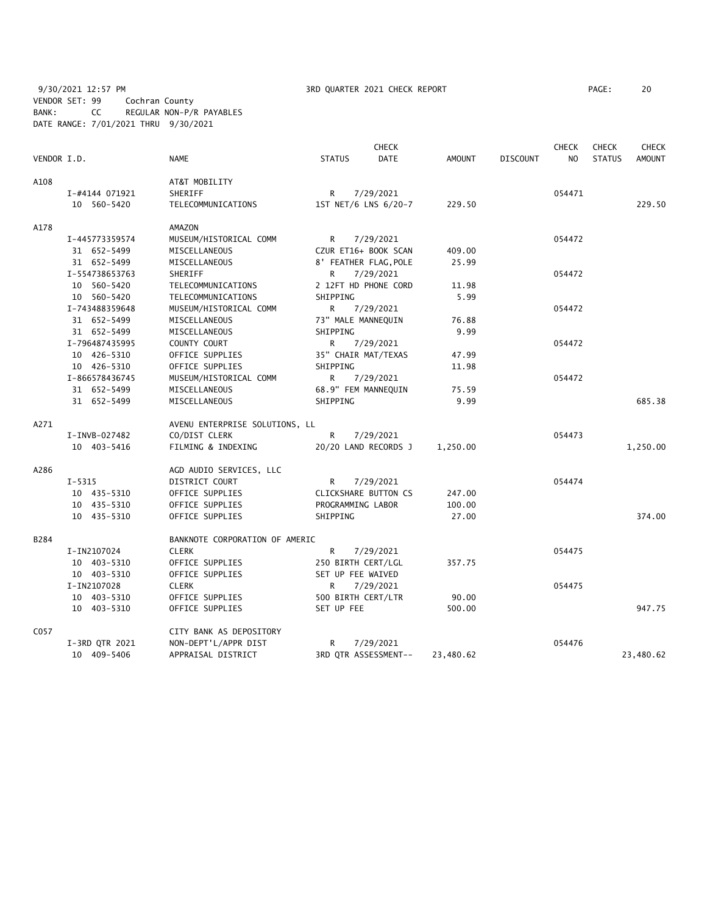9/30/2021 12:57 PM 3RD QUARTER 2021 CHECK REPORT PAGE: 20 VENDOR SET: 99 Cochran County BANK: CC REGULAR NON-P/R PAYABLES DATE RANGE: 7/01/2021 THRU 9/30/2021

|             |                |                                |                             | <b>CHECK</b> |           |                 | <b>CHECK</b>   | <b>CHECK</b>  | <b>CHECK</b>  |
|-------------|----------------|--------------------------------|-----------------------------|--------------|-----------|-----------------|----------------|---------------|---------------|
| VENDOR I.D. |                | <b>NAME</b>                    | <b>STATUS</b>               | <b>DATE</b>  | AMOUNT    | <b>DISCOUNT</b> | N <sub>O</sub> | <b>STATUS</b> | <b>AMOUNT</b> |
| A108        |                | AT&T MOBILITY                  |                             |              |           |                 |                |               |               |
|             | I-#4144 071921 | SHERIFF                        | R.                          | 7/29/2021    |           |                 | 054471         |               |               |
|             | 10 560-5420    | TELECOMMUNICATIONS             | 1ST NET/6 LNS 6/20-7        |              | 229.50    |                 |                |               | 229.50        |
|             |                |                                |                             |              |           |                 |                |               |               |
| A178        |                | <b>AMAZON</b>                  |                             |              |           |                 |                |               |               |
|             | I-445773359574 | MUSEUM/HISTORICAL COMM         | R                           | 7/29/2021    |           |                 | 054472         |               |               |
|             | 31 652-5499    | MISCELLANEOUS                  | CZUR ET16+ BOOK SCAN        |              | 409.00    |                 |                |               |               |
|             | 31 652-5499    | MISCELLANEOUS                  | 8' FEATHER FLAG, POLE       |              | 25.99     |                 |                |               |               |
|             | I-554738653763 | SHERIFF                        | R.                          | 7/29/2021    |           |                 | 054472         |               |               |
|             | 10 560-5420    | TELECOMMUNICATIONS             | 2 12FT HD PHONE CORD        |              | 11.98     |                 |                |               |               |
|             | 10 560-5420    | TELECOMMUNICATIONS             | SHIPPING                    |              | 5.99      |                 |                |               |               |
|             | I-743488359648 | MUSEUM/HISTORICAL COMM         | R                           | 7/29/2021    |           |                 | 054472         |               |               |
|             | 31 652-5499    | MISCELLANEOUS                  | 73" MALE MANNEQUIN          |              | 76.88     |                 |                |               |               |
|             | 31 652-5499    | MISCELLANEOUS                  | SHIPPING                    |              | 9.99      |                 |                |               |               |
|             | I-796487435995 | COUNTY COURT                   | $R \Box$                    | 7/29/2021    |           |                 | 054472         |               |               |
|             | 10 426-5310    | OFFICE SUPPLIES                | 35" CHAIR MAT/TEXAS         |              | 47.99     |                 |                |               |               |
|             | 10 426-5310    | OFFICE SUPPLIES                | SHIPPING                    |              | 11.98     |                 |                |               |               |
|             | I-866578436745 | MUSEUM/HISTORICAL COMM         | R                           | 7/29/2021    |           |                 | 054472         |               |               |
|             | 31 652-5499    | MISCELLANEOUS                  | 68.9" FEM MANNEQUIN         |              | 75.59     |                 |                |               |               |
|             | 31 652-5499    | MISCELLANEOUS                  | SHIPPING                    |              | 9.99      |                 |                |               | 685.38        |
| A271        |                | AVENU ENTERPRISE SOLUTIONS, LL |                             |              |           |                 |                |               |               |
|             | I-INVB-027482  | CO/DIST CLERK                  | R.                          | 7/29/2021    |           |                 | 054473         |               |               |
|             | 10 403-5416    | FILMING & INDEXING             | 20/20 LAND RECORDS J        |              | 1,250.00  |                 |                |               | 1,250.00      |
| A286        |                | AGD AUDIO SERVICES, LLC        |                             |              |           |                 |                |               |               |
|             | $I - 5315$     | DISTRICT COURT                 | R.                          | 7/29/2021    |           |                 | 054474         |               |               |
|             | 10 435-5310    | OFFICE SUPPLIES                | <b>CLICKSHARE BUTTON CS</b> |              | 247.00    |                 |                |               |               |
|             | 10 435-5310    | OFFICE SUPPLIES                | PROGRAMMING LABOR           |              | 100.00    |                 |                |               |               |
|             | 10 435-5310    | OFFICE SUPPLIES                | SHIPPING                    |              | 27.00     |                 |                |               | 374.00        |
| B284        |                | BANKNOTE CORPORATION OF AMERIC |                             |              |           |                 |                |               |               |
|             | I-IN2107024    | <b>CLERK</b>                   | R                           | 7/29/2021    |           |                 | 054475         |               |               |
|             | 10 403-5310    | OFFICE SUPPLIES                | 250 BIRTH CERT/LGL          |              | 357.75    |                 |                |               |               |
|             | 10 403-5310    | OFFICE SUPPLIES                | SET UP FEE WAIVED           |              |           |                 |                |               |               |
|             | I-IN2107028    | <b>CLERK</b>                   | R                           | 7/29/2021    |           |                 | 054475         |               |               |
|             | 10 403-5310    | OFFICE SUPPLIES                | 500 BIRTH CERT/LTR          |              | 90.00     |                 |                |               |               |
|             | 10 403-5310    | OFFICE SUPPLIES                | SET UP FEE                  |              | 500.00    |                 |                |               | 947.75        |
| C057        |                | CITY BANK AS DEPOSITORY        |                             |              |           |                 |                |               |               |
|             | I-3RD QTR 2021 | NON-DEPT'L/APPR DIST           | R.                          | 7/29/2021    |           |                 | 054476         |               |               |
|             | 10 409-5406    | APPRAISAL DISTRICT             | 3RD QTR ASSESSMENT--        |              | 23,480.62 |                 |                |               | 23,480.62     |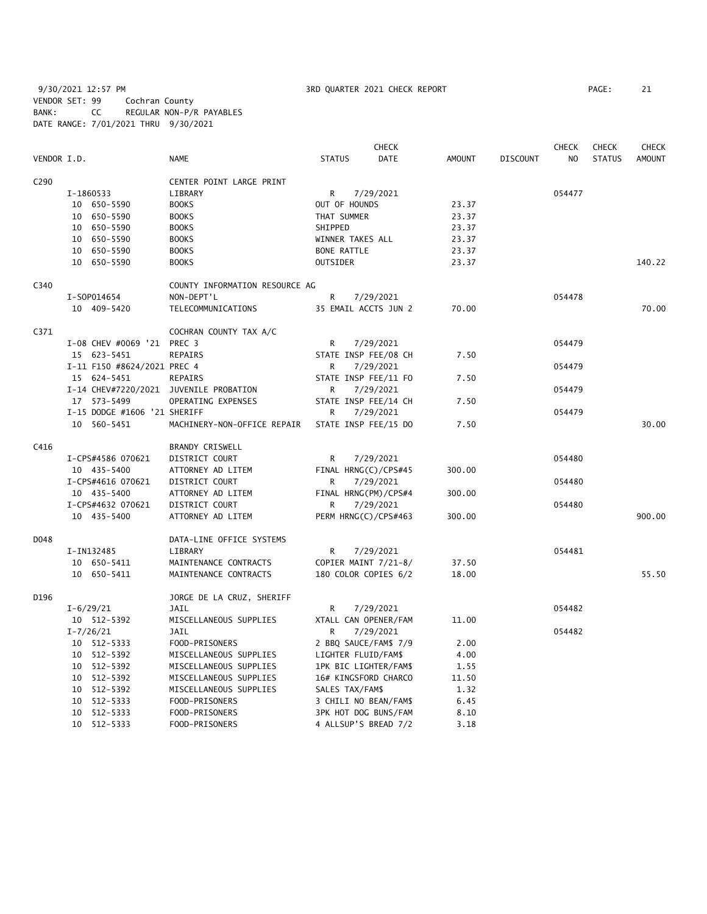9/30/2021 12:57 PM **3RD QUARTER 2021 CHECK REPORT** PAGE: 21 VENDOR SET: 99 Cochran County BANK: CC REGULAR NON-P/R PAYABLES DATE RANGE: 7/01/2021 THRU 9/30/2021

|             |                                        |                                |                       | <b>CHECK</b> |               |                 | <b>CHECK</b> | <b>CHECK</b>  | <b>CHECK</b>  |
|-------------|----------------------------------------|--------------------------------|-----------------------|--------------|---------------|-----------------|--------------|---------------|---------------|
| VENDOR I.D. |                                        | <b>NAME</b>                    | <b>STATUS</b>         | <b>DATE</b>  | <b>AMOUNT</b> | <b>DISCOUNT</b> | NO.          | <b>STATUS</b> | <b>AMOUNT</b> |
| C290        |                                        | CENTER POINT LARGE PRINT       |                       |              |               |                 |              |               |               |
|             | I-1860533                              | LIBRARY                        | R                     | 7/29/2021    |               |                 | 054477       |               |               |
|             | 10 650-5590                            | <b>BOOKS</b>                   | OUT OF HOUNDS         |              | 23.37         |                 |              |               |               |
|             | 10 650-5590                            | <b>BOOKS</b>                   | THAT SUMMER           |              | 23.37         |                 |              |               |               |
|             | 10 650-5590                            | <b>BOOKS</b>                   | SHIPPED               |              | 23.37         |                 |              |               |               |
|             | 10 650-5590                            | <b>BOOKS</b>                   | WINNER TAKES ALL      |              | 23.37         |                 |              |               |               |
|             | 10 650-5590                            | <b>BOOKS</b>                   | <b>BONE RATTLE</b>    |              | 23.37         |                 |              |               |               |
|             | 10 650-5590                            | <b>BOOKS</b>                   | <b>OUTSIDER</b>       |              | 23.37         |                 |              |               | 140.22        |
| C340        |                                        | COUNTY INFORMATION RESOURCE AG |                       |              |               |                 |              |               |               |
|             | I-S0P014654                            | NON-DEPT'L                     | $\mathsf{R}$          | 7/29/2021    |               |                 | 054478       |               |               |
|             | 10 409-5420                            | TELECOMMUNICATIONS             | 35 EMAIL ACCTS JUN 2  |              | 70.00         |                 |              |               | 70.00         |
| C371        |                                        | COCHRAN COUNTY TAX A/C         |                       |              |               |                 |              |               |               |
|             | I-08 CHEV #0069 '21 PREC 3             |                                | R                     | 7/29/2021    |               |                 | 054479       |               |               |
|             | 15 623-5451                            | REPAIRS                        | STATE INSP FEE/08 CH  |              | 7.50          |                 |              |               |               |
|             | I-11 F150 #8624/2021 PREC 4            |                                | R                     | 7/29/2021    |               |                 | 054479       |               |               |
|             | 15 624-5451                            | REPAIRS                        | STATE INSP FEE/11 FO  |              | 7.50          |                 |              |               |               |
|             | I-14 CHEV#7220/2021 JUVENILE PROBATION |                                | R                     | 7/29/2021    |               |                 | 054479       |               |               |
|             | 17 573-5499                            | OPERATING EXPENSES             | STATE INSP FEE/14 CH  |              | 7.50          |                 |              |               |               |
|             | I-15 DODGE #1606 '21 SHERIFF           |                                | R                     | 7/29/2021    |               |                 | 054479       |               |               |
|             | 10 560-5451                            | MACHINERY-NON-OFFICE REPAIR    | STATE INSP FEE/15 DO  |              | 7.50          |                 |              |               | 30.00         |
| C416        |                                        | <b>BRANDY CRISWELL</b>         |                       |              |               |                 |              |               |               |
|             | I-CPS#4586 070621                      | DISTRICT COURT                 | R                     | 7/29/2021    |               |                 | 054480       |               |               |
|             | 10 435-5400                            | ATTORNEY AD LITEM              | FINAL HRNG(C)/CPS#45  |              | 300.00        |                 |              |               |               |
|             | I-CPS#4616 070621                      | DISTRICT COURT                 | R                     | 7/29/2021    |               |                 | 054480       |               |               |
|             | 10 435-5400                            | ATTORNEY AD LITEM              | FINAL HRNG(PM)/CPS#4  |              | 300.00        |                 |              |               |               |
|             | I-CPS#4632 070621                      | DISTRICT COURT                 | R                     | 7/29/2021    |               |                 | 054480       |               |               |
|             | 10 435-5400                            | ATTORNEY AD LITEM              | PERM HRNG(C)/CPS#463  |              | 300.00        |                 |              |               | 900.00        |
| D048        |                                        | DATA-LINE OFFICE SYSTEMS       |                       |              |               |                 |              |               |               |
|             | I-IN132485                             | LIBRARY                        | R                     | 7/29/2021    |               |                 | 054481       |               |               |
|             | 10 650-5411                            | MAINTENANCE CONTRACTS          | COPIER MAINT 7/21-8/  |              | 37.50         |                 |              |               |               |
|             | 10 650-5411                            | MAINTENANCE CONTRACTS          | 180 COLOR COPIES 6/2  |              | 18.00         |                 |              |               | 55.50         |
| D196        |                                        | JORGE DE LA CRUZ, SHERIFF      |                       |              |               |                 |              |               |               |
|             | $I - 6/29/21$                          | JAIL                           | R                     | 7/29/2021    |               |                 | 054482       |               |               |
|             | 10 512-5392                            | MISCELLANEOUS SUPPLIES         | XTALL CAN OPENER/FAM  |              | 11.00         |                 |              |               |               |
|             | $I - 7/26/21$                          | JAIL                           | R                     | 7/29/2021    |               |                 | 054482       |               |               |
|             | 10 512-5333                            | FOOD-PRISONERS                 | 2 BBQ SAUCE/FAM\$ 7/9 |              | 2.00          |                 |              |               |               |
|             | 10 512-5392                            | MISCELLANEOUS SUPPLIES         | LIGHTER FLUID/FAM\$   |              | 4.00          |                 |              |               |               |
|             | 10 512-5392                            | MISCELLANEOUS SUPPLIES         | 1PK BIC LIGHTER/FAM\$ |              | 1.55          |                 |              |               |               |
|             | 10 512-5392                            | MISCELLANEOUS SUPPLIES         | 16# KINGSFORD CHARCO  |              | 11.50         |                 |              |               |               |
|             | 10 512-5392                            | MISCELLANEOUS SUPPLIES         | SALES TAX/FAM\$       |              | 1.32          |                 |              |               |               |
|             | 10 512-5333                            | FOOD-PRISONERS                 | 3 CHILI NO BEAN/FAM\$ |              | 6.45          |                 |              |               |               |
|             | 10 512-5333                            | FOOD-PRISONERS                 | 3PK HOT DOG BUNS/FAM  |              | 8.10          |                 |              |               |               |
|             | 10 512-5333                            | FOOD-PRISONERS                 | 4 ALLSUP'S BREAD 7/2  |              | 3.18          |                 |              |               |               |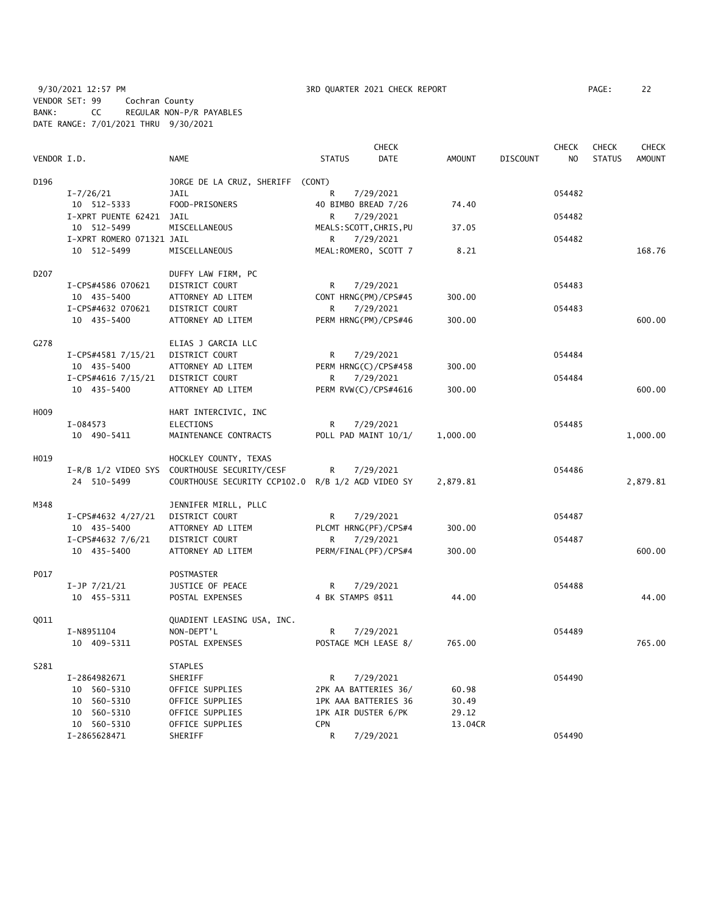9/30/2021 12:57 PM **3RD QUARTER 2021 CHECK REPORT** PAGE: 22 VENDOR SET: 99 Cochran County BANK: CC REGULAR NON-P/R PAYABLES DATE RANGE: 7/01/2021 THRU 9/30/2021

| <b>CHECK</b>     |                           |                                                   |                         |                      |               | <b>CHECK</b>    | <b>CHECK</b>   | <b>CHECK</b>  |               |
|------------------|---------------------------|---------------------------------------------------|-------------------------|----------------------|---------------|-----------------|----------------|---------------|---------------|
| VENDOR I.D.      |                           | NAME                                              | <b>STATUS</b>           | DATE                 | <b>AMOUNT</b> | <b>DISCOUNT</b> | N <sub>O</sub> | <b>STATUS</b> | <b>AMOUNT</b> |
| D196             |                           | JORGE DE LA CRUZ, SHERIFF (CONT)                  |                         |                      |               |                 |                |               |               |
|                  | $I - 7/26/21$             | JAIL                                              | R                       | 7/29/2021            |               |                 | 054482         |               |               |
|                  | 10 512-5333               | FOOD-PRISONERS                                    | 40 BIMBO BREAD 7/26     |                      | 74.40         |                 |                |               |               |
|                  | I-XPRT PUENTE 62421 JAIL  |                                                   | R                       | 7/29/2021            |               |                 | 054482         |               |               |
|                  | 10 512-5499               | MISCELLANEOUS                                     | MEALS: SCOTT, CHRIS, PU |                      | 37.05         |                 |                |               |               |
|                  | I-XPRT ROMERO 071321 JAIL |                                                   | R                       | 7/29/2021            |               |                 | 054482         |               |               |
|                  | 10 512-5499               | MISCELLANEOUS                                     | MEAL: ROMERO, SCOTT 7   |                      | 8.21          |                 |                |               | 168.76        |
| D <sub>207</sub> |                           | DUFFY LAW FIRM, PC                                |                         |                      |               |                 |                |               |               |
|                  | I-CPS#4586 070621         | DISTRICT COURT                                    | R                       | 7/29/2021            |               |                 | 054483         |               |               |
|                  | 10 435-5400               | ATTORNEY AD LITEM                                 | CONT HRNG(PM)/CPS#45    |                      | 300.00        |                 |                |               |               |
|                  | I-CPS#4632 070621         | DISTRICT COURT                                    | R                       | 7/29/2021            |               |                 | 054483         |               |               |
|                  | 10 435-5400               | ATTORNEY AD LITEM                                 | PERM HRNG(PM)/CPS#46    |                      | 300.00        |                 |                |               | 600.00        |
| G278             |                           | ELIAS J GARCIA LLC                                |                         |                      |               |                 |                |               |               |
|                  | I-CPS#4581 7/15/21        | DISTRICT COURT                                    | R                       | 7/29/2021            |               |                 | 054484         |               |               |
|                  | 10 435-5400               | ATTORNEY AD LITEM                                 | PERM HRNG(C)/CPS#458    |                      | 300.00        |                 |                |               |               |
|                  | I-CPS#4616 7/15/21        | DISTRICT COURT                                    | R                       | 7/29/2021            |               |                 | 054484         |               |               |
|                  | 10 435-5400               | ATTORNEY AD LITEM                                 | PERM RVW(C)/CPS#4616    |                      | 300.00        |                 |                |               | 600.00        |
| H009             |                           | HART INTERCIVIC, INC                              |                         |                      |               |                 |                |               |               |
|                  | I-084573                  | <b>ELECTIONS</b>                                  | R                       | 7/29/2021            |               |                 | 054485         |               |               |
|                  | 10 490-5411               | MAINTENANCE CONTRACTS                             |                         | POLL PAD MAINT 10/1/ | 1,000.00      |                 |                |               | 1,000.00      |
| H019             |                           | HOCKLEY COUNTY, TEXAS                             |                         |                      |               |                 |                |               |               |
|                  |                           | I-R/B 1/2 VIDEO SYS COURTHOUSE SECURITY/CESF      | R                       | 7/29/2021            |               |                 | 054486         |               |               |
|                  | 24 510-5499               | COURTHOUSE SECURITY CCP102.0 R/B 1/2 AGD VIDEO SY |                         |                      | 2,879.81      |                 |                |               | 2,879.81      |
| M348             |                           | JENNIFER MIRLL, PLLC                              |                         |                      |               |                 |                |               |               |
|                  | I-CPS#4632 4/27/21        | DISTRICT COURT                                    | R                       | 7/29/2021            |               |                 | 054487         |               |               |
|                  | 10 435-5400               | ATTORNEY AD LITEM                                 | PLCMT HRNG(PF)/CPS#4    |                      | 300.00        |                 |                |               |               |
|                  | I-CPS#4632 7/6/21         | DISTRICT COURT                                    | R.                      | 7/29/2021            |               |                 | 054487         |               |               |
|                  | 10 435-5400               | ATTORNEY AD LITEM                                 | PERM/FINAL(PF)/CPS#4    |                      | 300.00        |                 |                |               | 600.00        |
| P017             |                           | POSTMASTER                                        |                         |                      |               |                 |                |               |               |
|                  | $I-JP$ $7/21/21$          | JUSTICE OF PEACE                                  | R                       | 7/29/2021            |               |                 | 054488         |               |               |
|                  | 10 455-5311               | POSTAL EXPENSES                                   | 4 BK STAMPS @\$11       |                      | 44.00         |                 |                |               | 44.00         |
| Q011             |                           | QUADIENT LEASING USA, INC.                        |                         |                      |               |                 |                |               |               |
|                  | I-N8951104                | NON-DEPT'L                                        | R                       | 7/29/2021            |               |                 | 054489         |               |               |
|                  | 10 409-5311               | POSTAL EXPENSES                                   | POSTAGE MCH LEASE 8/    |                      | 765.00        |                 |                |               | 765.00        |
| S281             |                           | <b>STAPLES</b>                                    |                         |                      |               |                 |                |               |               |
|                  | I-2864982671              | SHERIFF                                           | R                       | 7/29/2021            |               |                 | 054490         |               |               |
|                  | 10 560-5310               | OFFICE SUPPLIES                                   | 2PK AA BATTERIES 36/    |                      | 60.98         |                 |                |               |               |
|                  | 10 560-5310               | OFFICE SUPPLIES                                   | 1PK AAA BATTERIES 36    |                      | 30.49         |                 |                |               |               |
|                  | 10 560-5310               | OFFICE SUPPLIES                                   | 1PK AIR DUSTER 6/PK     |                      | 29.12         |                 |                |               |               |
|                  | 10 560-5310               | OFFICE SUPPLIES                                   | CPN                     |                      | 13.04CR       |                 |                |               |               |
|                  | I-2865628471              | SHERIFF                                           | R                       | 7/29/2021            |               |                 | 054490         |               |               |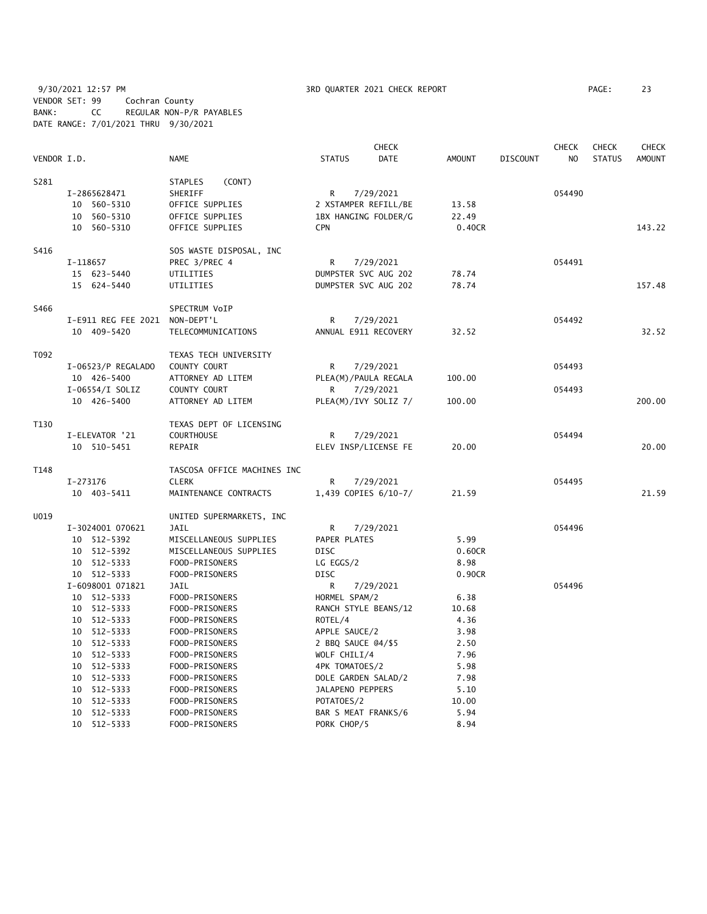9/30/2021 12:57 PM **3RD QUARTER 2021 CHECK REPORT** PAGE: 23 VENDOR SET: 99 Cochran County BANK: CC REGULAR NON-P/R PAYABLES DATE RANGE: 7/01/2021 THRU 9/30/2021

|             |                                 |                               |                     | <b>CHECK</b>         |               |                 | <b>CHECK</b>   | <b>CHECK</b>  | <b>CHECK</b> |
|-------------|---------------------------------|-------------------------------|---------------------|----------------------|---------------|-----------------|----------------|---------------|--------------|
| VENDOR I.D. |                                 | NAME                          | <b>STATUS</b>       | DATE                 | <b>AMOUNT</b> | <b>DISCOUNT</b> | N <sub>O</sub> | <b>STATUS</b> | AMOUNT       |
| S281        |                                 | (CONT)<br>STAPLES             |                     |                      |               |                 |                |               |              |
|             | I-2865628471                    | SHERIFF                       | R                   | 7/29/2021            |               |                 | 054490         |               |              |
|             | 10 560-5310                     | OFFICE SUPPLIES               |                     | 2 XSTAMPER REFILL/BE | 13.58         |                 |                |               |              |
|             | 10 560-5310                     | OFFICE SUPPLIES               |                     | 1BX HANGING FOLDER/G | 22.49         |                 |                |               |              |
|             | 10 560-5310                     | OFFICE SUPPLIES               | <b>CPN</b>          |                      | 0.40CR        |                 |                |               | 143.22       |
| S416        |                                 | SOS WASTE DISPOSAL, INC       |                     |                      |               |                 |                |               |              |
|             | I-118657                        | PREC 3/PREC 4                 | R                   | 7/29/2021            |               |                 | 054491         |               |              |
|             | 15 623-5440                     | UTILITIES                     |                     | DUMPSTER SVC AUG 202 | 78.74         |                 |                |               |              |
|             | 15 624-5440                     | UTILITIES                     |                     | DUMPSTER SVC AUG 202 | 78.74         |                 |                |               | 157.48       |
| S466        |                                 | SPECTRUM VoIP                 |                     |                      |               |                 |                |               |              |
|             | I-E911 REG FEE 2021 NON-DEPT'L  |                               | R                   | 7/29/2021            |               |                 | 054492         |               |              |
|             | 10 409-5420                     | TELECOMMUNICATIONS            |                     | ANNUAL E911 RECOVERY | 32.52         |                 |                |               | 32.52        |
| T092        |                                 | TEXAS TECH UNIVERSITY         |                     |                      |               |                 |                |               |              |
|             | I-06523/P REGALADO              | COUNTY COURT                  | R                   | 7/29/2021            |               |                 | 054493         |               |              |
|             | 10 426-5400                     | ATTORNEY AD LITEM             |                     | PLEA(M)/PAULA REGALA | 100.00        |                 |                |               |              |
|             | $I-06554/I$ SOLIZ               | COUNTY COURT                  | R                   | 7/29/2021            |               |                 | 054493         |               |              |
|             | 10 426-5400                     | ATTORNEY AD LITEM             |                     | PLEA(M)/IVY SOLIZ 7/ | 100.00        |                 |                |               | 200.00       |
| T130        |                                 | TEXAS DEPT OF LICENSING       |                     |                      |               |                 |                |               |              |
|             | I-ELEVATOR '21                  | COURTHOUSE                    | R                   | 7/29/2021            |               |                 | 054494         |               |              |
|             | 10 510-5451                     | REPAIR                        |                     | ELEV INSP/LICENSE FE | 20.00         |                 |                |               | 20.00        |
| T148        |                                 | TASCOSA OFFICE MACHINES INC   |                     |                      |               |                 |                |               |              |
|             | I-273176                        | <b>CLERK</b>                  | R                   | 7/29/2021            |               |                 | 054495         |               |              |
|             | 10 403-5411                     | MAINTENANCE CONTRACTS         |                     | 1,439 COPIES 6/10-7/ | 21.59         |                 |                |               | 21.59        |
| U019        |                                 | UNITED SUPERMARKETS, INC      |                     |                      |               |                 |                |               |              |
|             | I-3024001 070621                | <b>JAIL</b>                   | R                   | 7/29/2021            |               |                 | 054496         |               |              |
|             | 10 512-5392                     | MISCELLANEOUS SUPPLIES        | PAPER PLATES        |                      | 5.99          |                 |                |               |              |
|             | 10 512-5392                     | MISCELLANEOUS SUPPLIES        | <b>DISC</b>         |                      | 0.60CR        |                 |                |               |              |
|             | 10 512-5333                     | FOOD-PRISONERS                | LG EGGS/2           |                      | 8.98          |                 |                |               |              |
|             | 10 512-5333                     | FOOD-PRISONERS<br><b>JAIL</b> | DISC<br>R           |                      | 0.90CR        |                 | 054496         |               |              |
|             | I-6098001 071821<br>10 512-5333 | FOOD-PRISONERS                | HORMEL SPAM/2       | 7/29/2021            | 6.38          |                 |                |               |              |
|             | 10 512-5333                     | FOOD-PRISONERS                |                     | RANCH STYLE BEANS/12 | 10.68         |                 |                |               |              |
|             | 10 512-5333                     | FOOD-PRISONERS                | ROTEL/4             |                      | 4.36          |                 |                |               |              |
|             | 10 512-5333                     | FOOD-PRISONERS                | APPLE SAUCE/2       |                      | 3.98          |                 |                |               |              |
|             | 10 512-5333                     | FOOD-PRISONERS                | 2 BBQ SAUCE @4/\$5  |                      | 2.50          |                 |                |               |              |
|             | 10 512-5333                     | FOOD-PRISONERS                | WOLF CHILI/4        |                      | 7.96          |                 |                |               |              |
|             | 10 512-5333                     | FOOD-PRISONERS                | 4PK TOMATOES/2      |                      | 5.98          |                 |                |               |              |
|             | 10 512-5333                     | FOOD-PRISONERS                | DOLE GARDEN SALAD/2 |                      | 7.98          |                 |                |               |              |
|             | 10 512-5333                     | FOOD-PRISONERS                | JALAPENO PEPPERS    |                      | 5.10          |                 |                |               |              |
|             | 10 512-5333                     | FOOD-PRISONERS                | POTATOES/2          |                      | 10.00         |                 |                |               |              |
|             | 10 512-5333                     | FOOD-PRISONERS                | BAR S MEAT FRANKS/6 |                      | 5.94          |                 |                |               |              |
|             | 10 512-5333                     | FOOD-PRISONERS                | PORK CHOP/5         |                      | 8.94          |                 |                |               |              |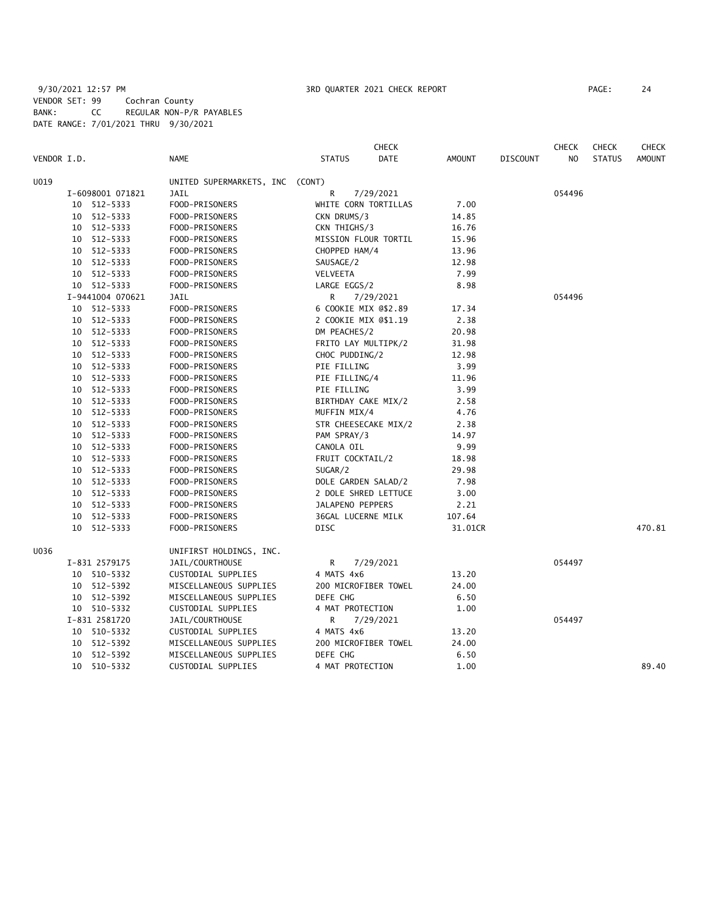# 9/30/2021 12:57 PM 3RD QUARTER 2021 CHECK REPORT PAGE: 24 VENDOR SET: 99 Cochran County BANK: CC REGULAR NON-P/R PAYABLES DATE RANGE: 7/01/2021 THRU 9/30/2021

|             |    |                  |                                 |                      | <b>CHECK</b> |               |                 | <b>CHECK</b>   | <b>CHECK</b>  | <b>CHECK</b>  |
|-------------|----|------------------|---------------------------------|----------------------|--------------|---------------|-----------------|----------------|---------------|---------------|
| VENDOR I.D. |    |                  | <b>NAME</b>                     | <b>STATUS</b>        | DATE         | <b>AMOUNT</b> | <b>DISCOUNT</b> | N <sub>O</sub> | <b>STATUS</b> | <b>AMOUNT</b> |
| U019        |    |                  | UNITED SUPERMARKETS, INC (CONT) |                      |              |               |                 |                |               |               |
|             |    | I-6098001 071821 | <b>JAIL</b>                     | R                    | 7/29/2021    |               |                 | 054496         |               |               |
|             |    | 10 512-5333      | FOOD-PRISONERS                  | WHITE CORN TORTILLAS |              | 7.00          |                 |                |               |               |
|             | 10 | 512-5333         | FOOD-PRISONERS                  | CKN DRUMS/3          |              | 14.85         |                 |                |               |               |
|             |    | 10 512-5333      | FOOD-PRISONERS                  | CKN THIGHS/3         |              | 16.76         |                 |                |               |               |
|             | 10 | 512-5333         | FOOD-PRISONERS                  | MISSION FLOUR TORTIL |              | 15.96         |                 |                |               |               |
|             |    | 10 512-5333      | FOOD-PRISONERS                  | CHOPPED HAM/4        |              | 13.96         |                 |                |               |               |
|             |    | 10 512-5333      | FOOD-PRISONERS                  | SAUSAGE/2            |              | 12.98         |                 |                |               |               |
|             | 10 | 512-5333         | FOOD-PRISONERS                  | VELVEETA             |              | 7.99          |                 |                |               |               |
|             |    | 10 512-5333      | FOOD-PRISONERS                  | LARGE EGGS/2         |              | 8.98          |                 |                |               |               |
|             |    | I-9441004 070621 | <b>JAIL</b>                     | R                    | 7/29/2021    |               |                 | 054496         |               |               |
|             |    | 10 512-5333      | FOOD-PRISONERS                  | 6 COOKIE MIX @\$2.89 |              | 17.34         |                 |                |               |               |
|             | 10 | 512-5333         | FOOD-PRISONERS                  | 2 COOKIE MIX @\$1.19 |              | 2.38          |                 |                |               |               |
|             |    | 10 512-5333      | FOOD-PRISONERS                  | DM PEACHES/2         |              | 20.98         |                 |                |               |               |
|             |    | 10 512-5333      | FOOD-PRISONERS                  | FRITO LAY MULTIPK/2  |              | 31.98         |                 |                |               |               |
|             |    | 10 512-5333      | FOOD-PRISONERS                  | CHOC PUDDING/2       |              | 12.98         |                 |                |               |               |
|             | 10 | 512-5333         | FOOD-PRISONERS                  | PIE FILLING          |              | 3.99          |                 |                |               |               |
|             |    | 10 512-5333      | FOOD-PRISONERS                  | PIE FILLING/4        |              | 11.96         |                 |                |               |               |
|             | 10 | 512-5333         | FOOD-PRISONERS                  | PIE FILLING          |              | 3.99          |                 |                |               |               |
|             | 10 | 512-5333         | FOOD-PRISONERS                  | BIRTHDAY CAKE MIX/2  |              | 2.58          |                 |                |               |               |
|             | 10 | 512-5333         | FOOD-PRISONERS                  | MUFFIN MIX/4         |              | 4.76          |                 |                |               |               |
|             | 10 | 512-5333         | FOOD-PRISONERS                  | STR CHEESECAKE MIX/2 |              | 2.38          |                 |                |               |               |
|             | 10 | 512-5333         | FOOD-PRISONERS                  | PAM SPRAY/3          |              | 14.97         |                 |                |               |               |
|             |    | 10 512-5333      | FOOD-PRISONERS                  | CANOLA OIL           |              | 9.99          |                 |                |               |               |
|             | 10 | 512-5333         | FOOD-PRISONERS                  | FRUIT COCKTAIL/2     |              | 18.98         |                 |                |               |               |
|             |    | 10 512-5333      | FOOD-PRISONERS                  | SUGAR/2              |              | 29.98         |                 |                |               |               |
|             | 10 | 512-5333         | FOOD-PRISONERS                  | DOLE GARDEN SALAD/2  |              | 7.98          |                 |                |               |               |
|             | 10 | 512-5333         | FOOD-PRISONERS                  | 2 DOLE SHRED LETTUCE |              | 3.00          |                 |                |               |               |
|             | 10 | 512-5333         | FOOD-PRISONERS                  | JALAPENO PEPPERS     |              | 2.21          |                 |                |               |               |
|             | 10 | 512-5333         | FOOD-PRISONERS                  | 36GAL LUCERNE MILK   |              | 107.64        |                 |                |               |               |
|             | 10 | 512-5333         | FOOD-PRISONERS                  | DISC                 |              | 31.01CR       |                 |                |               | 470.81        |
| U036        |    |                  | UNIFIRST HOLDINGS, INC.         |                      |              |               |                 |                |               |               |
|             |    | I-831 2579175    | JAIL/COURTHOUSE                 | R                    | 7/29/2021    |               |                 | 054497         |               |               |
|             |    | 10 510-5332      | CUSTODIAL SUPPLIES              | 4 MATS 4x6           |              | 13.20         |                 |                |               |               |
|             | 10 | 512-5392         | MISCELLANEOUS SUPPLIES          | 200 MICROFIBER TOWEL |              | 24.00         |                 |                |               |               |
|             |    | 10 512-5392      | MISCELLANEOUS SUPPLIES          | DEFE CHG             |              | 6.50          |                 |                |               |               |
|             |    | 10 510-5332      | CUSTODIAL SUPPLIES              | 4 MAT PROTECTION     |              | 1.00          |                 |                |               |               |
|             |    | I-831 2581720    | JAIL/COURTHOUSE                 | R                    | 7/29/2021    |               |                 | 054497         |               |               |
|             | 10 | 510-5332         | CUSTODIAL SUPPLIES              | 4 MATS 4x6           |              | 13.20         |                 |                |               |               |
|             |    | 10 512-5392      | MISCELLANEOUS SUPPLIES          | 200 MICROFIBER TOWEL |              | 24.00         |                 |                |               |               |
|             | 10 | 512-5392         | MISCELLANEOUS SUPPLIES          | DEFE CHG             |              | 6.50          |                 |                |               |               |
|             |    | 10 510-5332      | CUSTODIAL SUPPLIES              | 4 MAT PROTECTION     |              | 1.00          |                 |                |               | 89.40         |
|             |    |                  |                                 |                      |              |               |                 |                |               |               |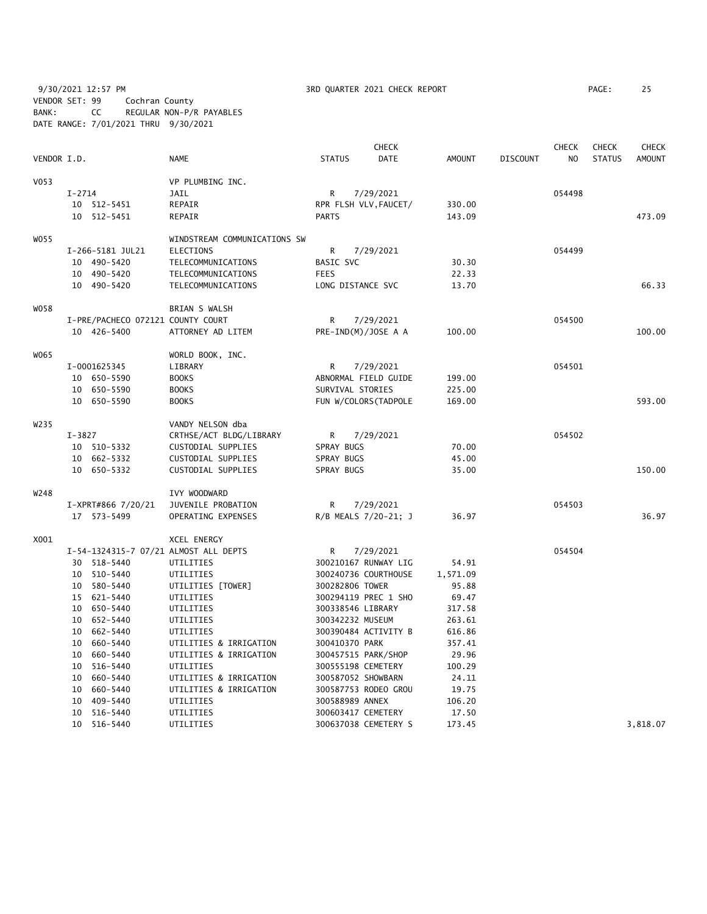9/30/2021 12:57 PM 3RD QUARTER 2021 CHECK REPORT PAGE: 25 VENDOR SET: 99 Cochran County BANK: CC REGULAR NON-P/R PAYABLES DATE RANGE: 7/01/2021 THRU 9/30/2021

|             |            |                                   |                                       |                      | <b>CHECK</b>          |               |          | CHECK          | CHECK         | <b>CHECK</b>  |
|-------------|------------|-----------------------------------|---------------------------------------|----------------------|-----------------------|---------------|----------|----------------|---------------|---------------|
| VENDOR I.D. |            |                                   | <b>NAME</b>                           | <b>STATUS</b>        | <b>DATE</b>           | <b>AMOUNT</b> | DISCOUNT | N <sub>O</sub> | <b>STATUS</b> | <b>AMOUNT</b> |
| V053        |            |                                   | VP PLUMBING INC.                      |                      |                       |               |          |                |               |               |
|             | $I - 2714$ |                                   | JAIL                                  | R                    | 7/29/2021             |               |          | 054498         |               |               |
|             |            | 10 512-5451                       | REPAIR                                |                      | RPR FLSH VLV, FAUCET/ | 330.00        |          |                |               |               |
|             |            | 10 512-5451                       | REPAIR                                | <b>PARTS</b>         |                       | 143.09        |          |                |               | 473.09        |
| W055        |            |                                   | WINDSTREAM COMMUNICATIONS SW          |                      |                       |               |          |                |               |               |
|             |            | I-266-5181 JUL21                  | ELECTIONS                             | R                    | 7/29/2021             |               |          | 054499         |               |               |
|             |            | 10 490-5420                       | TELECOMMUNICATIONS                    | BASIC SVC            |                       | 30.30         |          |                |               |               |
|             |            | 10 490-5420                       | TELECOMMUNICATIONS                    | <b>FEES</b>          |                       | 22.33         |          |                |               |               |
|             |            | 10 490-5420                       | TELECOMMUNICATIONS                    | LONG DISTANCE SVC    |                       | 13.70         |          |                |               | 66.33         |
| W058        |            |                                   | BRIAN S WALSH                         |                      |                       |               |          |                |               |               |
|             |            | I-PRE/PACHECO 072121 COUNTY COURT |                                       | R                    | 7/29/2021             |               |          | 054500         |               |               |
|             |            | 10 426-5400                       | ATTORNEY AD LITEM                     | PRE-IND(M)/JOSE A A  |                       | 100.00        |          |                |               | 100.00        |
| W065        |            |                                   | WORLD BOOK, INC.                      |                      |                       |               |          |                |               |               |
|             |            | I-0001625345                      | LIBRARY                               | R                    | 7/29/2021             |               |          | 054501         |               |               |
|             |            | 10 650-5590                       | <b>BOOKS</b>                          | ABNORMAL FIELD GUIDE |                       | 199.00        |          |                |               |               |
|             |            | 10 650-5590                       | <b>BOOKS</b>                          | SURVIVAL STORIES     |                       | 225.00        |          |                |               |               |
|             |            | 10 650-5590                       | <b>BOOKS</b>                          |                      | FUN W/COLORS (TADPOLE | 169.00        |          |                |               | 593.00        |
| W235        |            |                                   | VANDY NELSON dba                      |                      |                       |               |          |                |               |               |
|             | $I - 3827$ |                                   | CRTHSE/ACT BLDG/LIBRARY               | R                    | 7/29/2021             |               |          | 054502         |               |               |
|             |            | 10 510-5332                       | CUSTODIAL SUPPLIES                    | SPRAY BUGS           |                       | 70.00         |          |                |               |               |
|             |            | 10 662-5332                       | CUSTODIAL SUPPLIES                    | SPRAY BUGS           |                       | 45.00         |          |                |               |               |
|             |            | 10 650-5332                       | CUSTODIAL SUPPLIES                    | SPRAY BUGS           |                       | 35.00         |          |                |               | 150.00        |
| W248        |            |                                   | IVY WOODWARD                          |                      |                       |               |          |                |               |               |
|             |            | I-XPRT#866 7/20/21                | JUVENILE PROBATION                    | R                    | 7/29/2021             |               |          | 054503         |               |               |
|             |            | 17 573-5499                       | OPERATING EXPENSES                    |                      | R/B MEALS 7/20-21; J  | 36.97         |          |                |               | 36.97         |
| X001        |            |                                   | XCEL ENERGY                           |                      |                       |               |          |                |               |               |
|             |            |                                   | I-54-1324315-7 07/21 ALMOST ALL DEPTS | R                    | 7/29/2021             |               |          | 054504         |               |               |
|             |            | 30 518-5440                       | UTILITIES                             |                      | 300210167 RUNWAY LIG  | 54.91         |          |                |               |               |
|             |            | 10 510-5440                       | UTILITIES                             |                      | 300240736 COURTHOUSE  | 1,571.09      |          |                |               |               |
|             |            | 10 580-5440                       | UTILITIES [TOWER]                     | 300282806 TOWER      |                       | 95.88         |          |                |               |               |
|             |            | 15 621-5440                       | UTILITIES                             |                      | 300294119 PREC 1 SHO  | 69.47         |          |                |               |               |
|             |            | 10 650-5440                       | UTILITIES                             | 300338546 LIBRARY    |                       | 317.58        |          |                |               |               |
|             |            | 10 652-5440                       | UTILITIES                             | 300342232 MUSEUM     |                       | 263.61        |          |                |               |               |
|             |            | 10 662-5440                       | UTILITIES                             |                      | 300390484 ACTIVITY B  | 616.86        |          |                |               |               |
|             |            | 10 660-5440                       | UTILITIES & IRRIGATION                | 300410370 PARK       |                       | 357.41        |          |                |               |               |
|             |            | 10 660-5440                       | UTILITIES & IRRIGATION                | 300457515 PARK/SHOP  |                       | 29.96         |          |                |               |               |
|             |            | 10 516-5440                       | UTILITIES                             | 300555198 CEMETERY   |                       | 100.29        |          |                |               |               |
|             | 10         | 660-5440                          | UTILITIES & IRRIGATION                | 300587052 SHOWBARN   |                       | 24.11         |          |                |               |               |
|             | 10         | 660-5440                          | UTILITIES & IRRIGATION                |                      | 300587753 RODEO GROU  | 19.75         |          |                |               |               |
|             | 10         | 409-5440                          | UTILITIES                             | 300588989 ANNEX      |                       | 106.20        |          |                |               |               |
|             |            | 10 516-5440                       | UTILITIES                             | 300603417 CEMETERY   |                       | 17.50         |          |                |               |               |
|             |            | 10 516-5440                       | UTILITIES                             |                      | 300637038 CEMETERY S  | 173.45        |          |                |               | 3,818.07      |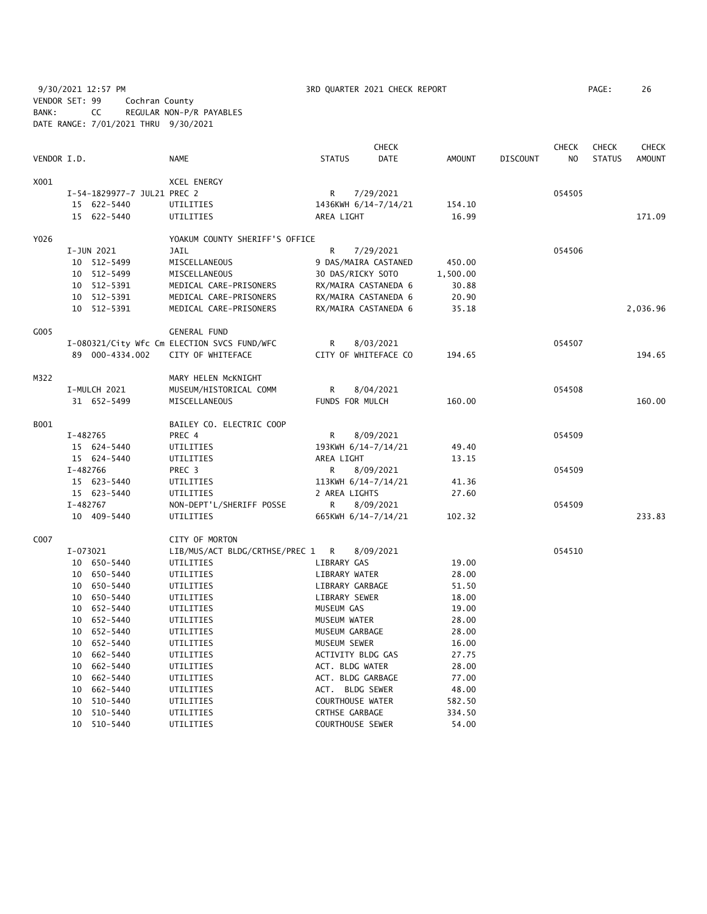9/30/2021 12:57 PM 3RD QUARTER 2021 CHECK REPORT PAGE: 26 VENDOR SET: 99 Cochran County BANK: CC REGULAR NON-P/R PAYABLES DATE RANGE: 7/01/2021 THRU 9/30/2021

|             | <b>CHECK</b> |                             |                                             |                       |                      | <b>CHECK</b>  | <b>CHECK</b>    | <b>CHECK</b> |               |               |
|-------------|--------------|-----------------------------|---------------------------------------------|-----------------------|----------------------|---------------|-----------------|--------------|---------------|---------------|
| VENDOR I.D. |              |                             | <b>NAME</b>                                 | <b>STATUS</b>         | <b>DATE</b>          | <b>AMOUNT</b> | <b>DISCOUNT</b> | NO           | <b>STATUS</b> | <b>AMOUNT</b> |
| X001        |              |                             | <b>XCEL ENERGY</b>                          |                       |                      |               |                 |              |               |               |
|             |              | I-54-1829977-7 JUL21 PREC 2 |                                             | R                     | 7/29/2021            |               |                 | 054505       |               |               |
|             |              | 15 622-5440                 | UTILITIES                                   |                       | 1436KWH 6/14-7/14/21 | 154.10        |                 |              |               |               |
|             |              | 15 622-5440                 | UTILITIES                                   | AREA LIGHT            |                      | 16.99         |                 |              |               | 171.09        |
| Y026        |              |                             | YOAKUM COUNTY SHERIFF'S OFFICE              |                       |                      |               |                 |              |               |               |
|             | I-JUN 2021   |                             | JAIL                                        | R                     | 7/29/2021            |               |                 | 054506       |               |               |
|             |              | 10 512-5499                 | MISCELLANEOUS                               |                       | 9 DAS/MAIRA CASTANED | 450.00        |                 |              |               |               |
|             |              | 10 512-5499                 | MISCELLANEOUS                               |                       | 30 DAS/RICKY SOTO    | 1,500.00      |                 |              |               |               |
|             |              | 10 512-5391                 | MEDICAL CARE-PRISONERS                      |                       | RX/MAIRA CASTANEDA 6 | 30.88         |                 |              |               |               |
|             |              | 10 512-5391                 | MEDICAL CARE-PRISONERS                      |                       | RX/MAIRA CASTANEDA 6 | 20.90         |                 |              |               |               |
|             |              | 10 512-5391                 | MEDICAL CARE-PRISONERS                      |                       | RX/MAIRA CASTANEDA 6 | 35.18         |                 |              |               | 2,036.96      |
| G005        |              |                             | <b>GENERAL FUND</b>                         |                       |                      |               |                 |              |               |               |
|             |              |                             | I-080321/City Wfc Cm ELECTION SVCS FUND/WFC | R                     | 8/03/2021            |               |                 | 054507       |               |               |
|             |              | 89 000-4334.002             | CITY OF WHITEFACE                           |                       | CITY OF WHITEFACE CO | 194.65        |                 |              |               | 194.65        |
| M322        |              |                             | MARY HELEN MCKNIGHT                         |                       |                      |               |                 |              |               |               |
|             | I-MULCH 2021 |                             | MUSEUM/HISTORICAL COMM                      | R                     | 8/04/2021            |               |                 | 054508       |               |               |
|             |              | 31 652-5499                 | MISCELLANEOUS                               | FUNDS FOR MULCH       |                      | 160.00        |                 |              |               | 160.00        |
| B001        |              |                             | BAILEY CO. ELECTRIC COOP                    |                       |                      |               |                 |              |               |               |
|             | I-482765     |                             | PREC 4                                      | R                     | 8/09/2021            |               |                 | 054509       |               |               |
|             |              | 15 624-5440                 | UTILITIES                                   |                       | 193KWH 6/14-7/14/21  | 49.40         |                 |              |               |               |
|             |              | 15 624-5440                 | UTILITIES                                   | AREA LIGHT            |                      | 13.15         |                 |              |               |               |
|             | I-482766     |                             | PREC <sub>3</sub>                           | R                     | 8/09/2021            |               |                 | 054509       |               |               |
|             |              | 15 623-5440                 | UTILITIES                                   |                       | 113KWH 6/14-7/14/21  | 41.36         |                 |              |               |               |
|             |              | 15 623-5440                 | UTILITIES                                   | 2 AREA LIGHTS         |                      | 27.60         |                 |              |               |               |
|             | I-482767     |                             | NON-DEPT'L/SHERIFF POSSE                    | R                     | 8/09/2021            |               |                 | 054509       |               |               |
|             |              | 10 409-5440                 | UTILITIES                                   |                       | 665KWH 6/14-7/14/21  | 102.32        |                 |              |               | 233.83        |
| C007        |              |                             | CITY OF MORTON                              |                       |                      |               |                 |              |               |               |
|             | I-073021     |                             | LIB/MUS/ACT BLDG/CRTHSE/PREC 1              | R                     | 8/09/2021            |               |                 | 054510       |               |               |
|             |              | 10 650-5440                 | UTILITIES                                   | LIBRARY GAS           |                      | 19.00         |                 |              |               |               |
|             |              | 10 650-5440                 | UTILITIES                                   | LIBRARY WATER         |                      | 28.00         |                 |              |               |               |
|             |              | 10 650-5440                 | UTILITIES                                   | LIBRARY GARBAGE       |                      | 51.50         |                 |              |               |               |
|             |              | 10 650-5440                 | UTILITIES                                   | LIBRARY SEWER         |                      | 18.00         |                 |              |               |               |
|             | 10           | 652-5440                    | UTILITIES                                   | MUSEUM GAS            |                      | 19.00         |                 |              |               |               |
|             |              | 10 652-5440                 | UTILITIES                                   | MUSEUM WATER          |                      | 28.00         |                 |              |               |               |
|             |              | 10 652-5440                 | UTILITIES                                   | MUSEUM GARBAGE        |                      | 28.00         |                 |              |               |               |
|             |              | 10 652-5440                 | UTILITIES                                   | MUSEUM SEWER          |                      | 16.00         |                 |              |               |               |
|             |              | 10 662-5440                 | UTILITIES                                   |                       | ACTIVITY BLDG GAS    | 27.75         |                 |              |               |               |
|             |              | 10 662-5440                 | UTILITIES                                   | ACT. BLDG WATER       |                      | 28.00         |                 |              |               |               |
|             |              | 10 662-5440                 | UTILITIES                                   |                       | ACT. BLDG GARBAGE    | 77.00         |                 |              |               |               |
|             | 10           | 662-5440                    | UTILITIES                                   |                       | ACT. BLDG SEWER      | 48.00         |                 |              |               |               |
|             | 10           | 510-5440                    | UTILITIES                                   |                       | COURTHOUSE WATER     | 582.50        |                 |              |               |               |
|             | 10           | 510-5440                    | UTILITIES                                   | <b>CRTHSE GARBAGE</b> |                      | 334.50        |                 |              |               |               |
|             |              | 10 510-5440                 | UTILITIES                                   |                       | COURTHOUSE SEWER     | 54.00         |                 |              |               |               |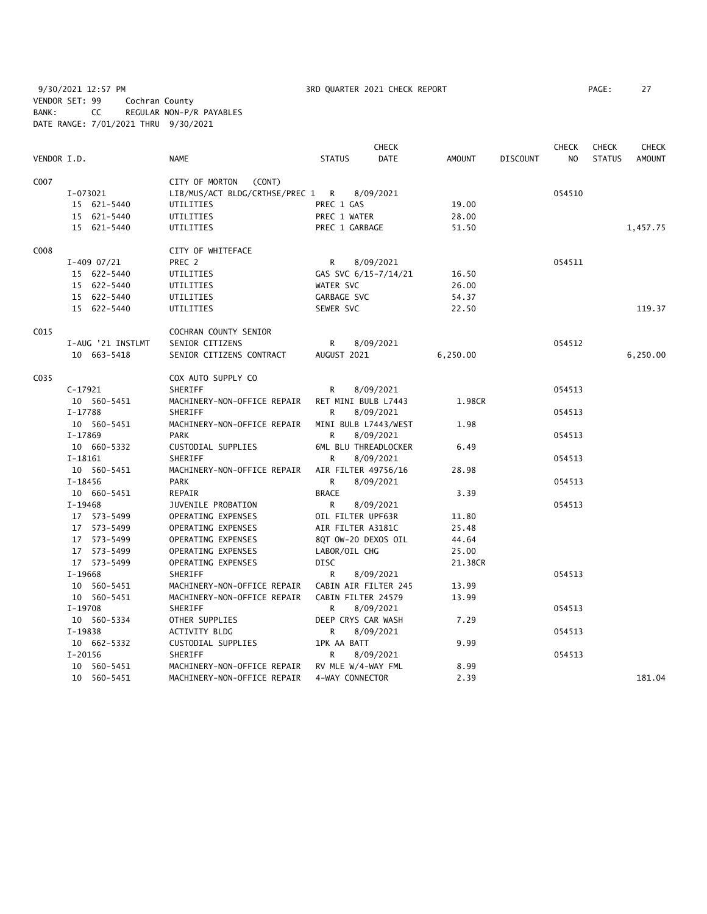9/30/2021 12:57 PM **3RD QUARTER 2021 CHECK REPORT** PAGE: 27 VENDOR SET: 99 Cochran County BANK: CC REGULAR NON-P/R PAYABLES DATE RANGE: 7/01/2021 THRU 9/30/2021

|             |                   |                                  |                      | <b>CHECK</b>         |               |                 | <b>CHECK</b> | <b>CHECK</b>  | <b>CHECK</b>  |
|-------------|-------------------|----------------------------------|----------------------|----------------------|---------------|-----------------|--------------|---------------|---------------|
| VENDOR I.D. |                   | <b>NAME</b>                      | <b>STATUS</b>        | <b>DATE</b>          | <b>AMOUNT</b> | <b>DISCOUNT</b> | NO           | <b>STATUS</b> | <b>AMOUNT</b> |
| C007        |                   | CITY OF MORTON<br>(CONT)         |                      |                      |               |                 |              |               |               |
|             | I-073021          | LIB/MUS/ACT BLDG/CRTHSE/PREC 1 R |                      | 8/09/2021            |               |                 | 054510       |               |               |
|             | 15 621-5440       | UTILITIES                        | PREC 1 GAS           |                      | 19.00         |                 |              |               |               |
|             | 15 621-5440       | UTILITIES                        | PREC 1 WATER         |                      | 28.00         |                 |              |               |               |
|             | 15 621-5440       | UTILITIES                        | PREC 1 GARBAGE       |                      | 51.50         |                 |              |               | 1,457.75      |
| C008        |                   | CITY OF WHITEFACE                |                      |                      |               |                 |              |               |               |
|             | $I-409$ 07/21     | PREC 2                           | R                    | 8/09/2021            |               |                 | 054511       |               |               |
|             | 15 622-5440       | UTILITIES                        | GAS SVC 6/15-7/14/21 |                      | 16.50         |                 |              |               |               |
|             | 15 622-5440       | UTILITIES                        | WATER SVC            |                      | 26.00         |                 |              |               |               |
|             | 15 622-5440       | UTILITIES                        | GARBAGE SVC          |                      | 54.37         |                 |              |               |               |
|             | 15 622-5440       | UTILITIES                        | SEWER SVC            |                      | 22.50         |                 |              |               | 119.37        |
| C015        |                   | COCHRAN COUNTY SENIOR            |                      |                      |               |                 |              |               |               |
|             | I-AUG '21 INSTLMT | SENIOR CITIZENS                  | R                    | 8/09/2021            |               |                 | 054512       |               |               |
|             | 10 663-5418       | SENIOR CITIZENS CONTRACT         | AUGUST 2021          |                      | 6,250.00      |                 |              |               | 6,250.00      |
| C035        |                   | COX AUTO SUPPLY CO               |                      |                      |               |                 |              |               |               |
|             | $C-17921$         | SHERIFF                          | R                    | 8/09/2021            |               |                 | 054513       |               |               |
|             | 10 560-5451       | MACHINERY-NON-OFFICE REPAIR      | RET MINI BULB L7443  |                      | 1.98CR        |                 |              |               |               |
|             | I-17788           | SHERIFF                          | R                    | 8/09/2021            |               |                 | 054513       |               |               |
|             | 10 560-5451       | MACHINERY-NON-OFFICE REPAIR      | MINI BULB L7443/WEST |                      | 1.98          |                 |              |               |               |
|             | $I-17869$         | <b>PARK</b>                      | R                    | 8/09/2021            |               |                 | 054513       |               |               |
|             | 10 660-5332       | CUSTODIAL SUPPLIES               |                      | 6ML BLU THREADLOCKER | 6.49          |                 |              |               |               |
|             | $I-18161$         | SHERIFF                          | R                    | 8/09/2021            |               |                 | 054513       |               |               |
|             | 10 560-5451       | MACHINERY-NON-OFFICE REPAIR      | AIR FILTER 49756/16  |                      | 28.98         |                 |              |               |               |
|             | $I-18456$         | <b>PARK</b>                      | R.                   | 8/09/2021            |               |                 | 054513       |               |               |
|             | 10 660-5451       | REPAIR                           | <b>BRACE</b>         |                      | 3.39          |                 |              |               |               |
|             | I-19468           | JUVENILE PROBATION               | R                    | 8/09/2021            |               |                 | 054513       |               |               |
|             | 17 573-5499       | OPERATING EXPENSES               | OIL FILTER UPF63R    |                      | 11.80         |                 |              |               |               |
|             | 17 573-5499       | OPERATING EXPENSES               | AIR FILTER A3181C    |                      | 25.48         |                 |              |               |               |
|             | 17 573-5499       | OPERATING EXPENSES               | 8QT OW-20 DEXOS OIL  |                      | 44.64         |                 |              |               |               |
|             | 17 573-5499       | OPERATING EXPENSES               | LABOR/OIL CHG        |                      | 25.00         |                 |              |               |               |
|             | 17 573-5499       | OPERATING EXPENSES               | <b>DISC</b>          |                      | 21.38CR       |                 |              |               |               |
|             | $I-19668$         | SHERIFF                          | R.                   | 8/09/2021            |               |                 | 054513       |               |               |
|             | 10 560-5451       | MACHINERY-NON-OFFICE REPAIR      | CABIN AIR FILTER 245 |                      | 13.99         |                 |              |               |               |
|             | 10 560-5451       | MACHINERY-NON-OFFICE REPAIR      | CABIN FILTER 24579   |                      | 13.99         |                 |              |               |               |
|             | I-19708           | SHERIFF                          | R                    | 8/09/2021            |               |                 | 054513       |               |               |
|             | 10 560-5334       | OTHER SUPPLIES                   | DEEP CRYS CAR WASH   |                      | 7.29          |                 |              |               |               |
|             | I-19838           | <b>ACTIVITY BLDG</b>             | R                    | 8/09/2021            |               |                 | 054513       |               |               |
|             | 10 662-5332       | CUSTODIAL SUPPLIES               | 1PK AA BATT          |                      | 9.99          |                 |              |               |               |
|             | $I-20156$         | SHERIFF                          | R                    | 8/09/2021            |               |                 | 054513       |               |               |
|             | 10 560-5451       | MACHINERY-NON-OFFICE REPAIR      | RV MLE W/4-WAY FML   |                      | 8.99          |                 |              |               |               |
|             | 10 560-5451       | MACHINERY-NON-OFFICE REPAIR      | 4-WAY CONNECTOR      |                      | 2.39          |                 |              |               | 181.04        |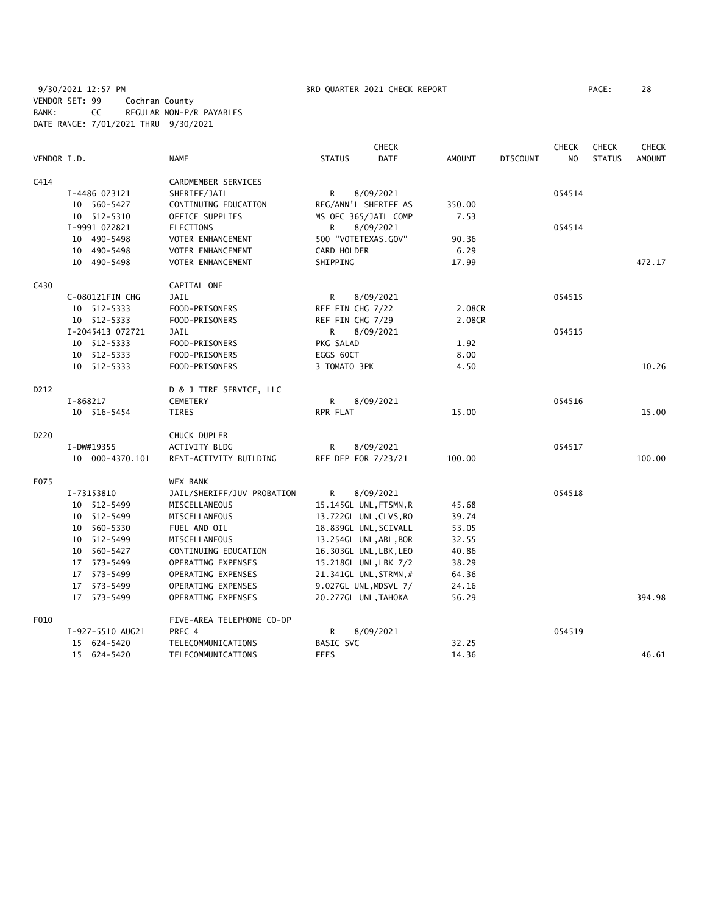9/30/2021 12:57 PM 3RD QUARTER 2021 CHECK REPORT PAGE: 28 VENDOR SET: 99 Cochran County BANK: CC REGULAR NON-P/R PAYABLES DATE RANGE: 7/01/2021 THRU 9/30/2021

|             |                  |                            |                      | <b>CHECK</b>           |        |                 | <b>CHECK</b> | <b>CHECK</b>  | <b>CHECK</b>  |
|-------------|------------------|----------------------------|----------------------|------------------------|--------|-----------------|--------------|---------------|---------------|
| VENDOR I.D. |                  | <b>NAME</b>                | <b>STATUS</b>        | DATE                   | AMOUNT | <b>DISCOUNT</b> | NO.          | <b>STATUS</b> | <b>AMOUNT</b> |
| C414        |                  | CARDMEMBER SERVICES        |                      |                        |        |                 |              |               |               |
|             | I-4486 073121    | SHERIFF/JAIL               | R.                   | 8/09/2021              |        |                 | 054514       |               |               |
|             | 10 560-5427      | CONTINUING EDUCATION       |                      | REG/ANN'L SHERIFF AS   | 350.00 |                 |              |               |               |
|             | 10 512-5310      | OFFICE SUPPLIES            |                      | MS OFC 365/JAIL COMP   | 7.53   |                 |              |               |               |
|             | I-9991 072821    | <b>ELECTIONS</b>           | R                    | 8/09/2021              |        |                 | 054514       |               |               |
|             | 10 490-5498      | VOTER ENHANCEMENT          | 500 "VOTETEXAS.GOV"  |                        | 90.36  |                 |              |               |               |
|             | 10 490-5498      | VOTER ENHANCEMENT          | CARD HOLDER          |                        | 6.29   |                 |              |               |               |
|             | 10 490-5498      | VOTER ENHANCEMENT          | SHIPPING             |                        | 17.99  |                 |              |               | 472.17        |
| C430        |                  | CAPITAL ONE                |                      |                        |        |                 |              |               |               |
|             | C-080121FIN CHG  | JAIL                       | R                    | 8/09/2021              |        |                 | 054515       |               |               |
|             | 10 512-5333      | FOOD-PRISONERS             | REF FIN CHG 7/22     |                        | 2.08CR |                 |              |               |               |
|             | 10 512-5333      | FOOD-PRISONERS             | REF FIN CHG 7/29     |                        | 2.08CR |                 |              |               |               |
|             | I-2045413 072721 | JAIL                       | R.                   | 8/09/2021              |        |                 | 054515       |               |               |
|             | 10 512-5333      | FOOD-PRISONERS             | PKG SALAD            |                        | 1.92   |                 |              |               |               |
|             | 10 512-5333      | FOOD-PRISONERS             | EGGS 60CT            |                        | 8.00   |                 |              |               |               |
|             | 10 512-5333      | FOOD-PRISONERS             | 3 TOMATO 3PK         |                        | 4.50   |                 |              |               | 10.26         |
| D212        |                  | D & J TIRE SERVICE, LLC    |                      |                        |        |                 |              |               |               |
|             | I-868217         | <b>CEMETERY</b>            | R                    | 8/09/2021              |        |                 | 054516       |               |               |
|             | 10 516-5454      | TIRES                      | RPR FLAT             |                        | 15.00  |                 |              |               | 15.00         |
| D220        |                  | CHUCK DUPLER               |                      |                        |        |                 |              |               |               |
|             | I-DW#19355       | ACTIVITY BLDG              | R                    | 8/09/2021              |        |                 | 054517       |               |               |
|             | 10 000-4370.101  | RENT-ACTIVITY BUILDING     | REF DEP FOR 7/23/21  |                        | 100.00 |                 |              |               | 100.00        |
| E075        |                  | <b>WEX BANK</b>            |                      |                        |        |                 |              |               |               |
|             | I-73153810       | JAIL/SHERIFF/JUV PROBATION | R                    | 8/09/2021              |        |                 | 054518       |               |               |
|             | 10 512-5499      | MISCELLANEOUS              |                      | 15.145GL UNL, FTSMN, R | 45.68  |                 |              |               |               |
|             | 10 512-5499      | MISCELLANEOUS              |                      | 13.722GL UNL, CLVS, RO | 39.74  |                 |              |               |               |
|             | 10 560-5330      | FUEL AND OIL               |                      | 18.839GL UNL, SCIVALL  | 53.05  |                 |              |               |               |
|             | 10 512-5499      | MISCELLANEOUS              |                      | 13.254GL UNL, ABL, BOR | 32.55  |                 |              |               |               |
|             | 10 560-5427      | CONTINUING EDUCATION       |                      | 16.303GL UNL, LBK, LEO | 40.86  |                 |              |               |               |
|             | 17 573-5499      | OPERATING EXPENSES         |                      | 15.218GL UNL, LBK 7/2  | 38.29  |                 |              |               |               |
|             | 17 573-5499      | OPERATING EXPENSES         |                      | 21.341GL UNL, STRMN, # | 64.36  |                 |              |               |               |
|             | 17 573-5499      | OPERATING EXPENSES         |                      | 9.027GL UNL, MDSVL 7/  | 24.16  |                 |              |               |               |
|             | 17 573-5499      | OPERATING EXPENSES         | 20.277GL UNL, TAHOKA |                        | 56.29  |                 |              |               | 394.98        |
| F010        |                  | FIVE-AREA TELEPHONE CO-OP  |                      |                        |        |                 |              |               |               |
|             | I-927-5510 AUG21 | PREC 4                     | R                    | 8/09/2021              |        |                 | 054519       |               |               |
|             | 15 624-5420      | TELECOMMUNICATIONS         | BASIC SVC            |                        | 32.25  |                 |              |               |               |
|             | 15 624-5420      | TELECOMMUNICATIONS         | <b>FEES</b>          |                        | 14.36  |                 |              |               | 46.61         |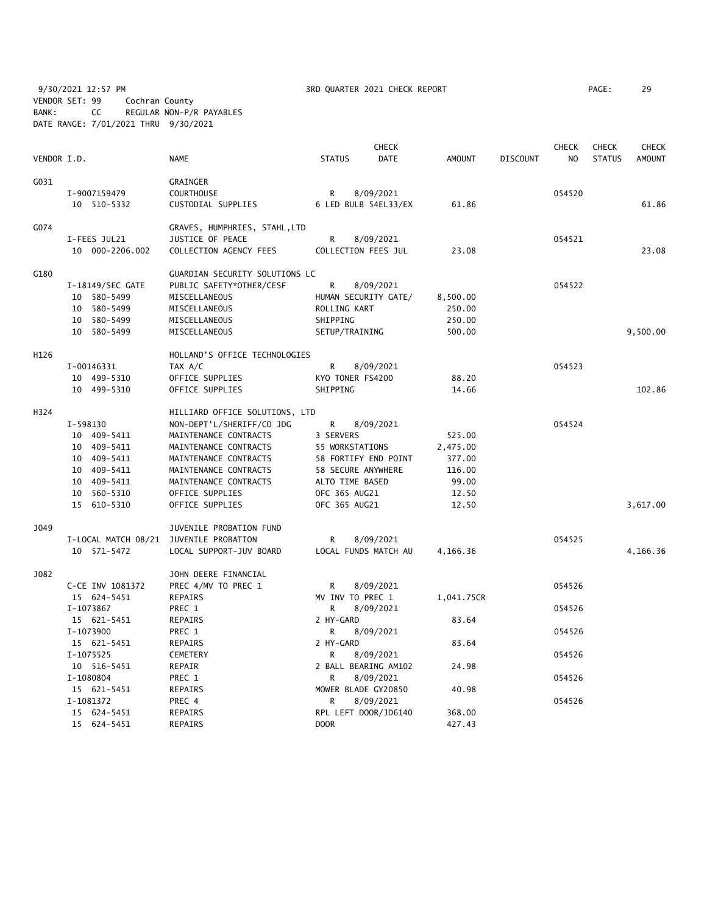9/30/2021 12:57 PM 3RD QUARTER 2021 CHECK REPORT PAGE: 29 VENDOR SET: 99 Cochran County BANK: CC REGULAR NON-P/R PAYABLES DATE RANGE: 7/01/2021 THRU 9/30/2021

|             |                            |                                |                                     | <b>CHECK</b> |                  |                 | <b>CHECK</b>   | <b>CHECK</b>  | <b>CHECK</b>  |
|-------------|----------------------------|--------------------------------|-------------------------------------|--------------|------------------|-----------------|----------------|---------------|---------------|
| VENDOR I.D. |                            | <b>NAME</b>                    | <b>STATUS</b>                       | <b>DATE</b>  | <b>AMOUNT</b>    | <b>DISCOUNT</b> | N <sub>O</sub> | <b>STATUS</b> | <b>AMOUNT</b> |
| G031        |                            | GRAINGER                       |                                     |              |                  |                 |                |               |               |
|             | I-9007159479               | COURTHOUSE                     | R                                   | 8/09/2021    |                  |                 | 054520         |               |               |
|             | 10 510-5332                | CUSTODIAL SUPPLIES             | 6 LED BULB 54EL33/EX                |              | 61.86            |                 |                |               | 61.86         |
| G074        |                            | GRAVES, HUMPHRIES, STAHL, LTD  |                                     |              |                  |                 |                |               |               |
|             | I-FEES JUL21               | JUSTICE OF PEACE               | R                                   | 8/09/2021    |                  |                 | 054521         |               |               |
|             | 10 000-2206.002            | COLLECTION AGENCY FEES         | COLLECTION FEES JUL                 |              | 23.08            |                 |                |               | 23.08         |
| G180        |                            | GUARDIAN SECURITY SOLUTIONS LC |                                     |              |                  |                 |                |               |               |
|             | I-18149/SEC GATE           | PUBLIC SAFETY*OTHER/CESF       | $\mathsf{R}$                        | 8/09/2021    |                  |                 | 054522         |               |               |
|             | 10 580-5499                | MISCELLANEOUS                  | HUMAN SECURITY GATE/                |              | 8,500.00         |                 |                |               |               |
|             | 10 580-5499                | MISCELLANEOUS                  | ROLLING KART                        |              | 250.00           |                 |                |               |               |
|             | 10 580-5499                | MISCELLANEOUS                  | SHIPPING                            |              | 250.00           |                 |                |               |               |
|             | 10 580-5499                | MISCELLANEOUS                  | SETUP/TRAINING                      |              | 500.00           |                 |                |               | 9,500.00      |
| H126        |                            | HOLLAND'S OFFICE TECHNOLOGIES  |                                     |              |                  |                 |                |               |               |
|             | I-00146331                 | TAX A/C                        | R                                   | 8/09/2021    |                  |                 | 054523         |               |               |
|             | 10 499-5310                | OFFICE SUPPLIES                | KYO TONER FS4200                    |              | 88.20            |                 |                |               |               |
|             | 10 499-5310                | OFFICE SUPPLIES                | SHIPPING                            |              | 14.66            |                 |                |               | 102.86        |
| H324        |                            | HILLIARD OFFICE SOLUTIONS, LTD |                                     |              |                  |                 |                |               |               |
|             | I-598130                   | NON-DEPT'L/SHERIFF/CO JDG      | R                                   | 8/09/2021    |                  |                 | 054524         |               |               |
|             | 10 409-5411                | MAINTENANCE CONTRACTS          | 3 SERVERS                           |              | 525.00           |                 |                |               |               |
|             | 10 409-5411                | MAINTENANCE CONTRACTS          | 55 WORKSTATIONS                     |              | 2,475.00         |                 |                |               |               |
|             | 10 409-5411                | MAINTENANCE CONTRACTS          | 58 FORTIFY END POINT                |              | 377.00           |                 |                |               |               |
|             | 10 409-5411                | MAINTENANCE CONTRACTS          | 58 SECURE ANYWHERE                  |              | 116.00           |                 |                |               |               |
|             | 10 409-5411                | MAINTENANCE CONTRACTS          | ALTO TIME BASED                     |              | 99.00            |                 |                |               |               |
|             | 10 560-5310                | OFFICE SUPPLIES                | OFC 365 AUG21                       |              | 12.50            |                 |                |               |               |
|             | 15 610-5310                | OFFICE SUPPLIES                | OFC 365 AUG21                       |              | 12.50            |                 |                |               | 3,617.00      |
| J049        |                            | JUVENILE PROBATION FUND        |                                     |              |                  |                 |                |               |               |
|             | I-LOCAL MATCH 08/21        | JUVENILE PROBATION             | R                                   | 8/09/2021    |                  |                 | 054525         |               |               |
|             | 10 571-5472                | LOCAL SUPPORT-JUV BOARD        | LOCAL FUNDS MATCH AU                |              | 4,166.36         |                 |                |               | 4,166.36      |
| J082        |                            | JOHN DEERE FINANCIAL           |                                     |              |                  |                 |                |               |               |
|             | C-CE INV 1081372           | PREC 4/MV TO PREC 1            | R                                   | 8/09/2021    |                  |                 | 054526         |               |               |
|             | 15 624-5451                | <b>REPAIRS</b>                 | MV INV TO PREC 1                    |              | 1,041.75CR       |                 |                |               |               |
|             | I-1073867                  | PREC 1                         | R                                   | 8/09/2021    |                  |                 | 054526         |               |               |
|             | 15 621-5451                | REPAIRS                        | 2 HY-GARD                           |              | 83.64            |                 |                |               |               |
|             | I-1073900                  | PREC 1                         | R                                   | 8/09/2021    |                  |                 | 054526         |               |               |
|             | 15 621-5451                | <b>REPAIRS</b>                 | 2 HY-GARD                           |              | 83.64            |                 |                |               |               |
|             | I-1075525                  | CEMETERY                       | R                                   | 8/09/2021    |                  |                 | 054526         |               |               |
|             | 10 516-5451                | REPAIR                         | 2 BALL BEARING AM102                |              | 24.98            |                 |                |               |               |
|             | I-1080804                  | PREC 1                         | R                                   | 8/09/2021    |                  |                 | 054526         |               |               |
|             | 15 621-5451                | REPAIRS                        | MOWER BLADE GY20850                 |              | 40.98            |                 |                |               |               |
|             | I-1081372                  | PREC 4                         | R                                   | 8/09/2021    |                  |                 | 054526         |               |               |
|             | 15 624-5451<br>15 624-5451 | REPAIRS<br><b>REPAIRS</b>      | RPL LEFT DOOR/JD6140<br><b>DOOR</b> |              | 368.00<br>427.43 |                 |                |               |               |
|             |                            |                                |                                     |              |                  |                 |                |               |               |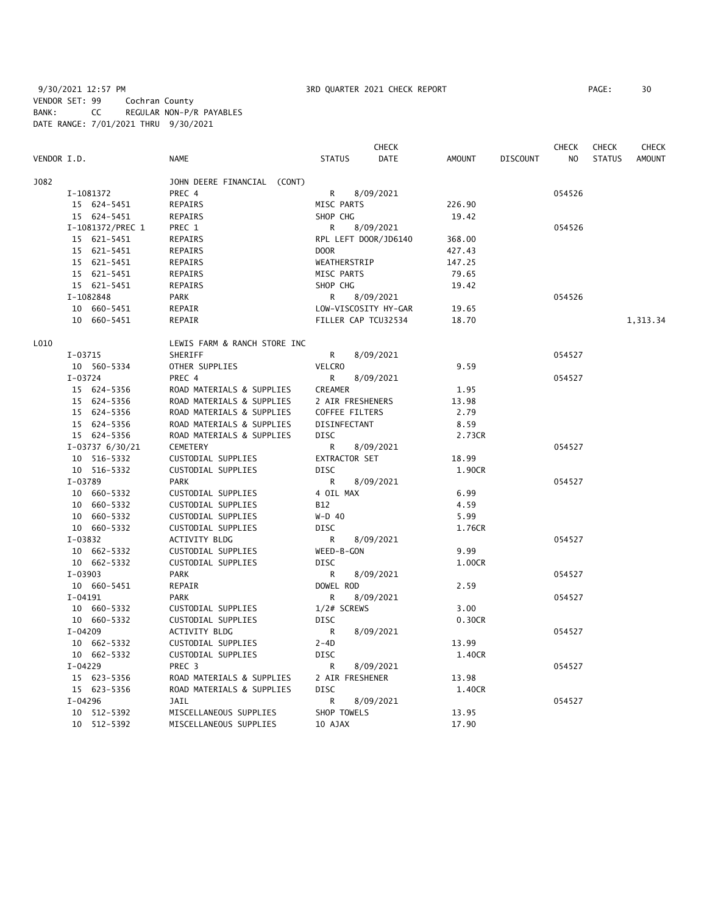9/30/2021 12:57 PM 3RD QUARTER 2021 CHECK REPORT PAGE: 30 VENDOR SET: 99 Cochran County BANK: CC REGULAR NON-P/R PAYABLES DATE RANGE: 7/01/2021 THRU 9/30/2021

|             |                   |                              |                     | CHECK                |               |                 | <b>CHECK</b> | <b>CHECK</b>  | <b>CHECK</b>  |
|-------------|-------------------|------------------------------|---------------------|----------------------|---------------|-----------------|--------------|---------------|---------------|
| VENDOR I.D. |                   | <b>NAME</b>                  | <b>STATUS</b>       | <b>DATE</b>          | <b>AMOUNT</b> | <b>DISCOUNT</b> | NO           | <b>STATUS</b> | <b>AMOUNT</b> |
| J082        |                   | JOHN DEERE FINANCIAL (CONT)  |                     |                      |               |                 |              |               |               |
|             | I-1081372         | PREC 4                       | R                   | 8/09/2021            |               |                 | 054526       |               |               |
|             | 15 624-5451       | REPAIRS                      | MISC PARTS          |                      | 226.90        |                 |              |               |               |
|             | 15 624-5451       | REPAIRS                      | SHOP CHG            |                      | 19.42         |                 |              |               |               |
|             | I-1081372/PREC 1  | PREC 1                       | R                   | 8/09/2021            |               |                 | 054526       |               |               |
|             | 15 621-5451       | REPAIRS                      |                     | RPL LEFT DOOR/JD6140 | 368.00        |                 |              |               |               |
|             | 15 621-5451       | REPAIRS                      | <b>DOOR</b>         |                      | 427.43        |                 |              |               |               |
|             | 15 621-5451       | REPAIRS                      | WEATHERSTRIP        |                      | 147.25        |                 |              |               |               |
|             | 15 621-5451       | REPAIRS                      | MISC PARTS          |                      | 79.65         |                 |              |               |               |
|             | 15 621-5451       | REPAIRS                      | SHOP CHG            |                      | 19.42         |                 |              |               |               |
|             | I-1082848         | <b>PARK</b>                  | R                   | 8/09/2021            |               |                 | 054526       |               |               |
|             | 10 660-5451       | REPAIR                       |                     | LOW-VISCOSITY HY-GAR | 19.65         |                 |              |               |               |
|             | 10 660-5451       | REPAIR                       | FILLER CAP TCU32534 |                      | 18.70         |                 |              |               |               |
|             |                   |                              |                     |                      |               |                 |              |               | 1,313.34      |
| L010        |                   | LEWIS FARM & RANCH STORE INC |                     |                      |               |                 |              |               |               |
|             | I-03715           | SHERIFF                      | R.                  | 8/09/2021            |               |                 | 054527       |               |               |
|             | 10 560-5334       | OTHER SUPPLIES               | <b>VELCRO</b>       |                      | 9.59          |                 |              |               |               |
|             | I-03724           | PREC 4                       | R.                  | 8/09/2021            |               |                 | 054527       |               |               |
|             | 15 624-5356       | ROAD MATERIALS & SUPPLIES    | CREAMER             |                      | 1.95          |                 |              |               |               |
|             | 15 624-5356       | ROAD MATERIALS & SUPPLIES    | 2 AIR FRESHENERS    |                      | 13.98         |                 |              |               |               |
|             | 15 624-5356       | ROAD MATERIALS & SUPPLIES    | COFFEE FILTERS      |                      | 2.79          |                 |              |               |               |
|             | 15 624-5356       | ROAD MATERIALS & SUPPLIES    | DISINFECTANT        |                      | 8.59          |                 |              |               |               |
|             | 15 624-5356       | ROAD MATERIALS & SUPPLIES    | <b>DISC</b>         |                      | 2.73CR        |                 |              |               |               |
|             | $I-03737$ 6/30/21 | <b>CEMETERY</b>              | R                   | 8/09/2021            |               |                 | 054527       |               |               |
|             | 10 516-5332       | CUSTODIAL SUPPLIES           | EXTRACTOR SET       |                      | 18.99         |                 |              |               |               |
|             | 10 516-5332       | CUSTODIAL SUPPLIES           | <b>DISC</b>         |                      | 1.90CR        |                 |              |               |               |
|             | I-03789           | <b>PARK</b>                  | R                   | 8/09/2021            |               |                 | 054527       |               |               |
|             | 10 660-5332       | CUSTODIAL SUPPLIES           | 4 OIL MAX           |                      | 6.99          |                 |              |               |               |
|             | 10 660-5332       | CUSTODIAL SUPPLIES           | B12                 |                      | 4.59          |                 |              |               |               |
|             | 10 660-5332       | CUSTODIAL SUPPLIES           | $W-D$ 40            |                      | 5.99          |                 |              |               |               |
|             | 10 660-5332       | CUSTODIAL SUPPLIES           | <b>DISC</b>         |                      | 1.76CR        |                 |              |               |               |
|             | $I-03832$         | ACTIVITY BLDG                | R                   | 8/09/2021            |               |                 | 054527       |               |               |
|             | 10 662-5332       | CUSTODIAL SUPPLIES           | WEED-B-GON          |                      | 9.99          |                 |              |               |               |
|             | 10 662-5332       | CUSTODIAL SUPPLIES           | <b>DISC</b>         |                      | 1.00CR        |                 |              |               |               |
|             | I-03903           | <b>PARK</b>                  | R                   | 8/09/2021            |               |                 | 054527       |               |               |
|             | 10 660-5451       | REPAIR                       | DOWEL ROD           |                      | 2.59          |                 |              |               |               |
|             | $I-04191$         | <b>PARK</b>                  | R                   | 8/09/2021            |               |                 | 054527       |               |               |
|             | 10 660-5332       | CUSTODIAL SUPPLIES           | 1/2# SCREWS         |                      | 3.00          |                 |              |               |               |
|             | 10 660-5332       | CUSTODIAL SUPPLIES           | <b>DISC</b>         |                      | 0.30CR        |                 |              |               |               |
|             |                   |                              |                     |                      |               |                 |              |               |               |
|             | $I-04209$         | ACTIVITY BLDG                | R                   | 8/09/2021            |               |                 | 054527       |               |               |
|             | 10 662-5332       | CUSTODIAL SUPPLIES           | $2 - 4D$            |                      | 13.99         |                 |              |               |               |
|             | 10 662-5332       | CUSTODIAL SUPPLIES           | <b>DISC</b>         |                      | 1.40CR        |                 |              |               |               |
|             | $I-04229$         | PREC <sub>3</sub>            | R                   | 8/09/2021            |               |                 | 054527       |               |               |
|             | 15 623-5356       | ROAD MATERIALS & SUPPLIES    | 2 AIR FRESHENER     |                      | 13.98         |                 |              |               |               |
|             | 15 623-5356       | ROAD MATERIALS & SUPPLIES    | <b>DISC</b>         |                      | 1.40CR        |                 |              |               |               |
|             | I-04296           | JAIL                         | R                   | 8/09/2021            |               |                 | 054527       |               |               |
|             | 10 512-5392       | MISCELLANEOUS SUPPLIES       | SHOP TOWELS         |                      | 13.95         |                 |              |               |               |
|             | 10 512-5392       | MISCELLANEOUS SUPPLIES       | 10 AJAX             |                      | 17.90         |                 |              |               |               |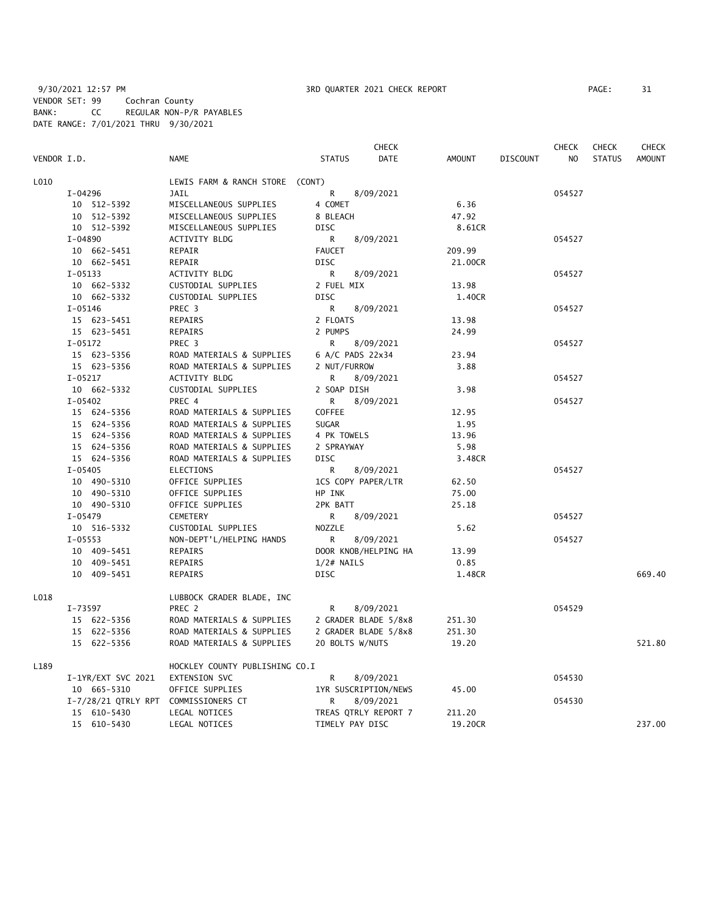9/30/2021 12:57 PM **3RD QUARTER 2021 CHECK REPORT** PP VENDOR SET: 99 Cochran County BANK: CC REGULAR NON-P/R PAYABLES DATE RANGE: 7/01/2021 THRU 9/30/2021

| PAGE : | 31 |
|--------|----|
|        |    |

|             |                     |                                 |                    | <b>CHECK</b>         |               |                 | <b>CHECK</b> | <b>CHECK</b>  | <b>CHECK</b>  |
|-------------|---------------------|---------------------------------|--------------------|----------------------|---------------|-----------------|--------------|---------------|---------------|
| VENDOR I.D. |                     | <b>NAME</b>                     | <b>STATUS</b>      | DATE                 | <b>AMOUNT</b> | <b>DISCOUNT</b> | NO           | <b>STATUS</b> | <b>AMOUNT</b> |
| L010        |                     | LEWIS FARM & RANCH STORE (CONT) |                    |                      |               |                 |              |               |               |
|             | I-04296             | <b>JAIL</b>                     | R                  | 8/09/2021            |               |                 | 054527       |               |               |
|             | 10 512-5392         | MISCELLANEOUS SUPPLIES          | 4 COMET            |                      | 6.36          |                 |              |               |               |
|             | 10 512-5392         | MISCELLANEOUS SUPPLIES          | 8 BLEACH           |                      | 47.92         |                 |              |               |               |
|             | 10 512-5392         | MISCELLANEOUS SUPPLIES          | <b>DISC</b>        |                      | 8.61CR        |                 |              |               |               |
|             | I-04890             | ACTIVITY BLDG                   | R                  | 8/09/2021            |               |                 | 054527       |               |               |
|             | 10 662-5451         | REPAIR                          | <b>FAUCET</b>      |                      | 209.99        |                 |              |               |               |
|             | 10 662-5451         | REPAIR                          | <b>DISC</b>        |                      | 21.00CR       |                 |              |               |               |
|             | $I-05133$           | ACTIVITY BLDG                   | R                  | 8/09/2021            |               |                 | 054527       |               |               |
|             | 10 662-5332         | CUSTODIAL SUPPLIES              | 2 FUEL MIX         |                      | 13.98         |                 |              |               |               |
|             | 10 662-5332         | CUSTODIAL SUPPLIES              | <b>DISC</b>        |                      | 1.40CR        |                 |              |               |               |
|             | I-05146             | PREC 3                          | R                  | 8/09/2021            |               |                 | 054527       |               |               |
|             | 15 623-5451         | REPAIRS                         | 2 FLOATS           |                      | 13.98         |                 |              |               |               |
|             | 15 623-5451         | <b>REPAIRS</b>                  | 2 PUMPS            |                      | 24.99         |                 |              |               |               |
|             | $I-05172$           | PREC <sub>3</sub>               | R                  | 8/09/2021            |               |                 | 054527       |               |               |
|             | 15 623-5356         | ROAD MATERIALS & SUPPLIES       | 6 A/C PADS 22x34   |                      | 23.94         |                 |              |               |               |
|             | 15 623-5356         | ROAD MATERIALS & SUPPLIES       | 2 NUT/FURROW       |                      | 3.88          |                 |              |               |               |
|             | $I-05217$           | ACTIVITY BLDG                   | R                  | 8/09/2021            |               |                 | 054527       |               |               |
|             | 10 662-5332         | CUSTODIAL SUPPLIES              | 2 SOAP DISH        |                      | 3.98          |                 |              |               |               |
|             | $I - 05402$         | PREC 4                          | R                  | 8/09/2021            |               |                 | 054527       |               |               |
|             | 15 624-5356         | ROAD MATERIALS & SUPPLIES       | COFFEE             |                      | 12.95         |                 |              |               |               |
|             | 15 624-5356         | ROAD MATERIALS & SUPPLIES       | <b>SUGAR</b>       |                      | 1.95          |                 |              |               |               |
|             | 15 624-5356         | ROAD MATERIALS & SUPPLIES       | 4 PK TOWELS        |                      | 13.96         |                 |              |               |               |
|             | 15 624-5356         | ROAD MATERIALS & SUPPLIES       | 2 SPRAYWAY         |                      | 5.98          |                 |              |               |               |
|             | 15 624-5356         | ROAD MATERIALS & SUPPLIES       | <b>DISC</b>        |                      | 3.48CR        |                 |              |               |               |
|             | $I - 05405$         | <b>ELECTIONS</b>                | R                  | 8/09/2021            |               |                 | 054527       |               |               |
|             | 10 490-5310         | OFFICE SUPPLIES                 | 1CS COPY PAPER/LTR |                      | 62.50         |                 |              |               |               |
|             | 10 490-5310         | OFFICE SUPPLIES                 | HP INK             |                      | 75.00         |                 |              |               |               |
|             | 10 490-5310         | OFFICE SUPPLIES                 | 2PK BATT           |                      | 25.18         |                 |              |               |               |
|             | $I-05479$           | CEMETERY                        | R                  | 8/09/2021            |               |                 | 054527       |               |               |
|             | 10 516-5332         | CUSTODIAL SUPPLIES              | NOZZLE             |                      | 5.62          |                 |              |               |               |
|             | $I-05553$           | NON-DEPT'L/HELPING HANDS        | R                  | 8/09/2021            |               |                 | 054527       |               |               |
|             | 10 409-5451         | REPAIRS                         |                    | DOOR KNOB/HELPING HA | 13.99         |                 |              |               |               |
|             | 10 409-5451         | REPAIRS                         | $1/2#$ NAILS       |                      | 0.85          |                 |              |               |               |
|             | 10 409-5451         | <b>REPAIRS</b>                  | <b>DISC</b>        |                      | 1.48CR        |                 |              |               | 669.40        |
| L018        |                     | LUBBOCK GRADER BLADE, INC       |                    |                      |               |                 |              |               |               |
|             | I-73597             | PREC 2                          | R                  | 8/09/2021            |               |                 | 054529       |               |               |
|             | 15 622-5356         | ROAD MATERIALS & SUPPLIES       |                    | 2 GRADER BLADE 5/8x8 | 251.30        |                 |              |               |               |
|             | 15 622-5356         | ROAD MATERIALS & SUPPLIES       |                    | 2 GRADER BLADE 5/8x8 | 251.30        |                 |              |               |               |
|             | 15 622-5356         | ROAD MATERIALS & SUPPLIES       | 20 BOLTS W/NUTS    |                      | 19.20         |                 |              |               | 521.80        |
| L189        |                     | HOCKLEY COUNTY PUBLISHING CO.I  |                    |                      |               |                 |              |               |               |
|             | I-1YR/EXT SVC 2021  | EXTENSION SVC                   | R                  | 8/09/2021            |               |                 | 054530       |               |               |
|             | 10 665-5310         | OFFICE SUPPLIES                 |                    | 1YR SUSCRIPTION/NEWS | 45.00         |                 |              |               |               |
|             | I-7/28/21 QTRLY RPT | COMMISSIONERS CT                | R                  | 8/09/2021            |               |                 | 054530       |               |               |
|             | 15 610-5430         | LEGAL NOTICES                   |                    | TREAS QTRLY REPORT 7 | 211.20        |                 |              |               |               |
|             | 15 610-5430         | LEGAL NOTICES                   | TIMELY PAY DISC    |                      | 19.20CR       |                 |              |               | 237.00        |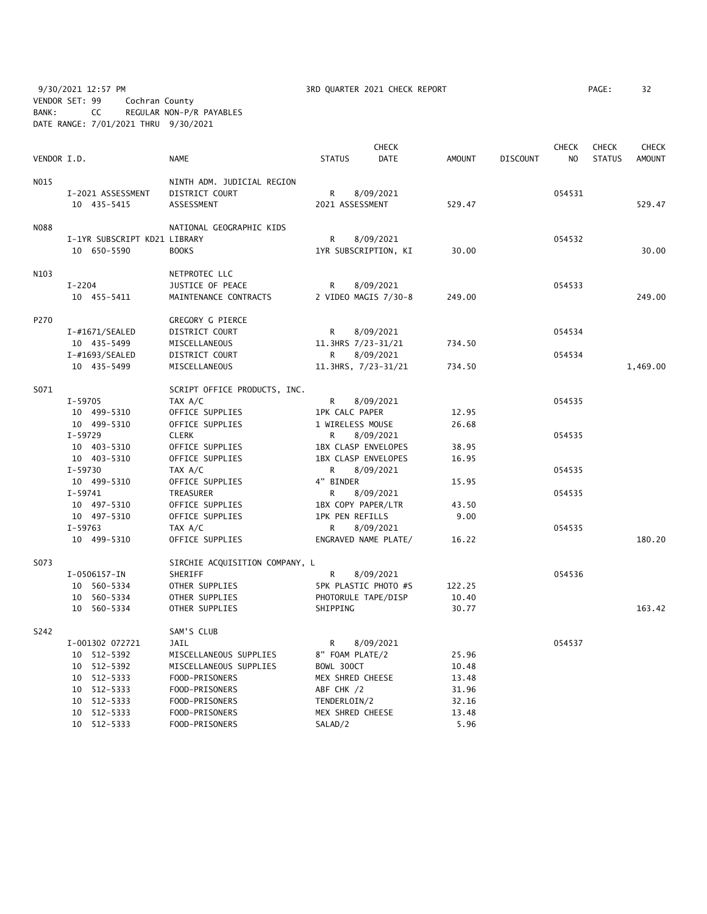9/30/2021 12:57 PM **3RD QUARTER 2021 CHECK REPORT** 9/30/2021 12:57 PM PAGE: 32 VENDOR SET: 99 Cochran County BANK: CC REGULAR NON-P/R PAYABLES DATE RANGE: 7/01/2021 THRU 9/30/2021

|             |                              |                                           |                           | <b>CHECK</b> |               |                 | <b>CHECK</b> | <b>CHECK</b>  | <b>CHECK</b>  |
|-------------|------------------------------|-------------------------------------------|---------------------------|--------------|---------------|-----------------|--------------|---------------|---------------|
| VENDOR I.D. |                              | NAME                                      | <b>STATUS</b>             | <b>DATE</b>  | <b>AMOUNT</b> | <b>DISCOUNT</b> | <b>NO</b>    | <b>STATUS</b> | <b>AMOUNT</b> |
| N015        |                              | NINTH ADM. JUDICIAL REGION                |                           |              |               |                 |              |               |               |
|             | I-2021 ASSESSMENT            | DISTRICT COURT                            | R                         | 8/09/2021    |               |                 | 054531       |               |               |
|             | 10 435-5415                  | ASSESSMENT                                | 2021 ASSESSMENT           |              | 529.47        |                 |              |               | 529.47        |
|             |                              |                                           |                           |              |               |                 |              |               |               |
| <b>N088</b> |                              | NATIONAL GEOGRAPHIC KIDS                  |                           |              |               |                 |              |               |               |
|             | I-1YR SUBSCRIPT KD21 LIBRARY |                                           | R                         | 8/09/2021    |               |                 | 054532       |               |               |
|             | 10 650-5590                  | <b>BOOKS</b>                              | 1YR SUBSCRIPTION, KI      |              | 30.00         |                 |              |               | 30.00         |
|             |                              |                                           |                           |              |               |                 |              |               |               |
| N103        |                              | NETPROTEC LLC                             |                           |              |               |                 |              |               |               |
|             | $I - 2204$                   | JUSTICE OF PEACE                          | R                         | 8/09/2021    |               |                 | 054533       |               |               |
|             | 10 455-5411                  | MAINTENANCE CONTRACTS                     | 2 VIDEO MAGIS 7/30-8      |              | 249.00        |                 |              |               | 249.00        |
|             |                              |                                           |                           |              |               |                 |              |               |               |
| P270        |                              | <b>GREGORY G PIERCE</b>                   |                           |              |               |                 |              |               |               |
|             | $I$ -#1671/SEALED            | DISTRICT COURT                            | R                         | 8/09/2021    |               |                 | 054534       |               |               |
|             | 10 435-5499                  | MISCELLANEOUS                             | 11.3HRS 7/23-31/21        |              | 734.50        |                 |              |               |               |
|             | $I$ -#1693/SEALED            | DISTRICT COURT                            | R                         | 8/09/2021    |               |                 | 054534       |               |               |
|             | 10 435-5499                  | MISCELLANEOUS                             | 11.3HRS, 7/23-31/21       |              | 734.50        |                 |              |               | 1,469.00      |
|             |                              |                                           |                           |              |               |                 |              |               |               |
| S071        |                              | SCRIPT OFFICE PRODUCTS, INC.              |                           |              |               |                 |              |               |               |
|             | $I-59705$                    | TAX A/C                                   | R                         | 8/09/2021    |               |                 | 054535       |               |               |
|             | 10 499-5310                  | OFFICE SUPPLIES                           | <b>1PK CALC PAPER</b>     |              | 12.95         |                 |              |               |               |
|             | 10 499-5310                  | OFFICE SUPPLIES                           | 1 WIRELESS MOUSE          |              | 26.68         |                 |              |               |               |
|             | I-59729                      | <b>CLERK</b>                              | R                         | 8/09/2021    |               |                 | 054535       |               |               |
|             | 10 403-5310                  | OFFICE SUPPLIES                           | 1BX CLASP ENVELOPES       |              | 38.95         |                 |              |               |               |
|             | 10 403-5310                  | OFFICE SUPPLIES                           | 1BX CLASP ENVELOPES       |              | 16.95         |                 |              |               |               |
|             | $I-59730$                    | TAX A/C                                   | R                         | 8/09/2021    |               |                 | 054535       |               |               |
|             | 10 499-5310                  | OFFICE SUPPLIES                           | 4" BINDER                 |              | 15.95         |                 |              |               |               |
|             | $I-59741$                    | TREASURER                                 | R                         | 8/09/2021    |               |                 | 054535       |               |               |
|             | 10 497-5310                  | OFFICE SUPPLIES                           | 1BX COPY PAPER/LTR        |              | 43.50         |                 |              |               |               |
|             | 10 497-5310                  | OFFICE SUPPLIES                           | <b>1PK PEN REFILLS</b>    |              | 9.00          |                 |              |               |               |
|             | $I-59763$                    | TAX A/C                                   | R                         | 8/09/2021    |               |                 | 054535       |               |               |
|             | 10 499-5310                  | OFFICE SUPPLIES                           | ENGRAVED NAME PLATE/      |              | 16.22         |                 |              |               | 180.20        |
| S073        |                              |                                           |                           |              |               |                 |              |               |               |
|             |                              | SIRCHIE ACQUISITION COMPANY, L<br>SHERIFF |                           |              |               |                 | 054536       |               |               |
|             | I-0506157-IN<br>10 560-5334  | OTHER SUPPLIES                            | R<br>SPK PLASTIC PHOTO #S | 8/09/2021    | 122.25        |                 |              |               |               |
|             | 10 560-5334                  | OTHER SUPPLIES                            | PHOTORULE TAPE/DISP       |              | 10.40         |                 |              |               |               |
|             | 10 560-5334                  | OTHER SUPPLIES                            | SHIPPING                  |              | 30.77         |                 |              |               | 163.42        |
|             |                              |                                           |                           |              |               |                 |              |               |               |
| S242        |                              | SAM'S CLUB                                |                           |              |               |                 |              |               |               |
|             | I-001302 072721              | <b>JAIL</b>                               | R                         | 8/09/2021    |               |                 | 054537       |               |               |
|             | 10 512-5392                  | MISCELLANEOUS SUPPLIES                    | 8" FOAM PLATE/2           |              | 25.96         |                 |              |               |               |
|             | 10 512-5392                  | MISCELLANEOUS SUPPLIES                    | BOWL 300CT                |              | 10.48         |                 |              |               |               |
|             | 10 512-5333                  | FOOD-PRISONERS                            | MEX SHRED CHEESE          |              | 13.48         |                 |              |               |               |
|             | 10 512-5333                  | FOOD-PRISONERS                            | ABF CHK /2                |              | 31.96         |                 |              |               |               |
|             | 10 512-5333                  | FOOD-PRISONERS                            | TENDERLOIN/2              |              | 32.16         |                 |              |               |               |
|             | 10 512-5333                  | FOOD-PRISONERS                            | MEX SHRED CHEESE          |              | 13.48         |                 |              |               |               |
|             | 10 512-5333                  | FOOD-PRISONERS                            | SALAD/2                   |              | 5.96          |                 |              |               |               |
|             |                              |                                           |                           |              |               |                 |              |               |               |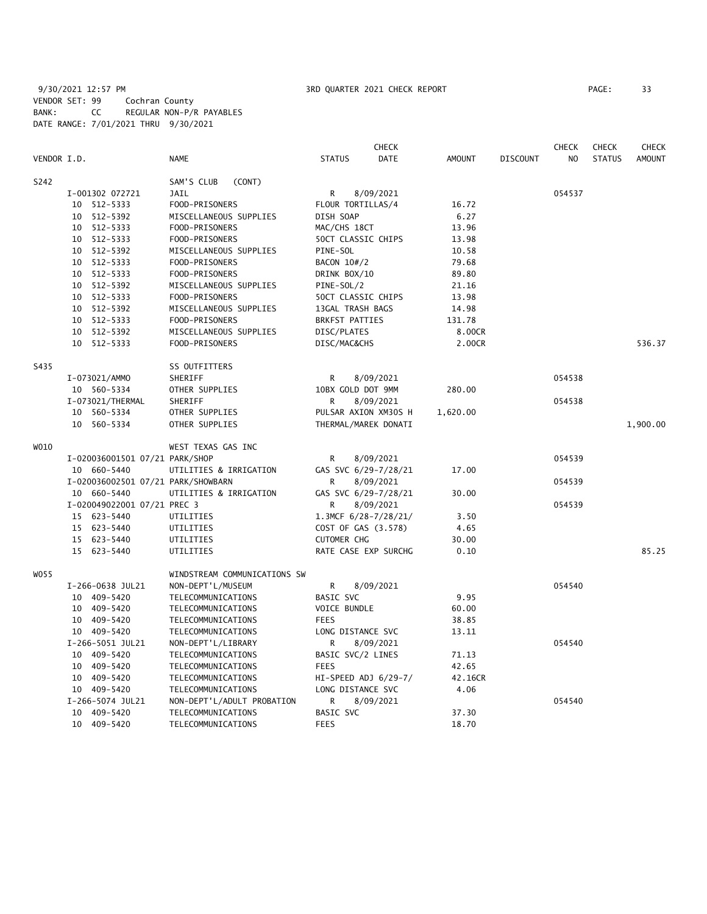9/30/2021 12:57 PM **3RD QUARTER 2021 CHECK REPORT** 9/30/2021 12:57 PM VENDOR SET: 99 Cochran County BANK: CC REGULAR NON-P/R PAYABLES DATE RANGE: 7/01/2021 THRU 9/30/2021

|             |                                    |                              |                        | <b>CHECK</b> |               |                 | <b>CHECK</b>   | <b>CHECK</b>  | <b>CHECK</b>  |
|-------------|------------------------------------|------------------------------|------------------------|--------------|---------------|-----------------|----------------|---------------|---------------|
| VENDOR I.D. |                                    | <b>NAME</b>                  | <b>STATUS</b>          | DATE         | <b>AMOUNT</b> | <b>DISCOUNT</b> | N <sub>O</sub> | <b>STATUS</b> | <b>AMOUNT</b> |
| S242        |                                    | SAM'S CLUB<br>(CONT)         |                        |              |               |                 |                |               |               |
|             | I-001302 072721                    | JAIL                         | R                      | 8/09/2021    |               |                 | 054537         |               |               |
|             | 10 512-5333                        | FOOD-PRISONERS               | FLOUR TORTILLAS/4      |              | 16.72         |                 |                |               |               |
|             | 10 512-5392                        | MISCELLANEOUS SUPPLIES       | DISH SOAP              |              | 6.27          |                 |                |               |               |
|             | 10 512-5333                        | FOOD-PRISONERS               | MAC/CHS 18CT           |              | 13.96         |                 |                |               |               |
|             | 10 512-5333                        | FOOD-PRISONERS               | 50CT CLASSIC CHIPS     |              | 13.98         |                 |                |               |               |
|             | 10 512-5392                        | MISCELLANEOUS SUPPLIES       | PINE-SOL               |              | 10.58         |                 |                |               |               |
|             | 10 512-5333                        | FOOD-PRISONERS               | BACON 10#/2            |              | 79.68         |                 |                |               |               |
|             | 10 512-5333                        |                              |                        |              |               |                 |                |               |               |
|             |                                    | FOOD-PRISONERS               | DRINK BOX/10           |              | 89.80         |                 |                |               |               |
|             | 10 512-5392                        | MISCELLANEOUS SUPPLIES       | PINE-SOL/2             |              | 21.16         |                 |                |               |               |
|             | 10 512-5333                        | FOOD-PRISONERS               | 50CT CLASSIC CHIPS     |              | 13.98         |                 |                |               |               |
|             | 10 512-5392                        | MISCELLANEOUS SUPPLIES       | 13GAL TRASH BAGS       |              | 14.98         |                 |                |               |               |
|             | 10 512-5333                        | FOOD-PRISONERS               | <b>BRKFST PATTIES</b>  |              | 131.78        |                 |                |               |               |
|             | 10 512-5392                        | MISCELLANEOUS SUPPLIES       | DISC/PLATES            |              | 8.00CR        |                 |                |               |               |
|             | 10 512-5333                        | FOOD-PRISONERS               | DISC/MAC&CHS           |              | 2.00CR        |                 |                |               | 536.37        |
| S435        |                                    | SS OUTFITTERS                |                        |              |               |                 |                |               |               |
|             | I-073021/AMMO                      | SHERIFF                      | R                      | 8/09/2021    |               |                 | 054538         |               |               |
|             | 10 560-5334                        | OTHER SUPPLIES               | 10BX GOLD DOT 9MM      |              | 280.00        |                 |                |               |               |
|             | I-073021/THERMAL                   | <b>SHERIFF</b>               | $\mathsf{R}$           | 8/09/2021    |               |                 | 054538         |               |               |
|             | 10 560-5334                        | OTHER SUPPLIES               | PULSAR AXION XM30S H   |              | 1,620.00      |                 |                |               |               |
|             | 10 560-5334                        | OTHER SUPPLIES               | THERMAL/MAREK DONATI   |              |               |                 |                |               | 1,900.00      |
| W010        |                                    | WEST TEXAS GAS INC           |                        |              |               |                 |                |               |               |
|             | I-020036001501 07/21 PARK/SHOP     |                              | R                      | 8/09/2021    |               |                 | 054539         |               |               |
|             | 10 660-5440                        | UTILITIES & IRRIGATION       | GAS SVC 6/29-7/28/21   |              | 17.00         |                 |                |               |               |
|             | I-020036002501 07/21 PARK/SHOWBARN |                              | R                      | 8/09/2021    |               |                 | 054539         |               |               |
|             | 10 660-5440                        | UTILITIES & IRRIGATION       | GAS SVC 6/29-7/28/21   |              | 30.00         |                 |                |               |               |
|             | I-020049022001 07/21 PREC 3        |                              | R                      | 8/09/2021    |               |                 | 054539         |               |               |
|             | 15 623-5440                        | UTILITIES                    | 1.3MCF $6/28-7/28/21/$ |              | 3.50          |                 |                |               |               |
|             | 15 623-5440                        | UTILITIES                    | COST OF GAS (3.578)    |              | 4.65          |                 |                |               |               |
|             | 15 623-5440                        | UTILITIES                    | <b>CUTOMER CHG</b>     |              | 30.00         |                 |                |               |               |
|             | 15 623-5440                        | UTILITIES                    | RATE CASE EXP SURCHG   |              | 0.10          |                 |                |               | 85.25         |
|             |                                    |                              |                        |              |               |                 |                |               |               |
| W055        |                                    | WINDSTREAM COMMUNICATIONS SW |                        |              |               |                 | 054540         |               |               |
|             | I-266-0638 JUL21                   | NON-DEPT'L/MUSEUM            | R                      | 8/09/2021    |               |                 |                |               |               |
|             | 10 409-5420                        | TELECOMMUNICATIONS           | <b>BASIC SVC</b>       |              | 9.95          |                 |                |               |               |
|             | 10 409-5420                        | TELECOMMUNICATIONS           | VOICE BUNDLE           |              | 60.00         |                 |                |               |               |
|             | 10 409-5420                        | TELECOMMUNICATIONS           | <b>FEES</b>            |              | 38.85         |                 |                |               |               |
|             | 10 409-5420                        | TELECOMMUNICATIONS           | LONG DISTANCE SVC      |              | 13.11         |                 |                |               |               |
|             | I-266-5051 JUL21                   | NON-DEPT'L/LIBRARY           | R                      | 8/09/2021    |               |                 | 054540         |               |               |
|             | 10 409-5420                        | TELECOMMUNICATIONS           | BASIC SVC/2 LINES      |              | 71.13         |                 |                |               |               |
|             | 10 409-5420                        | TELECOMMUNICATIONS           | <b>FEES</b>            |              | 42.65         |                 |                |               |               |
|             | 10 409-5420                        | TELECOMMUNICATIONS           | HI-SPEED ADJ 6/29-7/   |              | 42.16CR       |                 |                |               |               |
|             | 10 409-5420                        | TELECOMMUNICATIONS           | LONG DISTANCE SVC      |              | 4.06          |                 |                |               |               |
|             | I-266-5074 JUL21                   | NON-DEPT'L/ADULT PROBATION   | R                      | 8/09/2021    |               |                 | 054540         |               |               |
|             | 10 409-5420                        | TELECOMMUNICATIONS           | <b>BASIC SVC</b>       |              | 37.30         |                 |                |               |               |
|             | 10 409-5420                        | TELECOMMUNICATIONS           | <b>FEES</b>            |              | 18.70         |                 |                |               |               |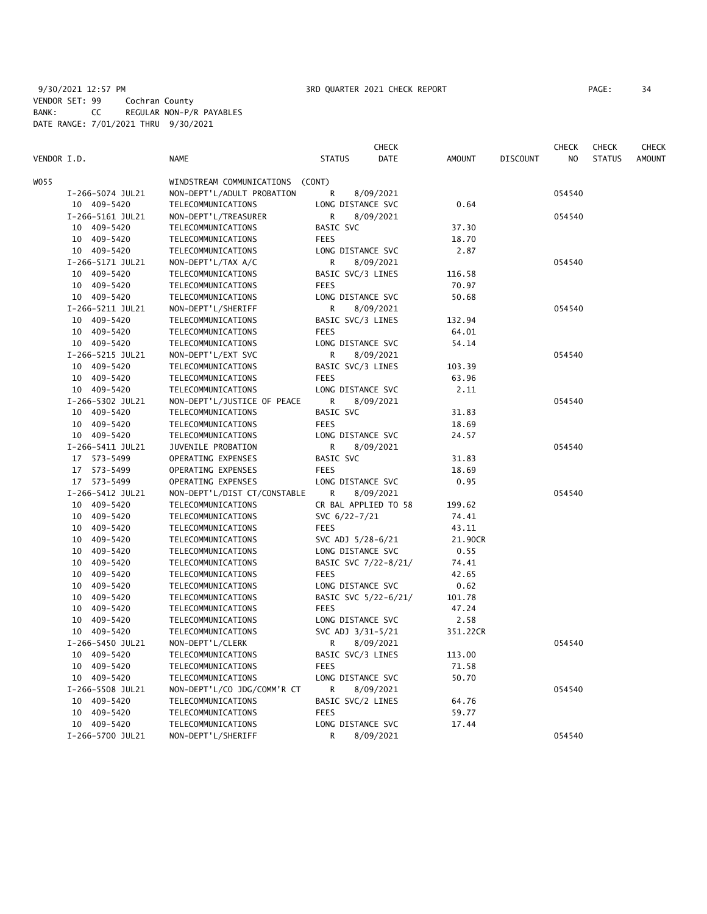|             |                  |                              |                      | CHECK       |               |                 | CHECK          | CHECK         | <b>CHECK</b>  |
|-------------|------------------|------------------------------|----------------------|-------------|---------------|-----------------|----------------|---------------|---------------|
| VENDOR I.D. |                  | <b>NAME</b>                  | <b>STATUS</b>        | <b>DATE</b> | <b>AMOUNT</b> | <b>DISCOUNT</b> | N <sub>O</sub> | <b>STATUS</b> | <b>AMOUNT</b> |
| WO55        |                  | WINDSTREAM COMMUNICATIONS    | (CONT)               |             |               |                 |                |               |               |
|             | I-266-5074 JUL21 | NON-DEPT'L/ADULT PROBATION   | R                    | 8/09/2021   |               |                 | 054540         |               |               |
|             | 10 409-5420      | TELECOMMUNICATIONS           | LONG DISTANCE SVC    |             | 0.64          |                 |                |               |               |
|             | I-266-5161 JUL21 | NON-DEPT'L/TREASURER         | R                    | 8/09/2021   |               |                 | 054540         |               |               |
|             | 10 409-5420      | TELECOMMUNICATIONS           | BASIC SVC            |             | 37.30         |                 |                |               |               |
|             | 10 409-5420      | TELECOMMUNICATIONS           | <b>FEES</b>          |             | 18.70         |                 |                |               |               |
|             | 10 409-5420      | TELECOMMUNICATIONS           | LONG DISTANCE SVC    |             | 2.87          |                 |                |               |               |
|             | I-266-5171 JUL21 | NON-DEPT'L/TAX A/C           | R                    | 8/09/2021   |               |                 | 054540         |               |               |
|             | 10 409-5420      | TELECOMMUNICATIONS           | BASIC SVC/3 LINES    |             | 116.58        |                 |                |               |               |
|             | 10 409-5420      | TELECOMMUNICATIONS           | <b>FEES</b>          |             | 70.97         |                 |                |               |               |
|             | 10 409-5420      | TELECOMMUNICATIONS           | LONG DISTANCE SVC    |             | 50.68         |                 |                |               |               |
|             | I-266-5211 JUL21 | NON-DEPT'L/SHERIFF           | R                    | 8/09/2021   |               |                 | 054540         |               |               |
|             | 10 409-5420      | TELECOMMUNICATIONS           | BASIC SVC/3 LINES    |             | 132.94        |                 |                |               |               |
|             | 10 409-5420      | TELECOMMUNICATIONS           | <b>FEES</b>          |             | 64.01         |                 |                |               |               |
|             | 10 409-5420      | TELECOMMUNICATIONS           | LONG DISTANCE SVC    |             | 54.14         |                 |                |               |               |
|             | I-266-5215 JUL21 | NON-DEPT'L/EXT SVC           | R                    | 8/09/2021   |               |                 | 054540         |               |               |
|             | 10 409-5420      | TELECOMMUNICATIONS           | BASIC SVC/3 LINES    |             | 103.39        |                 |                |               |               |
|             | 10 409-5420      | TELECOMMUNICATIONS           | <b>FEES</b>          |             | 63.96         |                 |                |               |               |
|             | 10 409-5420      | TELECOMMUNICATIONS           | LONG DISTANCE SVC    |             | 2.11          |                 |                |               |               |
|             | I-266-5302 JUL21 | NON-DEPT'L/JUSTICE OF PEACE  | R                    | 8/09/2021   |               |                 | 054540         |               |               |
|             | 10 409-5420      | TELECOMMUNICATIONS           | BASIC SVC            |             | 31.83         |                 |                |               |               |
|             | 10 409-5420      | TELECOMMUNICATIONS           | <b>FEES</b>          |             | 18.69         |                 |                |               |               |
|             | 10 409-5420      | TELECOMMUNICATIONS           | LONG DISTANCE SVC    |             | 24.57         |                 |                |               |               |
|             | I-266-5411 JUL21 | JUVENILE PROBATION           | R                    | 8/09/2021   |               |                 | 054540         |               |               |
|             | 17 573-5499      | OPERATING EXPENSES           | BASIC SVC            |             | 31.83         |                 |                |               |               |
|             | 17 573-5499      | OPERATING EXPENSES           | <b>FEES</b>          |             | 18.69         |                 |                |               |               |
|             | 17 573-5499      | OPERATING EXPENSES           | LONG DISTANCE SVC    |             | 0.95          |                 |                |               |               |
|             | I-266-5412 JUL21 | NON-DEPT'L/DIST CT/CONSTABLE | R                    | 8/09/2021   |               |                 | 054540         |               |               |
|             | 10 409-5420      | TELECOMMUNICATIONS           | CR BAL APPLIED TO 58 |             | 199.62        |                 |                |               |               |
|             | 10 409-5420      | TELECOMMUNICATIONS           | SVC 6/22-7/21        |             | 74.41         |                 |                |               |               |
|             | 10 409-5420      | TELECOMMUNICATIONS           | <b>FEES</b>          |             | 43.11         |                 |                |               |               |
|             | 10 409-5420      | TELECOMMUNICATIONS           | SVC ADJ 5/28-6/21    |             | 21.90CR       |                 |                |               |               |
|             | 10 409-5420      | TELECOMMUNICATIONS           | LONG DISTANCE SVC    |             | 0.55          |                 |                |               |               |
|             | 10<br>409-5420   | TELECOMMUNICATIONS           | BASIC SVC 7/22-8/21/ |             | 74.41         |                 |                |               |               |
|             | 409-5420<br>10   | TELECOMMUNICATIONS           | <b>FEES</b>          |             | 42.65         |                 |                |               |               |
|             | 409-5420<br>10   | TELECOMMUNICATIONS           | LONG DISTANCE SVC    |             | 0.62          |                 |                |               |               |
|             | 10 409-5420      | TELECOMMUNICATIONS           | BASIC SVC 5/22-6/21/ |             | 101.78        |                 |                |               |               |
|             | 409-5420<br>10   | TELECOMMUNICATIONS           | <b>FEES</b>          |             | 47.24         |                 |                |               |               |
|             | 10<br>409-5420   | TELECOMMUNICATIONS           | LONG DISTANCE SVC    |             | 2.58          |                 |                |               |               |
|             | 10 409-5420      | TELECOMMUNICATIONS           | SVC ADJ 3/31-5/21    |             | 351.22CR      |                 |                |               |               |
|             | I-266-5450 JUL21 | NON-DEPT'L/CLERK             | R                    | 8/09/2021   |               |                 | 054540         |               |               |
|             | 10 409-5420      | TELECOMMUNICATIONS           | BASIC SVC/3 LINES    |             | 113.00        |                 |                |               |               |
|             | 409-5420<br>10   | TELECOMMUNICATIONS           | <b>FEES</b>          |             | 71.58         |                 |                |               |               |
|             | 10 409-5420      | TELECOMMUNICATIONS           | LONG DISTANCE SVC    |             | 50.70         |                 |                |               |               |
|             | I-266-5508 JUL21 | NON-DEPT'L/CO JDG/COMM'R CT  | R                    | 8/09/2021   |               |                 | 054540         |               |               |
|             | 10 409-5420      | TELECOMMUNICATIONS           | BASIC SVC/2 LINES    |             | 64.76         |                 |                |               |               |
|             | 10<br>409-5420   | TELECOMMUNICATIONS           | <b>FEES</b>          |             | 59.77         |                 |                |               |               |
|             | 10 409-5420      | TELECOMMUNICATIONS           | LONG DISTANCE SVC    |             | 17.44         |                 |                |               |               |
|             | I-266-5700 JUL21 | NON-DEPT'L/SHERIFF           | R                    | 8/09/2021   |               |                 | 054540         |               |               |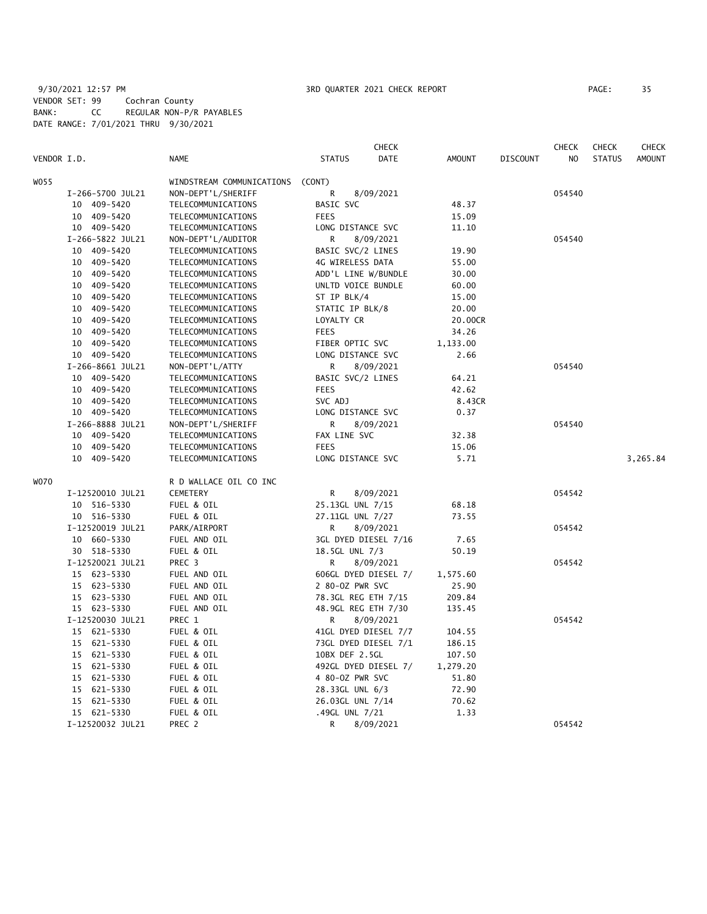# 9/30/2021 12:57 PM 3RD QUARTER 2021 CHECK REPORT PAGE: 35 VENDOR SET: 99 Cochran County BANK: CC REGULAR NON-P/R PAYABLES DATE RANGE: 7/01/2021 THRU 9/30/2021

| VENDOR I.D. |                  | <b>NAME</b>               | <b>STATUS</b>        | <b>CHECK</b><br><b>DATE</b> | <b>AMOUNT</b> | <b>DISCOUNT</b> | <b>CHECK</b><br>N <sub>O</sub> | <b>CHECK</b><br><b>STATUS</b> | <b>CHECK</b><br><b>AMOUNT</b> |
|-------------|------------------|---------------------------|----------------------|-----------------------------|---------------|-----------------|--------------------------------|-------------------------------|-------------------------------|
| W055        |                  | WINDSTREAM COMMUNICATIONS | (CONT)               |                             |               |                 |                                |                               |                               |
|             | I-266-5700 JUL21 | NON-DEPT'L/SHERIFF        | R                    | 8/09/2021                   |               |                 | 054540                         |                               |                               |
| 10          | 409-5420         | TELECOMMUNICATIONS        | BASIC SVC            |                             | 48.37         |                 |                                |                               |                               |
| 10          | 409-5420         | TELECOMMUNICATIONS        | <b>FEES</b>          |                             | 15.09         |                 |                                |                               |                               |
| 10          | 409-5420         | TELECOMMUNICATIONS        | LONG DISTANCE SVC    |                             | 11.10         |                 |                                |                               |                               |
|             | I-266-5822 JUL21 | NON-DEPT'L/AUDITOR        | R                    | 8/09/2021                   |               |                 | 054540                         |                               |                               |
|             | 10 409-5420      | TELECOMMUNICATIONS        | BASIC SVC/2 LINES    |                             | 19.90         |                 |                                |                               |                               |
|             | 10 409-5420      | TELECOMMUNICATIONS        | 4G WIRELESS DATA     |                             | 55.00         |                 |                                |                               |                               |
|             | 10 409-5420      | TELECOMMUNICATIONS        | ADD'L LINE W/BUNDLE  |                             | 30.00         |                 |                                |                               |                               |
| 10          | 409-5420         | TELECOMMUNICATIONS        | UNLTD VOICE BUNDLE   |                             | 60.00         |                 |                                |                               |                               |
| 10          | 409-5420         | TELECOMMUNICATIONS        | ST IP BLK/4          |                             | 15.00         |                 |                                |                               |                               |
| 10          | 409-5420         | TELECOMMUNICATIONS        | STATIC IP BLK/8      |                             | 20.00         |                 |                                |                               |                               |
| 10          | 409-5420         | TELECOMMUNICATIONS        | LOYALTY CR           |                             | 20.00CR       |                 |                                |                               |                               |
|             | 10 409-5420      | TELECOMMUNICATIONS        | <b>FEES</b>          |                             | 34.26         |                 |                                |                               |                               |
| 10          | 409-5420         | TELECOMMUNICATIONS        | FIBER OPTIC SVC      |                             | 1,133.00      |                 |                                |                               |                               |
| 10          | 409-5420         | TELECOMMUNICATIONS        | LONG DISTANCE SVC    |                             | 2.66          |                 |                                |                               |                               |
|             | I-266-8661 JUL21 | NON-DEPT'L/ATTY           | R                    | 8/09/2021                   |               |                 | 054540                         |                               |                               |
| 10          | 409-5420         | TELECOMMUNICATIONS        | BASIC SVC/2 LINES    |                             | 64.21         |                 |                                |                               |                               |
|             | 10 409-5420      | TELECOMMUNICATIONS        | <b>FEES</b>          |                             | 42.62         |                 |                                |                               |                               |
|             | 10 409-5420      | TELECOMMUNICATIONS        | SVC ADJ              |                             | 8.43CR        |                 |                                |                               |                               |
|             | 10 409-5420      | TELECOMMUNICATIONS        | LONG DISTANCE SVC    |                             | 0.37          |                 |                                |                               |                               |
|             | I-266-8888 JUL21 | NON-DEPT'L/SHERIFF        | R                    | 8/09/2021                   |               |                 | 054540                         |                               |                               |
|             | 10 409-5420      | TELECOMMUNICATIONS        | FAX LINE SVC         |                             | 32.38         |                 |                                |                               |                               |
| 10          | 409-5420         | TELECOMMUNICATIONS        | <b>FEES</b>          |                             | 15.06         |                 |                                |                               |                               |
|             | 10 409-5420      | TELECOMMUNICATIONS        | LONG DISTANCE SVC    |                             | 5.71          |                 |                                |                               | 3,265.84                      |
| W070        |                  | R D WALLACE OIL CO INC    |                      |                             |               |                 |                                |                               |                               |
|             | I-12520010 JUL21 | <b>CEMETERY</b>           | R                    | 8/09/2021                   |               |                 | 054542                         |                               |                               |
|             | 10 516-5330      | FUEL & OIL                | 25.13GL UNL 7/15     |                             | 68.18         |                 |                                |                               |                               |
|             | 10 516-5330      | FUEL & OIL                | 27.11GL UNL 7/27     |                             | 73.55         |                 |                                |                               |                               |
|             | I-12520019 JUL21 | PARK/AIRPORT              | R                    | 8/09/2021                   |               |                 | 054542                         |                               |                               |
|             | 10 660-5330      | FUEL AND OIL              | 3GL DYED DIESEL 7/16 |                             | 7.65          |                 |                                |                               |                               |
|             | 30 518-5330      | FUEL & OIL                | 18.5GL UNL 7/3       |                             | 50.19         |                 |                                |                               |                               |
|             | I-12520021 JUL21 | PREC 3                    | R                    | 8/09/2021                   |               |                 | 054542                         |                               |                               |
|             | 15 623-5330      | FUEL AND OIL              | 606GL DYED DIESEL 7/ |                             | 1,575.60      |                 |                                |                               |                               |
|             | 15 623-5330      | FUEL AND OIL              | 2 80-0Z PWR SVC      |                             | 25.90         |                 |                                |                               |                               |
|             | 15 623-5330      | FUEL AND OIL              | 78.3GL REG ETH 7/15  |                             | 209.84        |                 |                                |                               |                               |
|             | 15 623-5330      | FUEL AND OIL              | 48.9GL REG ETH 7/30  |                             | 135.45        |                 |                                |                               |                               |
|             | I-12520030 JUL21 | PREC 1                    | R                    | 8/09/2021                   |               |                 | 054542                         |                               |                               |
|             | 15 621-5330      | FUEL & OIL                | 41GL DYED DIESEL 7/7 |                             | 104.55        |                 |                                |                               |                               |
|             | 15 621-5330      | FUEL & OIL                | 73GL DYED DIESEL 7/1 |                             | 186.15        |                 |                                |                               |                               |
|             | 15 621-5330      | FUEL & OIL                | 10BX DEF 2.5GL       |                             | 107.50        |                 |                                |                               |                               |
|             | 15 621-5330      | FUEL & OIL                | 492GL DYED DIESEL 7/ |                             | 1,279.20      |                 |                                |                               |                               |
|             | 15 621-5330      | FUEL & OIL                | 4 80-0Z PWR SVC      |                             | 51.80         |                 |                                |                               |                               |
|             | 15 621-5330      | FUEL & OIL                | 28.33GL UNL 6/3      |                             | 72.90         |                 |                                |                               |                               |
|             | 15 621-5330      | FUEL & OIL                | 26.03GL UNL 7/14     |                             | 70.62         |                 |                                |                               |                               |
|             | 15 621-5330      | FUEL & OIL                | .49GL UNL 7/21       |                             | 1.33          |                 |                                |                               |                               |
|             | I-12520032 JUL21 | PREC 2                    | R                    | 8/09/2021                   |               |                 | 054542                         |                               |                               |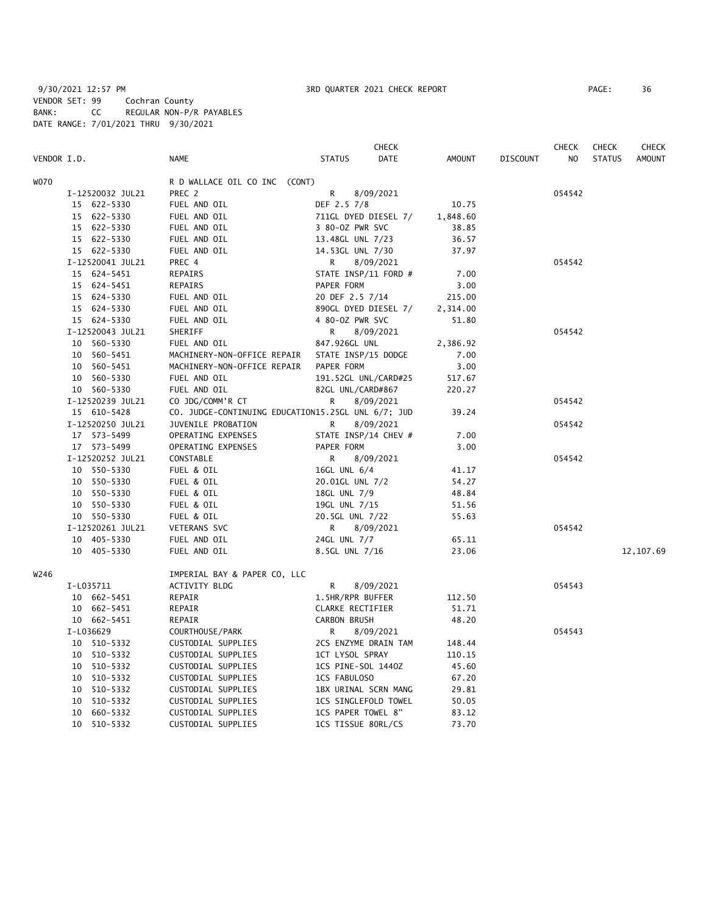9/30/2021 12:57 PM **3RD QUARTER 2021 CHECK REPORT** 9/30/2021 12:57 PM PAGE: 36 VENDOR SET: 99 Cochran County BANK: CC REGULAR NON-P/R PAYABLES DATE RANGE: 7/01/2021 THRU 9/30/2021

|      |                  |                               | <b>CHECK</b>                                       |          |                 | <b>CHECK</b>   | <b>CHECK</b>  | <b>CHECK</b> |
|------|------------------|-------------------------------|----------------------------------------------------|----------|-----------------|----------------|---------------|--------------|
|      | VENDOR I.D.      | <b>NAME</b>                   | DATE<br><b>STATUS</b>                              | AMOUNT   | <b>DISCOUNT</b> | N <sub>O</sub> | <b>STATUS</b> | AMOUNT       |
| W070 |                  | R D WALLACE OIL CO INC (CONT) |                                                    |          |                 |                |               |              |
|      | I-12520032 JUL21 | PREC 2                        | R<br>8/09/2021                                     |          |                 | 054542         |               |              |
|      | 15 622-5330      | FUEL AND OIL                  | DEF 2.5 7/8                                        | 10.75    |                 |                |               |              |
|      | 15 622-5330      | FUEL AND OIL                  | 711GL DYED DIESEL 7/                               | 1,848.60 |                 |                |               |              |
|      | 15 622-5330      | FUEL AND OIL                  | 3 80-0Z PWR SVC                                    | 38.85    |                 |                |               |              |
|      | 15 622-5330      | FUEL AND OIL                  | 13.48GL UNL 7/23                                   | 36.57    |                 |                |               |              |
|      | 15 622-5330      | FUEL AND OIL                  | 14.53GL UNL 7/30                                   | 37.97    |                 |                |               |              |
|      | I-12520041 JUL21 | PREC 4                        | R<br>8/09/2021                                     |          |                 | 054542         |               |              |
|      | 15 624-5451      | REPAIRS                       | STATE INSP/11 FORD #                               | 7.00     |                 |                |               |              |
|      | 15 624-5451      | REPAIRS                       | PAPER FORM                                         | 3.00     |                 |                |               |              |
|      | 15 624-5330      | FUEL AND OIL                  | 20 DEF 2.5 7/14                                    | 215.00   |                 |                |               |              |
|      | 15 624-5330      | FUEL AND OIL                  | 890GL DYED DIESEL 7/                               |          |                 |                |               |              |
|      |                  |                               |                                                    | 2,314.00 |                 |                |               |              |
|      | 15 624-5330      | FUEL AND OIL                  | 4 80-0Z PWR SVC                                    | 51.80    |                 |                |               |              |
|      | I-12520043 JUL21 | SHERIFF                       | R<br>8/09/2021                                     |          |                 | 054542         |               |              |
|      | 10 560-5330      | FUEL AND OIL                  | 847.926GL UNL                                      | 2,386.92 |                 |                |               |              |
|      | 10 560-5451      | MACHINERY-NON-OFFICE REPAIR   | STATE INSP/15 DODGE                                | 7.00     |                 |                |               |              |
|      | 10 560-5451      | MACHINERY-NON-OFFICE REPAIR   | PAPER FORM                                         | 3.00     |                 |                |               |              |
|      | 10 560-5330      | FUEL AND OIL                  | 191.52GL UNL/CARD#25                               | 517.67   |                 |                |               |              |
|      | 10 560-5330      | FUEL AND OIL                  | 82GL UNL/CARD#867                                  | 220.27   |                 |                |               |              |
|      | I-12520239 JUL21 | CO JDG/COMM'R CT              | R<br>8/09/2021                                     | 39.24    |                 | 054542         |               |              |
|      | 15 610-5428      |                               | CO. JUDGE-CONTINUING EDUCATION15.25GL UNL 6/7; JUD |          |                 |                |               |              |
|      | I-12520250 JUL21 | JUVENILE PROBATION            | R<br>8/09/2021                                     |          |                 | 054542         |               |              |
|      | 17 573-5499      | OPERATING EXPENSES            | STATE INSP/14 CHEV #                               | 7.00     |                 |                |               |              |
|      | 17 573-5499      | OPERATING EXPENSES            | PAPER FORM                                         | 3.00     |                 |                |               |              |
|      | I-12520252 JUL21 | CONSTABLE                     | 8/09/2021<br>R                                     |          |                 | 054542         |               |              |
|      | 10 550-5330      | FUEL & OIL                    | 16GL UNL 6/4                                       | 41.17    |                 |                |               |              |
|      | 10 550-5330      | FUEL & OIL                    | 20.01GL UNL 7/2                                    | 54.27    |                 |                |               |              |
|      | 10 550-5330      | FUEL & OIL                    | 18GL UNL 7/9                                       | 48.84    |                 |                |               |              |
|      | 10 550-5330      | FUEL & OIL                    | 19GL UNL 7/15                                      | 51.56    |                 |                |               |              |
|      | 10 550-5330      | FUEL & OIL                    | 20.5GL UNL 7/22                                    | 55.63    |                 |                |               |              |
|      | I-12520261 JUL21 | VETERANS SVC                  | 8/09/2021<br>R                                     |          |                 | 054542         |               |              |
|      | 10 405-5330      | FUEL AND OIL                  | 24GL UNL 7/7                                       | 65.11    |                 |                |               |              |
|      | 10 405-5330      | FUEL AND OIL                  | 8.5GL UNL 7/16                                     | 23.06    |                 |                |               | 12, 107.69   |
| W246 |                  | IMPERIAL BAY & PAPER CO, LLC  |                                                    |          |                 |                |               |              |
|      | I-L035711        | ACTIVITY BLDG                 | R<br>8/09/2021                                     |          |                 | 054543         |               |              |
|      | 10 662-5451      | REPAIR                        | 1.5HR/RPR BUFFER                                   | 112.50   |                 |                |               |              |
|      | 10 662-5451      | REPAIR                        | CLARKE RECTIFIER                                   | 51.71    |                 |                |               |              |
|      | 10 662-5451      | REPAIR                        | CARBON BRUSH                                       | 48.20    |                 |                |               |              |
|      | I-L036629        | COURTHOUSE/PARK               | 8/09/2021<br>R                                     |          |                 | 054543         |               |              |
|      | 10 510-5332      | CUSTODIAL SUPPLIES            | 2CS ENZYME DRAIN TAM                               | 148.44   |                 |                |               |              |
|      | 10 510-5332      | CUSTODIAL SUPPLIES            | 1CT LYSOL SPRAY                                    | 110.15   |                 |                |               |              |
|      | 10 510-5332      | CUSTODIAL SUPPLIES            | 1CS PINE-SOL 1440Z                                 | 45.60    |                 |                |               |              |
|      | 10 510-5332      | CUSTODIAL SUPPLIES            | 1CS FABULOSO                                       | 67.20    |                 |                |               |              |
|      | 10 510-5332      | CUSTODIAL SUPPLIES            | 1BX URINAL SCRN MANG                               | 29.81    |                 |                |               |              |
|      | 10 510-5332      | CUSTODIAL SUPPLIES            | 1CS SINGLEFOLD TOWEL                               | 50.05    |                 |                |               |              |
|      | 10 660-5332      | CUSTODIAL SUPPLIES            | 1CS PAPER TOWEL 8"                                 | 83.12    |                 |                |               |              |
|      | 10<br>510-5332   | CUSTODIAL SUPPLIES            | 1CS TISSUE 80RL/CS                                 | 73.70    |                 |                |               |              |
|      |                  |                               |                                                    |          |                 |                |               |              |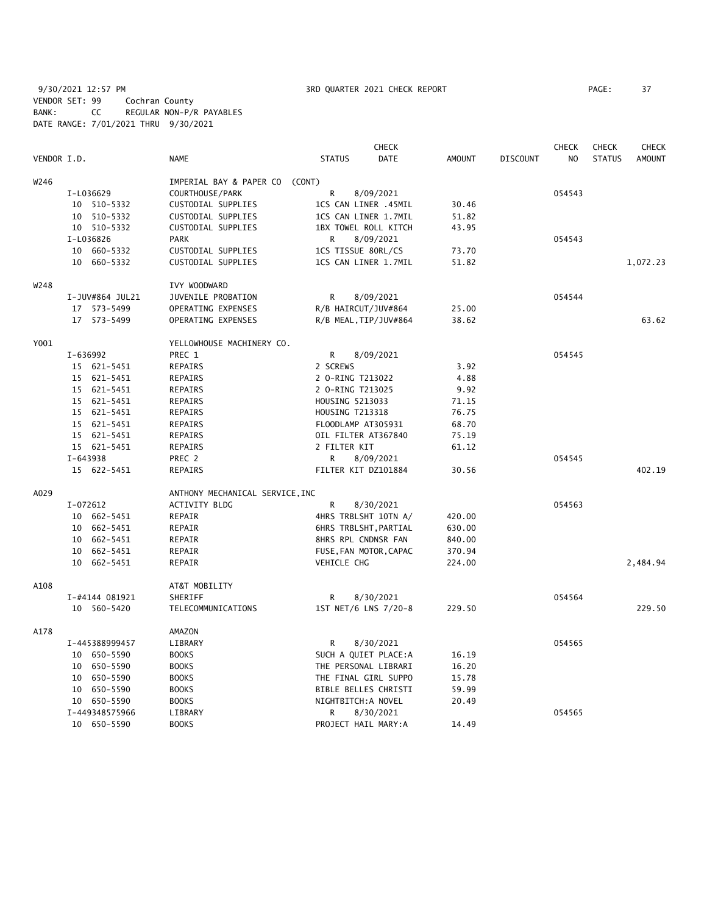9/30/2021 12:57 PM **3RD QUARTER 2021 CHECK REPORT** PAGE: 37 VENDOR SET: 99 Cochran County BANK: CC REGULAR NON-P/R PAYABLES DATE RANGE: 7/01/2021 THRU 9/30/2021

|             |          |                 |                                 |                        | <b>CHECK</b>           |               |          | <b>CHECK</b>   |               | <b>CHECK</b>  |
|-------------|----------|-----------------|---------------------------------|------------------------|------------------------|---------------|----------|----------------|---------------|---------------|
| VENDOR I.D. |          |                 | <b>NAME</b>                     | <b>STATUS</b>          | DATE                   | <b>AMOUNT</b> | DISCOUNT | N <sub>O</sub> | <b>STATUS</b> | <b>AMOUNT</b> |
| W246        |          |                 | IMPERIAL BAY & PAPER CO (CONT)  |                        |                        |               |          |                |               |               |
|             |          | I-L036629       | COURTHOUSE/PARK                 | R                      | 8/09/2021              |               |          | 054543         |               |               |
|             |          | 10 510-5332     | CUSTODIAL SUPPLIES              |                        | 1CS CAN LINER .45MIL   | 30.46         |          |                |               |               |
|             |          | 10 510-5332     | CUSTODIAL SUPPLIES              |                        | 1CS CAN LINER 1.7MIL   | 51.82         |          |                |               |               |
|             |          | 10 510-5332     | CUSTODIAL SUPPLIES              |                        | 1BX TOWEL ROLL KITCH   | 43.95         |          |                |               |               |
|             |          | I-L036826       | <b>PARK</b>                     | R                      | 8/09/2021              |               |          | 054543         |               |               |
|             |          | 10 660-5332     | CUSTODIAL SUPPLIES              | 1CS TISSUE 80RL/CS     |                        | 73.70         |          |                |               |               |
|             |          | 10 660-5332     | CUSTODIAL SUPPLIES              |                        | 1CS CAN LINER 1.7MIL   | 51.82         |          |                |               | 1,072.23      |
| W248        |          |                 | IVY WOODWARD                    |                        |                        |               |          |                |               |               |
|             |          | I-JUV#864 JUL21 | JUVENILE PROBATION              | R                      | 8/09/2021              |               |          | 054544         |               |               |
|             |          | 17 573-5499     | OPERATING EXPENSES              | R/B HAIRCUT/JUV#864    |                        | 25.00         |          |                |               |               |
|             |          | 17 573-5499     | OPERATING EXPENSES              |                        | R/B MEAL, TIP/JUV#864  | 38.62         |          |                |               | 63.62         |
| Y001        |          |                 | YELLOWHOUSE MACHINERY CO.       |                        |                        |               |          |                |               |               |
|             | I-636992 |                 | PREC 1                          | R                      | 8/09/2021              |               |          | 054545         |               |               |
|             |          | 15 621-5451     | REPAIRS                         | 2 SCREWS               |                        | 3.92          |          |                |               |               |
|             |          | 15 621-5451     | REPAIRS                         | 2 O-RING T213022       |                        | 4.88          |          |                |               |               |
|             |          | 15 621-5451     | REPAIRS                         | 2 O-RING T213025       |                        | 9.92          |          |                |               |               |
|             |          | 15 621-5451     | REPAIRS                         | HOUSING 5213033        |                        | 71.15         |          |                |               |               |
|             |          | 15 621-5451     | REPAIRS                         | <b>HOUSING T213318</b> |                        | 76.75         |          |                |               |               |
|             |          | 15 621-5451     | REPAIRS                         | FLOODLAMP AT305931     |                        | 68.70         |          |                |               |               |
|             |          | 15 621-5451     | REPAIRS                         | OIL FILTER AT367840    |                        | 75.19         |          |                |               |               |
|             |          | 15 621-5451     | REPAIRS                         | 2 FILTER KIT           |                        | 61.12         |          |                |               |               |
|             | I-643938 |                 | PREC 2                          | R                      | 8/09/2021              |               |          | 054545         |               |               |
|             |          | 15 622-5451     | <b>REPAIRS</b>                  | FILTER KIT DZ101884    |                        | 30.56         |          |                |               | 402.19        |
| A029        |          |                 | ANTHONY MECHANICAL SERVICE, INC |                        |                        |               |          |                |               |               |
|             | I-072612 |                 | <b>ACTIVITY BLDG</b>            | R                      | 8/30/2021              |               |          | 054563         |               |               |
|             |          | 10 662-5451     | REPAIR                          |                        | 4HRS TRBLSHT 10TN A/   | 420.00        |          |                |               |               |
|             |          | 10 662-5451     | REPAIR                          |                        | 6HRS TRBLSHT, PARTIAL  | 630.00        |          |                |               |               |
|             |          | 10 662-5451     | REPAIR                          | 8HRS RPL CNDNSR FAN    |                        | 840.00        |          |                |               |               |
|             |          | 10 662-5451     | REPAIR                          |                        | FUSE, FAN MOTOR, CAPAC | 370.94        |          |                |               |               |
|             |          | 10 662-5451     | REPAIR                          | <b>VEHICLE CHG</b>     |                        | 224.00        |          |                |               | 2,484.94      |
| A108        |          |                 | AT&T MOBILITY                   |                        |                        |               |          |                |               |               |
|             |          | I-#4144 081921  | SHERIFF                         | R                      | 8/30/2021              |               |          | 054564         |               |               |
|             |          | 10 560-5420     | TELECOMMUNICATIONS              |                        | 1ST NET/6 LNS 7/20-8   | 229.50        |          |                |               | 229.50        |
| A178        |          |                 | AMAZON                          |                        |                        |               |          |                |               |               |
|             |          | I-445388999457  | LIBRARY                         | R                      | 8/30/2021              |               |          | 054565         |               |               |
|             |          | 10 650-5590     | <b>BOOKS</b>                    |                        | SUCH A QUIET PLACE:A   | 16.19         |          |                |               |               |
|             |          | 10 650-5590     | <b>BOOKS</b>                    |                        | THE PERSONAL LIBRARI   | 16.20         |          |                |               |               |
|             |          | 10 650-5590     | <b>BOOKS</b>                    |                        | THE FINAL GIRL SUPPO   | 15.78         |          |                |               |               |
|             |          | 10 650-5590     | <b>BOOKS</b>                    |                        | BIBLE BELLES CHRISTI   | 59.99         |          |                |               |               |
|             |          | 10 650-5590     | <b>BOOKS</b>                    | NIGHTBITCH: A NOVEL    |                        | 20.49         |          |                |               |               |
|             |          | I-449348575966  | LIBRARY                         | R                      | 8/30/2021              |               |          | 054565         |               |               |
|             |          | 10 650-5590     | <b>BOOKS</b>                    | PROJECT HAIL MARY:A    |                        | 14.49         |          |                |               |               |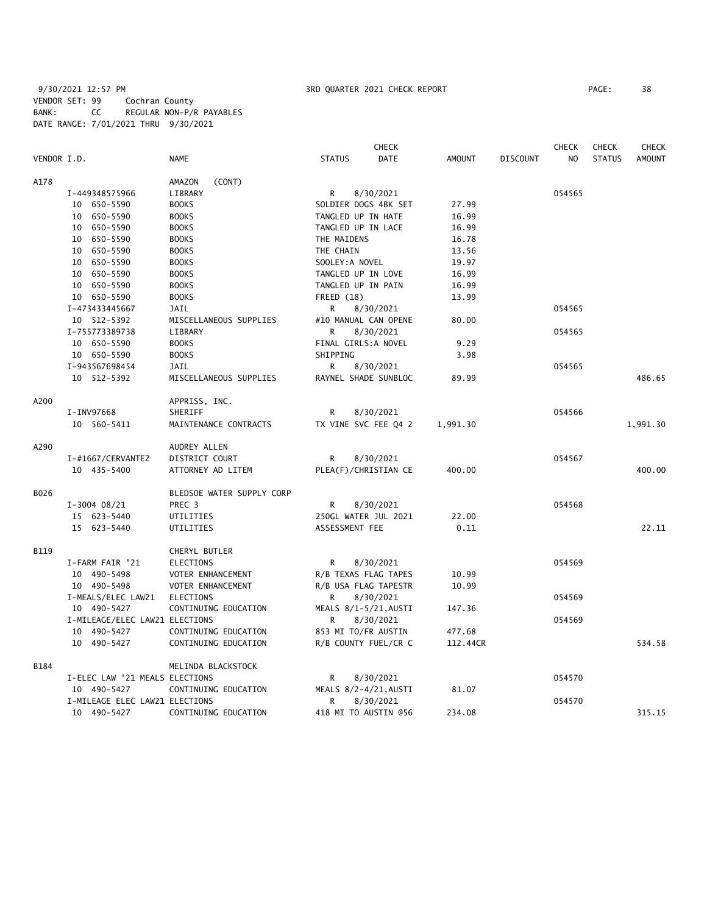9/30/2021 12:57 PM **3RD QUARTER 2021 CHECK REPORT** PAGE: 38 VENDOR SET: 99 Cochran County BANK: CC REGULAR NON-P/R PAYABLES DATE RANGE: 7/01/2021 THRU 9/30/2021

|             |                                |                           |                       | <b>CHECK</b>         |               |                 | <b>CHECK</b>   | <b>CHECK</b>  | <b>CHECK</b>  |
|-------------|--------------------------------|---------------------------|-----------------------|----------------------|---------------|-----------------|----------------|---------------|---------------|
| VENDOR I.D. |                                | <b>NAME</b>               | <b>STATUS</b>         | DATE                 | <b>AMOUNT</b> | <b>DISCOUNT</b> | N <sub>O</sub> | <b>STATUS</b> | <b>AMOUNT</b> |
| A178        |                                | AMAZON<br>(CONT)          |                       |                      |               |                 |                |               |               |
|             | I-449348575966                 | LIBRARY                   | R                     | 8/30/2021            |               |                 | 054565         |               |               |
|             | 10 650-5590                    | <b>BOOKS</b>              | SOLDIER DOGS 4BK SET  |                      | 27.99         |                 |                |               |               |
|             | 10 650-5590                    | <b>BOOKS</b>              | TANGLED UP IN HATE    |                      | 16.99         |                 |                |               |               |
|             | 10 650-5590                    | <b>BOOKS</b>              | TANGLED UP IN LACE    |                      | 16.99         |                 |                |               |               |
|             | 10 650-5590                    | <b>BOOKS</b>              | THE MAIDENS           |                      | 16.78         |                 |                |               |               |
|             | 10 650-5590                    | <b>BOOKS</b>              | THE CHAIN             |                      | 13.56         |                 |                |               |               |
|             | 10 650-5590                    | <b>BOOKS</b>              | SOOLEY: A NOVEL       |                      | 19.97         |                 |                |               |               |
|             | 10 650-5590                    | <b>BOOKS</b>              | TANGLED UP IN LOVE    |                      | 16.99         |                 |                |               |               |
|             | 10 650-5590                    | <b>BOOKS</b>              | TANGLED UP IN PAIN    |                      | 16.99         |                 |                |               |               |
|             | 10 650-5590                    | <b>BOOKS</b>              | FREED (18)            |                      | 13.99         |                 |                |               |               |
|             | I-473433445667                 | <b>JAIL</b>               | R                     | 8/30/2021            |               |                 | 054565         |               |               |
|             | 10 512-5392                    | MISCELLANEOUS SUPPLIES    | #10 MANUAL CAN OPENE  |                      | 80.00         |                 |                |               |               |
|             | I-755773389738                 | LIBRARY                   | R                     | 8/30/2021            |               |                 | 054565         |               |               |
|             | 10 650-5590                    | <b>BOOKS</b>              | FINAL GIRLS:A NOVEL   |                      | 9.29          |                 |                |               |               |
|             | 10 650-5590                    | <b>BOOKS</b>              | SHIPPING              |                      | 3.98          |                 |                |               |               |
|             | I-943567698454                 | JAIL                      | R                     | 8/30/2021            |               |                 | 054565         |               |               |
|             | 10 512-5392                    | MISCELLANEOUS SUPPLIES    | RAYNEL SHADE SUNBLOC  |                      | 89.99         |                 |                |               | 486.65        |
| A200        |                                | APPRISS, INC.             |                       |                      |               |                 |                |               |               |
|             | I-INV97668                     | SHERIFF                   | R                     | 8/30/2021            |               |                 | 054566         |               |               |
|             | 10 560-5411                    | MAINTENANCE CONTRACTS     | TX VINE SVC FEE Q4 2  |                      | 1,991.30      |                 |                |               | 1,991.30      |
| A290        |                                | AUDREY ALLEN              |                       |                      |               |                 |                |               |               |
|             | I-#1667/CERVANTEZ              | DISTRICT COURT            | R                     | 8/30/2021            |               |                 | 054567         |               |               |
|             | 10 435-5400                    | ATTORNEY AD LITEM         | PLEA(F)/CHRISTIAN CE  |                      | 400.00        |                 |                |               | 400.00        |
| B026        |                                | BLEDSOE WATER SUPPLY CORP |                       |                      |               |                 |                |               |               |
|             | $I-3004$ 08/21                 | PREC 3                    | R                     | 8/30/2021            |               |                 | 054568         |               |               |
|             | 15 623-5440                    | UTILITIES                 | 250GL WATER JUL 2021  |                      | 22.00         |                 |                |               |               |
|             | 15 623-5440                    | UTILITIES                 | ASSESSMENT FEE        |                      | 0.11          |                 |                |               | 22.11         |
| <b>B119</b> |                                | CHERYL BUTLER             |                       |                      |               |                 |                |               |               |
|             | I-FARM FAIR '21                | <b>ELECTIONS</b>          | R                     | 8/30/2021            |               |                 | 054569         |               |               |
|             | 10 490-5498                    | VOTER ENHANCEMENT         | R/B TEXAS FLAG TAPES  |                      | 10.99         |                 |                |               |               |
|             | 10 490-5498                    | VOTER ENHANCEMENT         | R/B USA FLAG TAPESTR  |                      | 10.99         |                 |                |               |               |
|             | I-MEALS/ELEC LAW21             | <b>ELECTIONS</b>          | R                     | 8/30/2021            |               |                 | 054569         |               |               |
|             | 10 490-5427                    | CONTINUING EDUCATION      | MEALS 8/1-5/21, AUSTI |                      | 147.36        |                 |                |               |               |
|             | I-MILEAGE/ELEC LAW21 ELECTIONS |                           | R                     | 8/30/2021            |               |                 | 054569         |               |               |
|             | 10 490-5427                    | CONTINUING EDUCATION      | 853 MI TO/FR AUSTIN   |                      | 477.68        |                 |                |               |               |
|             | 10 490-5427                    | CONTINUING EDUCATION      |                       | R/B COUNTY FUEL/CR C | 112.44CR      |                 |                |               | 534.58        |
| B184        |                                | MELINDA BLACKSTOCK        |                       |                      |               |                 |                |               |               |
|             | I-ELEC LAW '21 MEALS ELECTIONS |                           | R                     | 8/30/2021            |               |                 | 054570         |               |               |
|             | 10 490-5427                    | CONTINUING EDUCATION      | MEALS 8/2-4/21, AUSTI |                      | 81.07         |                 |                |               |               |
|             | I-MILEAGE ELEC LAW21 ELECTIONS |                           | R                     | 8/30/2021            |               |                 | 054570         |               |               |
|             | 10 490-5427                    | CONTINUING EDUCATION      | 418 MI TO AUSTIN @56  |                      | 234.08        |                 |                |               | 315.15        |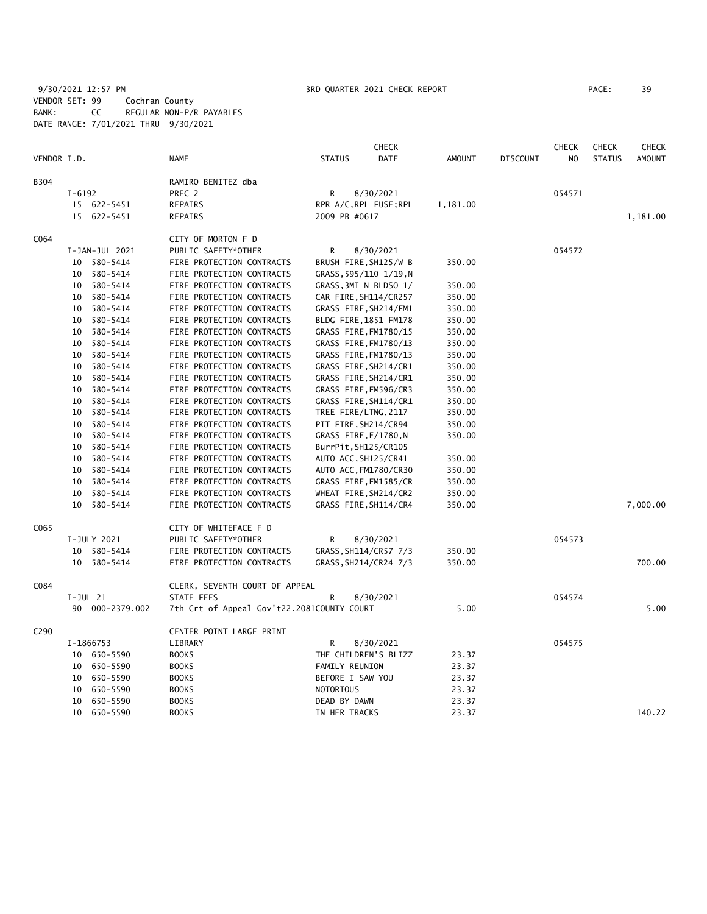9/30/2021 12:57 PM **3RD QUARTER 2021 CHECK REPORT** PAGE: 39 VENDOR SET: 99 Cochran County BANK: CC REGULAR NON-P/R PAYABLES DATE RANGE: 7/01/2021 THRU 9/30/2021

|             |            |                 |                                            |                       | <b>CHECK</b>           |               |                 | CHECK  | <b>CHECK</b>  | <b>CHECK</b>  |
|-------------|------------|-----------------|--------------------------------------------|-----------------------|------------------------|---------------|-----------------|--------|---------------|---------------|
| VENDOR I.D. |            |                 | <b>NAME</b>                                | <b>STATUS</b>         | DATE                   | <b>AMOUNT</b> | <b>DISCOUNT</b> | NO     | <b>STATUS</b> | <b>AMOUNT</b> |
| <b>B304</b> |            |                 | RAMIRO BENITEZ dba                         |                       |                        |               |                 |        |               |               |
|             | $I - 6192$ |                 | PREC 2                                     | R                     | 8/30/2021              |               |                 | 054571 |               |               |
|             |            | 15 622-5451     | REPAIRS                                    |                       | RPR A/C, RPL FUSE; RPL | 1,181.00      |                 |        |               |               |
|             |            | 15 622-5451     | REPAIRS                                    | 2009 PB #0617         |                        |               |                 |        |               | 1,181.00      |
| C064        |            |                 | CITY OF MORTON F D                         |                       |                        |               |                 |        |               |               |
|             |            | I-JAN-JUL 2021  | PUBLIC SAFETY*OTHER                        | R                     | 8/30/2021              |               |                 | 054572 |               |               |
|             |            | 10 580-5414     | FIRE PROTECTION CONTRACTS                  |                       | BRUSH FIRE, SH125/W B  | 350.00        |                 |        |               |               |
|             |            | 10 580-5414     | FIRE PROTECTION CONTRACTS                  |                       | GRASS, 595/110 1/19, N |               |                 |        |               |               |
|             | 10         | 580-5414        | FIRE PROTECTION CONTRACTS                  |                       | GRASS, 3MI N BLDSO 1/  | 350.00        |                 |        |               |               |
|             |            | 10 580-5414     | FIRE PROTECTION CONTRACTS                  |                       | CAR FIRE, SH114/CR257  | 350.00        |                 |        |               |               |
|             | 10         | 580-5414        | FIRE PROTECTION CONTRACTS                  |                       | GRASS FIRE, SH214/FM1  | 350.00        |                 |        |               |               |
|             | 10         | 580-5414        | FIRE PROTECTION CONTRACTS                  |                       | BLDG FIRE, 1851 FM178  | 350.00        |                 |        |               |               |
|             | 10         | 580-5414        | FIRE PROTECTION CONTRACTS                  |                       | GRASS FIRE, FM1780/15  | 350.00        |                 |        |               |               |
|             | 10         | 580-5414        | FIRE PROTECTION CONTRACTS                  |                       | GRASS FIRE, FM1780/13  | 350.00        |                 |        |               |               |
|             | 10         | 580-5414        | FIRE PROTECTION CONTRACTS                  |                       | GRASS FIRE, FM1780/13  | 350.00        |                 |        |               |               |
|             | 10         | 580-5414        | FIRE PROTECTION CONTRACTS                  |                       | GRASS FIRE, SH214/CR1  | 350.00        |                 |        |               |               |
|             | 10         | 580-5414        | FIRE PROTECTION CONTRACTS                  |                       | GRASS FIRE, SH214/CR1  | 350.00        |                 |        |               |               |
|             | 10         | 580-5414        | FIRE PROTECTION CONTRACTS                  |                       | GRASS FIRE, FM596/CR3  | 350.00        |                 |        |               |               |
|             | 10         | 580-5414        | FIRE PROTECTION CONTRACTS                  |                       | GRASS FIRE, SH114/CR1  | 350.00        |                 |        |               |               |
|             | 10         | 580-5414        | FIRE PROTECTION CONTRACTS                  | TREE FIRE/LTNG, 2117  |                        | 350.00        |                 |        |               |               |
|             | 10         | 580-5414        | FIRE PROTECTION CONTRACTS                  | PIT FIRE, SH214/CR94  |                        | 350.00        |                 |        |               |               |
|             | 10         | 580-5414        | FIRE PROTECTION CONTRACTS                  | GRASS FIRE, E/1780, N |                        | 350.00        |                 |        |               |               |
|             | 10         | 580-5414        | FIRE PROTECTION CONTRACTS                  | BurrPit, SH125/CR105  |                        |               |                 |        |               |               |
|             | 10         | 580-5414        | FIRE PROTECTION CONTRACTS                  | AUTO ACC, SH125/CR41  |                        | 350.00        |                 |        |               |               |
|             | 10         | 580-5414        | FIRE PROTECTION CONTRACTS                  |                       | AUTO ACC, FM1780/CR30  | 350.00        |                 |        |               |               |
|             | 10         | 580-5414        | FIRE PROTECTION CONTRACTS                  |                       | GRASS FIRE, FM1585/CR  | 350.00        |                 |        |               |               |
|             | 10         | 580-5414        | FIRE PROTECTION CONTRACTS                  |                       | WHEAT FIRE, SH214/CR2  | 350.00        |                 |        |               |               |
|             |            | 10 580-5414     | FIRE PROTECTION CONTRACTS                  |                       | GRASS FIRE, SH114/CR4  | 350.00        |                 |        |               | 7,000.00      |
| C065        |            |                 | CITY OF WHITEFACE F D                      |                       |                        |               |                 |        |               |               |
|             |            | I-JULY 2021     | PUBLIC SAFETY*OTHER                        | R                     | 8/30/2021              |               |                 | 054573 |               |               |
|             |            | 10 580-5414     | FIRE PROTECTION CONTRACTS                  |                       | GRASS, SH114/CR57 7/3  | 350.00        |                 |        |               |               |
|             |            | 10 580-5414     | FIRE PROTECTION CONTRACTS                  |                       | GRASS, SH214/CR24 7/3  | 350.00        |                 |        |               | 700.00        |
| C084        |            |                 | CLERK, SEVENTH COURT OF APPEAL             |                       |                        |               |                 |        |               |               |
|             | I-JUL 21   |                 | <b>STATE FEES</b>                          | R                     | 8/30/2021              |               |                 | 054574 |               |               |
|             |            | 90 000-2379.002 | 7th Crt of Appeal Gov't22.2081COUNTY COURT |                       |                        | 5.00          |                 |        |               | 5.00          |
| C290        |            |                 | CENTER POINT LARGE PRINT                   |                       |                        |               |                 |        |               |               |
|             |            | I-1866753       | LIBRARY                                    | R                     | 8/30/2021              |               |                 | 054575 |               |               |
|             |            | 10 650-5590     | <b>BOOKS</b>                               |                       | THE CHILDREN'S BLIZZ   | 23.37         |                 |        |               |               |
|             |            | 10 650-5590     | <b>BOOKS</b>                               | <b>FAMILY REUNION</b> |                        | 23.37         |                 |        |               |               |
|             | 10         | 650-5590        | <b>BOOKS</b>                               | BEFORE I SAW YOU      |                        | 23.37         |                 |        |               |               |
|             | 10         | 650-5590        | <b>BOOKS</b>                               | NOTORIOUS             |                        | 23.37         |                 |        |               |               |
|             |            | 10 650-5590     | <b>BOOKS</b>                               | DEAD BY DAWN          |                        | 23.37         |                 |        |               |               |
|             |            | 10 650-5590     | <b>BOOKS</b>                               | IN HER TRACKS         |                        | 23.37         |                 |        |               | 140.22        |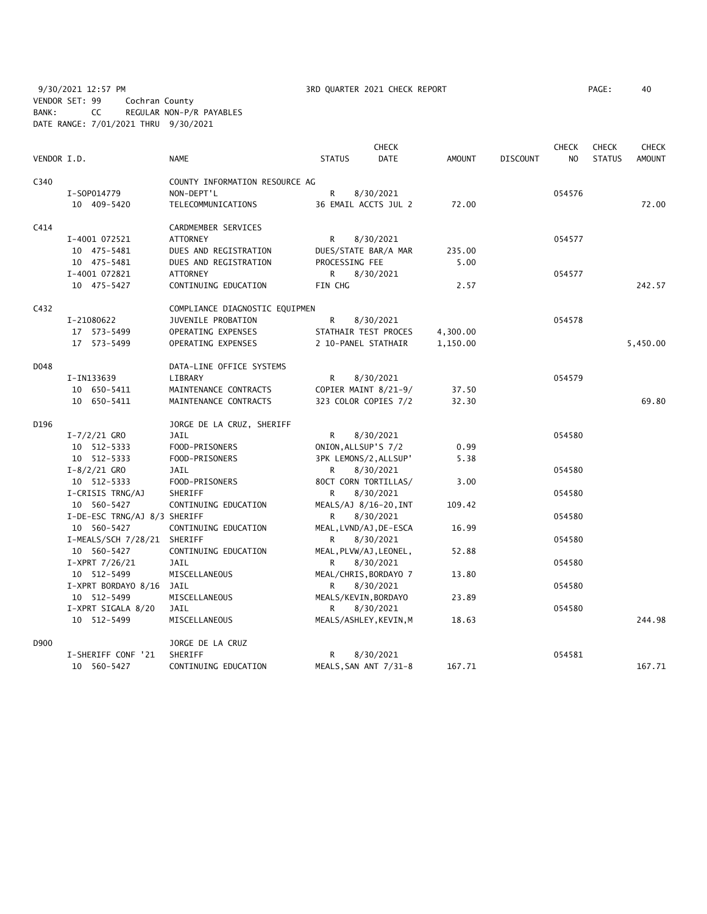9/30/2021 12:57 PM 3RD QUARTER 2021 CHECK REPORT PAGE: 40 VENDOR SET: 99 Cochran County BANK: CC REGULAR NON-P/R PAYABLES DATE RANGE: 7/01/2021 THRU 9/30/2021

|             |                              |                                |                       | <b>CHECK</b>           |               |                 | <b>CHECK</b>   | <b>CHECK</b>  | <b>CHECK</b>  |
|-------------|------------------------------|--------------------------------|-----------------------|------------------------|---------------|-----------------|----------------|---------------|---------------|
| VENDOR I.D. |                              | <b>NAME</b>                    | <b>STATUS</b>         | <b>DATE</b>            | <b>AMOUNT</b> | <b>DISCOUNT</b> | N <sub>O</sub> | <b>STATUS</b> | <b>AMOUNT</b> |
| C340        |                              | COUNTY INFORMATION RESOURCE AG |                       |                        |               |                 |                |               |               |
|             | I-S0P014779                  | NON-DEPT'L                     | $\mathsf{R}$          | 8/30/2021              |               |                 | 054576         |               |               |
|             | 10 409-5420                  | TELECOMMUNICATIONS             |                       | 36 EMAIL ACCTS JUL 2   | 72.00         |                 |                |               | 72.00         |
| C414        |                              | CARDMEMBER SERVICES            |                       |                        |               |                 |                |               |               |
|             | I-4001 072521                | <b>ATTORNEY</b>                | R                     | 8/30/2021              |               |                 | 054577         |               |               |
|             | 10 475-5481                  | DUES AND REGISTRATION          |                       | DUES/STATE BAR/A MAR   | 235.00        |                 |                |               |               |
|             | 10 475-5481                  | DUES AND REGISTRATION          | PROCESSING FEE        |                        | 5.00          |                 |                |               |               |
|             | I-4001 072821                | <b>ATTORNEY</b>                | R.                    | 8/30/2021              |               |                 | 054577         |               |               |
|             | 10 475-5427                  | CONTINUING EDUCATION           | FIN CHG               |                        | 2.57          |                 |                |               | 242.57        |
| C432        |                              | COMPLIANCE DIAGNOSTIC EQUIPMEN |                       |                        |               |                 |                |               |               |
|             | I-21080622                   | JUVENILE PROBATION             | R                     | 8/30/2021              |               |                 | 054578         |               |               |
|             | 17 573-5499                  | OPERATING EXPENSES             |                       | STATHAIR TEST PROCES   | 4,300.00      |                 |                |               |               |
|             | 17 573-5499                  | OPERATING EXPENSES             | 2 10-PANEL STATHAIR   |                        | 1,150.00      |                 |                |               | 5,450.00      |
| D048        |                              | DATA-LINE OFFICE SYSTEMS       |                       |                        |               |                 |                |               |               |
|             | I-IN133639                   | LIBRARY                        | R                     | 8/30/2021              |               |                 | 054579         |               |               |
|             | 10 650-5411                  | MAINTENANCE CONTRACTS          |                       | COPIER MAINT 8/21-9/   | 37.50         |                 |                |               |               |
|             | 10 650-5411                  | MAINTENANCE CONTRACTS          |                       | 323 COLOR COPIES 7/2   | 32.30         |                 |                |               | 69.80         |
| D196        |                              | JORGE DE LA CRUZ, SHERIFF      |                       |                        |               |                 |                |               |               |
|             | $I - 7/2/21$ GRO             | <b>JAIL</b>                    | R                     | 8/30/2021              |               |                 | 054580         |               |               |
|             | 10 512-5333                  | FOOD-PRISONERS                 | ONION, ALLSUP'S 7/2   |                        | 0.99          |                 |                |               |               |
|             | 10 512-5333                  | FOOD-PRISONERS                 | 3PK LEMONS/2, ALLSUP' |                        | 5.38          |                 |                |               |               |
|             | $I-8/2/21$ GRO               | <b>JAIL</b>                    | R                     | 8/30/2021              |               |                 | 054580         |               |               |
|             | 10 512-5333                  | FOOD-PRISONERS                 |                       | 80CT CORN TORTILLAS/   | 3.00          |                 |                |               |               |
|             | I-CRISIS TRNG/AJ             | SHERIFF                        | R                     | 8/30/2021              |               |                 | 054580         |               |               |
|             | 10 560-5427                  | CONTINUING EDUCATION           |                       | MEALS/AJ 8/16-20, INT  | 109.42        |                 |                |               |               |
|             | I-DE-ESC TRNG/AJ 8/3 SHERIFF |                                | R                     | 8/30/2021              |               |                 | 054580         |               |               |
|             | 10 560-5427                  | CONTINUING EDUCATION           |                       | MEAL, LVND/AJ, DE-ESCA | 16.99         |                 |                |               |               |
|             | I-MEALS/SCH 7/28/21 SHERIFF  |                                | R                     | 8/30/2021              |               |                 | 054580         |               |               |
|             | 10 560-5427                  | CONTINUING EDUCATION           |                       | MEAL, PLVW/AJ, LEONEL, | 52.88         |                 |                |               |               |
|             | $I-XPRT$ 7/26/21             | <b>JAIL</b>                    | R                     | 8/30/2021              |               |                 | 054580         |               |               |
|             | 10 512-5499                  | MISCELLANEOUS                  |                       | MEAL/CHRIS, BORDAYO 7  | 13.80         |                 |                |               |               |
|             | I-XPRT BORDAYO 8/16 JAIL     |                                | R.                    | 8/30/2021              |               |                 | 054580         |               |               |
|             | 10 512-5499                  | MISCELLANEOUS                  | MEALS/KEVIN, BORDAYO  |                        | 23.89         |                 |                |               |               |
|             | I-XPRT SIGALA 8/20           | JAIL                           | R                     | 8/30/2021              |               |                 | 054580         |               |               |
|             | 10 512-5499                  | MISCELLANEOUS                  |                       | MEALS/ASHLEY, KEVIN, M | 18.63         |                 |                |               | 244.98        |
| D900        |                              | JORGE DE LA CRUZ               |                       |                        |               |                 |                |               |               |
|             | I-SHERIFF CONF '21           | SHERIFF                        | R                     | 8/30/2021              |               |                 | 054581         |               |               |
|             | 10 560-5427                  | CONTINUING EDUCATION           |                       | MEALS, SAN ANT 7/31-8  | 167.71        |                 |                |               | 167.71        |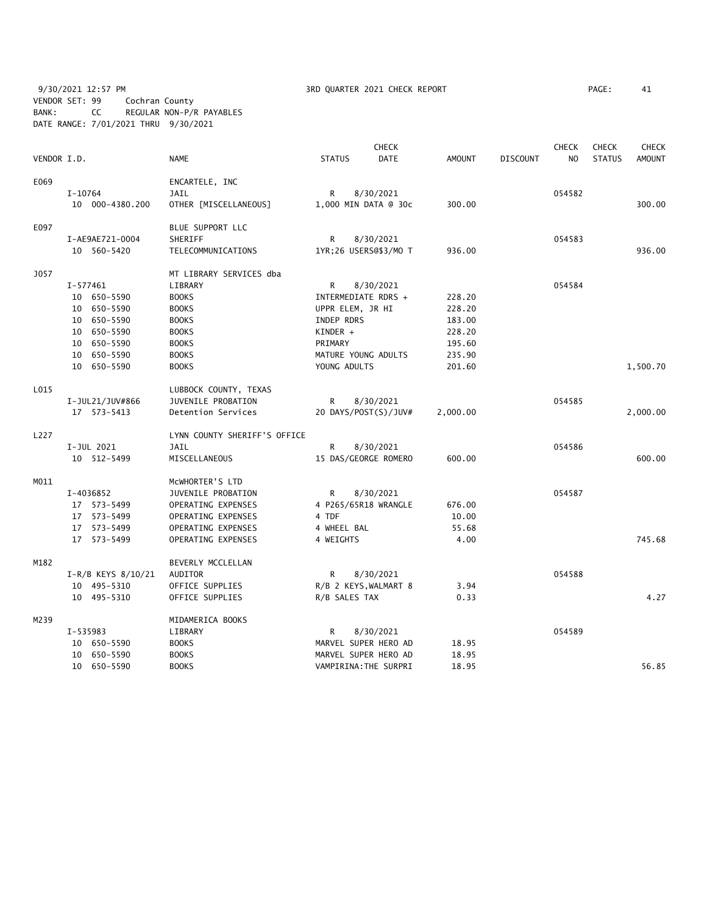9/30/2021 12:57 PM **3RD QUARTER 2021 CHECK REPORT** PAGE: 41 VENDOR SET: 99 Cochran County BANK: CC REGULAR NON-P/R PAYABLES DATE RANGE: 7/01/2021 THRU 9/30/2021

| VENDOR I.D. |                        | NAME                         | <b>STATUS</b>         | <b>CHECK</b><br><b>DATE</b> | AMOUNT   | <b>DISCOUNT</b> | <b>CHECK</b><br>NO. | <b>CHECK</b><br><b>STATUS</b> | <b>CHECK</b><br><b>AMOUNT</b> |
|-------------|------------------------|------------------------------|-----------------------|-----------------------------|----------|-----------------|---------------------|-------------------------------|-------------------------------|
| E069        |                        | ENCARTELE, INC               |                       |                             |          |                 |                     |                               |                               |
|             | $I-10764$              | JAIL                         | R                     | 8/30/2021                   |          |                 | 054582              |                               |                               |
|             | 10 000-4380.200        | OTHER [MISCELLANEOUS]        | 1,000 MIN DATA @ 30c  |                             | 300.00   |                 |                     |                               | 300.00                        |
| E097        |                        | BLUE SUPPORT LLC             |                       |                             |          |                 |                     |                               |                               |
|             | I-AE9AE721-0004        | SHERIFF                      | R                     | 8/30/2021                   |          |                 | 054583              |                               |                               |
|             | 10 560-5420            | TELECOMMUNICATIONS           | 1YR;26 USERS@\$3/MO T |                             | 936.00   |                 |                     |                               | 936.00                        |
| <b>J057</b> |                        | MT LIBRARY SERVICES dba      |                       |                             |          |                 |                     |                               |                               |
|             | I-577461               | LIBRARY                      | R                     | 8/30/2021                   |          |                 | 054584              |                               |                               |
|             | 10 650-5590            | <b>BOOKS</b>                 | INTERMEDIATE RDRS +   |                             | 228.20   |                 |                     |                               |                               |
|             | 10 650-5590            | <b>BOOKS</b>                 | UPPR ELEM, JR HI      |                             | 228.20   |                 |                     |                               |                               |
|             | 650-5590<br>10         | <b>BOOKS</b>                 | INDEP RDRS            |                             | 183.00   |                 |                     |                               |                               |
|             | 10 650-5590            | <b>BOOKS</b>                 | KINDER +              |                             | 228.20   |                 |                     |                               |                               |
|             | 10 650-5590            | <b>BOOKS</b>                 | PRIMARY               |                             | 195.60   |                 |                     |                               |                               |
|             | 10 650-5590            | <b>BOOKS</b>                 | MATURE YOUNG ADULTS   |                             | 235.90   |                 |                     |                               |                               |
|             | 10 650-5590            | <b>BOOKS</b>                 | YOUNG ADULTS          |                             | 201.60   |                 |                     |                               | 1,500.70                      |
| L015        |                        | LUBBOCK COUNTY, TEXAS        |                       |                             |          |                 |                     |                               |                               |
|             | I-JUL21/JUV#866        | JUVENILE PROBATION           | R                     | 8/30/2021                   |          |                 | 054585              |                               |                               |
|             | 17 573-5413            | Detention Services           | 20 DAYS/POST(S)/JUV#  |                             | 2,000.00 |                 |                     |                               | 2,000.00                      |
| L227        |                        | LYNN COUNTY SHERIFF'S OFFICE |                       |                             |          |                 |                     |                               |                               |
|             | I-JUL 2021             | <b>JAIL</b>                  | R                     | 8/30/2021                   |          |                 | 054586              |                               |                               |
|             | 10 512-5499            | MISCELLANEOUS                | 15 DAS/GEORGE ROMERO  |                             | 600.00   |                 |                     |                               | 600.00                        |
| M011        |                        | MCWHORTER'S LTD              |                       |                             |          |                 |                     |                               |                               |
|             | I-4036852              | JUVENILE PROBATION           | R                     | 8/30/2021                   |          |                 | 054587              |                               |                               |
|             | 17 573-5499            | OPERATING EXPENSES           | 4 P265/65R18 WRANGLE  |                             | 676.00   |                 |                     |                               |                               |
|             | 17 573-5499            | OPERATING EXPENSES           | 4 TDF                 |                             | 10.00    |                 |                     |                               |                               |
|             | 17 573-5499            | OPERATING EXPENSES           | 4 WHEEL BAL           |                             | 55.68    |                 |                     |                               |                               |
|             | 17 573-5499            | OPERATING EXPENSES           | 4 WEIGHTS             |                             | 4.00     |                 |                     |                               | 745.68                        |
| M182        |                        | BEVERLY MCCLELLAN            |                       |                             |          |                 |                     |                               |                               |
|             | $I-R/B$ KEYS $8/10/21$ | AUDITOR                      | R                     | 8/30/2021                   |          |                 | 054588              |                               |                               |
|             | 10 495-5310            | OFFICE SUPPLIES              | R/B 2 KEYS, WALMART 8 |                             | 3.94     |                 |                     |                               |                               |
|             | 10 495-5310            | OFFICE SUPPLIES              | R/B SALES TAX         |                             | 0.33     |                 |                     |                               | 4.27                          |
| M239        |                        | MIDAMERICA BOOKS             |                       |                             |          |                 |                     |                               |                               |
|             | I-535983               | LIBRARY                      | R                     | 8/30/2021                   |          |                 | 054589              |                               |                               |
|             | 10 650-5590            | <b>BOOKS</b>                 | MARVEL SUPER HERO AD  |                             | 18.95    |                 |                     |                               |                               |
|             | 10 650-5590            | <b>BOOKS</b>                 | MARVEL SUPER HERO AD  |                             | 18.95    |                 |                     |                               |                               |
|             | 10 650-5590            | <b>BOOKS</b>                 | VAMPIRINA: THE SURPRI |                             | 18.95    |                 |                     |                               | 56.85                         |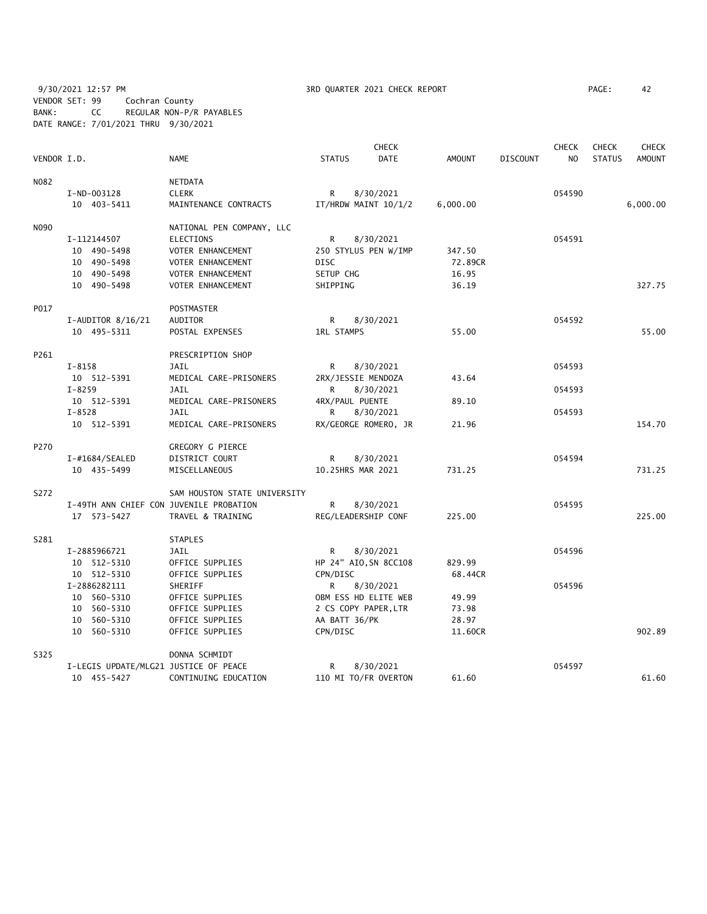9/30/2021 12:57 PM **3RD QUARTER 2021 CHECK REPORT** PAGE: 42 VENDOR SET: 99 Cochran County BANK: CC REGULAR NON-P/R PAYABLES DATE RANGE: 7/01/2021 THRU 9/30/2021

|             |                                         |                              |                   | <b>CHECK</b>          |          |                 | <b>CHECK</b> | <b>CHECK</b>  | <b>CHECK</b>  |
|-------------|-----------------------------------------|------------------------------|-------------------|-----------------------|----------|-----------------|--------------|---------------|---------------|
| VENDOR I.D. |                                         | <b>NAME</b>                  | <b>STATUS</b>     | DATE                  | AMOUNT   | <b>DISCOUNT</b> | NO.          | <b>STATUS</b> | <b>AMOUNT</b> |
| N082        |                                         | NETDATA                      |                   |                       |          |                 |              |               |               |
|             | I-ND-003128                             | <b>CLERK</b>                 | R                 | 8/30/2021             |          |                 | 054590       |               |               |
|             | 10 403-5411                             | MAINTENANCE CONTRACTS        |                   | IT/HRDW MAINT 10/1/2  | 6,000.00 |                 |              |               | 6,000.00      |
| N090        |                                         | NATIONAL PEN COMPANY, LLC    |                   |                       |          |                 |              |               |               |
|             | I-112144507                             | <b>ELECTIONS</b>             | R                 | 8/30/2021             |          |                 | 054591       |               |               |
|             | 10 490-5498                             | VOTER ENHANCEMENT            |                   | 250 STYLUS PEN W/IMP  | 347.50   |                 |              |               |               |
|             | 10 490-5498                             | VOTER ENHANCEMENT            | <b>DISC</b>       |                       | 72.89CR  |                 |              |               |               |
|             | 10 490-5498                             | VOTER ENHANCEMENT            | SETUP CHG         |                       | 16.95    |                 |              |               |               |
|             | 10 490-5498                             | VOTER ENHANCEMENT            | SHIPPING          |                       | 36.19    |                 |              |               | 327.75        |
| P017        |                                         | <b>POSTMASTER</b>            |                   |                       |          |                 |              |               |               |
|             | $I-AUDITOR 8/16/21$                     | AUDITOR                      | R                 | 8/30/2021             |          |                 | 054592       |               |               |
|             | 10 495-5311                             | POSTAL EXPENSES              | <b>1RL STAMPS</b> |                       | 55.00    |                 |              |               | 55.00         |
| P261        |                                         | PRESCRIPTION SHOP            |                   |                       |          |                 |              |               |               |
|             | $I - 8158$                              | JAIL                         | R                 | 8/30/2021             |          |                 | 054593       |               |               |
|             | 10 512-5391                             | MEDICAL CARE-PRISONERS       |                   | 2RX/JESSIE MENDOZA    | 43.64    |                 |              |               |               |
|             | $I - 8259$                              | <b>JAIL</b>                  | R                 | 8/30/2021             |          |                 | 054593       |               |               |
|             | 10 512-5391                             | MEDICAL CARE-PRISONERS       | 4RX/PAUL PUENTE   |                       | 89.10    |                 |              |               |               |
|             | $I - 8528$                              | <b>JAIL</b>                  | R                 | 8/30/2021             |          |                 | 054593       |               |               |
|             | 10 512-5391                             | MEDICAL CARE-PRISONERS       |                   | RX/GEORGE ROMERO, JR  | 21.96    |                 |              |               | 154.70        |
| P270        |                                         | GREGORY G PIERCE             |                   |                       |          |                 |              |               |               |
|             | $I$ -#1684/SEALED                       | DISTRICT COURT               | R                 | 8/30/2021             |          |                 | 054594       |               |               |
|             | 10 435-5499                             | MISCELLANEOUS                | 10.25HRS MAR 2021 |                       | 731.25   |                 |              |               | 731.25        |
| S272        |                                         | SAM HOUSTON STATE UNIVERSITY |                   |                       |          |                 |              |               |               |
|             | I-49TH ANN CHIEF CON JUVENILE PROBATION |                              | R                 | 8/30/2021             |          |                 | 054595       |               |               |
|             | 17 573-5427                             | TRAVEL & TRAINING            |                   | REG/LEADERSHIP CONF   | 225.00   |                 |              |               | 225.00        |
| S281        |                                         | <b>STAPLES</b>               |                   |                       |          |                 |              |               |               |
|             | I-2885966721                            | <b>JAIL</b>                  | R                 | 8/30/2021             |          |                 | 054596       |               |               |
|             | 10 512-5310                             | OFFICE SUPPLIES              |                   | HP 24" AIO, SN 8CC108 | 829.99   |                 |              |               |               |
|             | 10 512-5310                             | OFFICE SUPPLIES              | CPN/DISC          |                       | 68.44CR  |                 |              |               |               |
|             | I-2886282111                            | SHERIFF                      | R.                | 8/30/2021             |          |                 | 054596       |               |               |
|             | 10 560-5310                             | OFFICE SUPPLIES              |                   | OBM ESS HD ELITE WEB  | 49.99    |                 |              |               |               |
|             | 10 560-5310                             | OFFICE SUPPLIES              |                   | 2 CS COPY PAPER, LTR  | 73.98    |                 |              |               |               |
|             | 10 560-5310                             | OFFICE SUPPLIES              | AA BATT 36/PK     |                       | 28.97    |                 |              |               | 902.89        |
|             | 10 560-5310                             | OFFICE SUPPLIES              | CPN/DISC          |                       | 11.60CR  |                 |              |               |               |
| S325        |                                         | DONNA SCHMIDT                |                   |                       |          |                 |              |               |               |
|             | I-LEGIS UPDATE/MLG21 JUSTICE OF PEACE   |                              | R                 | 8/30/2021             |          |                 | 054597       |               |               |
|             | 10 455-5427                             | CONTINUING EDUCATION         |                   | 110 MI TO/FR OVERTON  | 61.60    |                 |              |               | 61.60         |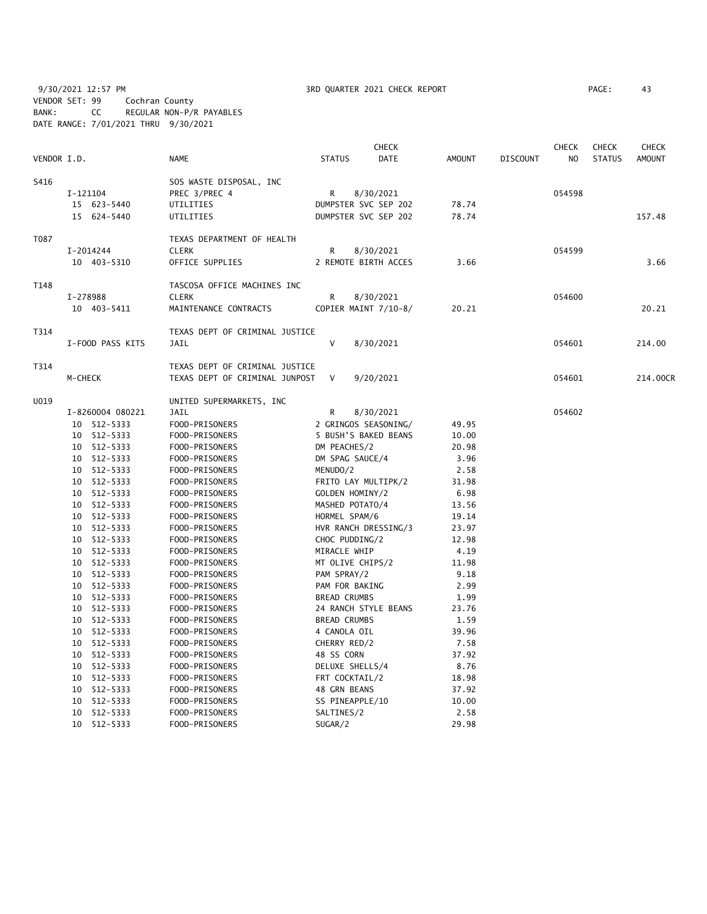9/30/2021 12:57 PM **3RD QUARTER 2021 CHECK REPORT** PAGE: 43 VENDOR SET: 99 Cochran County BANK: CC REGULAR NON-P/R PAYABLES DATE RANGE: 7/01/2021 THRU 9/30/2021

|             |                  |                                |                     | <b>CHECK</b>         |        |                 | <b>CHECK</b> | <b>CHECK</b>  | <b>CHECK</b> |
|-------------|------------------|--------------------------------|---------------------|----------------------|--------|-----------------|--------------|---------------|--------------|
| VENDOR I.D. |                  | NAME                           | <b>STATUS</b>       | DATE                 | AMOUNT | <b>DISCOUNT</b> | NO           | <b>STATUS</b> | AMOUNT       |
| S416        |                  | SOS WASTE DISPOSAL, INC        |                     |                      |        |                 |              |               |              |
|             | I-121104         | PREC 3/PREC 4                  | R                   | 8/30/2021            |        |                 | 054598       |               |              |
|             | 15 623-5440      | UTILITIES                      |                     | DUMPSTER SVC SEP 202 | 78.74  |                 |              |               |              |
|             | 15 624-5440      | UTILITIES                      |                     | DUMPSTER SVC SEP 202 | 78.74  |                 |              |               | 157.48       |
|             |                  |                                |                     |                      |        |                 |              |               |              |
| T087        |                  | TEXAS DEPARTMENT OF HEALTH     |                     |                      |        |                 |              |               |              |
|             | I-2014244        | <b>CLERK</b>                   | R                   | 8/30/2021            |        |                 | 054599       |               |              |
|             | 10 403-5310      | OFFICE SUPPLIES                |                     | 2 REMOTE BIRTH ACCES | 3.66   |                 |              |               | 3.66         |
| T148        |                  | TASCOSA OFFICE MACHINES INC    |                     |                      |        |                 |              |               |              |
|             | I-278988         | <b>CLERK</b>                   | R                   | 8/30/2021            |        |                 | 054600       |               |              |
|             | 10 403-5411      | MAINTENANCE CONTRACTS          |                     | COPIER MAINT 7/10-8/ | 20.21  |                 |              |               | 20.21        |
| T314        |                  | TEXAS DEPT OF CRIMINAL JUSTICE |                     |                      |        |                 |              |               |              |
|             | I-FOOD PASS KITS | <b>JAIL</b>                    | $\vee$              | 8/30/2021            |        |                 | 054601       |               | 214.00       |
|             |                  |                                |                     |                      |        |                 |              |               |              |
| T314        |                  | TEXAS DEPT OF CRIMINAL JUSTICE |                     |                      |        |                 |              |               |              |
|             | M-CHECK          | TEXAS DEPT OF CRIMINAL JUNPOST | V                   | 9/20/2021            |        |                 | 054601       |               | 214.00CR     |
| U019        |                  | UNITED SUPERMARKETS, INC       |                     |                      |        |                 |              |               |              |
|             | I-8260004 080221 | <b>JAIL</b>                    | R                   | 8/30/2021            |        |                 | 054602       |               |              |
|             | 10 512-5333      | FOOD-PRISONERS                 |                     | 2 GRINGOS SEASONING/ | 49.95  |                 |              |               |              |
|             | 10 512-5333      | FOOD-PRISONERS                 |                     | 5 BUSH'S BAKED BEANS | 10.00  |                 |              |               |              |
|             | 10 512-5333      | FOOD-PRISONERS                 | DM PEACHES/2        |                      | 20.98  |                 |              |               |              |
|             | 10 512-5333      | FOOD-PRISONERS                 | DM SPAG SAUCE/4     |                      | 3.96   |                 |              |               |              |
|             | 10 512-5333      | FOOD-PRISONERS                 | MENUDO/2            |                      | 2.58   |                 |              |               |              |
|             | 10 512-5333      | FOOD-PRISONERS                 | FRITO LAY MULTIPK/2 |                      | 31.98  |                 |              |               |              |
|             | 10 512-5333      | FOOD-PRISONERS                 | GOLDEN HOMINY/2     |                      | 6.98   |                 |              |               |              |
|             | 10 512-5333      | FOOD-PRISONERS                 | MASHED POTATO/4     |                      | 13.56  |                 |              |               |              |
|             | 10 512-5333      | FOOD-PRISONERS                 | HORMEL SPAM/6       |                      | 19.14  |                 |              |               |              |
|             | 10 512-5333      | FOOD-PRISONERS                 |                     | HVR RANCH DRESSING/3 | 23.97  |                 |              |               |              |
|             | 10 512-5333      | FOOD-PRISONERS                 | CHOC PUDDING/2      |                      | 12.98  |                 |              |               |              |
|             | 10 512-5333      | FOOD-PRISONERS                 | MIRACLE WHIP        |                      | 4.19   |                 |              |               |              |
|             | 10 512-5333      | FOOD-PRISONERS                 | MT OLIVE CHIPS/2    |                      | 11.98  |                 |              |               |              |
|             | 10 512-5333      | FOOD-PRISONERS                 | PAM SPRAY/2         |                      | 9.18   |                 |              |               |              |
|             | 10 512-5333      | FOOD-PRISONERS                 | PAM FOR BAKING      |                      | 2.99   |                 |              |               |              |
|             | 10 512-5333      | FOOD-PRISONERS                 | <b>BREAD CRUMBS</b> |                      | 1.99   |                 |              |               |              |
|             | 10 512-5333      | FOOD-PRISONERS                 |                     | 24 RANCH STYLE BEANS | 23.76  |                 |              |               |              |
|             | 10 512-5333      | FOOD-PRISONERS                 | <b>BREAD CRUMBS</b> |                      | 1.59   |                 |              |               |              |
|             | 10 512-5333      | FOOD-PRISONERS                 | 4 CANOLA OIL        |                      | 39.96  |                 |              |               |              |
|             | 10 512-5333      | FOOD-PRISONERS                 | CHERRY RED/2        |                      | 7.58   |                 |              |               |              |
|             | 10 512-5333      | FOOD-PRISONERS                 | 48 SS CORN          |                      | 37.92  |                 |              |               |              |
|             | 10 512-5333      | FOOD-PRISONERS                 | DELUXE SHELLS/4     |                      | 8.76   |                 |              |               |              |
|             | 10 512-5333      | FOOD-PRISONERS                 | FRT COCKTAIL/2      |                      | 18.98  |                 |              |               |              |
|             | 10 512-5333      | FOOD-PRISONERS                 | 48 GRN BEANS        |                      | 37.92  |                 |              |               |              |
|             | 10 512-5333      | FOOD-PRISONERS                 | SS PINEAPPLE/10     |                      | 10.00  |                 |              |               |              |
|             | 10 512-5333      | FOOD-PRISONERS                 | SALTINES/2          |                      | 2.58   |                 |              |               |              |
|             | 10 512-5333      | FOOD-PRISONERS                 | SUGAR/2             |                      | 29.98  |                 |              |               |              |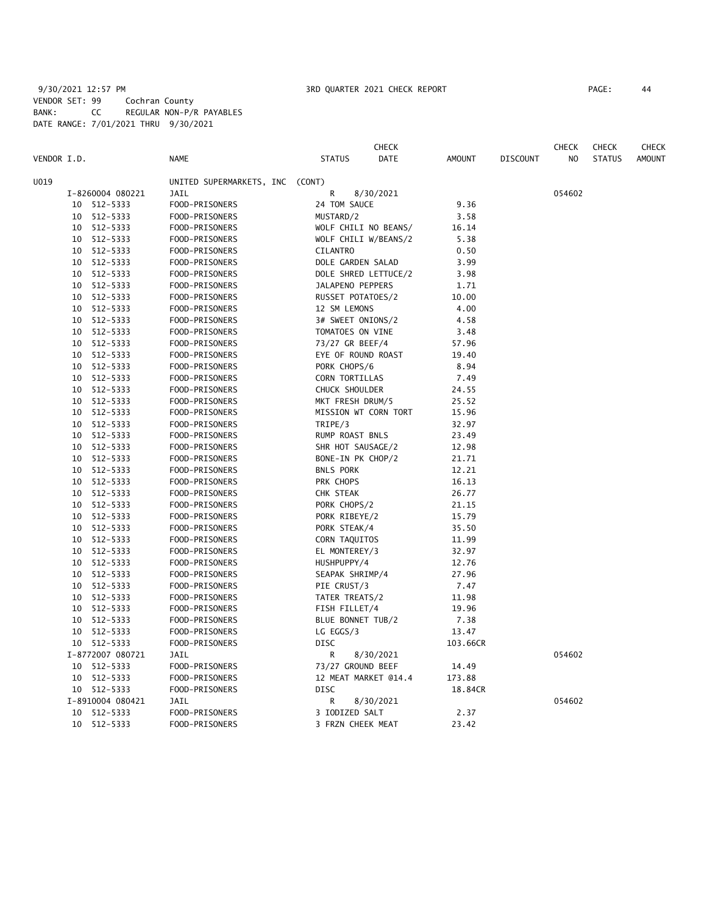# 9/30/2021 12:57 PM **3RD QUARTER 2021 CHECK REPORT** PAGE: 44 VENDOR SET: 99 Cochran County BANK: CC REGULAR NON-P/R PAYABLES DATE RANGE: 7/01/2021 THRU 9/30/2021

|             |    |                  |                                 |                      | <b>CHECK</b> |               |                 | <b>CHECK</b>   | <b>CHECK</b>  | <b>CHECK</b>  |
|-------------|----|------------------|---------------------------------|----------------------|--------------|---------------|-----------------|----------------|---------------|---------------|
| VENDOR I.D. |    |                  | <b>NAME</b>                     | <b>STATUS</b>        | DATE         | <b>AMOUNT</b> | <b>DISCOUNT</b> | N <sub>O</sub> | <b>STATUS</b> | <b>AMOUNT</b> |
| U019        |    |                  | UNITED SUPERMARKETS, INC (CONT) |                      |              |               |                 |                |               |               |
|             |    | I-8260004 080221 | JAIL                            | R                    | 8/30/2021    |               |                 | 054602         |               |               |
|             |    | 10 512-5333      | FOOD-PRISONERS                  | 24 TOM SAUCE         |              | 9.36          |                 |                |               |               |
|             |    | 10 512-5333      | FOOD-PRISONERS                  | MUSTARD/2            |              | 3.58          |                 |                |               |               |
|             |    | 10 512-5333      | FOOD-PRISONERS                  | WOLF CHILI NO BEANS/ |              | 16.14         |                 |                |               |               |
|             |    | 10 512-5333      | FOOD-PRISONERS                  | WOLF CHILI W/BEANS/2 |              | 5.38          |                 |                |               |               |
|             | 10 | 512-5333         | FOOD-PRISONERS                  | <b>CILANTRO</b>      |              | 0.50          |                 |                |               |               |
|             |    | 10 512-5333      | FOOD-PRISONERS                  | DOLE GARDEN SALAD    |              | 3.99          |                 |                |               |               |
|             |    | 10 512-5333      | FOOD-PRISONERS                  | DOLE SHRED LETTUCE/2 |              | 3.98          |                 |                |               |               |
|             |    | 10 512-5333      | FOOD-PRISONERS                  | JALAPENO PEPPERS     |              | 1.71          |                 |                |               |               |
|             |    | 10 512-5333      | FOOD-PRISONERS                  | RUSSET POTATOES/2    |              | 10.00         |                 |                |               |               |
|             |    | 10 512-5333      | FOOD-PRISONERS                  | 12 SM LEMONS         |              | 4.00          |                 |                |               |               |
|             |    | 10 512-5333      | FOOD-PRISONERS                  | 3# SWEET ONIONS/2    |              | 4.58          |                 |                |               |               |
|             |    | 10 512-5333      | FOOD-PRISONERS                  | TOMATOES ON VINE     |              | 3.48          |                 |                |               |               |
|             |    | 10 512-5333      | FOOD-PRISONERS                  | 73/27 GR BEEF/4      |              | 57.96         |                 |                |               |               |
|             |    | 10 512-5333      | FOOD-PRISONERS                  | EYE OF ROUND ROAST   |              | 19.40         |                 |                |               |               |
|             |    | 10 512-5333      | FOOD-PRISONERS                  | PORK CHOPS/6         |              | 8.94          |                 |                |               |               |
|             |    | 10 512-5333      | FOOD-PRISONERS                  | CORN TORTILLAS       |              | 7.49          |                 |                |               |               |
|             |    | 10 512-5333      | FOOD-PRISONERS                  | CHUCK SHOULDER       |              | 24.55         |                 |                |               |               |
|             |    | 10 512-5333      | FOOD-PRISONERS                  | MKT FRESH DRUM/5     |              | 25.52         |                 |                |               |               |
|             |    | 10 512-5333      | FOOD-PRISONERS                  | MISSION WT CORN TORT |              | 15.96         |                 |                |               |               |
|             |    | 10 512-5333      | FOOD-PRISONERS                  | TRIPE/3              |              | 32.97         |                 |                |               |               |
|             |    | 10 512-5333      | FOOD-PRISONERS                  | RUMP ROAST BNLS      |              | 23.49         |                 |                |               |               |
|             |    | 10 512-5333      | FOOD-PRISONERS                  | SHR HOT SAUSAGE/2    |              | 12.98         |                 |                |               |               |
|             |    | 10 512-5333      | FOOD-PRISONERS                  | BONE-IN PK CHOP/2    |              | 21.71         |                 |                |               |               |
|             |    | 10 512-5333      | FOOD-PRISONERS                  | <b>BNLS PORK</b>     |              | 12.21         |                 |                |               |               |
|             |    | 10 512-5333      | FOOD-PRISONERS                  | PRK CHOPS            |              | 16.13         |                 |                |               |               |
|             |    | 10 512-5333      | FOOD-PRISONERS                  | CHK STEAK            |              | 26.77         |                 |                |               |               |
|             |    | 10 512-5333      | FOOD-PRISONERS                  | PORK CHOPS/2         |              | 21.15         |                 |                |               |               |
|             | 10 | 512-5333         | FOOD-PRISONERS                  | PORK RIBEYE/2        |              | 15.79         |                 |                |               |               |
|             | 10 | 512-5333         | FOOD-PRISONERS                  | PORK STEAK/4         |              | 35.50         |                 |                |               |               |
|             |    | 10 512-5333      | FOOD-PRISONERS                  | CORN TAQUITOS        |              | 11.99         |                 |                |               |               |
|             |    | 10 512-5333      | FOOD-PRISONERS                  | EL MONTEREY/3        |              | 32.97         |                 |                |               |               |
|             |    | 10 512-5333      | FOOD-PRISONERS                  | HUSHPUPPY/4          |              | 12.76         |                 |                |               |               |
|             |    | 10 512-5333      | FOOD-PRISONERS                  | SEAPAK SHRIMP/4      |              | 27.96         |                 |                |               |               |
|             |    | 10 512-5333      | FOOD-PRISONERS                  | PIE CRUST/3          |              | 7.47          |                 |                |               |               |
|             |    | 10 512-5333      | FOOD-PRISONERS                  | TATER TREATS/2       |              | 11.98         |                 |                |               |               |
|             |    | 10 512-5333      | FOOD-PRISONERS                  | FISH FILLET/4        |              | 19.96         |                 |                |               |               |
|             | 10 | 512-5333         | FOOD-PRISONERS                  | BLUE BONNET TUB/2    |              | 7.38          |                 |                |               |               |
|             |    | 10 512-5333      | FOOD-PRISONERS                  | LG EGGS/3            |              | 13.47         |                 |                |               |               |
|             |    | 10 512-5333      | FOOD-PRISONERS                  | <b>DISC</b>          |              | 103.66CR      |                 |                |               |               |
|             |    | I-8772007 080721 | JAIL                            | R                    | 8/30/2021    |               |                 | 054602         |               |               |
|             |    | 10 512-5333      | FOOD-PRISONERS                  | 73/27 GROUND BEEF    |              | 14.49         |                 |                |               |               |
|             |    | 10 512-5333      | FOOD-PRISONERS                  | 12 MEAT MARKET @14.4 |              | 173.88        |                 |                |               |               |
|             |    | 10 512-5333      | FOOD-PRISONERS                  | <b>DISC</b>          |              | 18.84CR       |                 |                |               |               |
|             |    | I-8910004 080421 | <b>JAIL</b>                     | R                    | 8/30/2021    |               |                 | 054602         |               |               |
|             | 10 | 512-5333         | FOOD-PRISONERS                  | 3 IODIZED SALT       |              | 2.37          |                 |                |               |               |
|             |    | 10 512-5333      | FOOD-PRISONERS                  | 3 FRZN CHEEK MEAT    |              | 23.42         |                 |                |               |               |
|             |    |                  |                                 |                      |              |               |                 |                |               |               |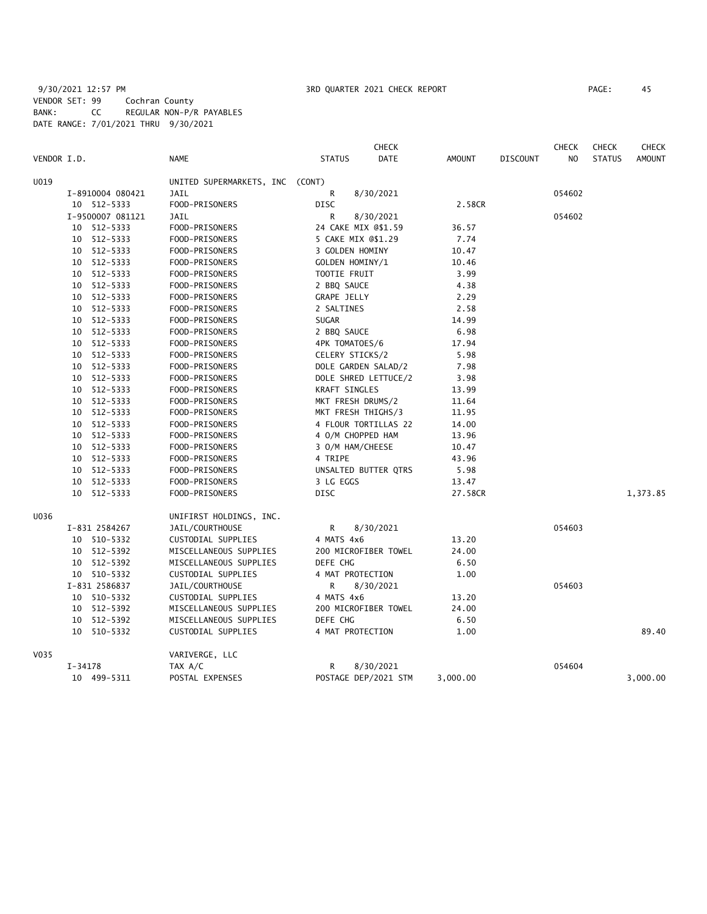# 9/30/2021 12:57 PM 3RD QUARTER 2021 CHECK REPORT PAGE: 45 VENDOR SET: 99 Cochran County BANK: CC REGULAR NON-P/R PAYABLES DATE RANGE: 7/01/2021 THRU 9/30/2021

| VENDOR I.D. |             |                            | <b>NAME</b>                                  | <b>STATUS</b>      | <b>CHECK</b><br>DATE | <b>AMOUNT</b> | <b>DISCOUNT</b> | <b>CHECK</b><br>NO | <b>CHECK</b><br><b>STATUS</b> | <b>CHECK</b><br><b>AMOUNT</b> |
|-------------|-------------|----------------------------|----------------------------------------------|--------------------|----------------------|---------------|-----------------|--------------------|-------------------------------|-------------------------------|
| U019        |             |                            | UNITED SUPERMARKETS, INC (CONT)              |                    |                      |               |                 |                    |                               |                               |
|             |             | I-8910004 080421           | <b>JAIL</b>                                  | R                  | 8/30/2021            |               |                 | 054602             |                               |                               |
|             |             | 10 512-5333                | FOOD-PRISONERS                               | <b>DISC</b>        |                      | 2.58CR        |                 |                    |                               |                               |
|             |             | I-9500007 081121           | <b>JAIL</b>                                  | R                  | 8/30/2021            |               |                 | 054602             |                               |                               |
|             |             | 10 512-5333                | FOOD-PRISONERS                               |                    | 24 CAKE MIX @\$1.59  | 36.57         |                 |                    |                               |                               |
|             |             | 10 512-5333                | FOOD-PRISONERS                               |                    | 5 CAKE MIX @\$1.29   | 7.74          |                 |                    |                               |                               |
|             |             | 10 512-5333                | FOOD-PRISONERS                               |                    | 3 GOLDEN HOMINY      | 10.47         |                 |                    |                               |                               |
|             |             | 10 512-5333                | FOOD-PRISONERS                               |                    | GOLDEN HOMINY/1      | 10.46         |                 |                    |                               |                               |
|             |             | 10 512-5333                | FOOD-PRISONERS                               | TOOTIE FRUIT       |                      | 3.99          |                 |                    |                               |                               |
|             |             | 10 512-5333                | FOOD-PRISONERS                               | 2 BBQ SAUCE        |                      | 4.38          |                 |                    |                               |                               |
|             | 10          | 512-5333                   | FOOD-PRISONERS                               | <b>GRAPE JELLY</b> |                      | 2.29          |                 |                    |                               |                               |
|             |             | 10 512-5333                | FOOD-PRISONERS                               | 2 SALTINES         |                      | 2.58          |                 |                    |                               |                               |
|             |             | 10 512-5333                | FOOD-PRISONERS                               | <b>SUGAR</b>       |                      | 14.99         |                 |                    |                               |                               |
|             |             | 10 512-5333                | FOOD-PRISONERS                               | 2 BBQ SAUCE        |                      | 6.98          |                 |                    |                               |                               |
|             |             | 10 512-5333                | FOOD-PRISONERS                               |                    | 4PK TOMATOES/6       | 17.94         |                 |                    |                               |                               |
|             |             | 10 512-5333                | FOOD-PRISONERS                               |                    | CELERY STICKS/2      | 5.98          |                 |                    |                               |                               |
|             | 10          | 512-5333                   | FOOD-PRISONERS                               |                    | DOLE GARDEN SALAD/2  | 7.98          |                 |                    |                               |                               |
|             |             | 10 512-5333                | FOOD-PRISONERS                               |                    | DOLE SHRED LETTUCE/2 | 3.98          |                 |                    |                               |                               |
|             |             | 10 512-5333                | FOOD-PRISONERS                               |                    | KRAFT SINGLES        | 13.99         |                 |                    |                               |                               |
|             | 10          | 512-5333                   | FOOD-PRISONERS                               |                    | MKT FRESH DRUMS/2    | 11.64         |                 |                    |                               |                               |
|             |             | 10 512-5333                | FOOD-PRISONERS                               |                    | MKT FRESH THIGHS/3   | 11.95         |                 |                    |                               |                               |
|             |             | 10 512-5333                | FOOD-PRISONERS                               |                    | 4 FLOUR TORTILLAS 22 | 14.00         |                 |                    |                               |                               |
|             |             | 10 512-5333                | FOOD-PRISONERS                               |                    | 4 O/M CHOPPED HAM    | 13.96         |                 |                    |                               |                               |
|             |             | 10 512-5333                | FOOD-PRISONERS                               |                    | 3 O/M HAM/CHEESE     | 10.47         |                 |                    |                               |                               |
|             |             | 10 512-5333                | FOOD-PRISONERS                               | 4 TRIPE            |                      | 43.96         |                 |                    |                               |                               |
|             |             | 10 512-5333                | FOOD-PRISONERS                               |                    | UNSALTED BUTTER QTRS | 5.98          |                 |                    |                               |                               |
|             |             | 10 512-5333                | FOOD-PRISONERS                               | 3 LG EGGS          |                      | 13.47         |                 |                    |                               |                               |
|             |             | 10 512-5333                | FOOD-PRISONERS                               | <b>DISC</b>        |                      | 27.58CR       |                 |                    |                               | 1,373.85                      |
| U036        |             |                            | UNIFIRST HOLDINGS, INC.                      |                    |                      |               |                 |                    |                               |                               |
|             |             | I-831 2584267              | JAIL/COURTHOUSE                              | R                  | 8/30/2021            |               |                 | 054603             |                               |                               |
|             |             | 10 510-5332                | CUSTODIAL SUPPLIES                           | 4 MATS 4x6         |                      | 13.20         |                 |                    |                               |                               |
|             |             | 10 512-5392                | MISCELLANEOUS SUPPLIES                       |                    | 200 MICROFIBER TOWEL | 24.00         |                 |                    |                               |                               |
|             |             | 10 512-5392                | MISCELLANEOUS SUPPLIES                       | DEFE CHG           |                      | 6.50          |                 |                    |                               |                               |
|             |             | 10 510-5332                | CUSTODIAL SUPPLIES                           |                    | 4 MAT PROTECTION     | 1.00          |                 |                    |                               |                               |
|             |             | I-831 2586837              | JAIL/COURTHOUSE                              | R                  | 8/30/2021            |               |                 | 054603             |                               |                               |
|             |             | 10 510-5332                | CUSTODIAL SUPPLIES                           | 4 MATS 4x6         |                      | 13.20         |                 |                    |                               |                               |
|             |             | 10 512-5392                | MISCELLANEOUS SUPPLIES                       |                    | 200 MICROFIBER TOWEL | 24.00         |                 |                    |                               |                               |
|             |             | 10 512-5392<br>10 510-5332 | MISCELLANEOUS SUPPLIES<br>CUSTODIAL SUPPLIES | DEFE CHG           | 4 MAT PROTECTION     | 6.50<br>1.00  |                 |                    |                               | 89.40                         |
|             |             |                            |                                              |                    |                      |               |                 |                    |                               |                               |
| V035        |             |                            | VARIVERGE, LLC                               |                    |                      |               |                 |                    |                               |                               |
|             | $I - 34178$ |                            | TAX A/C                                      | R                  | 8/30/2021            |               |                 | 054604             |                               |                               |
|             |             | 10 499-5311                | POSTAL EXPENSES                              |                    | POSTAGE DEP/2021 STM | 3,000.00      |                 |                    |                               | 3,000.00                      |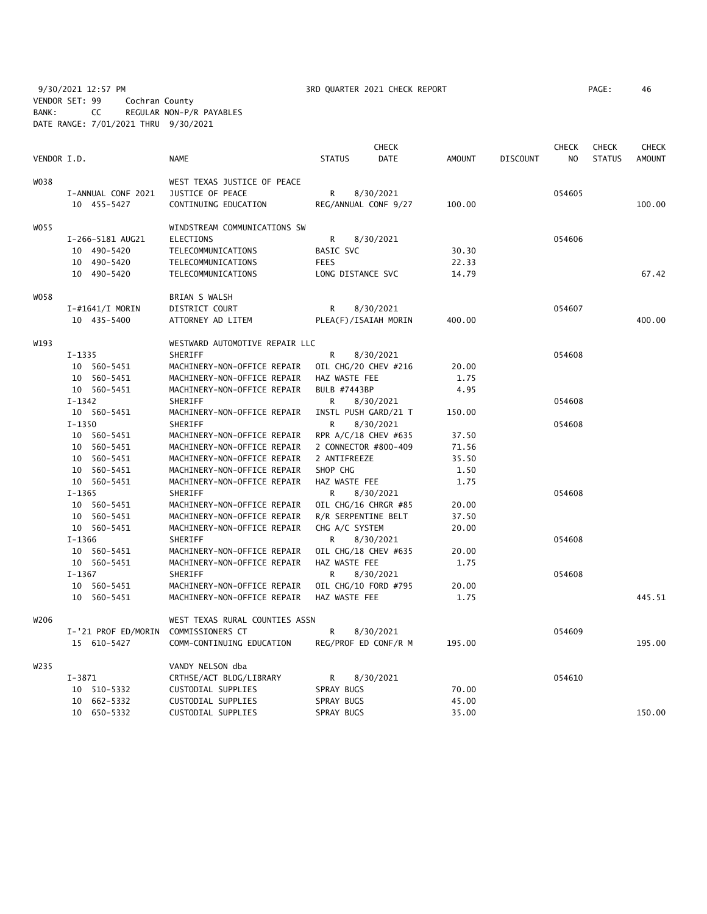9/30/2021 12:57 PM **3RD QUARTER 2021 CHECK REPORT** PAGE: 46 VENDOR SET: 99 Cochran County BANK: CC REGULAR NON-P/R PAYABLES DATE RANGE: 7/01/2021 THRU 9/30/2021

| AGE: |  | 4( |
|------|--|----|
|      |  |    |

|                  |                     |                                |                      | <b>CHECK</b> |               |          | <b>CHECK</b> | <b>CHECK</b>  | <b>CHECK</b>  |
|------------------|---------------------|--------------------------------|----------------------|--------------|---------------|----------|--------------|---------------|---------------|
| VENDOR I.D.      |                     | <b>NAME</b>                    | <b>STATUS</b>        | DATE         | <b>AMOUNT</b> | DISCOUNT | NO           | <b>STATUS</b> | <b>AMOUNT</b> |
| W038             |                     | WEST TEXAS JUSTICE OF PEACE    |                      |              |               |          |              |               |               |
|                  | I-ANNUAL CONF 2021  | JUSTICE OF PEACE               | R                    | 8/30/2021    |               |          | 054605       |               |               |
|                  | 10 455-5427         | CONTINUING EDUCATION           | REG/ANNUAL CONF 9/27 |              | 100.00        |          |              |               | 100.00        |
| W055             |                     | WINDSTREAM COMMUNICATIONS SW   |                      |              |               |          |              |               |               |
|                  | I-266-5181 AUG21    | <b>ELECTIONS</b>               | R                    | 8/30/2021    |               |          | 054606       |               |               |
|                  | 10 490-5420         | TELECOMMUNICATIONS             | BASIC SVC            |              | 30.30         |          |              |               |               |
|                  | 10 490-5420         | TELECOMMUNICATIONS             | <b>FEES</b>          |              | 22.33         |          |              |               |               |
|                  | 10 490-5420         | TELECOMMUNICATIONS             | LONG DISTANCE SVC    |              | 14.79         |          |              |               | 67.42         |
| W058             |                     | BRIAN S WALSH                  |                      |              |               |          |              |               |               |
|                  | $I$ -#1641/I MORIN  | DISTRICT COURT                 | R                    | 8/30/2021    |               |          | 054607       |               |               |
|                  | 10 435-5400         | ATTORNEY AD LITEM              | PLEA(F)/ISAIAH MORIN |              | 400.00        |          |              |               | 400.00        |
| W193             |                     | WESTWARD AUTOMOTIVE REPAIR LLC |                      |              |               |          |              |               |               |
|                  | $I-1335$            | SHERIFF                        | R                    | 8/30/2021    |               |          | 054608       |               |               |
|                  | 10 560-5451         | MACHINERY-NON-OFFICE REPAIR    | OIL CHG/20 CHEV #216 |              | 20.00         |          |              |               |               |
|                  | 10 560-5451         | MACHINERY-NON-OFFICE REPAIR    | HAZ WASTE FEE        |              | 1.75          |          |              |               |               |
|                  | 10 560-5451         | MACHINERY-NON-OFFICE REPAIR    | BULB #7443BP         |              | 4.95          |          |              |               |               |
|                  | $I-1342$            | SHERIFF                        | R                    | 8/30/2021    |               |          | 054608       |               |               |
|                  | 10 560-5451         | MACHINERY-NON-OFFICE REPAIR    | INSTL PUSH GARD/21 T |              | 150.00        |          |              |               |               |
|                  | $I - 1350$          | SHERIFF                        | R                    | 8/30/2021    |               |          | 054608       |               |               |
|                  | 10 560-5451         | MACHINERY-NON-OFFICE REPAIR    | RPR A/C/18 CHEV #635 |              | 37.50         |          |              |               |               |
|                  | 10 560-5451         | MACHINERY-NON-OFFICE REPAIR    | 2 CONNECTOR #800-409 |              | 71.56         |          |              |               |               |
|                  | 10 560-5451         | MACHINERY-NON-OFFICE REPAIR    | 2 ANTIFREEZE         |              | 35.50         |          |              |               |               |
|                  | 10 560-5451         | MACHINERY-NON-OFFICE REPAIR    | SHOP CHG             |              | 1.50          |          |              |               |               |
|                  | 10 560-5451         | MACHINERY-NON-OFFICE REPAIR    | HAZ WASTE FEE        |              | 1.75          |          |              |               |               |
|                  | $I-1365$            | SHERIFF                        | R                    | 8/30/2021    |               |          | 054608       |               |               |
|                  | 10 560-5451         | MACHINERY-NON-OFFICE REPAIR    | OIL CHG/16 CHRGR #85 |              | 20.00         |          |              |               |               |
|                  | 10 560-5451         | MACHINERY-NON-OFFICE REPAIR    | R/R SERPENTINE BELT  |              | 37.50         |          |              |               |               |
|                  | 10 560-5451         | MACHINERY-NON-OFFICE REPAIR    | CHG A/C SYSTEM       |              | 20.00         |          |              |               |               |
|                  | $I-1366$            | SHERIFF                        | R                    | 8/30/2021    |               |          | 054608       |               |               |
|                  | 10 560-5451         | MACHINERY-NON-OFFICE REPAIR    | OIL CHG/18 CHEV #635 |              | 20.00         |          |              |               |               |
|                  | 10 560-5451         | MACHINERY-NON-OFFICE REPAIR    | HAZ WASTE FEE        |              | 1.75          |          |              |               |               |
|                  | $I-1367$            | SHERIFF                        | R                    | 8/30/2021    |               |          | 054608       |               |               |
|                  | 10 560-5451         | MACHINERY-NON-OFFICE REPAIR    | OIL CHG/10 FORD #795 |              | 20.00         |          |              |               |               |
|                  | 10 560-5451         | MACHINERY-NON-OFFICE REPAIR    | HAZ WASTE FEE        |              | 1.75          |          |              |               | 445.51        |
| W206             |                     | WEST TEXAS RURAL COUNTIES ASSN |                      |              |               |          |              |               |               |
|                  | I-'21 PROF ED/MORIN | COMMISSIONERS CT               | R                    | 8/30/2021    |               |          | 054609       |               |               |
|                  | 15 610-5427         | COMM-CONTINUING EDUCATION      | REG/PROF ED CONF/R M |              | 195.00        |          |              |               | 195.00        |
| W <sub>235</sub> |                     | VANDY NELSON dba               |                      |              |               |          |              |               |               |
|                  | $I - 3871$          | CRTHSE/ACT BLDG/LIBRARY        | R                    | 8/30/2021    |               |          | 054610       |               |               |
|                  | 10 510-5332         | CUSTODIAL SUPPLIES             | SPRAY BUGS           |              | 70.00         |          |              |               |               |
|                  | 10 662-5332         | CUSTODIAL SUPPLIES             | SPRAY BUGS           |              | 45.00         |          |              |               |               |
|                  | 10 650-5332         | CUSTODIAL SUPPLIES             | SPRAY BUGS           |              | 35.00         |          |              |               | 150.00        |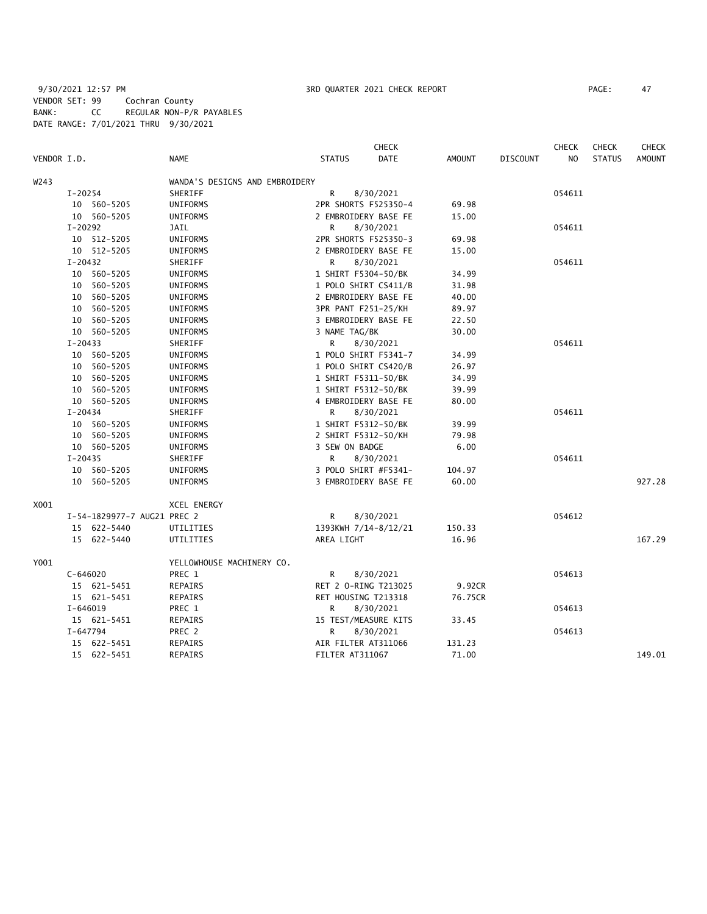9/30/2021 12:57 PM 3RD QUARTER 2021 CHECK REPORT PAGE: 47 VENDOR SET: 99 Cochran County BANK: CC REGULAR NON-P/R PAYABLES DATE RANGE: 7/01/2021 THRU 9/30/2021

|             |              |                             |                                |                     | <b>CHECK</b>         |         |                 | <b>CHECK</b>   | <b>CHECK</b>  | <b>CHECK</b>  |
|-------------|--------------|-----------------------------|--------------------------------|---------------------|----------------------|---------|-----------------|----------------|---------------|---------------|
| VENDOR I.D. |              |                             | <b>NAME</b>                    | <b>STATUS</b>       | <b>DATE</b>          | AMOUNT  | <b>DISCOUNT</b> | N <sub>O</sub> | <b>STATUS</b> | <b>AMOUNT</b> |
| W243        |              |                             | WANDA'S DESIGNS AND EMBROIDERY |                     |                      |         |                 |                |               |               |
|             | $I-20254$    |                             | SHERIFF                        | R                   | 8/30/2021            |         |                 | 054611         |               |               |
|             |              | 10 560-5205                 | UNIFORMS                       |                     | 2PR SHORTS F525350-4 | 69.98   |                 |                |               |               |
|             |              | 10 560-5205                 | UNIFORMS                       |                     | 2 EMBROIDERY BASE FE | 15.00   |                 |                |               |               |
|             | $I-20292$    |                             | JAIL                           | R                   | 8/30/2021            |         |                 | 054611         |               |               |
|             |              | 10 512-5205                 | UNIFORMS                       |                     | 2PR SHORTS F525350-3 | 69.98   |                 |                |               |               |
|             |              | 10 512-5205                 | UNIFORMS                       |                     | 2 EMBROIDERY BASE FE | 15.00   |                 |                |               |               |
|             | I-20432      |                             | SHERIFF                        | R                   | 8/30/2021            |         |                 | 054611         |               |               |
|             |              | 10 560-5205                 | UNIFORMS                       | 1 SHIRT F5304-50/BK |                      | 34.99   |                 |                |               |               |
|             |              | 10 560-5205                 | UNIFORMS                       |                     | 1 POLO SHIRT CS411/B | 31.98   |                 |                |               |               |
|             |              | 10 560-5205                 | UNIFORMS                       |                     | 2 EMBROIDERY BASE FE | 40.00   |                 |                |               |               |
|             |              | 10 560-5205                 | UNIFORMS                       | 3PR PANT F251-25/KH |                      | 89.97   |                 |                |               |               |
|             |              | 10 560-5205                 | UNIFORMS                       |                     | 3 EMBROIDERY BASE FE | 22.50   |                 |                |               |               |
|             |              | 10 560-5205                 | UNIFORMS                       | 3 NAME TAG/BK       |                      | 30.00   |                 |                |               |               |
|             | $I-20433$    |                             | SHERIFF                        | R                   | 8/30/2021            |         |                 | 054611         |               |               |
|             |              | 10 560-5205                 | UNIFORMS                       |                     | 1 POLO SHIRT F5341-7 | 34.99   |                 |                |               |               |
|             |              | 10 560-5205                 | UNIFORMS                       |                     | 1 POLO SHIRT CS420/B | 26.97   |                 |                |               |               |
|             |              | 10 560-5205                 | UNIFORMS                       | 1 SHIRT F5311-50/BK |                      | 34.99   |                 |                |               |               |
|             |              | 10 560-5205                 | UNIFORMS                       | 1 SHIRT F5312-50/BK |                      | 39.99   |                 |                |               |               |
|             |              | 10 560-5205                 | UNIFORMS                       |                     | 4 EMBROIDERY BASE FE | 80.00   |                 |                |               |               |
|             | $I - 20434$  |                             | SHERIFF                        | R                   | 8/30/2021            |         |                 | 054611         |               |               |
|             |              | 10 560-5205                 | UNIFORMS                       | 1 SHIRT F5312-50/BK |                      | 39.99   |                 |                |               |               |
|             |              | 10 560-5205                 | UNIFORMS                       | 2 SHIRT F5312-50/KH |                      | 79.98   |                 |                |               |               |
|             |              | 10 560-5205                 | UNIFORMS                       | 3 SEW ON BADGE      |                      | 6.00    |                 |                |               |               |
|             | $I - 20435$  |                             | SHERIFF                        | R.                  | 8/30/2021            |         |                 | 054611         |               |               |
|             |              | 10 560-5205                 | UNIFORMS                       |                     | 3 POLO SHIRT #F5341- | 104.97  |                 |                |               |               |
|             |              | 10 560-5205                 | UNIFORMS                       |                     | 3 EMBROIDERY BASE FE | 60.00   |                 |                |               | 927.28        |
| X001        |              |                             | <b>XCEL ENERGY</b>             |                     |                      |         |                 |                |               |               |
|             |              | I-54-1829977-7 AUG21 PREC 2 |                                | R                   | 8/30/2021            |         |                 | 054612         |               |               |
|             |              | 15 622-5440                 | UTILITIES                      |                     | 1393KWH 7/14-8/12/21 | 150.33  |                 |                |               |               |
|             |              | 15 622-5440                 | UTILITIES                      | AREA LIGHT          |                      | 16.96   |                 |                |               | 167.29        |
| Y001        |              |                             | YELLOWHOUSE MACHINERY CO.      |                     |                      |         |                 |                |               |               |
|             | $C - 646020$ |                             | PREC 1                         | R                   | 8/30/2021            |         |                 | 054613         |               |               |
|             |              | 15 621-5451                 | REPAIRS                        |                     | RET 2 0-RING T213025 | 9.92CR  |                 |                |               |               |
|             |              | 15 621-5451                 | REPAIRS                        | RET HOUSING T213318 |                      | 76.75CR |                 |                |               |               |
|             | $I - 646019$ |                             | PREC 1                         | R                   | 8/30/2021            |         |                 | 054613         |               |               |
|             |              | 15 621-5451                 | REPAIRS                        |                     | 15 TEST/MEASURE KITS | 33.45   |                 |                |               |               |
|             | I-647794     |                             | PREC 2                         | R.                  | 8/30/2021            |         |                 | 054613         |               |               |
|             |              | 15 622-5451                 | REPAIRS                        | AIR FILTER AT311066 |                      | 131.23  |                 |                |               |               |
|             |              | 15 622-5451                 | REPAIRS                        | FILTER AT311067     |                      | 71.00   |                 |                |               | 149.01        |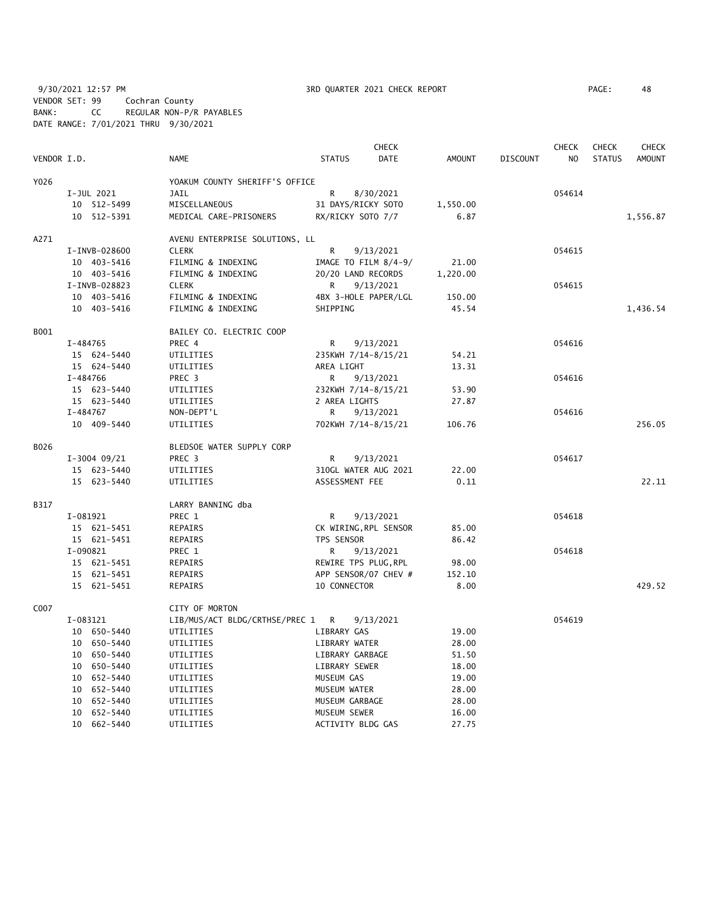9/30/2021 12:57 PM **3RD QUARTER 2021 CHECK REPORT** 9/30/2021 12:57 PM PAGE: 48 VENDOR SET: 99 Cochran County BANK: CC REGULAR NON-P/R PAYABLES DATE RANGE: 7/01/2021 THRU 9/30/2021

|             |                |                                  | <b>CHECK</b>          |             |               |                 | <b>CHECK</b>   | <b>CHECK</b>  | <b>CHECK</b>  |
|-------------|----------------|----------------------------------|-----------------------|-------------|---------------|-----------------|----------------|---------------|---------------|
| VENDOR I.D. |                | <b>NAME</b>                      | <b>STATUS</b>         | <b>DATE</b> | <b>AMOUNT</b> | <b>DISCOUNT</b> | N <sub>O</sub> | <b>STATUS</b> | <b>AMOUNT</b> |
| Y026        |                | YOAKUM COUNTY SHERIFF'S OFFICE   |                       |             |               |                 |                |               |               |
|             | I-JUL 2021     | JAIL                             | R                     | 8/30/2021   |               |                 | 054614         |               |               |
|             | 10 512-5499    | MISCELLANEOUS                    | 31 DAYS/RICKY SOTO    |             | 1,550.00      |                 |                |               |               |
|             | 10 512-5391    | MEDICAL CARE-PRISONERS           | RX/RICKY SOTO 7/7     |             | 6.87          |                 |                |               | 1,556.87      |
| A271        |                | AVENU ENTERPRISE SOLUTIONS, LL   |                       |             |               |                 |                |               |               |
|             | I-INVB-028600  | <b>CLERK</b>                     | R                     | 9/13/2021   |               |                 | 054615         |               |               |
|             | 10 403-5416    | FILMING & INDEXING               | IMAGE TO FILM 8/4-9/  |             | 21.00         |                 |                |               |               |
|             | 10 403-5416    | FILMING & INDEXING               | 20/20 LAND RECORDS    |             | 1,220.00      |                 |                |               |               |
|             | I-INVB-028823  | <b>CLERK</b>                     | R                     | 9/13/2021   |               |                 | 054615         |               |               |
|             | 10 403-5416    | FILMING & INDEXING               | 4BX 3-HOLE PAPER/LGL  |             | 150.00        |                 |                |               |               |
|             | 10 403-5416    | FILMING & INDEXING               | SHIPPING              |             | 45.54         |                 |                |               | 1,436.54      |
| B001        |                | BAILEY CO. ELECTRIC COOP         |                       |             |               |                 |                |               |               |
|             | I-484765       | PREC 4                           | R                     | 9/13/2021   |               |                 | 054616         |               |               |
|             | 15 624-5440    | UTILITIES                        | 235KWH 7/14-8/15/21   |             | 54.21         |                 |                |               |               |
|             | 15 624-5440    | UTILITIES                        | AREA LIGHT            |             | 13.31         |                 |                |               |               |
|             | I-484766       | PREC 3                           | R                     | 9/13/2021   |               |                 | 054616         |               |               |
|             | 15 623-5440    | UTILITIES                        | 232KWH 7/14-8/15/21   |             | 53.90         |                 |                |               |               |
|             | 15 623-5440    | UTILITIES                        | 2 AREA LIGHTS         |             | 27.87         |                 |                |               |               |
|             | I-484767       | NON-DEPT'L                       | R                     | 9/13/2021   |               |                 | 054616         |               |               |
|             | 10 409-5440    | UTILITIES                        | 702KWH 7/14-8/15/21   |             | 106.76        |                 |                |               | 256.05        |
| B026        |                | BLEDSOE WATER SUPPLY CORP        |                       |             |               |                 |                |               |               |
|             | $I-3004$ 09/21 | PREC 3                           | R                     | 9/13/2021   |               |                 | 054617         |               |               |
|             | 15 623-5440    | UTILITIES                        | 310GL WATER AUG 2021  |             | 22.00         |                 |                |               |               |
|             | 15 623-5440    | UTILITIES                        | ASSESSMENT FEE        |             | 0.11          |                 |                |               | 22.11         |
| B317        |                | LARRY BANNING dba                |                       |             |               |                 |                |               |               |
|             | I-081921       | PREC 1                           | R                     | 9/13/2021   |               |                 | 054618         |               |               |
|             | 15 621-5451    | REPAIRS                          | CK WIRING, RPL SENSOR |             | 85.00         |                 |                |               |               |
|             | 15 621-5451    | <b>REPAIRS</b>                   | TPS SENSOR            |             | 86.42         |                 |                |               |               |
|             | I-090821       | PREC 1                           | R                     | 9/13/2021   |               |                 | 054618         |               |               |
|             | 15 621-5451    | REPAIRS                          | REWIRE TPS PLUG, RPL  |             | 98.00         |                 |                |               |               |
|             | 15 621-5451    | <b>REPAIRS</b>                   | APP SENSOR/07 CHEV #  |             | 152.10        |                 |                |               |               |
|             | 15 621-5451    | REPAIRS                          | 10 CONNECTOR          |             | 8.00          |                 |                |               | 429.52        |
| C007        |                | CITY OF MORTON                   |                       |             |               |                 |                |               |               |
|             | I-083121       | LIB/MUS/ACT BLDG/CRTHSE/PREC 1 R |                       | 9/13/2021   |               |                 | 054619         |               |               |
|             | 10 650-5440    | UTILITIES                        | LIBRARY GAS           |             | 19.00         |                 |                |               |               |
|             | 10 650-5440    | UTILITIES                        | LIBRARY WATER         |             | 28.00         |                 |                |               |               |
|             | 10 650-5440    | UTILITIES                        | LIBRARY GARBAGE       |             | 51.50         |                 |                |               |               |
|             | 10 650-5440    | UTILITIES                        | LIBRARY SEWER         |             | 18.00         |                 |                |               |               |
|             | 10 652-5440    | UTILITIES                        | MUSEUM GAS            |             | 19.00         |                 |                |               |               |
|             | 10 652-5440    | UTILITIES                        | MUSEUM WATER          |             | 28.00         |                 |                |               |               |
|             | 10 652-5440    | UTILITIES                        | MUSEUM GARBAGE        |             | 28.00         |                 |                |               |               |
|             | 10 652-5440    | UTILITIES                        | MUSEUM SEWER          |             | 16.00         |                 |                |               |               |
|             | 10 662-5440    | UTILITIES                        | ACTIVITY BLDG GAS     |             | 27.75         |                 |                |               |               |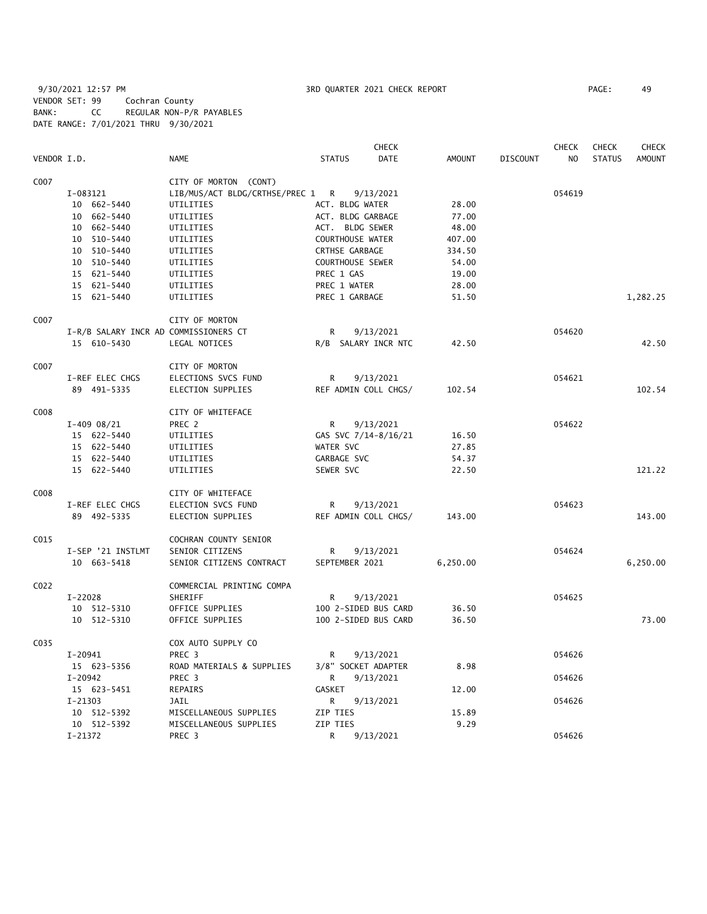9/30/2021 12:57 PM 3RD QUARTER 2021 CHECK REPORT PAGE: 49 VENDOR SET: 99 Cochran County BANK: CC REGULAR NON-P/R PAYABLES DATE RANGE: 7/01/2021 THRU 9/30/2021

|                  |                                       |                                  |                      | <b>CHECK</b> |          |                 | <b>CHECK</b> | <b>CHECK</b>  | <b>CHECK</b>  |
|------------------|---------------------------------------|----------------------------------|----------------------|--------------|----------|-----------------|--------------|---------------|---------------|
| VENDOR I.D.      |                                       | <b>NAME</b>                      | <b>STATUS</b>        | DATE         | AMOUNT   | <b>DISCOUNT</b> | NO           | <b>STATUS</b> | <b>AMOUNT</b> |
| C007             |                                       | CITY OF MORTON (CONT)            |                      |              |          |                 |              |               |               |
|                  | I-083121                              | LIB/MUS/ACT BLDG/CRTHSE/PREC 1 R |                      | 9/13/2021    |          |                 | 054619       |               |               |
|                  | 10 662-5440                           | UTILITIES                        | ACT. BLDG WATER      |              | 28.00    |                 |              |               |               |
|                  | 10 662-5440                           | UTILITIES                        | ACT. BLDG GARBAGE    |              | 77.00    |                 |              |               |               |
|                  | 10 662-5440                           | UTILITIES                        | ACT. BLDG SEWER      |              | 48.00    |                 |              |               |               |
|                  | 10 510-5440                           | UTILITIES                        | COURTHOUSE WATER     |              | 407.00   |                 |              |               |               |
|                  | 10 510-5440                           | UTILITIES                        | CRTHSE GARBAGE       |              | 334.50   |                 |              |               |               |
|                  | 10 510-5440                           | UTILITIES                        | COURTHOUSE SEWER     |              | 54.00    |                 |              |               |               |
|                  | 15 621-5440                           | UTILITIES                        | PREC 1 GAS           |              | 19.00    |                 |              |               |               |
|                  | 15 621-5440                           | UTILITIES                        | PREC 1 WATER         |              | 28.00    |                 |              |               |               |
|                  |                                       |                                  |                      |              |          |                 |              |               |               |
|                  | 15 621-5440                           | UTILITIES                        | PREC 1 GARBAGE       |              | 51.50    |                 |              |               | 1,282.25      |
| C007             |                                       | CITY OF MORTON                   |                      |              |          |                 |              |               |               |
|                  | I-R/B SALARY INCR AD COMMISSIONERS CT |                                  | R                    | 9/13/2021    |          |                 | 054620       |               |               |
|                  | 15 610-5430                           | LEGAL NOTICES                    | R/B SALARY INCR NTC  |              | 42.50    |                 |              |               | 42.50         |
| C007             |                                       | CITY OF MORTON                   |                      |              |          |                 |              |               |               |
|                  | I-REF ELEC CHGS                       | ELECTIONS SVCS FUND              | R                    | 9/13/2021    |          |                 | 054621       |               |               |
|                  | 89 491-5335                           | <b>ELECTION SUPPLIES</b>         | REF ADMIN COLL CHGS/ |              | 102.54   |                 |              |               | 102.54        |
|                  |                                       |                                  |                      |              |          |                 |              |               |               |
| C008             |                                       | CITY OF WHITEFACE                |                      |              |          |                 |              |               |               |
|                  | $I-409$ 08/21                         | PREC 2                           | R                    | 9/13/2021    |          |                 | 054622       |               |               |
|                  | 15 622-5440                           | UTILITIES                        | GAS SVC 7/14-8/16/21 |              | 16.50    |                 |              |               |               |
|                  | 15 622-5440                           | UTILITIES                        | WATER SVC            |              | 27.85    |                 |              |               |               |
|                  | 15 622-5440                           | UTILITIES                        | GARBAGE SVC          |              | 54.37    |                 |              |               |               |
|                  | 15 622-5440                           | UTILITIES                        | SEWER SVC            |              | 22.50    |                 |              |               | 121.22        |
| C008             |                                       | CITY OF WHITEFACE                |                      |              |          |                 |              |               |               |
|                  | I-REF ELEC CHGS                       | ELECTION SVCS FUND               | R                    |              |          |                 | 054623       |               |               |
|                  | 89 492-5335                           |                                  |                      | 9/13/2021    | 143.00   |                 |              |               | 143.00        |
|                  |                                       | ELECTION SUPPLIES                | REF ADMIN COLL CHGS/ |              |          |                 |              |               |               |
| C015             |                                       | COCHRAN COUNTY SENIOR            |                      |              |          |                 |              |               |               |
|                  | I-SEP '21 INSTLMT                     | SENIOR CITIZENS                  | R                    | 9/13/2021    |          |                 | 054624       |               |               |
|                  | 10 663-5418                           | SENIOR CITIZENS CONTRACT         | SEPTEMBER 2021       |              | 6,250.00 |                 |              |               | 6,250.00      |
| CO <sub>22</sub> |                                       | COMMERCIAL PRINTING COMPA        |                      |              |          |                 |              |               |               |
|                  | I-22028                               | SHERIFF                          | R                    | 9/13/2021    |          |                 | 054625       |               |               |
|                  | 10 512-5310                           | OFFICE SUPPLIES                  | 100 2-SIDED BUS CARD |              | 36.50    |                 |              |               |               |
|                  | 10 512-5310                           | OFFICE SUPPLIES                  | 100 2-SIDED BUS CARD |              | 36.50    |                 |              |               | 73.00         |
|                  |                                       |                                  |                      |              |          |                 |              |               |               |
| C035             |                                       | COX AUTO SUPPLY CO               |                      |              |          |                 |              |               |               |
|                  | I-20941                               | PREC 3                           | R                    | 9/13/2021    |          |                 | 054626       |               |               |
|                  | 15 623-5356                           | ROAD MATERIALS & SUPPLIES        | 3/8" SOCKET ADAPTER  |              | 8.98     |                 |              |               |               |
|                  | I-20942                               | PREC 3                           | R                    | 9/13/2021    |          |                 | 054626       |               |               |
|                  | 15 623-5451                           | REPAIRS                          | GASKET               |              | 12.00    |                 |              |               |               |
|                  | $I-21303$                             | <b>JAIL</b>                      | R                    | 9/13/2021    |          |                 | 054626       |               |               |
|                  | 10 512-5392                           | MISCELLANEOUS SUPPLIES           | ZIP TIES             |              | 15.89    |                 |              |               |               |
|                  | 10 512-5392                           | MISCELLANEOUS SUPPLIES           | ZIP TIES             |              | 9.29     |                 |              |               |               |
|                  | I-21372                               | PREC 3                           | R                    | 9/13/2021    |          |                 | 054626       |               |               |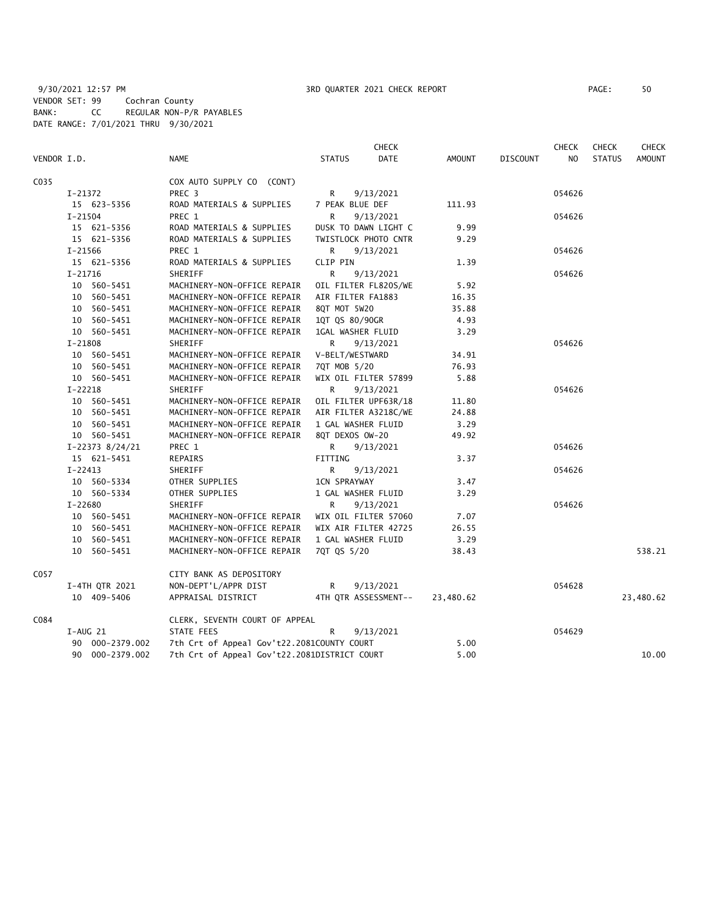|             |             |                 |                                              |                      | <b>CHECK</b>         |           |                 | CHECK  | <b>CHECK</b>  | <b>CHECK</b>  |
|-------------|-------------|-----------------|----------------------------------------------|----------------------|----------------------|-----------|-----------------|--------|---------------|---------------|
| VENDOR I.D. |             |                 | <b>NAME</b>                                  | <b>STATUS</b>        | <b>DATE</b>          | AMOUNT    | <b>DISCOUNT</b> | NO.    | <b>STATUS</b> | <b>AMOUNT</b> |
| C035        |             |                 | COX AUTO SUPPLY CO (CONT)                    |                      |                      |           |                 |        |               |               |
|             | I-21372     |                 | PREC <sub>3</sub>                            | R<br>9/13/2021       |                      |           |                 | 054626 |               |               |
|             |             | 15 623-5356     | ROAD MATERIALS & SUPPLIES                    | 7 PEAK BLUE DEF      |                      | 111.93    |                 |        |               |               |
|             | $I - 21504$ |                 | PREC 1                                       | R<br>9/13/2021       |                      |           |                 | 054626 |               |               |
|             |             | 15 621-5356     | ROAD MATERIALS & SUPPLIES                    |                      | DUSK TO DAWN LIGHT C | 9.99      |                 |        |               |               |
|             |             | 15 621-5356     | ROAD MATERIALS & SUPPLIES                    | TWISTLOCK PHOTO CNTR |                      | 9.29      |                 |        |               |               |
|             | I-21566     |                 | PREC 1                                       | R.                   | 9/13/2021            |           |                 | 054626 |               |               |
|             |             | 15 621-5356     | ROAD MATERIALS & SUPPLIES                    | CLIP PIN             |                      | 1.39      |                 |        |               |               |
|             | I-21716     |                 | SHERIFF                                      | R<br>9/13/2021       |                      |           |                 | 054626 |               |               |
|             |             | 10 560-5451     | MACHINERY-NON-OFFICE REPAIR                  | OIL FILTER FL820S/WE |                      | 5.92      |                 |        |               |               |
|             |             | 10 560-5451     | MACHINERY-NON-OFFICE REPAIR                  | AIR FILTER FA1883    |                      | 16.35     |                 |        |               |               |
|             |             | 10 560-5451     | MACHINERY-NON-OFFICE REPAIR                  | 8QT MOT 5W20         |                      | 35.88     |                 |        |               |               |
|             |             | 10 560-5451     | MACHINERY-NON-OFFICE REPAIR                  | 1QT QS 80/90GR       |                      | 4.93      |                 |        |               |               |
|             |             | 10 560-5451     | MACHINERY-NON-OFFICE REPAIR                  | 1GAL WASHER FLUID    |                      | 3.29      |                 |        |               |               |
|             | I-21808     |                 | SHERIFF                                      | R.                   | 9/13/2021            |           |                 | 054626 |               |               |
|             |             | 10 560-5451     | MACHINERY-NON-OFFICE REPAIR                  | V-BELT/WESTWARD      |                      | 34.91     |                 |        |               |               |
|             |             | 10 560-5451     | MACHINERY-NON-OFFICE REPAIR                  | 70T MOB 5/20         |                      | 76.93     |                 |        |               |               |
|             |             | 10 560-5451     | MACHINERY-NON-OFFICE REPAIR                  | WIX OIL FILTER 57899 |                      | 5.88      |                 |        |               |               |
|             | $I-22218$   |                 | SHERIFF                                      | R                    | 9/13/2021            |           |                 | 054626 |               |               |
|             |             | 10 560-5451     | MACHINERY-NON-OFFICE REPAIR                  | OIL FILTER UPF63R/18 |                      | 11.80     |                 |        |               |               |
|             |             | 10 560-5451     | MACHINERY-NON-OFFICE REPAIR                  | AIR FILTER A3218C/WE |                      | 24.88     |                 |        |               |               |
|             |             | 10 560-5451     | MACHINERY-NON-OFFICE REPAIR                  | 1 GAL WASHER FLUID   |                      | 3.29      |                 |        |               |               |
|             |             | 10 560-5451     | MACHINERY-NON-OFFICE REPAIR                  | 8QT DEXOS OW-20      |                      | 49.92     |                 |        |               |               |
|             |             | I-22373 8/24/21 | PREC 1                                       | R                    | 9/13/2021            |           |                 | 054626 |               |               |
|             |             | 15 621-5451     | REPAIRS                                      | FITTING              |                      | 3.37      |                 |        |               |               |
|             | $I-22413$   |                 | SHERIFF                                      | R.                   | 9/13/2021            |           |                 | 054626 |               |               |
|             |             | 10 560-5334     | OTHER SUPPLIES                               | <b>1CN SPRAYWAY</b>  |                      | 3.47      |                 |        |               |               |
|             |             | 10 560-5334     | OTHER SUPPLIES                               | 1 GAL WASHER FLUID   |                      | 3.29      |                 |        |               |               |
|             | I-22680     |                 | SHERIFF                                      | R                    | 9/13/2021            |           |                 | 054626 |               |               |
|             |             | 10 560-5451     | MACHINERY-NON-OFFICE REPAIR                  | WIX OIL FILTER 57060 |                      | 7.07      |                 |        |               |               |
|             |             | 10 560-5451     | MACHINERY-NON-OFFICE REPAIR                  | WIX AIR FILTER 42725 |                      | 26.55     |                 |        |               |               |
|             |             | 10 560-5451     | MACHINERY-NON-OFFICE REPAIR                  | 1 GAL WASHER FLUID   |                      | 3.29      |                 |        |               |               |
|             |             | 10 560-5451     | MACHINERY-NON-OFFICE REPAIR                  | 7QT QS 5/20          |                      | 38.43     |                 |        |               | 538.21        |
| C057        |             |                 | CITY BANK AS DEPOSITORY                      |                      |                      |           |                 |        |               |               |
|             |             | I-4TH QTR 2021  | NON-DEPT'L/APPR DIST                         | R.                   | 9/13/2021            |           |                 | 054628 |               |               |
|             |             | 10 409-5406     | APPRAISAL DISTRICT                           |                      | 4TH QTR ASSESSMENT-- | 23,480.62 |                 |        |               | 23,480.62     |
| C084        |             |                 | CLERK, SEVENTH COURT OF APPEAL               |                      |                      |           |                 |        |               |               |
|             | $I-AUG$ 21  |                 | STATE FEES                                   | R                    | 9/13/2021            |           |                 | 054629 |               |               |
|             |             | 90 000-2379.002 | 7th Crt of Appeal Gov't22.2081COUNTY COURT   |                      |                      | 5.00      |                 |        |               |               |
|             |             | 90 000-2379.002 | 7th Crt of Appeal Gov't22.2081DISTRICT COURT |                      |                      | 5.00      |                 |        |               | 10.00         |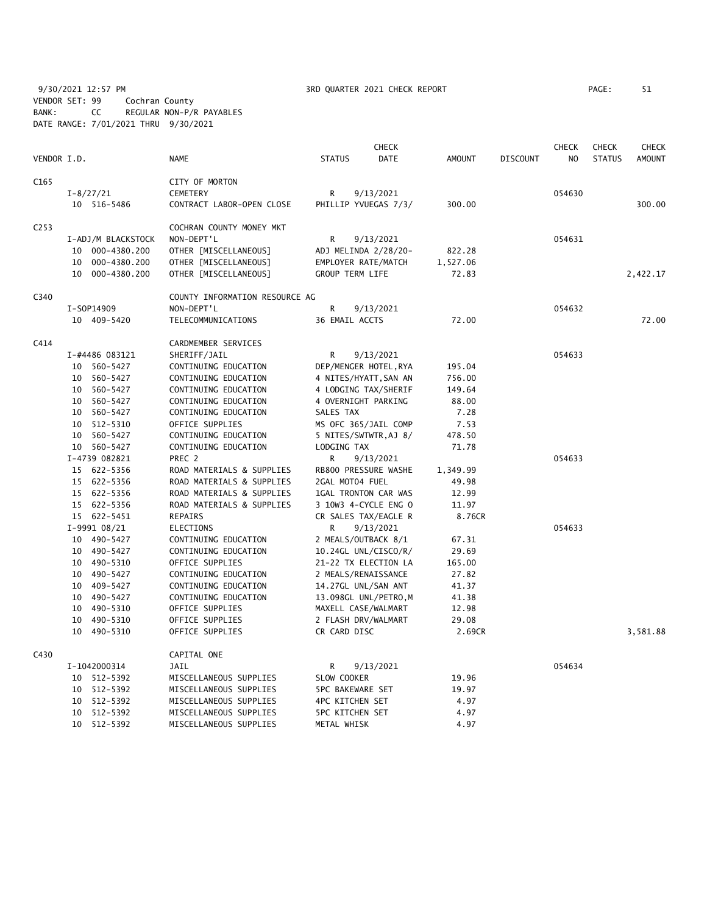9/30/2021 12:57 PM **3RD QUARTER 2021 CHECK REPORT** PAGE: 51 VENDOR SET: 99 Cochran County BANK: CC REGULAR NON-P/R PAYABLES DATE RANGE: 7/01/2021 THRU 9/30/2021

|                  |    |                    |                                |                         | <b>CHECK</b>          |               |                 | <b>CHECK</b>   | <b>CHECK</b>  | <b>CHECK</b>  |
|------------------|----|--------------------|--------------------------------|-------------------------|-----------------------|---------------|-----------------|----------------|---------------|---------------|
| VENDOR I.D.      |    |                    | NAME                           | <b>STATUS</b>           | DATE                  | <b>AMOUNT</b> | <b>DISCOUNT</b> | N <sub>O</sub> | <b>STATUS</b> | <b>AMOUNT</b> |
| C165             |    |                    | CITY OF MORTON                 |                         |                       |               |                 |                |               |               |
|                  |    | $I - 8/27/21$      | <b>CEMETERY</b>                | R                       | 9/13/2021             |               |                 | 054630         |               |               |
|                  |    | 10 516-5486        | CONTRACT LABOR-OPEN CLOSE      |                         | PHILLIP YVUEGAS 7/3/  | 300.00        |                 |                |               | 300.00        |
| C <sub>253</sub> |    |                    | COCHRAN COUNTY MONEY MKT       |                         |                       |               |                 |                |               |               |
|                  |    | I-ADJ/M BLACKSTOCK | NON-DEPT'L                     | R                       | 9/13/2021             |               |                 | 054631         |               |               |
|                  |    | 10 000-4380.200    | OTHER [MISCELLANEOUS]          |                         | ADJ MELINDA 2/28/20-  | 822.28        |                 |                |               |               |
|                  | 10 | 000-4380.200       | OTHER [MISCELLANEOUS]          |                         | EMPLOYER RATE/MATCH   | 1,527.06      |                 |                |               |               |
|                  |    | 10 000-4380.200    | OTHER [MISCELLANEOUS]          | <b>GROUP TERM LIFE</b>  |                       | 72.83         |                 |                |               | 2,422.17      |
| C340             |    |                    | COUNTY INFORMATION RESOURCE AG |                         |                       |               |                 |                |               |               |
|                  |    | I-S0P14909         | NON-DEPT'L                     | R                       | 9/13/2021             |               |                 | 054632         |               |               |
|                  |    | 10 409-5420        | TELECOMMUNICATIONS             | 36 EMAIL ACCTS          |                       | 72.00         |                 |                |               | 72.00         |
| C414             |    |                    | CARDMEMBER SERVICES            |                         |                       |               |                 |                |               |               |
|                  |    | I-#4486 083121     | SHERIFF/JAIL                   | R                       | 9/13/2021             |               |                 | 054633         |               |               |
|                  |    | 10 560-5427        | CONTINUING EDUCATION           |                         | DEP/MENGER HOTEL, RYA | 195.04        |                 |                |               |               |
|                  |    | 10 560-5427        | CONTINUING EDUCATION           |                         | 4 NITES/HYATT, SAN AN | 756.00        |                 |                |               |               |
|                  |    | 10 560-5427        | CONTINUING EDUCATION           |                         | 4 LODGING TAX/SHERIF  | 149.64        |                 |                |               |               |
|                  |    | 10 560-5427        | CONTINUING EDUCATION           |                         | 4 OVERNIGHT PARKING   | 88.00         |                 |                |               |               |
|                  |    | 10 560-5427        | CONTINUING EDUCATION           | SALES TAX               |                       | 7.28          |                 |                |               |               |
|                  |    | 10 512-5310        | OFFICE SUPPLIES                |                         | MS OFC 365/JAIL COMP  | 7.53          |                 |                |               |               |
|                  |    | 10 560-5427        | CONTINUING EDUCATION           |                         | 5 NITES/SWTWTR, AJ 8/ | 478.50        |                 |                |               |               |
|                  |    | 10 560-5427        | CONTINUING EDUCATION           | LODGING TAX             |                       | 71.78         |                 |                |               |               |
|                  |    | I-4739 082821      | PREC 2                         | R                       | 9/13/2021             |               |                 | 054633         |               |               |
|                  |    | 15 622-5356        | ROAD MATERIALS & SUPPLIES      |                         | RB800 PRESSURE WASHE  | 1,349.99      |                 |                |               |               |
|                  |    | 15 622-5356        | ROAD MATERIALS & SUPPLIES      | 2GAL MOT04 FUEL         |                       | 49.98         |                 |                |               |               |
|                  |    | 15 622-5356        | ROAD MATERIALS & SUPPLIES      |                         | 1GAL TRONTON CAR WAS  | 12.99         |                 |                |               |               |
|                  |    | 15 622-5356        | ROAD MATERIALS & SUPPLIES      |                         | 3 10W3 4-CYCLE ENG 0  | 11.97         |                 |                |               |               |
|                  |    | 15 622-5451        | REPAIRS                        |                         | CR SALES TAX/EAGLE R  | 8.76CR        |                 |                |               |               |
|                  |    | $I-9991$ 08/21     | ELECTIONS                      | R                       | 9/13/2021             |               |                 | 054633         |               |               |
|                  |    | 10 490-5427        | CONTINUING EDUCATION           |                         | 2 MEALS/OUTBACK 8/1   | 67.31         |                 |                |               |               |
|                  |    | 10 490-5427        | CONTINUING EDUCATION           |                         | 10.24GL UNL/CISCO/R/  | 29.69         |                 |                |               |               |
|                  |    | 10 490-5310        | OFFICE SUPPLIES                |                         | 21-22 TX ELECTION LA  | 165.00        |                 |                |               |               |
|                  |    | 10 490-5427        | CONTINUING EDUCATION           |                         | 2 MEALS/RENAISSANCE   | 27.82         |                 |                |               |               |
|                  |    | 10 409-5427        | CONTINUING EDUCATION           |                         | 14.27GL UNL/SAN ANT   | 41.37         |                 |                |               |               |
|                  | 10 | 490-5427           | CONTINUING EDUCATION           |                         | 13.098GL UNL/PETRO, M | 41.38         |                 |                |               |               |
|                  |    | 10 490-5310        | OFFICE SUPPLIES                |                         | MAXELL CASE/WALMART   | 12.98         |                 |                |               |               |
|                  | 10 | 490-5310           | OFFICE SUPPLIES                |                         | 2 FLASH DRV/WALMART   | 29.08         |                 |                |               |               |
|                  |    | 10 490-5310        | OFFICE SUPPLIES                | CR CARD DISC            |                       | 2.69CR        |                 |                |               | 3,581.88      |
| C430             |    |                    | CAPITAL ONE                    |                         |                       |               |                 |                |               |               |
|                  |    | I-1042000314       | JAIL                           | R                       | 9/13/2021             |               |                 | 054634         |               |               |
|                  |    | 10 512-5392        | MISCELLANEOUS SUPPLIES         | SLOW COOKER             |                       | 19.96         |                 |                |               |               |
|                  |    | 10 512-5392        | MISCELLANEOUS SUPPLIES         | <b>5PC BAKEWARE SET</b> |                       | 19.97         |                 |                |               |               |
|                  | 10 | 512-5392           | MISCELLANEOUS SUPPLIES         | <b>4PC KITCHEN SET</b>  |                       | 4.97          |                 |                |               |               |
|                  |    | 10 512-5392        | MISCELLANEOUS SUPPLIES         | <b>5PC KITCHEN SET</b>  |                       | 4.97          |                 |                |               |               |
|                  |    | 10 512-5392        | MISCELLANEOUS SUPPLIES         | METAL WHISK             |                       | 4.97          |                 |                |               |               |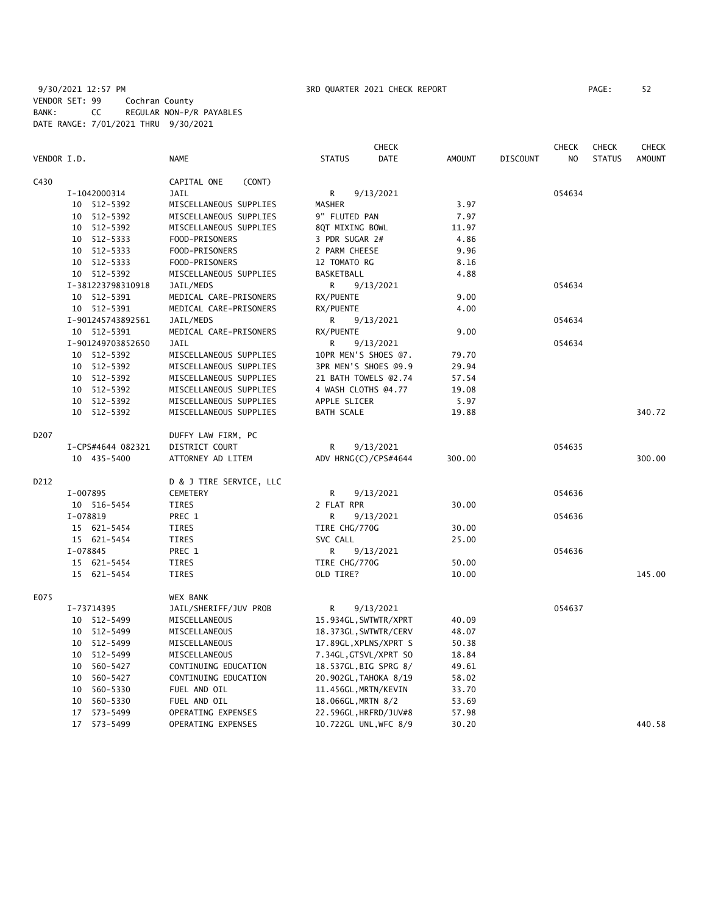|             |                   |                         | <b>CHECK</b>          |               |                 | <b>CHECK</b>   | <b>CHECK</b>  | <b>CHECK</b>  |
|-------------|-------------------|-------------------------|-----------------------|---------------|-----------------|----------------|---------------|---------------|
| VENDOR I.D. |                   | NAME                    | <b>STATUS</b><br>DATE | <b>AMOUNT</b> | <b>DISCOUNT</b> | N <sub>O</sub> | <b>STATUS</b> | <b>AMOUNT</b> |
| C430        |                   | CAPITAL ONE<br>(CONT)   |                       |               |                 |                |               |               |
|             | I-1042000314      | <b>JAIL</b>             | R<br>9/13/2021        |               |                 | 054634         |               |               |
|             | 10 512-5392       | MISCELLANEOUS SUPPLIES  | <b>MASHER</b>         | 3.97          |                 |                |               |               |
|             | 10 512-5392       | MISCELLANEOUS SUPPLIES  | 9" FLUTED PAN         | 7.97          |                 |                |               |               |
|             | 10 512-5392       | MISCELLANEOUS SUPPLIES  | 8QT MIXING BOWL       | 11.97         |                 |                |               |               |
|             | 10 512-5333       | FOOD-PRISONERS          | 3 PDR SUGAR 2#        | 4.86          |                 |                |               |               |
|             | 10 512-5333       | FOOD-PRISONERS          | 2 PARM CHEESE         | 9.96          |                 |                |               |               |
|             | $10 512 - 5333$   | FOOD-PRISONERS          | 12 TOMATO RG          | 8.16          |                 |                |               |               |
|             | 10 512-5392       | MISCELLANEOUS SUPPLIES  | BASKETBALL            | 4.88          |                 |                |               |               |
|             | I-381223798310918 | JAIL/MEDS               | R<br>9/13/2021        |               |                 | 054634         |               |               |
|             | 10 512-5391       | MEDICAL CARE-PRISONERS  | RX/PUENTE             | 9.00          |                 |                |               |               |
|             | 10 512-5391       | MEDICAL CARE-PRISONERS  | RX/PUENTE             | 4.00          |                 |                |               |               |
|             | I-901245743892561 | JAIL/MEDS               | R<br>9/13/2021        |               |                 | 054634         |               |               |
|             | 10 512-5391       | MEDICAL CARE-PRISONERS  | RX/PUENTE             | 9.00          |                 |                |               |               |
|             | I-901249703852650 | <b>JAIL</b>             | 9/13/2021<br>R        |               |                 | 054634         |               |               |
|             | 10 512-5392       | MISCELLANEOUS SUPPLIES  | 10PR MEN'S SHOES @7.  | 79.70         |                 |                |               |               |
|             | 10 512-5392       | MISCELLANEOUS SUPPLIES  | 3PR MEN'S SHOES @9.9  | 29.94         |                 |                |               |               |
|             | 10 512-5392       | MISCELLANEOUS SUPPLIES  | 21 BATH TOWELS @2.74  | 57.54         |                 |                |               |               |
|             | 10 512-5392       | MISCELLANEOUS SUPPLIES  | 4 WASH CLOTHS @4.77   | 19.08         |                 |                |               |               |
|             | 10 512-5392       | MISCELLANEOUS SUPPLIES  | APPLE SLICER          | 5.97          |                 |                |               |               |
|             | 10 512-5392       | MISCELLANEOUS SUPPLIES  | <b>BATH SCALE</b>     | 19.88         |                 |                |               | 340.72        |
| D207        |                   | DUFFY LAW FIRM, PC      |                       |               |                 |                |               |               |
|             | I-CPS#4644 082321 | DISTRICT COURT          | R<br>9/13/2021        |               |                 | 054635         |               |               |
|             | 10 435-5400       | ATTORNEY AD LITEM       | ADV HRNG(C)/CPS#4644  | 300.00        |                 |                |               | 300.00        |
| D212        |                   | D & J TIRE SERVICE, LLC |                       |               |                 |                |               |               |
|             | I-007895          | <b>CEMETERY</b>         | R<br>9/13/2021        |               |                 | 054636         |               |               |
|             | 10 516-5454       | TIRES                   | 2 FLAT RPR            | 30.00         |                 |                |               |               |
|             | I-078819          | PREC 1                  | R<br>9/13/2021        |               |                 | 054636         |               |               |
|             | 15 621-5454       | TIRES                   | TIRE CHG/770G         | 30.00         |                 |                |               |               |
|             | 15 621-5454       | TIRES                   | SVC CALL              | 25.00         |                 |                |               |               |
|             | I-078845          | PREC 1                  | R<br>9/13/2021        |               |                 | 054636         |               |               |
|             | 15 621-5454       | <b>TIRES</b>            | TIRE CHG/770G         | 50.00         |                 |                |               |               |
|             | 15 621-5454       | <b>TIRES</b>            | OLD TIRE?             | 10.00         |                 |                |               | 145.00        |
| E075        |                   | WEX BANK                |                       |               |                 |                |               |               |
|             | I-73714395        | JAIL/SHERIFF/JUV PROB   | R<br>9/13/2021        |               |                 | 054637         |               |               |
|             | 10 512-5499       | MISCELLANEOUS           | 15.934GL, SWTWTR/XPRT | 40.09         |                 |                |               |               |
|             | 10 512-5499       | MISCELLANEOUS           | 18.373GL, SWTWTR/CERV | 48.07         |                 |                |               |               |
|             | 10 512-5499       | MISCELLANEOUS           | 17.89GL, XPLNS/XPRT S | 50.38         |                 |                |               |               |
|             | 10 512-5499       | MISCELLANEOUS           | 7.34GL, GTSVL/XPRT SO | 18.84         |                 |                |               |               |
|             | 560-5427<br>10    | CONTINUING EDUCATION    | 18.537GL, BIG SPRG 8/ | 49.61         |                 |                |               |               |
|             | 560-5427<br>10    | CONTINUING EDUCATION    | 20.902GL, TAHOKA 8/19 | 58.02         |                 |                |               |               |
|             | 10<br>560-5330    | FUEL AND OIL            | 11.456GL, MRTN/KEVIN  | 33.70         |                 |                |               |               |
|             | 560-5330<br>10    | FUEL AND OIL            | 18.066GL, MRTN 8/2    | 53.69         |                 |                |               |               |
|             | 17 573-5499       | OPERATING EXPENSES      | 22.596GL, HRFRD/JUV#8 | 57.98         |                 |                |               |               |
|             | 17 573-5499       | OPERATING EXPENSES      | 10.722GL UNL, WFC 8/9 | 30.20         |                 |                |               | 440.58        |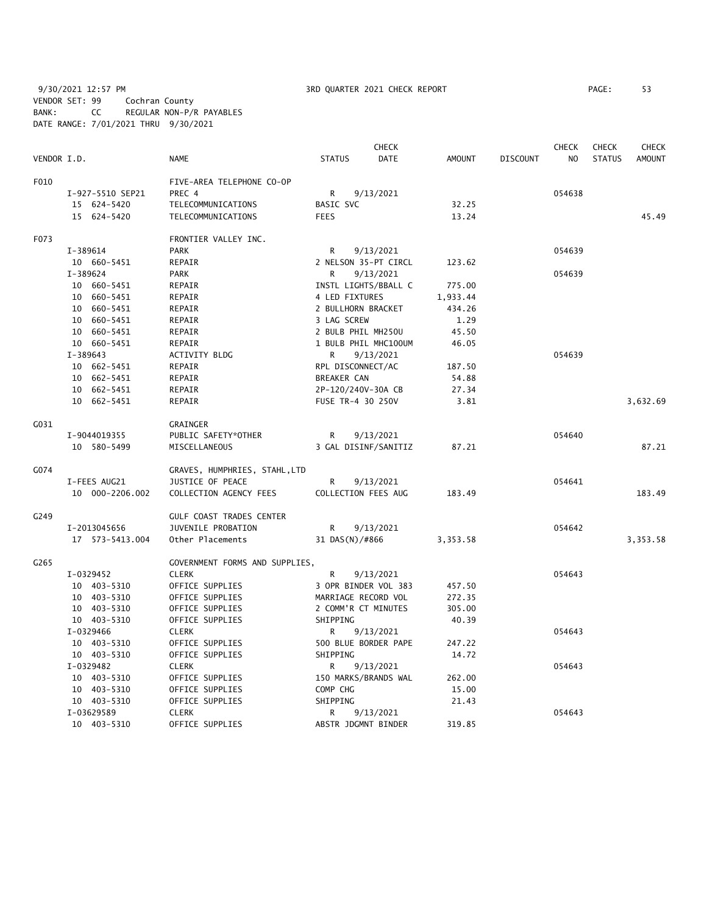9/30/2021 12:57 PM 3RD QUARTER 2021 CHECK REPORT PAGE: 53 VENDOR SET: 99 Cochran County BANK: CC REGULAR NON-P/R PAYABLES DATE RANGE: 7/01/2021 THRU 9/30/2021

| VENDOR I.D. |                  | <b>NAME</b>                     | <b>STATUS</b>        | <b>CHECK</b><br><b>DATE</b> | <b>AMOUNT</b> | <b>DISCOUNT</b> | <b>CHECK</b><br>N <sub>O</sub> | <b>CHECK</b><br><b>STATUS</b> | <b>CHECK</b><br><b>AMOUNT</b> |
|-------------|------------------|---------------------------------|----------------------|-----------------------------|---------------|-----------------|--------------------------------|-------------------------------|-------------------------------|
|             |                  |                                 |                      |                             |               |                 |                                |                               |                               |
| F010        |                  | FIVE-AREA TELEPHONE CO-OP       |                      |                             |               |                 |                                |                               |                               |
|             | I-927-5510 SEP21 | PREC 4                          | R                    | 9/13/2021                   |               |                 | 054638                         |                               |                               |
|             | 15 624-5420      | TELECOMMUNICATIONS              | BASIC SVC            |                             | 32.25         |                 |                                |                               |                               |
|             | 15 624-5420      | TELECOMMUNICATIONS              | <b>FEES</b>          |                             | 13.24         |                 |                                |                               | 45.49                         |
| F073        |                  | FRONTIER VALLEY INC.            |                      |                             |               |                 |                                |                               |                               |
|             | I-389614         | PARK                            | R                    | 9/13/2021                   |               |                 | 054639                         |                               |                               |
|             | 10 660-5451      | REPAIR                          | 2 NELSON 35-PT CIRCL |                             | 123.62        |                 |                                |                               |                               |
|             | I-389624         | <b>PARK</b>                     | R                    | 9/13/2021                   |               |                 | 054639                         |                               |                               |
|             | 10 660-5451      | REPAIR                          | INSTL LIGHTS/BBALL C |                             | 775.00        |                 |                                |                               |                               |
|             | 10 660-5451      | REPAIR                          | 4 LED FIXTURES       |                             | 1,933.44      |                 |                                |                               |                               |
|             | 10 660-5451      | REPAIR                          | 2 BULLHORN BRACKET   |                             | 434.26        |                 |                                |                               |                               |
|             | 10 660-5451      | REPAIR                          | 3 LAG SCREW          |                             | 1.29          |                 |                                |                               |                               |
|             | 10 660-5451      | REPAIR                          | 2 BULB PHIL MH250U   |                             | 45.50         |                 |                                |                               |                               |
|             | 10 660-5451      | REPAIR                          | 1 BULB PHIL MHC100UM |                             | 46.05         |                 |                                |                               |                               |
|             | $I-389643$       | <b>ACTIVITY BLDG</b>            | R                    | 9/13/2021                   |               |                 | 054639                         |                               |                               |
|             | 10 662-5451      | REPAIR                          | RPL DISCONNECT/AC    |                             | 187.50        |                 |                                |                               |                               |
|             | 10 662-5451      | REPAIR                          | BREAKER CAN          |                             | 54.88         |                 |                                |                               |                               |
|             | 10 662-5451      | REPAIR                          | 2P-120/240V-30A CB   |                             | 27.34         |                 |                                |                               |                               |
|             | 10 662-5451      | REPAIR                          | FUSE TR-4 30 250V    |                             | 3.81          |                 |                                |                               | 3,632.69                      |
| G031        |                  | GRAINGER                        |                      |                             |               |                 |                                |                               |                               |
|             | I-9044019355     | PUBLIC SAFETY*OTHER             | R                    | 9/13/2021                   |               |                 | 054640                         |                               |                               |
|             | 10 580-5499      | MISCELLANEOUS                   | 3 GAL DISINF/SANITIZ |                             | 87.21         |                 |                                |                               | 87.21                         |
| G074        |                  | GRAVES, HUMPHRIES, STAHL, LTD   |                      |                             |               |                 |                                |                               |                               |
|             | I-FEES AUG21     | JUSTICE OF PEACE                | R                    | 9/13/2021                   |               |                 | 054641                         |                               |                               |
|             | 10 000-2206.002  | COLLECTION AGENCY FEES          | COLLECTION FEES AUG  |                             | 183.49        |                 |                                |                               | 183.49                        |
| G249        |                  | <b>GULF COAST TRADES CENTER</b> |                      |                             |               |                 |                                |                               |                               |
|             | I-2013045656     | JUVENILE PROBATION              | R                    | 9/13/2021                   |               |                 | 054642                         |                               |                               |
|             | 17  573-5413.004 | Other Placements                | 31 DAS(N)/#866       |                             | 3,353.58      |                 |                                |                               | 3,353.58                      |
| G265        |                  | GOVERNMENT FORMS AND SUPPLIES,  |                      |                             |               |                 |                                |                               |                               |
|             | I-0329452        | CLERK                           | R                    | 9/13/2021                   |               |                 | 054643                         |                               |                               |
|             | 10 403-5310      | OFFICE SUPPLIES                 | 3 OPR BINDER VOL 383 |                             | 457.50        |                 |                                |                               |                               |
|             | 10 403-5310      | OFFICE SUPPLIES                 | MARRIAGE RECORD VOL  |                             | 272.35        |                 |                                |                               |                               |
|             | 10 403-5310      | OFFICE SUPPLIES                 | 2 COMM'R CT MINUTES  |                             | 305.00        |                 |                                |                               |                               |
|             | 10 403-5310      | OFFICE SUPPLIES                 | SHIPPING             |                             | 40.39         |                 |                                |                               |                               |
|             | I-0329466        | <b>CLERK</b>                    | R                    | 9/13/2021                   |               |                 | 054643                         |                               |                               |
|             | 10 403-5310      | OFFICE SUPPLIES                 | 500 BLUE BORDER PAPE |                             | 247.22        |                 |                                |                               |                               |
|             | 10 403-5310      | OFFICE SUPPLIES                 | SHIPPING             |                             | 14.72         |                 |                                |                               |                               |
|             | I-0329482        | <b>CLERK</b>                    | R                    | 9/13/2021                   |               |                 | 054643                         |                               |                               |
|             | 10 403-5310      | OFFICE SUPPLIES                 | 150 MARKS/BRANDS WAL |                             | 262.00        |                 |                                |                               |                               |
|             | 10 403-5310      | OFFICE SUPPLIES                 | COMP CHG             |                             | 15.00         |                 |                                |                               |                               |
|             | 10 403-5310      | OFFICE SUPPLIES                 | SHIPPING             |                             | 21.43         |                 |                                |                               |                               |
|             | I-03629589       | <b>CLERK</b>                    | R                    | 9/13/2021                   |               |                 | 054643                         |                               |                               |
|             | 10 403-5310      | OFFICE SUPPLIES                 | ABSTR JDGMNT BINDER  |                             | 319.85        |                 |                                |                               |                               |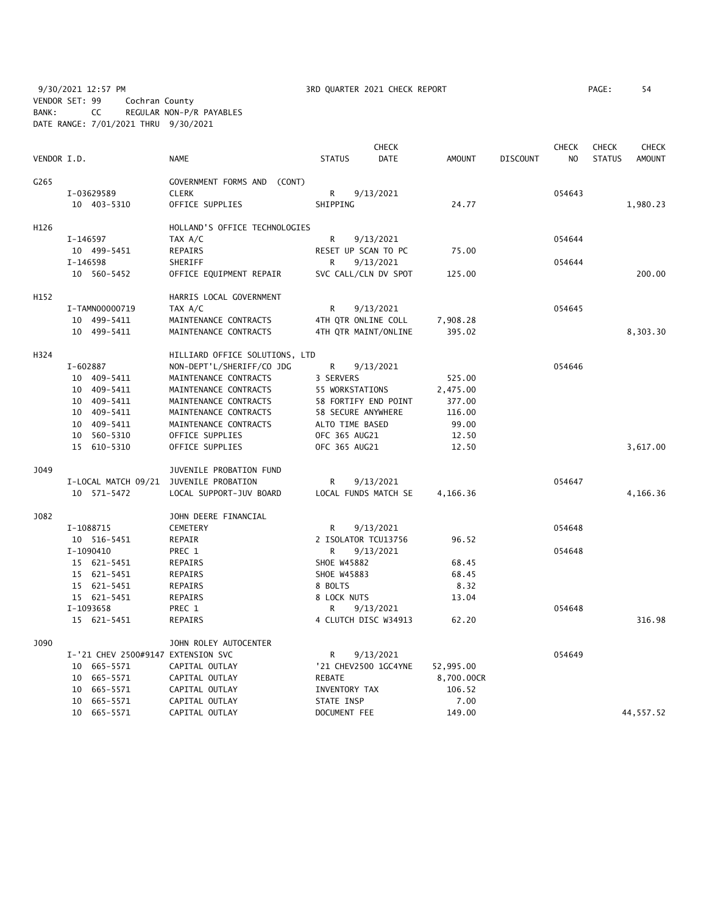9/30/2021 12:57 PM **3RD QUARTER 2021 CHECK REPORT** PAGE: 54 VENDOR SET: 99 Cochran County BANK: CC REGULAR NON-P/R PAYABLES DATE RANGE: 7/01/2021 THRU 9/30/2021

|             |             |                                    |                                | <b>CHECK</b>       |                      |               | <b>CHECK</b>    |                | <b>CHECK</b>  | <b>CHECK</b>  |
|-------------|-------------|------------------------------------|--------------------------------|--------------------|----------------------|---------------|-----------------|----------------|---------------|---------------|
| VENDOR I.D. |             |                                    | <b>NAME</b>                    | <b>STATUS</b>      | <b>DATE</b>          | <b>AMOUNT</b> | <b>DISCOUNT</b> | N <sub>O</sub> | <b>STATUS</b> | <b>AMOUNT</b> |
| G265        |             |                                    | GOVERNMENT FORMS AND<br>(CONT) |                    |                      |               |                 |                |               |               |
|             |             | I-03629589                         | <b>CLERK</b>                   | R                  | 9/13/2021            |               |                 | 054643         |               |               |
|             |             | 10 403-5310                        | OFFICE SUPPLIES                | SHIPPING           |                      | 24.77         |                 |                |               | 1,980.23      |
| H126        |             |                                    | HOLLAND'S OFFICE TECHNOLOGIES  |                    |                      |               |                 |                |               |               |
|             | I-146597    |                                    | TAX A/C                        | R                  | 9/13/2021            |               |                 | 054644         |               |               |
|             |             | 10 499-5451                        | REPAIRS                        |                    | RESET UP SCAN TO PC  | 75.00         |                 |                |               |               |
|             | I-146598    |                                    | SHERIFF                        | R                  | 9/13/2021            |               |                 | 054644         |               |               |
|             |             | 10 560-5452                        | OFFICE EQUIPMENT REPAIR        |                    | SVC CALL/CLN DV SPOT | 125.00        |                 |                |               | 200.00        |
| H152        |             |                                    | HARRIS LOCAL GOVERNMENT        |                    |                      |               |                 |                |               |               |
|             |             | I-TAMN00000719                     | TAX A/C                        | R                  | 9/13/2021            |               |                 | 054645         |               |               |
|             | 10 499-5411 |                                    | MAINTENANCE CONTRACTS          |                    | 4TH QTR ONLINE COLL  | 7,908.28      |                 |                |               |               |
| 10 499-5411 |             |                                    | MAINTENANCE CONTRACTS          |                    | 4TH QTR MAINT/ONLINE | 395.02        |                 |                |               | 8,303.30      |
| H324        |             |                                    | HILLIARD OFFICE SOLUTIONS, LTD |                    |                      |               |                 |                |               |               |
|             | I-602887    |                                    | NON-DEPT'L/SHERIFF/CO JDG      | R                  | 9/13/2021            |               |                 | 054646         |               |               |
|             |             | 10 409-5411                        | MAINTENANCE CONTRACTS          | 3 SERVERS          |                      | 525.00        |                 |                |               |               |
|             |             | 10 409-5411                        | MAINTENANCE CONTRACTS          | 55 WORKSTATIONS    |                      | 2,475.00      |                 |                |               |               |
|             |             | 10 409-5411                        | MAINTENANCE CONTRACTS          |                    | 58 FORTIFY END POINT | 377.00        |                 |                |               |               |
|             |             | 10 409-5411                        | MAINTENANCE CONTRACTS          | 58 SECURE ANYWHERE |                      | 116.00        |                 |                |               |               |
|             |             | 10 409-5411                        | MAINTENANCE CONTRACTS          | ALTO TIME BASED    |                      | 99.00         |                 |                |               |               |
|             |             | 10 560-5310                        | OFFICE SUPPLIES                | OFC 365 AUG21      |                      | 12.50         |                 |                |               |               |
|             |             | 15 610-5310                        | OFFICE SUPPLIES                | OFC 365 AUG21      |                      | 12.50         |                 |                |               | 3,617.00      |
| J049        |             |                                    | JUVENILE PROBATION FUND        |                    |                      |               |                 |                |               |               |
|             |             | I-LOCAL MATCH 09/21                | JUVENILE PROBATION             | R                  | 9/13/2021            |               |                 | 054647         |               |               |
|             |             | 10 571-5472                        | LOCAL SUPPORT-JUV BOARD        |                    | LOCAL FUNDS MATCH SE | 4,166.36      |                 |                |               | 4,166.36      |
| J082        |             |                                    | JOHN DEERE FINANCIAL           |                    |                      |               |                 |                |               |               |
|             |             | I-1088715                          | <b>CEMETERY</b>                | R                  | 9/13/2021            |               |                 | 054648         |               |               |
|             |             | 10 516-5451                        | REPAIR                         |                    | 2 ISOLATOR TCU13756  | 96.52         |                 |                |               |               |
|             |             | I-1090410                          | PREC 1                         | R                  | 9/13/2021            |               |                 | 054648         |               |               |
|             |             | 15 621-5451                        | REPAIRS                        | SHOE W45882        |                      | 68.45         |                 |                |               |               |
|             |             | 15 621-5451                        | REPAIRS                        | SHOE W45883        |                      | 68.45         |                 |                |               |               |
|             |             | 15 621-5451                        | REPAIRS                        | 8 BOLTS            |                      | 8.32          |                 |                |               |               |
|             |             | 15 621-5451                        | <b>REPAIRS</b>                 | 8 LOCK NUTS        |                      | 13.04         |                 |                |               |               |
|             |             | I-1093658                          | PREC 1                         | R                  | 9/13/2021            |               |                 | 054648         |               |               |
|             |             | 15 621-5451                        | REPAIRS                        |                    | 4 CLUTCH DISC W34913 | 62.20         |                 |                |               | 316.98        |
| J090        |             |                                    | JOHN ROLEY AUTOCENTER          |                    |                      |               |                 |                |               |               |
|             |             | I-'21 CHEV 2500#9147 EXTENSION SVC |                                | R                  | 9/13/2021            |               |                 | 054649         |               |               |
|             |             | 10 665-5571                        | CAPITAL OUTLAY                 |                    | '21 CHEV2500 1GC4YNE | 52,995.00     |                 |                |               |               |
|             |             | 10 665-5571                        | CAPITAL OUTLAY                 | REBATE             |                      | 8,700.00CR    |                 |                |               |               |
|             | 10          | 665-5571                           | CAPITAL OUTLAY                 | INVENTORY TAX      |                      | 106.52        |                 |                |               |               |
|             |             | 10 665-5571                        | CAPITAL OUTLAY                 | STATE INSP         |                      | 7.00          |                 |                |               |               |
|             |             | 10 665-5571                        | CAPITAL OUTLAY                 | DOCUMENT FEE       |                      | 149.00        |                 |                |               | 44,557.52     |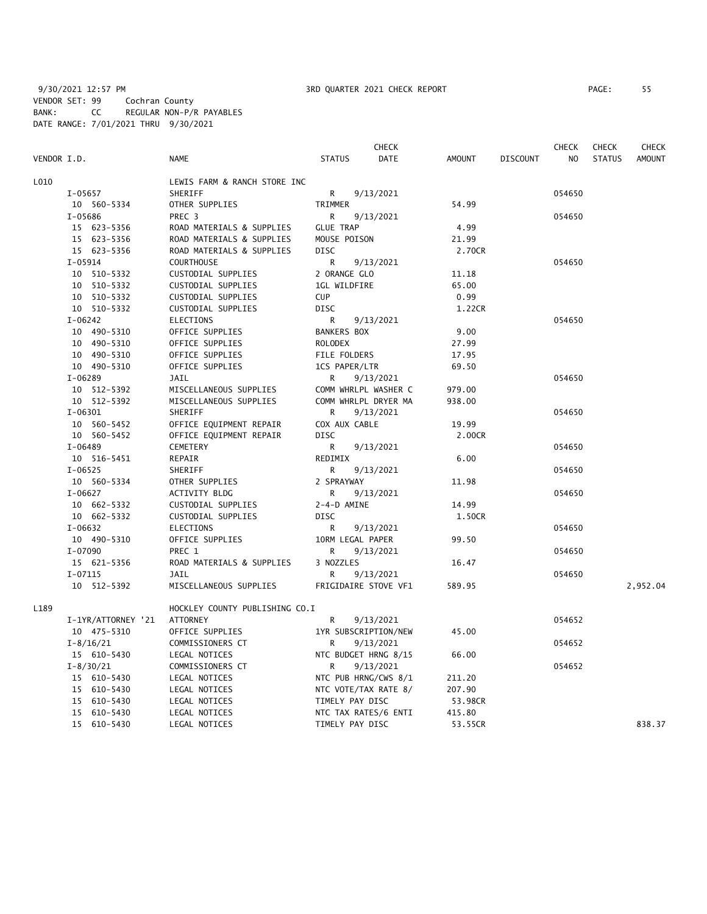|               |                    |                                |                      | <b>CHECK</b>         |               |                 | <b>CHECK</b>   | <b>CHECK</b>  | <b>CHECK</b>  |
|---------------|--------------------|--------------------------------|----------------------|----------------------|---------------|-----------------|----------------|---------------|---------------|
| VENDOR I.D.   |                    | <b>NAME</b>                    | <b>STATUS</b>        | <b>DATE</b>          | <b>AMOUNT</b> | <b>DISCOUNT</b> | N <sub>O</sub> | <b>STATUS</b> | <b>AMOUNT</b> |
| L010          |                    | LEWIS FARM & RANCH STORE INC   |                      |                      |               |                 |                |               |               |
| $I-05657$     |                    | SHERIFF                        | R                    | 9/13/2021            |               |                 | 054650         |               |               |
|               | 10 560-5334        | OTHER SUPPLIES                 | TRIMMER              |                      | 54.99         |                 |                |               |               |
| I-05686       |                    | PREC <sub>3</sub>              | R                    | 9/13/2021            |               |                 | 054650         |               |               |
|               | 15 623-5356        | ROAD MATERIALS & SUPPLIES      | <b>GLUE TRAP</b>     |                      | 4.99          |                 |                |               |               |
|               | 15 623-5356        | ROAD MATERIALS & SUPPLIES      | MOUSE POISON         |                      | 21.99         |                 |                |               |               |
|               | 15 623-5356        | ROAD MATERIALS & SUPPLIES      | <b>DISC</b>          |                      | 2.70CR        |                 |                |               |               |
| $I-05914$     |                    | <b>COURTHOUSE</b>              | R                    | 9/13/2021            |               |                 | 054650         |               |               |
|               | 10 510-5332        | CUSTODIAL SUPPLIES             | 2 ORANGE GLO         |                      | 11.18         |                 |                |               |               |
|               | 10 510-5332        | CUSTODIAL SUPPLIES             | 1GL WILDFIRE         |                      | 65.00         |                 |                |               |               |
|               | 10 510-5332        | CUSTODIAL SUPPLIES             | <b>CUP</b>           |                      | 0.99          |                 |                |               |               |
|               | 10 510-5332        | CUSTODIAL SUPPLIES             | <b>DISC</b>          |                      | 1.22CR        |                 |                |               |               |
| $I-06242$     |                    | <b>ELECTIONS</b>               | R                    | 9/13/2021            |               |                 | 054650         |               |               |
|               | 10 490-5310        | OFFICE SUPPLIES                | <b>BANKERS BOX</b>   |                      | 9.00          |                 |                |               |               |
|               | 10 490-5310        | OFFICE SUPPLIES                | <b>ROLODEX</b>       |                      | 27.99         |                 |                |               |               |
|               | 10 490-5310        | OFFICE SUPPLIES                | FILE FOLDERS         |                      | 17.95         |                 |                |               |               |
|               | 10 490-5310        | OFFICE SUPPLIES                | 1CS PAPER/LTR        |                      | 69.50         |                 |                |               |               |
| $I-06289$     |                    | JAIL                           | R                    | 9/13/2021            |               |                 | 054650         |               |               |
|               | 10 512-5392        | MISCELLANEOUS SUPPLIES         |                      | COMM WHRLPL WASHER C | 979.00        |                 |                |               |               |
|               | 10 512-5392        | MISCELLANEOUS SUPPLIES         |                      | COMM WHRLPL DRYER MA | 938.00        |                 |                |               |               |
| $I - 06301$   |                    | <b>SHERIFF</b>                 | R                    | 9/13/2021            |               |                 | 054650         |               |               |
|               | 10 560-5452        | OFFICE EQUIPMENT REPAIR        | COX AUX CABLE        |                      | 19.99         |                 |                |               |               |
|               | 10 560-5452        | OFFICE EQUIPMENT REPAIR        | <b>DISC</b>          |                      | 2.00CR        |                 |                |               |               |
| $I-06489$     |                    | <b>CEMETERY</b>                | R                    | 9/13/2021            |               |                 | 054650         |               |               |
|               | 10 516-5451        | REPAIR                         | REDIMIX              |                      | 6.00          |                 |                |               |               |
| $I-06525$     |                    | SHERIFF                        | R                    | 9/13/2021            |               |                 | 054650         |               |               |
|               | 10 560-5334        | OTHER SUPPLIES                 | 2 SPRAYWAY           |                      | 11.98         |                 |                |               |               |
| $I-06627$     |                    | ACTIVITY BLDG                  | R                    | 9/13/2021            |               |                 | 054650         |               |               |
|               | 10 662-5332        | CUSTODIAL SUPPLIES             | 2-4-D AMINE          |                      | 14.99         |                 |                |               |               |
|               | 10 662-5332        | CUSTODIAL SUPPLIES             | <b>DISC</b>          |                      | 1.50CR        |                 |                |               |               |
| I-06632       |                    | ELECTIONS                      | R                    | 9/13/2021            |               |                 | 054650         |               |               |
|               | 10 490-5310        | OFFICE SUPPLIES                | 10RM LEGAL PAPER     |                      | 99.50         |                 |                |               |               |
| I-07090       |                    | PREC 1                         | R                    | 9/13/2021            |               |                 | 054650         |               |               |
|               | 15 621-5356        | ROAD MATERIALS & SUPPLIES      | 3 NOZZLES            |                      | 16.47         |                 |                |               |               |
| $I-07115$     |                    | <b>JAIL</b>                    | R                    | 9/13/2021            |               |                 | 054650         |               |               |
|               | 10 512-5392        | MISCELLANEOUS SUPPLIES         |                      | FRIGIDAIRE STOVE VF1 | 589.95        |                 |                |               | 2,952.04      |
| L189          |                    | HOCKLEY COUNTY PUBLISHING CO.I |                      |                      |               |                 |                |               |               |
|               | I-1YR/ATTORNEY '21 | <b>ATTORNEY</b>                | R                    | 9/13/2021            |               |                 | 054652         |               |               |
|               | 10 475-5310        | OFFICE SUPPLIES                |                      | 1YR SUBSCRIPTION/NEW | 45.00         |                 |                |               |               |
| $I - 8/16/21$ |                    | COMMISSIONERS CT               | R                    | 9/13/2021            |               |                 | 054652         |               |               |
|               | 15 610-5430        | LEGAL NOTICES                  | NTC BUDGET HRNG 8/15 |                      | 66.00         |                 |                |               |               |
| $I - 8/30/21$ |                    | COMMISSIONERS CT               | R                    | 9/13/2021            |               |                 | 054652         |               |               |
|               | 15 610-5430        | LEGAL NOTICES                  |                      | NTC PUB HRNG/CWS 8/1 | 211.20        |                 |                |               |               |
|               | 15 610-5430        | LEGAL NOTICES                  | NTC VOTE/TAX RATE 8/ |                      | 207.90        |                 |                |               |               |
|               | 15 610-5430        | LEGAL NOTICES                  | TIMELY PAY DISC      |                      | 53.98CR       |                 |                |               |               |
|               | 15 610-5430        | LEGAL NOTICES                  |                      | NTC TAX RATES/6 ENTI | 415.80        |                 |                |               |               |
|               | 15 610-5430        | LEGAL NOTICES                  | TIMELY PAY DISC      |                      | 53.55CR       |                 |                |               | 838.37        |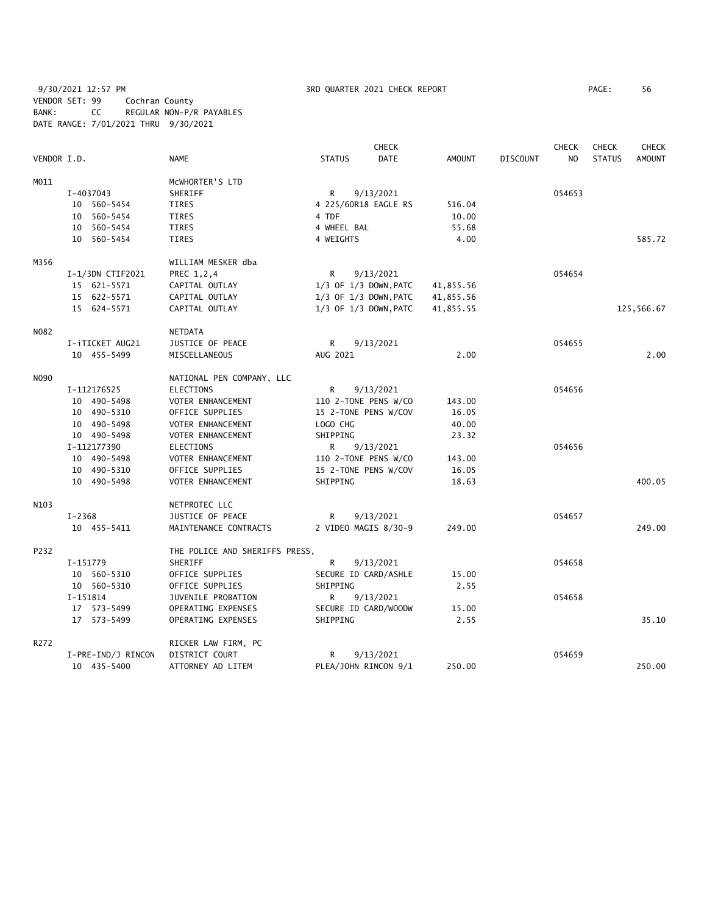9/30/2021 12:57 PM 3RD QUARTER 2021 CHECK REPORT PAGE: 56 VENDOR SET: 99 Cochran County BANK: CC REGULAR NON-P/R PAYABLES DATE RANGE: 7/01/2021 THRU 9/30/2021

|             |                    | <b>CHECK</b><br><b>CHECK</b><br><b>CHECK</b> |                      |                           |               |                 |                |               | <b>CHECK</b>  |
|-------------|--------------------|----------------------------------------------|----------------------|---------------------------|---------------|-----------------|----------------|---------------|---------------|
| VENDOR I.D. |                    | <b>NAME</b>                                  | <b>STATUS</b>        | <b>DATE</b>               | <b>AMOUNT</b> | <b>DISCOUNT</b> | N <sub>O</sub> | <b>STATUS</b> | <b>AMOUNT</b> |
| M011        |                    | MCWHORTER'S LTD                              |                      |                           |               |                 |                |               |               |
|             | I-4037043          | SHERIFF                                      | R                    | 9/13/2021                 |               |                 | 054653         |               |               |
|             | 10 560-5454        | <b>TIRES</b>                                 | 4 225/60R18 EAGLE RS |                           | 516.04        |                 |                |               |               |
|             | 10 560-5454        | <b>TIRES</b>                                 | 4 TDF                |                           | 10.00         |                 |                |               |               |
|             | 10 560-5454        | <b>TIRES</b>                                 | 4 WHEEL BAL          |                           | 55.68         |                 |                |               |               |
|             | 10 560-5454        | TIRES                                        | 4 WEIGHTS            |                           | 4.00          |                 |                |               | 585.72        |
| M356        |                    | WILLIAM MESKER dba                           |                      |                           |               |                 |                |               |               |
|             | $I-1/3DN$ CTIF2021 | PREC 1,2,4                                   | R                    | 9/13/2021                 |               |                 | 054654         |               |               |
|             | 15 621-5571        | CAPITAL OUTLAY                               |                      | $1/3$ OF $1/3$ DOWN, PATC | 41,855.56     |                 |                |               |               |
|             | 15 622-5571        | CAPITAL OUTLAY                               |                      | $1/3$ OF $1/3$ DOWN, PATC | 41,855.56     |                 |                |               |               |
|             | 15 624-5571        | CAPITAL OUTLAY                               |                      | 1/3 OF 1/3 DOWN, PATC     | 41,855.55     |                 |                |               | 125,566.67    |
| N082        |                    | <b>NETDATA</b>                               |                      |                           |               |                 |                |               |               |
|             | I-iTICKET AUG21    | JUSTICE OF PEACE                             | R                    | 9/13/2021                 |               |                 | 054655         |               |               |
|             | 10 455-5499        | MISCELLANEOUS                                | AUG 2021             |                           | 2.00          |                 |                |               | 2.00          |
| N090        |                    | NATIONAL PEN COMPANY, LLC                    |                      |                           |               |                 |                |               |               |
|             | I-112176525        | <b>ELECTIONS</b>                             | R                    | 9/13/2021                 |               |                 | 054656         |               |               |
|             | 10 490-5498        | VOTER ENHANCEMENT                            | 110 2-TONE PENS W/CO |                           | 143.00        |                 |                |               |               |
|             | 10 490-5310        | OFFICE SUPPLIES                              | 15 2-TONE PENS W/COV |                           | 16.05         |                 |                |               |               |
|             | 10 490-5498        | VOTER ENHANCEMENT                            | LOGO CHG             |                           | 40.00         |                 |                |               |               |
|             | 10 490-5498        | VOTER ENHANCEMENT                            | SHIPPING             |                           | 23.32         |                 |                |               |               |
|             | I-112177390        | <b>ELECTIONS</b>                             | R.                   | 9/13/2021                 |               |                 | 054656         |               |               |
|             | 10 490-5498        | VOTER ENHANCEMENT                            | 110 2-TONE PENS W/CO |                           | 143.00        |                 |                |               |               |
|             | 10 490-5310        | OFFICE SUPPLIES                              | 15 2-TONE PENS W/COV |                           | 16.05         |                 |                |               |               |
|             | 10 490-5498        | VOTER ENHANCEMENT                            | SHIPPING             |                           | 18.63         |                 |                |               | 400.05        |
| N103        |                    | NETPROTEC LLC                                |                      |                           |               |                 |                |               |               |
|             | $I - 2368$         | JUSTICE OF PEACE                             | R                    | 9/13/2021                 |               |                 | 054657         |               |               |
|             | 10 455-5411        | MAINTENANCE CONTRACTS                        |                      | 2 VIDEO MAGIS 8/30-9      | 249.00        |                 |                |               | 249.00        |
| P232        |                    | THE POLICE AND SHERIFFS PRESS,               |                      |                           |               |                 |                |               |               |
|             | I-151779           | SHERIFF                                      | R                    | 9/13/2021                 |               |                 | 054658         |               |               |
|             | 10 560-5310        | OFFICE SUPPLIES                              | SECURE ID CARD/ASHLE |                           | 15.00         |                 |                |               |               |
|             | 10 560-5310        | OFFICE SUPPLIES                              | SHIPPING             |                           | 2.55          |                 |                |               |               |
|             | I-151814           | JUVENILE PROBATION                           | R                    | 9/13/2021                 |               |                 | 054658         |               |               |
|             | 17 573-5499        | OPERATING EXPENSES                           | SECURE ID CARD/WOODW |                           | 15.00         |                 |                |               |               |
|             | 17 573-5499        | OPERATING EXPENSES                           | SHIPPING             |                           | 2.55          |                 |                |               | 35.10         |
| R272        |                    | RICKER LAW FIRM, PC                          |                      |                           |               |                 |                |               |               |
|             | I-PRE-IND/J RINCON | DISTRICT COURT                               | R                    | 9/13/2021                 |               |                 | 054659         |               |               |
|             | 10 435-5400        | ATTORNEY AD LITEM                            |                      | PLEA/JOHN RINCON 9/1      | 250.00        |                 |                |               | 250.00        |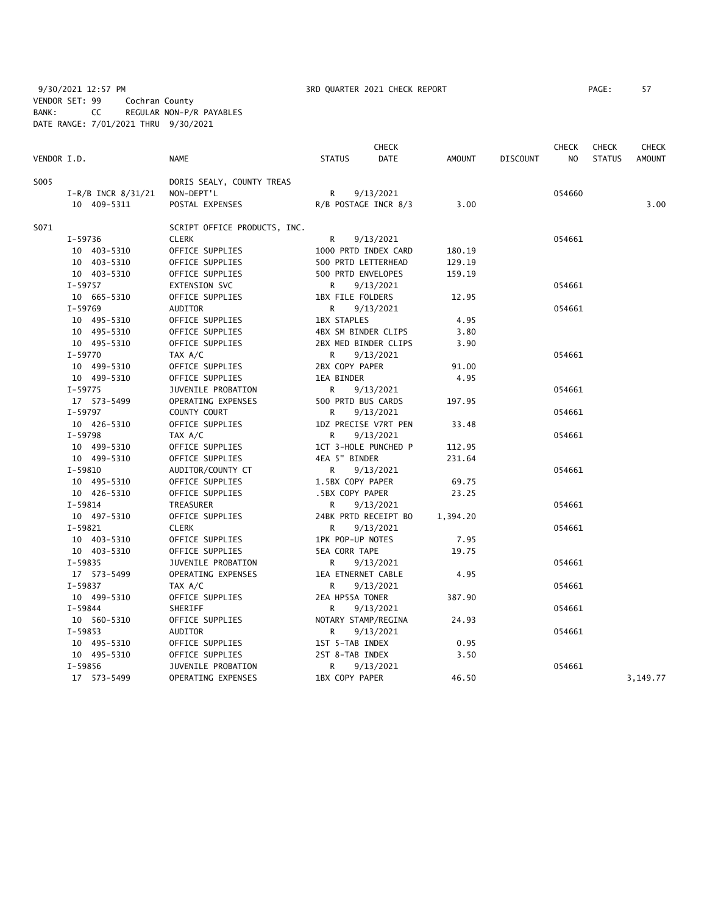9/30/2021 12:57 PM **3RD QUARTER 2021 CHECK REPORT** PAGE: 57 VENDOR SET: 99 Cochran County BANK: CC REGULAR NON-P/R PAYABLES DATE RANGE: 7/01/2021 THRU 9/30/2021

|             |                        |                              |                      | <b>CHECK</b>         |          |                 | <b>CHECK</b>   | <b>CHECK</b>  | <b>CHECK</b>  |
|-------------|------------------------|------------------------------|----------------------|----------------------|----------|-----------------|----------------|---------------|---------------|
| VENDOR I.D. |                        | <b>NAME</b>                  | <b>STATUS</b>        | <b>DATE</b>          | AMOUNT   | <b>DISCOUNT</b> | N <sub>O</sub> | <b>STATUS</b> | <b>AMOUNT</b> |
| S005        |                        | DORIS SEALY, COUNTY TREAS    |                      |                      |          |                 |                |               |               |
|             | $I-R/B$ INCR $8/31/21$ | NON-DEPT'L                   | R.                   | 9/13/2021            |          |                 | 054660         |               |               |
|             | 10 409-5311            | POSTAL EXPENSES              |                      | R/B POSTAGE INCR 8/3 | 3.00     |                 |                |               | 3.00          |
| S071        |                        | SCRIPT OFFICE PRODUCTS, INC. |                      |                      |          |                 |                |               |               |
|             | I-59736                | <b>CLERK</b>                 | R                    | 9/13/2021            |          |                 | 054661         |               |               |
|             | 10 403-5310            | OFFICE SUPPLIES              |                      | 1000 PRTD INDEX CARD | 180.19   |                 |                |               |               |
|             | 10 403-5310            | OFFICE SUPPLIES              | 500 PRTD LETTERHEAD  |                      | 129.19   |                 |                |               |               |
|             | 10 403-5310            | OFFICE SUPPLIES              | 500 PRTD ENVELOPES   |                      | 159.19   |                 |                |               |               |
|             | $I-59757$              | EXTENSION SVC                | R                    | 9/13/2021            |          |                 | 054661         |               |               |
|             | 10 665-5310            | OFFICE SUPPLIES              | 1BX FILE FOLDERS     |                      | 12.95    |                 |                |               |               |
|             | $I-59769$              | AUDITOR                      | R                    | 9/13/2021            |          |                 | 054661         |               |               |
|             | 10 495-5310            | OFFICE SUPPLIES              | <b>1BX STAPLES</b>   |                      | 4.95     |                 |                |               |               |
|             | 10 495-5310            | OFFICE SUPPLIES              | 4BX SM BINDER CLIPS  |                      | 3.80     |                 |                |               |               |
|             | 10 495-5310            | OFFICE SUPPLIES              |                      | 2BX MED BINDER CLIPS | 3.90     |                 |                |               |               |
|             | $I-59770$              | TAX A/C                      | R                    | 9/13/2021            |          |                 | 054661         |               |               |
|             | 10 499-5310            | OFFICE SUPPLIES              | 2BX COPY PAPER       |                      | 91.00    |                 |                |               |               |
|             | 10 499-5310            | OFFICE SUPPLIES              | 1EA BINDER           |                      | 4.95     |                 |                |               |               |
|             | $I-59775$              | JUVENILE PROBATION           | R                    | 9/13/2021            |          |                 | 054661         |               |               |
|             | 17 573-5499            | OPERATING EXPENSES           | 500 PRTD BUS CARDS   |                      | 197.95   |                 |                |               |               |
|             | I-59797                | COUNTY COURT                 | R                    | 9/13/2021            |          |                 | 054661         |               |               |
|             | 10 426-5310            | OFFICE SUPPLIES              |                      | 1DZ PRECISE V7RT PEN | 33.48    |                 |                |               |               |
|             | $I-59798$              | TAX A/C                      | R                    | 9/13/2021            |          |                 | 054661         |               |               |
|             | 10 499-5310            | OFFICE SUPPLIES              |                      | 1CT 3-HOLE PUNCHED P | 112.95   |                 |                |               |               |
|             | 10 499-5310            | OFFICE SUPPLIES              | 4EA 5" BINDER        |                      | 231.64   |                 |                |               |               |
|             | $I-59810$              | AUDITOR/COUNTY CT            | R                    | 9/13/2021            |          |                 | 054661         |               |               |
|             | 10 495-5310            | OFFICE SUPPLIES              | 1.5BX COPY PAPER     |                      | 69.75    |                 |                |               |               |
|             | 10 426-5310            | OFFICE SUPPLIES              | .5BX COPY PAPER      |                      | 23.25    |                 |                |               |               |
|             | I-59814                | TREASURER                    | R                    | 9/13/2021            |          |                 | 054661         |               |               |
|             | 10 497-5310            | OFFICE SUPPLIES              |                      | 24BK PRTD RECEIPT BO | 1,394.20 |                 |                |               |               |
|             | $I-59821$              | <b>CLERK</b>                 | R                    | 9/13/2021            |          |                 | 054661         |               |               |
|             | 10 403-5310            | OFFICE SUPPLIES              | 1PK POP-UP NOTES     |                      | 7.95     |                 |                |               |               |
|             | 10 403-5310            | OFFICE SUPPLIES              | <b>5EA CORR TAPE</b> |                      | 19.75    |                 |                |               |               |
|             | I-59835                | JUVENILE PROBATION           | R                    | 9/13/2021            |          |                 | 054661         |               |               |
|             | 17 573-5499            | OPERATING EXPENSES           | 1EA ETNERNET CABLE   |                      | 4.95     |                 |                |               |               |
|             | I-59837                | TAX A/C                      | R                    | 9/13/2021            |          |                 | 054661         |               |               |
|             | 10 499-5310            | OFFICE SUPPLIES              | 2EA HP55A TONER      |                      | 387.90   |                 |                |               |               |
|             | $I-59844$              | SHERIFF                      | R                    | 9/13/2021            |          |                 | 054661         |               |               |
|             | 10 560-5310            | OFFICE SUPPLIES              | NOTARY STAMP/REGINA  |                      | 24.93    |                 |                |               |               |
|             | $I-59853$              | AUDITOR                      | R                    | 9/13/2021            |          |                 | 054661         |               |               |
|             | 10 495-5310            | OFFICE SUPPLIES              | 1ST 5-TAB INDEX      |                      | 0.95     |                 |                |               |               |
|             | 10 495-5310            | OFFICE SUPPLIES              | 2ST 8-TAB INDEX      |                      | 3.50     |                 |                |               |               |
|             | I-59856                | JUVENILE PROBATION           | R                    | 9/13/2021            |          |                 | 054661         |               |               |
|             | 17 573-5499            | <b>OPERATING EXPENSES</b>    | 1BX COPY PAPER       |                      | 46.50    |                 |                |               | 3,149.77      |
|             |                        |                              |                      |                      |          |                 |                |               |               |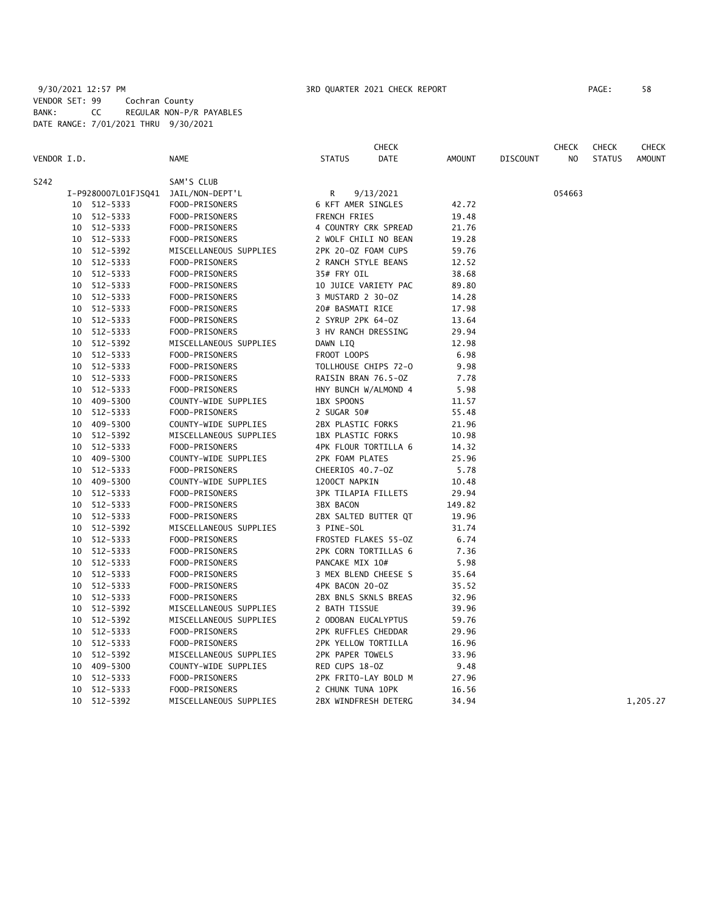9/30/2021 12:57 PM **3RD QUARTER 2021 CHECK REPORT** 9/30/2021 12:57 PM VENDOR SET: 99 Cochran County BANK: CC REGULAR NON-P/R PAYABLES DATE RANGE: 7/01/2021 THRU 9/30/2021

|             |    |             |                                     |                          | <b>CHECK</b>         |               |                 | <b>CHECK</b> | <b>CHECK</b>  | <b>CHECK</b>  |
|-------------|----|-------------|-------------------------------------|--------------------------|----------------------|---------------|-----------------|--------------|---------------|---------------|
| VENDOR I.D. |    |             | <b>NAME</b>                         | <b>STATUS</b>            | <b>DATE</b>          | <b>AMOUNT</b> | <b>DISCOUNT</b> | NO.          | <b>STATUS</b> | <b>AMOUNT</b> |
| S242        |    |             | SAM'S CLUB                          |                          |                      |               |                 |              |               |               |
|             |    |             | I-P9280007L01FJSQ41 JAIL/NON-DEPT'L | R                        | 9/13/2021            |               |                 | 054663       |               |               |
|             |    | 10 512-5333 | FOOD-PRISONERS                      | 6 KFT AMER SINGLES       |                      | 42.72         |                 |              |               |               |
|             |    | 10 512-5333 | FOOD-PRISONERS                      | FRENCH FRIES             |                      | 19.48         |                 |              |               |               |
|             |    | 10 512-5333 | FOOD-PRISONERS                      |                          | 4 COUNTRY CRK SPREAD | 21.76         |                 |              |               |               |
|             |    | 10 512-5333 | FOOD-PRISONERS                      |                          | 2 WOLF CHILI NO BEAN | 19.28         |                 |              |               |               |
|             |    | 10 512-5392 | MISCELLANEOUS SUPPLIES              | 2PK 20-0Z FOAM CUPS      |                      | 59.76         |                 |              |               |               |
|             |    | 10 512-5333 | FOOD-PRISONERS                      | 2 RANCH STYLE BEANS      |                      | 12.52         |                 |              |               |               |
|             |    | 10 512-5333 | FOOD-PRISONERS                      | 35# FRY OIL              |                      | 38.68         |                 |              |               |               |
|             |    | 10 512-5333 | FOOD-PRISONERS                      |                          | 10 JUICE VARIETY PAC | 89.80         |                 |              |               |               |
|             |    | 10 512-5333 | FOOD-PRISONERS                      | 3 MUSTARD 2 30-0Z        |                      | 14.28         |                 |              |               |               |
|             |    | 10 512-5333 | FOOD-PRISONERS                      | 20# BASMATI RICE         |                      | 17.98         |                 |              |               |               |
|             |    | 10 512-5333 | FOOD-PRISONERS                      | 2 SYRUP 2PK 64-0Z        |                      | 13.64         |                 |              |               |               |
|             |    | 10 512-5333 | FOOD-PRISONERS                      | 3 HV RANCH DRESSING      |                      | 29.94         |                 |              |               |               |
|             |    | 10 512-5392 | MISCELLANEOUS SUPPLIES              | DAWN LIQ                 |                      | 12.98         |                 |              |               |               |
|             |    | 10 512-5333 | FOOD-PRISONERS                      | FROOT LOOPS              |                      | 6.98          |                 |              |               |               |
|             |    | 10 512-5333 | FOOD-PRISONERS                      |                          | TOLLHOUSE CHIPS 72-0 | 9.98          |                 |              |               |               |
|             |    | 10 512-5333 | FOOD-PRISONERS                      | RAISIN BRAN 76.5-0Z      |                      | 7.78          |                 |              |               |               |
|             |    | 10 512-5333 | FOOD-PRISONERS                      |                          | HNY BUNCH W/ALMOND 4 | 5.98          |                 |              |               |               |
|             |    | 10 409-5300 | COUNTY-WIDE SUPPLIES                | 1BX SPOONS               |                      | 11.57         |                 |              |               |               |
|             |    | 10 512-5333 | FOOD-PRISONERS                      | 2 SUGAR 50#              |                      | 55.48         |                 |              |               |               |
|             |    | 10 409-5300 | COUNTY-WIDE SUPPLIES                | 2BX PLASTIC FORKS        |                      | 21.96         |                 |              |               |               |
|             |    | 10 512-5392 | MISCELLANEOUS SUPPLIES              | <b>1BX PLASTIC FORKS</b> |                      | 10.98         |                 |              |               |               |
|             |    | 10 512-5333 | FOOD-PRISONERS                      |                          | 4PK FLOUR TORTILLA 6 | 14.32         |                 |              |               |               |
|             |    | 10 409-5300 | COUNTY-WIDE SUPPLIES                | 2PK FOAM PLATES          |                      | 25.96         |                 |              |               |               |
|             |    | 10 512-5333 | FOOD-PRISONERS                      | CHEERIOS 40.7-OZ         |                      | 5.78          |                 |              |               |               |
|             |    | 10 409-5300 | COUNTY-WIDE SUPPLIES                | 1200CT NAPKIN            |                      | 10.48         |                 |              |               |               |
|             |    | 10 512-5333 | FOOD-PRISONERS                      | 3PK TILAPIA FILLETS      |                      | 29.94         |                 |              |               |               |
|             |    | 10 512-5333 | FOOD-PRISONERS                      | 3BX BACON                |                      | 149.82        |                 |              |               |               |
|             |    | 10 512-5333 | FOOD-PRISONERS                      |                          | 2BX SALTED BUTTER QT | 19.96         |                 |              |               |               |
|             |    | 10 512-5392 | MISCELLANEOUS SUPPLIES              | 3 PINE-SOL               |                      | 31.74         |                 |              |               |               |
|             |    | 10 512-5333 | FOOD-PRISONERS                      |                          | FROSTED FLAKES 55-0Z | 6.74          |                 |              |               |               |
|             |    | 10 512-5333 | FOOD-PRISONERS                      | 2PK CORN TORTILLAS 6     |                      | 7.36          |                 |              |               |               |
|             |    | 10 512-5333 | FOOD-PRISONERS                      | PANCAKE MIX 10#          |                      | 5.98          |                 |              |               |               |
|             |    | 10 512-5333 | FOOD-PRISONERS                      |                          | 3 MEX BLEND CHEESE S | 35.64         |                 |              |               |               |
|             |    | 10 512-5333 | FOOD-PRISONERS                      | 4PK BACON 20-0Z          |                      | 35.52         |                 |              |               |               |
|             |    | 10 512-5333 | FOOD-PRISONERS                      |                          | 2BX BNLS SKNLS BREAS | 32.96         |                 |              |               |               |
|             |    | 10 512-5392 | MISCELLANEOUS SUPPLIES              | 2 BATH TISSUE            |                      | 39.96         |                 |              |               |               |
|             |    | 10 512-5392 | MISCELLANEOUS SUPPLIES              | 2 ODOBAN EUCALYPTUS      |                      | 59.76         |                 |              |               |               |
|             |    | 10 512-5333 | FOOD-PRISONERS                      | 2PK RUFFLES CHEDDAR      |                      | 29.96         |                 |              |               |               |
|             |    | 10 512-5333 | FOOD-PRISONERS                      | 2PK YELLOW TORTILLA      |                      | 16.96         |                 |              |               |               |
|             |    | 10 512-5392 | MISCELLANEOUS SUPPLIES              | 2PK PAPER TOWELS         |                      | 33.96         |                 |              |               |               |
|             |    | 10 409-5300 | COUNTY-WIDE SUPPLIES                | RED CUPS 18-0Z           |                      | 9.48          |                 |              |               |               |
|             |    | 10 512-5333 | FOOD-PRISONERS                      |                          | 2PK FRITO-LAY BOLD M | 27.96         |                 |              |               |               |
|             |    | 10 512-5333 | FOOD-PRISONERS                      | 2 CHUNK TUNA 10PK        |                      | 16.56         |                 |              |               |               |
|             | 10 | 512-5392    | MISCELLANEOUS SUPPLIES              |                          | 2BX WINDFRESH DETERG | 34.94         |                 |              |               | 1,205.27      |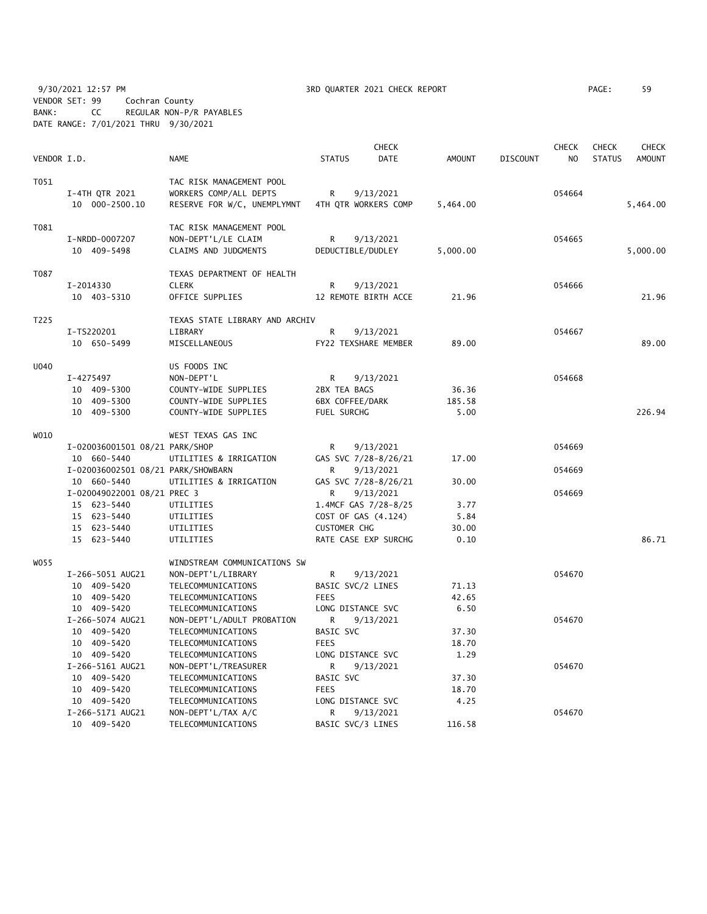9/30/2021 12:57 PM 3RD QUARTER 2021 CHECK REPORT PAGE: 59 VENDOR SET: 99 Cochran County BANK: CC REGULAR NON-P/R PAYABLES DATE RANGE: 7/01/2021 THRU 9/30/2021

| VENDOR I.D. |                                                                                                        | <b>NAME</b>                                                                                                          | <b>CHECK</b><br><b>STATUS</b><br>DATE                                                                                                | AMOUNT                                 | <b>DISCOUNT</b> | <b>CHECK</b><br>N <sub>O</sub> | <b>CHECK</b><br><b>STATUS</b> | <b>CHECK</b><br><b>AMOUNT</b> |
|-------------|--------------------------------------------------------------------------------------------------------|----------------------------------------------------------------------------------------------------------------------|--------------------------------------------------------------------------------------------------------------------------------------|----------------------------------------|-----------------|--------------------------------|-------------------------------|-------------------------------|
| T051        | I-4TH QTR 2021<br>10 000-2500.10                                                                       | TAC RISK MANAGEMENT POOL<br>WORKERS COMP/ALL DEPTS<br>RESERVE FOR W/C, UNEMPLYMNT                                    | R<br>9/13/2021<br>4TH QTR WORKERS COMP                                                                                               | 5,464.00                               |                 | 054664                         |                               | 5,464.00                      |
| T081        | I-NRDD-0007207<br>10 409-5498                                                                          | TAC RISK MANAGEMENT POOL<br>NON-DEPT'L/LE CLAIM<br>CLAIMS AND JUDGMENTS                                              | R<br>9/13/2021<br>DEDUCTIBLE/DUDLEY                                                                                                  | 5,000.00                               |                 | 054665                         |                               | 5,000.00                      |
| T087        | I-2014330<br>10 403-5310                                                                               | TEXAS DEPARTMENT OF HEALTH<br><b>CLERK</b><br>OFFICE SUPPLIES                                                        | R<br>9/13/2021<br>12 REMOTE BIRTH ACCE                                                                                               | 21.96                                  |                 | 054666                         |                               | 21.96                         |
| T225        | I-TS220201<br>10 650-5499                                                                              | TEXAS STATE LIBRARY AND ARCHIV<br>LIBRARY<br>MISCELLANEOUS                                                           | R<br>9/13/2021<br>FY22 TEXSHARE MEMBER                                                                                               | 89.00                                  |                 | 054667                         |                               | 89.00                         |
| U040        | I-4275497<br>10 409-5300<br>10 409-5300<br>10 409-5300                                                 | US FOODS INC<br>NON-DEPT'L<br>COUNTY-WIDE SUPPLIES<br>COUNTY-WIDE SUPPLIES<br>COUNTY-WIDE SUPPLIES                   | R<br>9/13/2021<br>2BX TEA BAGS<br><b>6BX COFFEE/DARK</b><br>FUEL SURCHG                                                              | 36.36<br>185.58<br>5.00                |                 | 054668                         |                               | 226.94                        |
| W010        |                                                                                                        | WEST TEXAS GAS INC                                                                                                   |                                                                                                                                      |                                        |                 |                                |                               |                               |
|             | I-020036001501 08/21 PARK/SHOP<br>10 660-5440<br>I-020036002501 08/21 PARK/SHOWBARN                    | UTILITIES & IRRIGATION                                                                                               | R<br>9/13/2021<br>GAS SVC 7/28-8/26/21<br>R<br>9/13/2021                                                                             | 17.00                                  |                 | 054669<br>054669               |                               |                               |
|             | 10 660-5440<br>I-020049022001 08/21 PREC 3<br>15 623-5440<br>15 623-5440<br>15 623-5440<br>15 623-5440 | UTILITIES & IRRIGATION<br>UTILITIES<br>UTILITIES<br>UTILITIES<br>UTILITIES                                           | GAS SVC 7/28-8/26/21<br>R<br>9/13/2021<br>1.4MCF GAS 7/28-8/25<br>COST OF GAS (4.124)<br><b>CUSTOMER CHG</b><br>RATE CASE EXP SURCHG | 30.00<br>3.77<br>5.84<br>30.00<br>0.10 |                 | 054669                         |                               | 86.71                         |
| W055        | I-266-5051 AUG21<br>10 409-5420<br>10 409-5420<br>10 409-5420                                          | WINDSTREAM COMMUNICATIONS SW<br>NON-DEPT'L/LIBRARY<br>TELECOMMUNICATIONS<br>TELECOMMUNICATIONS<br>TELECOMMUNICATIONS | R<br>9/13/2021<br>BASIC SVC/2 LINES<br><b>FEES</b><br>LONG DISTANCE SVC                                                              | 71.13<br>42.65<br>6.50                 |                 | 054670                         |                               |                               |
|             | I-266-5074 AUG21<br>10 409-5420<br>10 409-5420<br>10 409-5420                                          | NON-DEPT'L/ADULT PROBATION<br>TELECOMMUNICATIONS<br>TELECOMMUNICATIONS<br>TELECOMMUNICATIONS                         | R<br>9/13/2021<br><b>BASIC SVC</b><br><b>FEES</b><br>LONG DISTANCE SVC                                                               | 37.30<br>18.70<br>1.29                 |                 | 054670                         |                               |                               |
|             | I-266-5161 AUG21<br>10 409-5420<br>10 409-5420<br>10 409-5420                                          | NON-DEPT'L/TREASURER<br>TELECOMMUNICATIONS<br>TELECOMMUNICATIONS<br>TELECOMMUNICATIONS                               | R<br>9/13/2021<br>BASIC SVC<br><b>FEES</b><br>LONG DISTANCE SVC                                                                      | 37.30<br>18.70<br>4.25                 |                 | 054670                         |                               |                               |
|             | I-266-5171 AUG21<br>10 409-5420                                                                        | NON-DEPT'L/TAX A/C<br>TELECOMMUNICATIONS                                                                             | R<br>9/13/2021<br>BASIC SVC/3 LINES                                                                                                  | 116.58                                 |                 | 054670                         |                               |                               |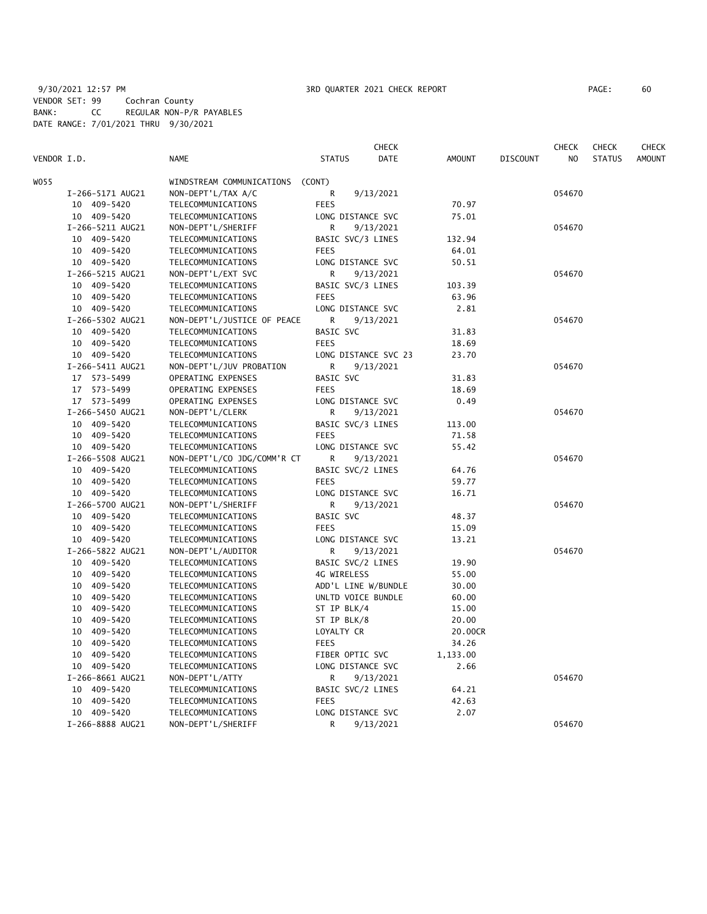|             |                  |                             |                      | <b>CHECK</b> |               |                 | <b>CHECK</b> | <b>CHECK</b>  | <b>CHECK</b>  |
|-------------|------------------|-----------------------------|----------------------|--------------|---------------|-----------------|--------------|---------------|---------------|
| VENDOR I.D. |                  | <b>NAME</b>                 | <b>STATUS</b>        | DATE         | <b>AMOUNT</b> | <b>DISCOUNT</b> | NO.          | <b>STATUS</b> | <b>AMOUNT</b> |
| WO55        |                  | WINDSTREAM COMMUNICATIONS   | (CONT)               |              |               |                 |              |               |               |
|             | I-266-5171 AUG21 | NON-DEPT'L/TAX A/C          | R                    | 9/13/2021    |               |                 | 054670       |               |               |
|             | 10 409-5420      | TELECOMMUNICATIONS          | <b>FEES</b>          |              | 70.97         |                 |              |               |               |
|             | 10 409-5420      | TELECOMMUNICATIONS          | LONG DISTANCE SVC    |              | 75.01         |                 |              |               |               |
|             | I-266-5211 AUG21 | NON-DEPT'L/SHERIFF          | R                    | 9/13/2021    |               |                 | 054670       |               |               |
|             | 10 409-5420      | TELECOMMUNICATIONS          | BASIC SVC/3 LINES    |              | 132.94        |                 |              |               |               |
|             | 10 409-5420      | TELECOMMUNICATIONS          | <b>FEES</b>          |              | 64.01         |                 |              |               |               |
|             | 10 409-5420      | TELECOMMUNICATIONS          | LONG DISTANCE SVC    |              | 50.51         |                 |              |               |               |
|             | I-266-5215 AUG21 | NON-DEPT'L/EXT SVC          | R                    | 9/13/2021    |               |                 | 054670       |               |               |
|             | 10 409-5420      | TELECOMMUNICATIONS          | BASIC SVC/3 LINES    |              | 103.39        |                 |              |               |               |
|             | 10 409-5420      | TELECOMMUNICATIONS          | <b>FEES</b>          |              | 63.96         |                 |              |               |               |
|             | 10 409-5420      | TELECOMMUNICATIONS          | LONG DISTANCE SVC    |              | 2.81          |                 |              |               |               |
|             | I-266-5302 AUG21 | NON-DEPT'L/JUSTICE OF PEACE | R                    | 9/13/2021    |               |                 | 054670       |               |               |
|             | 10 409-5420      | TELECOMMUNICATIONS          | BASIC SVC            |              | 31.83         |                 |              |               |               |
|             | 10 409-5420      | TELECOMMUNICATIONS          | <b>FEES</b>          |              | 18.69         |                 |              |               |               |
|             | 10 409-5420      | TELECOMMUNICATIONS          | LONG DISTANCE SVC 23 |              | 23.70         |                 |              |               |               |
|             | I-266-5411 AUG21 | NON-DEPT'L/JUV PROBATION    | R                    | 9/13/2021    |               |                 | 054670       |               |               |
|             | 17 573-5499      | OPERATING EXPENSES          | BASIC SVC            |              | 31.83         |                 |              |               |               |
|             | 17 573-5499      | OPERATING EXPENSES          | <b>FEES</b>          |              | 18.69         |                 |              |               |               |
|             | 17 573-5499      | OPERATING EXPENSES          | LONG DISTANCE SVC    |              | 0.49          |                 |              |               |               |
|             | I-266-5450 AUG21 | NON-DEPT'L/CLERK            | R                    | 9/13/2021    |               |                 | 054670       |               |               |
|             | 10 409-5420      | TELECOMMUNICATIONS          | BASIC SVC/3 LINES    |              | 113.00        |                 |              |               |               |
|             | 10 409-5420      | TELECOMMUNICATIONS          | <b>FEES</b>          |              | 71.58         |                 |              |               |               |
|             | 10 409-5420      | TELECOMMUNICATIONS          | LONG DISTANCE SVC    |              | 55.42         |                 |              |               |               |
|             | I-266-5508 AUG21 | NON-DEPT'L/CO JDG/COMM'R CT | R                    | 9/13/2021    |               |                 | 054670       |               |               |
|             | 10 409-5420      | TELECOMMUNICATIONS          | BASIC SVC/2 LINES    |              | 64.76         |                 |              |               |               |
|             | 10 409-5420      | TELECOMMUNICATIONS          | <b>FEES</b>          |              | 59.77         |                 |              |               |               |
|             | 10 409-5420      | TELECOMMUNICATIONS          | LONG DISTANCE SVC    |              | 16.71         |                 |              |               |               |
|             | I-266-5700 AUG21 | NON-DEPT'L/SHERIFF          | R                    | 9/13/2021    |               |                 | 054670       |               |               |
|             | 10 409-5420      | TELECOMMUNICATIONS          | BASIC SVC            |              | 48.37         |                 |              |               |               |
|             | 10 409-5420      | TELECOMMUNICATIONS          | <b>FEES</b>          |              | 15.09         |                 |              |               |               |
|             | 10 409-5420      | TELECOMMUNICATIONS          | LONG DISTANCE SVC    |              | 13.21         |                 |              |               |               |
|             | I-266-5822 AUG21 | NON-DEPT'L/AUDITOR          | R                    | 9/13/2021    |               |                 | 054670       |               |               |
|             | 10 409-5420      | TELECOMMUNICATIONS          | BASIC SVC/2 LINES    |              | 19.90         |                 |              |               |               |
|             | 10 409-5420      | TELECOMMUNICATIONS          | 4G WIRELESS          |              | 55.00         |                 |              |               |               |
|             | 10 409-5420      | TELECOMMUNICATIONS          | ADD'L LINE W/BUNDLE  |              | 30.00         |                 |              |               |               |
|             | 10<br>409-5420   | TELECOMMUNICATIONS          | UNLTD VOICE BUNDLE   |              | 60.00         |                 |              |               |               |
|             | 409-5420<br>10   | TELECOMMUNICATIONS          | ST IP BLK/4          |              | 15.00         |                 |              |               |               |
|             | 10<br>409-5420   | TELECOMMUNICATIONS          | ST IP BLK/8          |              | 20.00         |                 |              |               |               |
|             | 409-5420<br>10   | TELECOMMUNICATIONS          | LOYALTY CR           |              | 20.00CR       |                 |              |               |               |
|             | 409-5420<br>10   | TELECOMMUNICATIONS          | <b>FEES</b>          |              | 34.26         |                 |              |               |               |
|             | 10<br>409-5420   | TELECOMMUNICATIONS          | FIBER OPTIC SVC      |              | 1,133.00      |                 |              |               |               |
|             | 409-5420<br>10   | TELECOMMUNICATIONS          | LONG DISTANCE SVC    |              | 2.66          |                 |              |               |               |
|             | I-266-8661 AUG21 | NON-DEPT'L/ATTY             | R                    | 9/13/2021    |               |                 | 054670       |               |               |
|             | 10 409-5420      | TELECOMMUNICATIONS          | BASIC SVC/2 LINES    |              | 64.21         |                 |              |               |               |
|             | 409-5420<br>10   | TELECOMMUNICATIONS          | <b>FEES</b>          |              | 42.63         |                 |              |               |               |
|             | 10 409-5420      | TELECOMMUNICATIONS          | LONG DISTANCE SVC    |              | 2.07          |                 |              |               |               |
|             | I-266-8888 AUG21 | NON-DEPT'L/SHERIFF          | R                    | 9/13/2021    |               |                 | 054670       |               |               |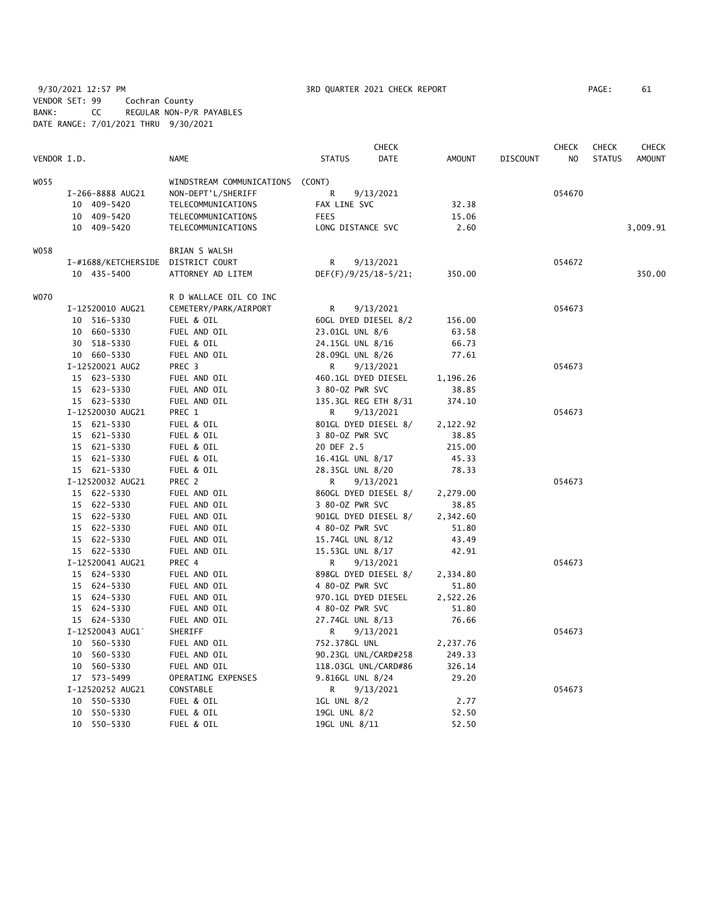9/30/2021 12:57 PM PAGE 2021 CHECK REPORT PAGE VENDOR SET: 99 Cochran County BANK: CC REGULAR NON-P/R PAYABLES DATE RANGE: 7/01/2021 THRU 9/30/2021

| PAGE : | 61 |
|--------|----|
|        |    |

|             |                                    |                                  |                     | <b>CHECK</b>         |          |                 | <b>CHECK</b> | <b>CHECK</b>  | <b>CHECK</b>  |
|-------------|------------------------------------|----------------------------------|---------------------|----------------------|----------|-----------------|--------------|---------------|---------------|
| VENDOR I.D. |                                    | <b>NAME</b>                      | <b>STATUS</b>       | DATE                 | AMOUNT   | <b>DISCOUNT</b> | NO           | <b>STATUS</b> | <b>AMOUNT</b> |
| W055        |                                    | WINDSTREAM COMMUNICATIONS (CONT) |                     |                      |          |                 |              |               |               |
|             | I-266-8888 AUG21                   | NON-DEPT'L/SHERIFF               | R                   | 9/13/2021            |          |                 | 054670       |               |               |
|             | 10 409-5420                        | TELECOMMUNICATIONS               | FAX LINE SVC        |                      | 32.38    |                 |              |               |               |
|             | 10 409-5420                        | TELECOMMUNICATIONS               | <b>FEES</b>         |                      | 15.06    |                 |              |               |               |
|             | 10 409-5420                        | TELECOMMUNICATIONS               | LONG DISTANCE SVC   |                      | 2.60     |                 |              |               | 3,009.91      |
|             |                                    |                                  |                     |                      |          |                 |              |               |               |
| W058        |                                    | BRIAN S WALSH                    |                     |                      |          |                 |              |               |               |
|             | I-#1688/KETCHERSIDE DISTRICT COURT |                                  | R                   | 9/13/2021            |          |                 | 054672       |               |               |
|             | 10 435-5400                        | ATTORNEY AD LITEM                |                     | DEF(F)/9/25/18-5/21; | 350.00   |                 |              |               | 350.00        |
| <b>WO70</b> |                                    | R D WALLACE OIL CO INC           |                     |                      |          |                 |              |               |               |
|             | I-12520010 AUG21                   | CEMETERY/PARK/AIRPORT            | R                   | 9/13/2021            |          |                 | 054673       |               |               |
|             | 10 516-5330                        | FUEL & OIL                       |                     | 60GL DYED DIESEL 8/2 | 156.00   |                 |              |               |               |
|             | 10 660-5330                        | FUEL AND OIL                     | 23.01GL UNL 8/6     |                      | 63.58    |                 |              |               |               |
|             | 30 518-5330                        | FUEL & OIL                       | 24.15GL UNL 8/16    |                      | 66.73    |                 |              |               |               |
|             | 10 660-5330                        | FUEL AND OIL                     | 28.09GL UNL 8/26    |                      | 77.61    |                 |              |               |               |
|             | I-12520021 AUG2                    | PREC <sub>3</sub>                | R                   | 9/13/2021            |          |                 | 054673       |               |               |
|             | 15 623-5330                        | FUEL AND OIL                     |                     | 460.1GL DYED DIESEL  | 1,196.26 |                 |              |               |               |
|             | 15 623-5330                        | FUEL AND OIL                     | 3 80-0Z PWR SVC     |                      | 38.85    |                 |              |               |               |
|             | 15 623-5330                        | FUEL AND OIL                     |                     | 135.3GL REG ETH 8/31 | 374.10   |                 |              |               |               |
|             | I-12520030 AUG21                   | PREC 1                           | R                   | 9/13/2021            |          |                 | 054673       |               |               |
|             | 15 621-5330                        | FUEL & OIL                       |                     | 801GL DYED DIESEL 8/ | 2,122.92 |                 |              |               |               |
|             | 15 621-5330                        | FUEL & OIL                       | 3 80-02 PWR SVC     |                      | 38.85    |                 |              |               |               |
|             | 15 621-5330                        | FUEL & OIL                       | 20 DEF 2.5          |                      | 215.00   |                 |              |               |               |
|             | 15 621-5330                        | FUEL & OIL                       | 16.41GL UNL 8/17    |                      | 45.33    |                 |              |               |               |
|             | 15 621-5330                        | FUEL & OIL                       | 28.35GL UNL 8/20    |                      | 78.33    |                 |              |               |               |
|             | I-12520032 AUG21                   | PREC 2                           | R                   | 9/13/2021            |          |                 | 054673       |               |               |
|             | 15 622-5330                        | FUEL AND OIL                     |                     | 860GL DYED DIESEL 8/ | 2,279.00 |                 |              |               |               |
|             | 15 622-5330                        | FUEL AND OIL                     | 3 80-02 PWR SVC     |                      | 38.85    |                 |              |               |               |
|             | 15 622-5330                        | FUEL AND OIL                     |                     | 901GL DYED DIESEL 8/ | 2,342.60 |                 |              |               |               |
|             | 15 622-5330                        | FUEL AND OIL                     | 4 80-0Z PWR SVC     |                      | 51.80    |                 |              |               |               |
|             | 15 622-5330                        | FUEL AND OIL                     | 15.74GL UNL 8/12    |                      | 43.49    |                 |              |               |               |
|             | 15 622-5330                        | FUEL AND OIL                     | 15.53GL UNL 8/17    |                      | 42.91    |                 |              |               |               |
|             | I-12520041 AUG21                   | PREC 4                           | R                   | 9/13/2021            |          |                 | 054673       |               |               |
|             | 15 624-5330                        | FUEL AND OIL                     |                     | 898GL DYED DIESEL 8/ | 2,334.80 |                 |              |               |               |
|             | 15 624-5330                        | FUEL AND OIL                     | 4 80-0Z PWR SVC     |                      | 51.80    |                 |              |               |               |
|             | 15 624-5330                        | FUEL AND OIL                     | 970.1GL DYED DIESEL |                      | 2,522.26 |                 |              |               |               |
|             | 15 624-5330                        | FUEL AND OIL                     | 4 80-0Z PWR SVC     |                      | 51.80    |                 |              |               |               |
|             | 15 624-5330                        | FUEL AND OIL                     | 27.74GL UNL 8/13    |                      | 76.66    |                 |              |               |               |
|             | I-12520043 AUG1`                   | SHERIFF                          | R                   | 9/13/2021            |          |                 | 054673       |               |               |
|             | 10 560-5330                        | FUEL AND OIL                     | 752.378GL UNL       |                      | 2,237.76 |                 |              |               |               |
|             | 10 560-5330                        | FUEL AND OIL                     |                     | 90.23GL UNL/CARD#258 | 249.33   |                 |              |               |               |
|             | 10 560-5330                        | FUEL AND OIL                     |                     | 118.03GL UNL/CARD#86 | 326.14   |                 |              |               |               |
|             | 17 573-5499                        | OPERATING EXPENSES               | 9.816GL UNL 8/24    |                      | 29.20    |                 |              |               |               |
|             | I-12520252 AUG21                   | CONSTABLE                        | R                   | 9/13/2021            |          |                 | 054673       |               |               |
|             | 10 550-5330                        | FUEL & OIL                       | 1GL UNL 8/2         |                      | 2.77     |                 |              |               |               |
|             | 10 550-5330                        | FUEL & OIL                       | 19GL UNL 8/2        |                      | 52.50    |                 |              |               |               |
|             | 10 550-5330                        | FUEL & OIL                       | 19GL UNL 8/11       |                      | 52.50    |                 |              |               |               |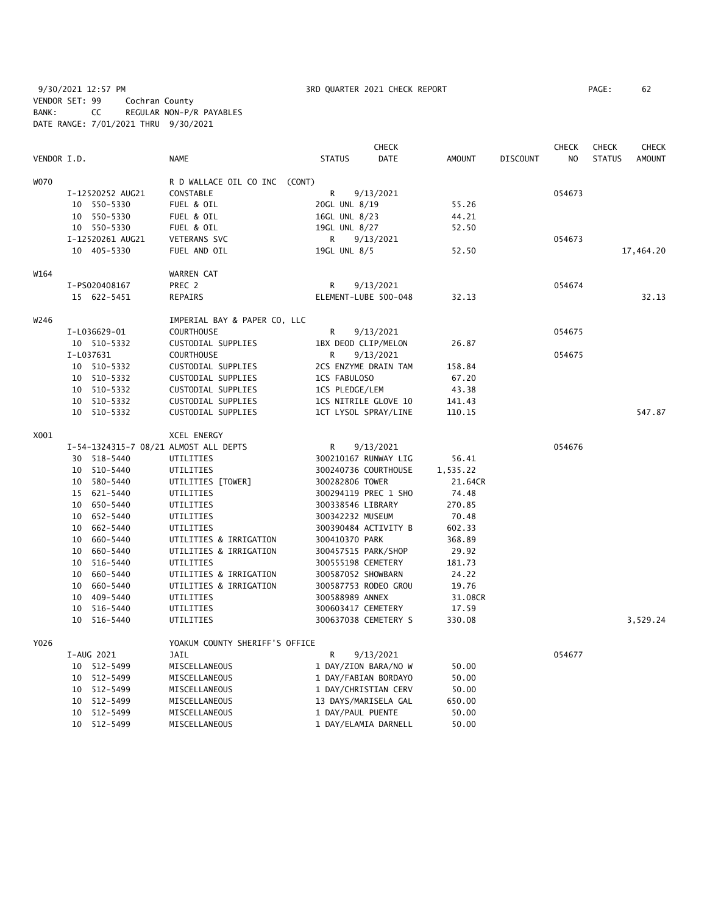9/30/2021 12:57 PM 3RD QUARTER 2021 CHECK REPORT PAGE: 62 VENDOR SET: 99 Cochran County BANK: CC REGULAR NON-P/R PAYABLES DATE RANGE: 7/01/2021 THRU 9/30/2021

|             |    |                  |                                       |                      | <b>CHECK</b> |               |                 | <b>CHECK</b>   | <b>CHECK</b>  | <b>CHECK</b>  |
|-------------|----|------------------|---------------------------------------|----------------------|--------------|---------------|-----------------|----------------|---------------|---------------|
| VENDOR I.D. |    |                  | NAME                                  | <b>STATUS</b>        | <b>DATE</b>  | <b>AMOUNT</b> | <b>DISCOUNT</b> | N <sub>O</sub> | <b>STATUS</b> | <b>AMOUNT</b> |
| <b>WO70</b> |    |                  | R D WALLACE OIL CO INC (CONT)         |                      |              |               |                 |                |               |               |
|             |    | I-12520252 AUG21 | CONSTABLE                             | R                    | 9/13/2021    |               |                 | 054673         |               |               |
|             |    | 10 550-5330      | FUEL & OIL                            | 20GL UNL 8/19        |              | 55.26         |                 |                |               |               |
|             |    | 10 550-5330      | FUEL & OIL                            | 16GL UNL 8/23        |              | 44.21         |                 |                |               |               |
|             |    | 10 550-5330      | FUEL & OIL                            | 19GL UNL 8/27        |              | 52.50         |                 |                |               |               |
|             |    | I-12520261 AUG21 | <b>VETERANS SVC</b>                   | R                    | 9/13/2021    |               |                 | 054673         |               |               |
|             |    | 10 405-5330      | FUEL AND OIL                          | 19GL UNL 8/5         |              | 52.50         |                 |                |               | 17,464.20     |
| W164        |    |                  | WARREN CAT                            |                      |              |               |                 |                |               |               |
|             |    | I-PS020408167    | PREC 2                                | R                    | 9/13/2021    |               |                 | 054674         |               |               |
|             |    | 15 622-5451      | <b>REPAIRS</b>                        | ELEMENT-LUBE 500-048 |              | 32.13         |                 |                |               | 32.13         |
| W246        |    |                  | IMPERIAL BAY & PAPER CO, LLC          |                      |              |               |                 |                |               |               |
|             |    | I-L036629-01     | <b>COURTHOUSE</b>                     | R                    | 9/13/2021    |               |                 | 054675         |               |               |
|             |    | 10 510-5332      | CUSTODIAL SUPPLIES                    | 1BX DEOD CLIP/MELON  |              | 26.87         |                 |                |               |               |
|             |    | I-L037631        | <b>COURTHOUSE</b>                     | R                    | 9/13/2021    |               |                 | 054675         |               |               |
|             |    | 10 510-5332      | CUSTODIAL SUPPLIES                    | 2CS ENZYME DRAIN TAM |              | 158.84        |                 |                |               |               |
|             |    | 10 510-5332      | CUSTODIAL SUPPLIES                    | 1CS FABULOSO         |              | 67.20         |                 |                |               |               |
|             |    | 10 510-5332      | CUSTODIAL SUPPLIES                    | 1CS PLEDGE/LEM       |              | 43.38         |                 |                |               |               |
|             |    | 10 510-5332      | CUSTODIAL SUPPLIES                    | 1CS NITRILE GLOVE 10 |              | 141.43        |                 |                |               |               |
|             |    | 10 510-5332      | CUSTODIAL SUPPLIES                    | 1CT LYSOL SPRAY/LINE |              | 110.15        |                 |                |               | 547.87        |
| X001        |    |                  | XCEL ENERGY                           |                      |              |               |                 |                |               |               |
|             |    |                  | I-54-1324315-7 08/21 ALMOST ALL DEPTS | R                    | 9/13/2021    |               |                 | 054676         |               |               |
|             |    | 30 518-5440      | UTILITIES                             | 300210167 RUNWAY LIG |              | 56.41         |                 |                |               |               |
|             |    | 10 510-5440      | UTILITIES                             | 300240736 COURTHOUSE |              | 1,535.22      |                 |                |               |               |
|             |    | 10 580-5440      | UTILITIES [TOWER]                     | 300282806 TOWER      |              | 21.64CR       |                 |                |               |               |
|             |    | 15 621-5440      | UTILITIES                             | 300294119 PREC 1 SHO |              | 74.48         |                 |                |               |               |
|             |    | 10 650-5440      | UTILITIES                             | 300338546 LIBRARY    |              | 270.85        |                 |                |               |               |
|             |    | 10 652-5440      | UTILITIES                             | 300342232 MUSEUM     |              | 70.48         |                 |                |               |               |
|             |    | 10 662-5440      | UTILITIES                             | 300390484 ACTIVITY B |              | 602.33        |                 |                |               |               |
|             |    | 10 660-5440      | UTILITIES & IRRIGATION                | 300410370 PARK       |              | 368.89        |                 |                |               |               |
|             |    | 10 660-5440      | UTILITIES & IRRIGATION                | 300457515 PARK/SHOP  |              | 29.92         |                 |                |               |               |
|             | 10 | 516-5440         | UTILITIES                             | 300555198 CEMETERY   |              | 181.73        |                 |                |               |               |
|             | 10 | 660-5440         | UTILITIES & IRRIGATION                | 300587052 SHOWBARN   |              | 24.22         |                 |                |               |               |
|             | 10 | 660-5440         | UTILITIES & IRRIGATION                | 300587753 RODEO GROU |              | 19.76         |                 |                |               |               |
|             | 10 | 409-5440         | UTILITIES                             | 300588989 ANNEX      |              | 31.08CR       |                 |                |               |               |
|             | 10 | 516-5440         | UTILITIES                             | 300603417 CEMETERY   |              | 17.59         |                 |                |               |               |
|             | 10 | 516-5440         | UTILITIES                             | 300637038 CEMETERY S |              | 330.08        |                 |                |               | 3,529.24      |
| Y026        |    |                  | YOAKUM COUNTY SHERIFF'S OFFICE        |                      |              |               |                 |                |               |               |
|             |    | I-AUG 2021       | <b>JAIL</b>                           | R                    | 9/13/2021    |               |                 | 054677         |               |               |
|             |    | 10 512-5499      | MISCELLANEOUS                         | 1 DAY/ZION BARA/NO W |              | 50.00         |                 |                |               |               |
|             |    | 10 512-5499      | MISCELLANEOUS                         | 1 DAY/FABIAN BORDAYO |              | 50.00         |                 |                |               |               |
|             |    | 10 512-5499      | MISCELLANEOUS                         | 1 DAY/CHRISTIAN CERV |              | 50.00         |                 |                |               |               |
|             | 10 | 512-5499         | MISCELLANEOUS                         | 13 DAYS/MARISELA GAL |              | 650.00        |                 |                |               |               |
|             |    | 10 512-5499      | MISCELLANEOUS                         | 1 DAY/PAUL PUENTE    |              | 50.00         |                 |                |               |               |
|             |    | 10 512-5499      | MISCELLANEOUS                         | 1 DAY/ELAMIA DARNELL |              | 50.00         |                 |                |               |               |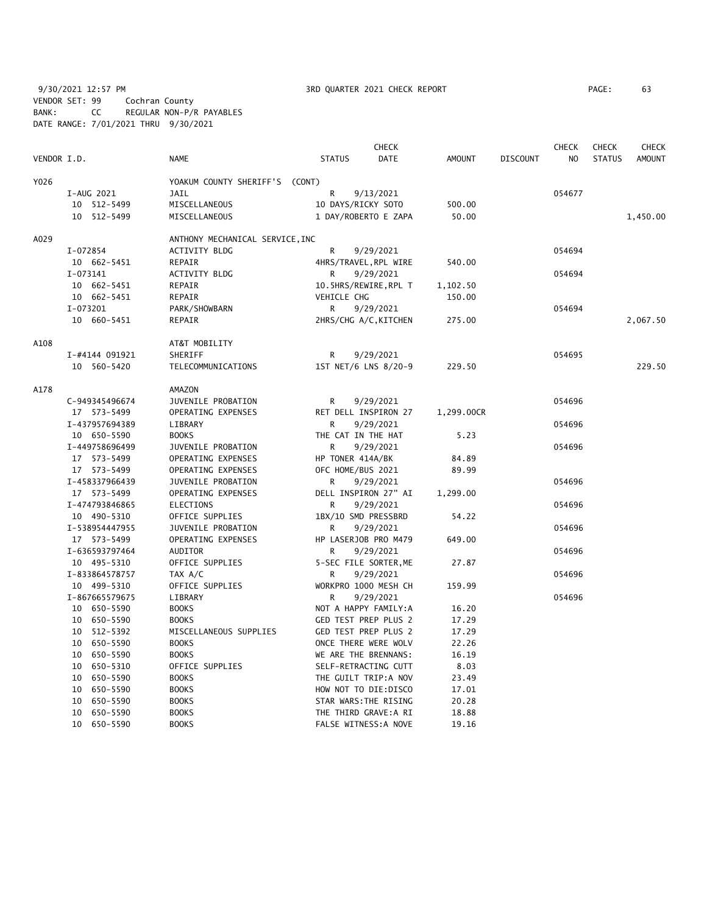9/30/2021 12:57 PM **3RD QUARTER 2021 CHECK REPORT** 9/30/2021 12:57 PM PAGE: 63 VENDOR SET: 99 Cochran County BANK: CC REGULAR NON-P/R PAYABLES DATE RANGE: 7/01/2021 THRU 9/30/2021

|             |                |                                 | <b>CHECK</b>         |                       |               |                 | <b>CHECK</b><br><b>CHECK</b><br><b>CHECK</b> |               |               |
|-------------|----------------|---------------------------------|----------------------|-----------------------|---------------|-----------------|----------------------------------------------|---------------|---------------|
| VENDOR I.D. |                | <b>NAME</b>                     | <b>STATUS</b>        | <b>DATE</b>           | <b>AMOUNT</b> | <b>DISCOUNT</b> | N <sub>O</sub>                               | <b>STATUS</b> | <b>AMOUNT</b> |
| Y026        |                | YOAKUM COUNTY SHERIFF'S (CONT)  |                      |                       |               |                 |                                              |               |               |
|             | I-AUG 2021     | <b>JAIL</b>                     | R                    | 9/13/2021             |               |                 | 054677                                       |               |               |
|             | 10 512-5499    | MISCELLANEOUS                   | 10 DAYS/RICKY SOTO   |                       | 500.00        |                 |                                              |               |               |
|             | 10 512-5499    | MISCELLANEOUS                   |                      | 1 DAY/ROBERTO E ZAPA  | 50.00         |                 |                                              |               | 1,450.00      |
| A029        |                | ANTHONY MECHANICAL SERVICE, INC |                      |                       |               |                 |                                              |               |               |
|             | I-072854       | <b>ACTIVITY BLDG</b>            | R                    | 9/29/2021             |               |                 | 054694                                       |               |               |
|             | 10 662-5451    | REPAIR                          |                      | 4HRS/TRAVEL, RPL WIRE | 540.00        |                 |                                              |               |               |
|             | I-073141       | ACTIVITY BLDG                   | R                    | 9/29/2021             |               |                 | 054694                                       |               |               |
|             | 10 662-5451    | REPAIR                          |                      | 10.5HRS/REWIRE, RPL T | 1,102.50      |                 |                                              |               |               |
|             | 10 662-5451    | REPAIR                          | VEHICLE CHG          |                       | 150.00        |                 |                                              |               |               |
|             | I-073201       | PARK/SHOWBARN                   | R                    | 9/29/2021             |               |                 | 054694                                       |               |               |
|             | 10 660-5451    | REPAIR                          |                      | 2HRS/CHG A/C, KITCHEN | 275.00        |                 |                                              |               | 2,067.50      |
| A108        |                | AT&T MOBILITY                   |                      |                       |               |                 |                                              |               |               |
|             | I-#4144 091921 | SHERIFF                         | R                    | 9/29/2021             |               |                 | 054695                                       |               |               |
|             | 10 560-5420    | TELECOMMUNICATIONS              |                      | 1ST NET/6 LNS 8/20-9  | 229.50        |                 |                                              |               | 229.50        |
| A178        |                | AMAZON                          |                      |                       |               |                 |                                              |               |               |
|             | C-949345496674 | JUVENILE PROBATION              | R                    | 9/29/2021             |               |                 | 054696                                       |               |               |
|             | 17 573-5499    | OPERATING EXPENSES              |                      | RET DELL INSPIRON 27  | 1,299.00CR    |                 |                                              |               |               |
|             | I-437957694389 | LIBRARY                         | R                    | 9/29/2021             |               |                 | 054696                                       |               |               |
|             | 10 650-5590    | <b>BOOKS</b>                    | THE CAT IN THE HAT   |                       | 5.23          |                 |                                              |               |               |
|             | I-449758696499 | JUVENILE PROBATION              | R.                   | 9/29/2021             |               |                 | 054696                                       |               |               |
|             | 17 573-5499    | OPERATING EXPENSES              | HP TONER 414A/BK     |                       | 84.89         |                 |                                              |               |               |
|             | 17 573-5499    | OPERATING EXPENSES              | OFC HOME/BUS 2021    |                       | 89.99         |                 |                                              |               |               |
|             | I-458337966439 | JUVENILE PROBATION              | R                    | 9/29/2021             |               |                 | 054696                                       |               |               |
|             | 17 573-5499    | OPERATING EXPENSES              |                      | DELL INSPIRON 27" AI  | 1,299.00      |                 |                                              |               |               |
|             | I-474793846865 | ELECTIONS                       | R                    | 9/29/2021             |               |                 | 054696                                       |               |               |
|             | 10 490-5310    | OFFICE SUPPLIES                 | 1BX/10 SMD PRESSBRD  |                       | 54.22         |                 |                                              |               |               |
|             | I-538954447955 | JUVENILE PROBATION              | R                    | 9/29/2021             |               |                 | 054696                                       |               |               |
|             | 17 573-5499    | OPERATING EXPENSES              | HP LASERJOB PRO M479 |                       | 649.00        |                 |                                              |               |               |
|             | I-636593797464 | <b>AUDITOR</b>                  | R                    | 9/29/2021             |               |                 | 054696                                       |               |               |
|             | 10 495-5310    | OFFICE SUPPLIES                 |                      | 5-SEC FILE SORTER, ME | 27.87         |                 |                                              |               |               |
|             | I-833864578757 | TAX A/C                         | R                    | 9/29/2021             |               |                 | 054696                                       |               |               |
|             | 10 499-5310    | OFFICE SUPPLIES                 |                      | WORKPRO 1000 MESH CH  | 159.99        |                 |                                              |               |               |
|             | I-867665579675 | LIBRARY                         | R                    | 9/29/2021             |               |                 | 054696                                       |               |               |
|             | 10 650-5590    | <b>BOOKS</b>                    |                      | NOT A HAPPY FAMILY:A  | 16.20         |                 |                                              |               |               |
|             | 10 650-5590    | <b>BOOKS</b>                    | GED TEST PREP PLUS 2 |                       | 17.29         |                 |                                              |               |               |
|             | 10 512-5392    | MISCELLANEOUS SUPPLIES          | GED TEST PREP PLUS 2 |                       | 17.29         |                 |                                              |               |               |
|             | 10 650-5590    | <b>BOOKS</b>                    |                      | ONCE THERE WERE WOLV  | 22.26         |                 |                                              |               |               |
|             | 10 650-5590    | <b>BOOKS</b>                    | WE ARE THE BRENNANS: |                       | 16.19         |                 |                                              |               |               |
|             | 10 650-5310    | OFFICE SUPPLIES                 |                      | SELF-RETRACTING CUTT  | 8.03          |                 |                                              |               |               |
|             | 10 650-5590    | <b>BOOKS</b>                    |                      | THE GUILT TRIP:A NOV  | 23.49         |                 |                                              |               |               |
|             | 10<br>650-5590 | <b>BOOKS</b>                    | HOW NOT TO DIE:DISCO |                       | 17.01         |                 |                                              |               |               |
|             | 10<br>650-5590 | <b>BOOKS</b>                    |                      | STAR WARS: THE RISING | 20.28         |                 |                                              |               |               |
|             | 10 650-5590    | <b>BOOKS</b>                    |                      | THE THIRD GRAVE:A RI  | 18.88         |                 |                                              |               |               |
|             | 10 650-5590    | <b>BOOKS</b>                    |                      | FALSE WITNESS: A NOVE | 19.16         |                 |                                              |               |               |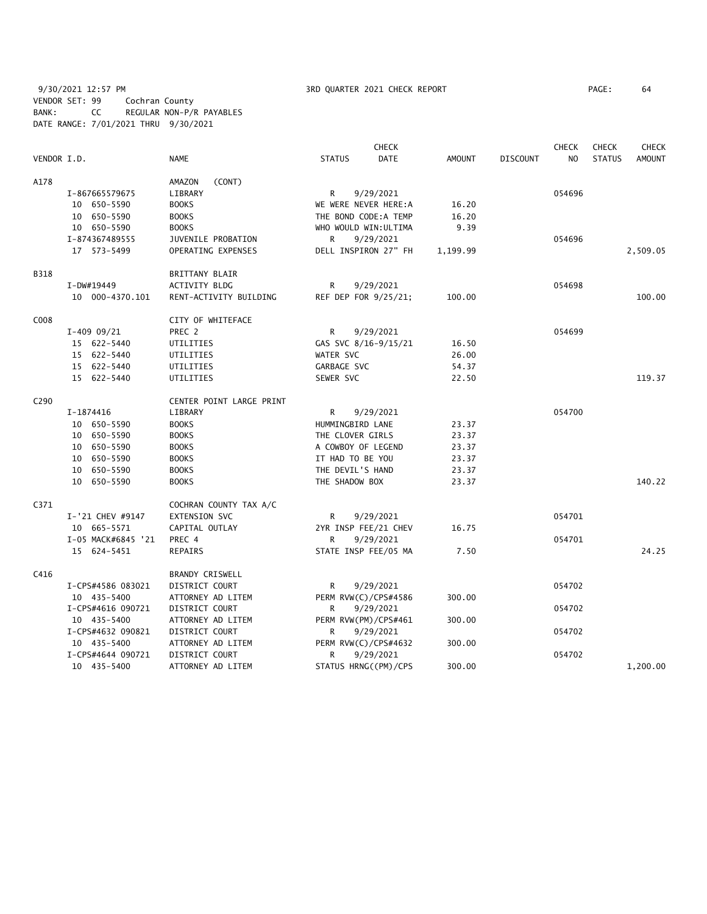9/30/2021 12:57 PM 3RD QUARTER 2021 CHECK REPORT PAGE: 64 VENDOR SET: 99 Cochran County BANK: CC REGULAR NON-P/R PAYABLES DATE RANGE: 7/01/2021 THRU 9/30/2021

|                  |               |                    | <b>CHECK</b>             |                    |                       |               | <b>CHECK</b>    | <b>CHECK</b>   | <b>CHECK</b>  |               |
|------------------|---------------|--------------------|--------------------------|--------------------|-----------------------|---------------|-----------------|----------------|---------------|---------------|
| VENDOR I.D.      |               |                    | <b>NAME</b>              | <b>STATUS</b>      | DATE                  | <b>AMOUNT</b> | <b>DISCOUNT</b> | N <sub>O</sub> | <b>STATUS</b> | <b>AMOUNT</b> |
| A178             |               |                    | (CONT)<br>AMAZON         |                    |                       |               |                 |                |               |               |
|                  |               | I-867665579675     | LIBRARY                  | R                  | 9/29/2021             |               |                 | 054696         |               |               |
|                  |               | 10 650-5590        | <b>BOOKS</b>             |                    | WE WERE NEVER HERE:A  | 16.20         |                 |                |               |               |
|                  |               | 10 650-5590        | <b>BOOKS</b>             |                    | THE BOND CODE: A TEMP | 16.20         |                 |                |               |               |
|                  |               | 10 650-5590        | <b>BOOKS</b>             |                    | WHO WOULD WIN: ULTIMA | 9.39          |                 |                |               |               |
|                  |               | I-874367489555     | JUVENILE PROBATION       | R                  | 9/29/2021             |               |                 | 054696         |               |               |
|                  |               | 17 573-5499        | OPERATING EXPENSES       |                    | DELL INSPIRON 27" FH  | 1,199.99      |                 |                |               | 2,509.05      |
| <b>B318</b>      |               |                    | <b>BRITTANY BLAIR</b>    |                    |                       |               |                 |                |               |               |
|                  | I-DW#19449    |                    | <b>ACTIVITY BLDG</b>     | R                  | 9/29/2021             |               |                 | 054698         |               |               |
|                  |               | 10 000-4370.101    | RENT-ACTIVITY BUILDING   |                    | REF DEP FOR 9/25/21;  | 100.00        |                 |                |               | 100.00        |
| C008             |               |                    | CITY OF WHITEFACE        |                    |                       |               |                 |                |               |               |
|                  | $I-409$ 09/21 |                    | PREC <sub>2</sub>        | R.                 | 9/29/2021             |               |                 | 054699         |               |               |
|                  |               | 15 622-5440        | UTILITIES                |                    | GAS SVC 8/16-9/15/21  | 16.50         |                 |                |               |               |
|                  |               | 15 622-5440        | UTILITIES                | WATER SVC          |                       | 26.00         |                 |                |               |               |
|                  |               | 15 622-5440        | UTILITIES                | GARBAGE SVC        |                       | 54.37         |                 |                |               |               |
|                  |               | 15 622-5440        | UTILITIES                | SEWER SVC          |                       | 22.50         |                 |                |               | 119.37        |
| C <sub>290</sub> |               |                    | CENTER POINT LARGE PRINT |                    |                       |               |                 |                |               |               |
|                  | I-1874416     |                    | LIBRARY                  | R                  | 9/29/2021             |               |                 | 054700         |               |               |
|                  |               | 10 650-5590        | <b>BOOKS</b>             | HUMMINGBIRD LANE   |                       | 23.37         |                 |                |               |               |
|                  |               | 10 650-5590        | <b>BOOKS</b>             | THE CLOVER GIRLS   |                       | 23.37         |                 |                |               |               |
|                  |               | 10 650-5590        | <b>BOOKS</b>             | A COWBOY OF LEGEND |                       | 23.37         |                 |                |               |               |
|                  |               | 10 650-5590        | <b>BOOKS</b>             | IT HAD TO BE YOU   |                       | 23.37         |                 |                |               |               |
|                  |               | 10 650-5590        | <b>BOOKS</b>             | THE DEVIL'S HAND   |                       | 23.37         |                 |                |               |               |
|                  |               | 10 650-5590        | <b>BOOKS</b>             | THE SHADOW BOX     |                       | 23.37         |                 |                |               | 140.22        |
| C371             |               |                    | COCHRAN COUNTY TAX A/C   |                    |                       |               |                 |                |               |               |
|                  |               | I-'21 CHEV #9147   | EXTENSION SVC            | R                  | 9/29/2021             |               |                 | 054701         |               |               |
|                  |               | 10 665-5571        | CAPITAL OUTLAY           |                    | 2YR INSP FEE/21 CHEV  | 16.75         |                 |                |               |               |
|                  |               | I-05 MACK#6845 '21 | PREC 4                   | R                  | 9/29/2021             |               |                 | 054701         |               |               |
|                  |               | 15 624-5451        | <b>REPAIRS</b>           |                    | STATE INSP FEE/05 MA  | 7.50          |                 |                |               | 24.25         |
| C416             |               |                    | BRANDY CRISWELL          |                    |                       |               |                 |                |               |               |
|                  |               | I-CPS#4586 083021  | DISTRICT COURT           | R.                 | 9/29/2021             |               |                 | 054702         |               |               |
|                  |               | 10 435-5400        | ATTORNEY AD LITEM        |                    | PERM RVW(C)/CPS#4586  | 300.00        |                 |                |               |               |
|                  |               | I-CPS#4616 090721  | DISTRICT COURT           | R                  | 9/29/2021             |               |                 | 054702         |               |               |
|                  |               | 10 435-5400        | ATTORNEY AD LITEM        |                    | PERM RVW(PM)/CPS#461  | 300.00        |                 |                |               |               |
|                  |               | I-CPS#4632 090821  | DISTRICT COURT           | R                  | 9/29/2021             |               |                 | 054702         |               |               |
|                  |               | 10 435-5400        | ATTORNEY AD LITEM        |                    | PERM RVW(C)/CPS#4632  | 300.00        |                 |                |               |               |
|                  |               | I-CPS#4644 090721  | DISTRICT COURT           | R                  | 9/29/2021             |               |                 | 054702         |               |               |
|                  |               | 10 435-5400        | ATTORNEY AD LITEM        |                    | STATUS HRNG((PM)/CPS  | 300.00        |                 |                |               | 1,200.00      |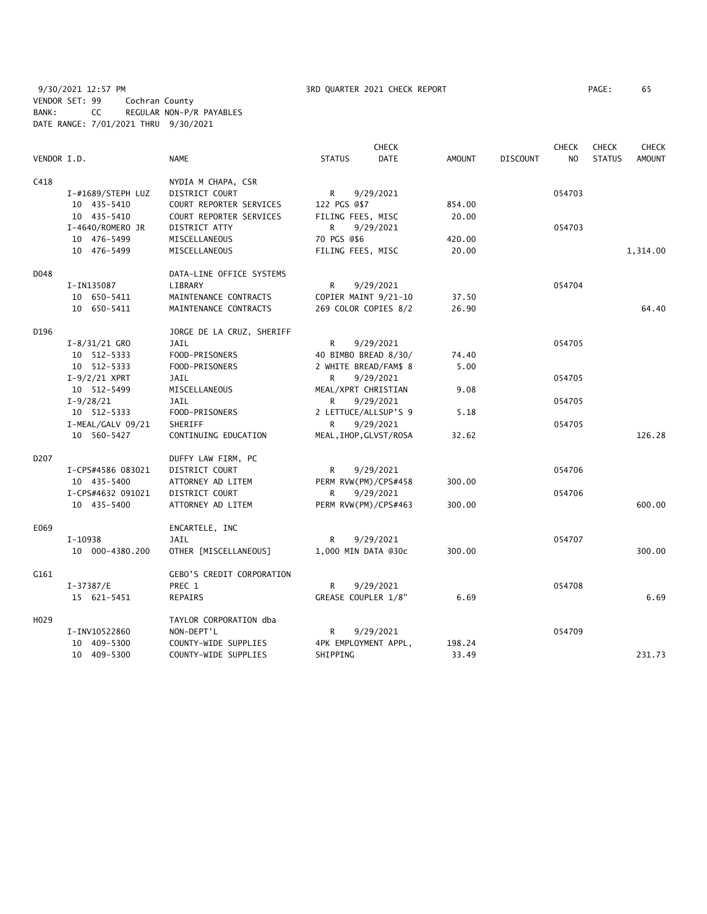9/30/2021 12:57 PM 3RD QUARTER 2021 CHECK REPORT PAGE: 65 VENDOR SET: 99 Cochran County BANK: CC REGULAR NON-P/R PAYABLES DATE RANGE: 7/01/2021 THRU 9/30/2021

|                  |                   |                                  |                        | <b>CHECK</b> |               |                 | <b>CHECK</b>   | <b>CHECK</b>  | <b>CHECK</b>  |
|------------------|-------------------|----------------------------------|------------------------|--------------|---------------|-----------------|----------------|---------------|---------------|
| VENDOR I.D.      |                   | <b>NAME</b>                      | <b>STATUS</b>          | <b>DATE</b>  | <b>AMOUNT</b> | <b>DISCOUNT</b> | N <sub>O</sub> | <b>STATUS</b> | <b>AMOUNT</b> |
| C418             |                   | NYDIA M CHAPA, CSR               |                        |              |               |                 |                |               |               |
|                  | I-#1689/STEPH LUZ | DISTRICT COURT                   | R                      | 9/29/2021    |               |                 | 054703         |               |               |
|                  | 10 435-5410       | COURT REPORTER SERVICES          | 122 PGS @\$7           |              | 854.00        |                 |                |               |               |
|                  | 10 435-5410       | COURT REPORTER SERVICES          | FILING FEES, MISC      |              | 20.00         |                 |                |               |               |
|                  | I-4640/ROMERO JR  | DISTRICT ATTY                    | R                      | 9/29/2021    |               |                 | 054703         |               |               |
|                  | 10 476-5499       | MISCELLANEOUS                    | 70 PGS @\$6            |              | 420.00        |                 |                |               |               |
|                  | 10 476-5499       | MISCELLANEOUS                    | FILING FEES, MISC      |              | 20.00         |                 |                |               | 1,314.00      |
| D048             |                   | DATA-LINE OFFICE SYSTEMS         |                        |              |               |                 |                |               |               |
|                  | I-IN135087        | LIBRARY                          | R.                     | 9/29/2021    |               |                 | 054704         |               |               |
|                  | 10 650-5411       | MAINTENANCE CONTRACTS            | COPIER MAINT 9/21-10   |              | 37.50         |                 |                |               |               |
|                  | 10 650-5411       | MAINTENANCE CONTRACTS            | 269 COLOR COPIES 8/2   |              | 26.90         |                 |                |               | 64.40         |
| D196             |                   | JORGE DE LA CRUZ, SHERIFF        |                        |              |               |                 |                |               |               |
|                  | $I-8/31/21$ GRO   | JAIL                             | R                      | 9/29/2021    |               |                 | 054705         |               |               |
|                  | 10 512-5333       | FOOD-PRISONERS                   | 40 BIMBO BREAD 8/30/   |              | 74.40         |                 |                |               |               |
|                  | 10 512-5333       | FOOD-PRISONERS                   | 2 WHITE BREAD/FAM\$ 8  |              | 5.00          |                 |                |               |               |
|                  | $I-9/2/21$ XPRT   | JAIL                             | R                      | 9/29/2021    |               |                 | 054705         |               |               |
|                  | 10 512-5499       | MISCELLANEOUS                    | MEAL/XPRT CHRISTIAN    |              | 9.08          |                 |                |               |               |
|                  | $I-9/28/21$       | <b>JAIL</b>                      | R                      | 9/29/2021    |               |                 | 054705         |               |               |
|                  | 10 512-5333       | FOOD-PRISONERS                   | 2 LETTUCE/ALLSUP'S 9   |              | 5.18          |                 |                |               |               |
|                  | I-MEAL/GALV 09/21 | SHERIFF                          | R                      | 9/29/2021    |               |                 | 054705         |               |               |
|                  | 10 560-5427       | CONTINUING EDUCATION             | MEAL, IHOP, GLVST/ROSA |              | 32.62         |                 |                |               | 126.28        |
| D <sub>207</sub> |                   | DUFFY LAW FIRM, PC               |                        |              |               |                 |                |               |               |
|                  | I-CPS#4586 083021 | DISTRICT COURT                   | R                      | 9/29/2021    |               |                 | 054706         |               |               |
|                  | 10 435-5400       | ATTORNEY AD LITEM                | PERM RVW(PM)/CPS#458   |              | 300.00        |                 |                |               |               |
|                  | I-CPS#4632 091021 | DISTRICT COURT                   | R                      | 9/29/2021    |               |                 | 054706         |               |               |
|                  | 10 435-5400       | ATTORNEY AD LITEM                | PERM RVW(PM)/CPS#463   |              | 300.00        |                 |                |               | 600.00        |
| E069             |                   | ENCARTELE, INC                   |                        |              |               |                 |                |               |               |
|                  | I-10938           | JAIL                             | R                      | 9/29/2021    |               |                 | 054707         |               |               |
|                  | 10 000-4380.200   | OTHER [MISCELLANEOUS]            | 1,000 MIN DATA @30c    |              | 300.00        |                 |                |               | 300.00        |
| G161             |                   | <b>GEBO'S CREDIT CORPORATION</b> |                        |              |               |                 |                |               |               |
|                  | $I-37387/E$       | PREC 1                           | R                      | 9/29/2021    |               |                 | 054708         |               |               |
|                  | 15 621-5451       | REPAIRS                          | GREASE COUPLER 1/8"    |              | 6.69          |                 |                |               | 6.69          |
| H029             |                   | TAYLOR CORPORATION dba           |                        |              |               |                 |                |               |               |
|                  | I-INV10522860     | NON-DEPT'L                       | R                      | 9/29/2021    |               |                 | 054709         |               |               |
|                  | 10 409-5300       | COUNTY-WIDE SUPPLIES             | 4PK EMPLOYMENT APPL,   |              | 198.24        |                 |                |               |               |
|                  | 10 409-5300       | COUNTY-WIDE SUPPLIES             | SHIPPING               |              | 33.49         |                 |                |               | 231.73        |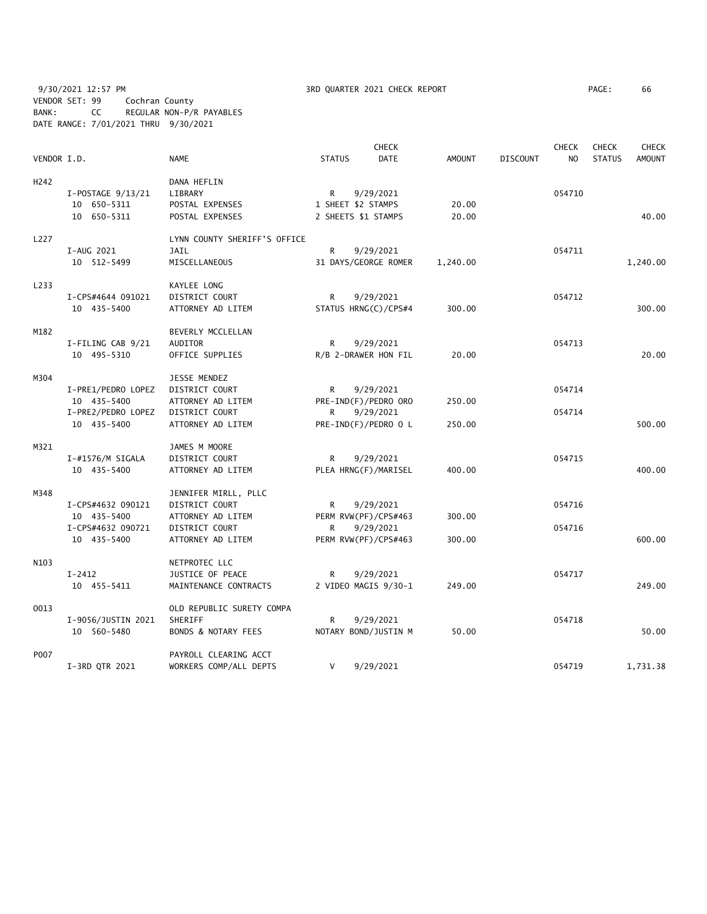9/30/2021 12:57 PM 3RD QUARTER 2021 CHECK REPORT PAGE: 66 VENDOR SET: 99 Cochran County BANK: CC REGULAR NON-P/R PAYABLES DATE RANGE: 7/01/2021 THRU 9/30/2021

|             |                    |                                | <b>CHECK</b>        |                      |               | <b>CHECK</b>    | <b>CHECK</b>   | <b>CHECK</b>  |               |
|-------------|--------------------|--------------------------------|---------------------|----------------------|---------------|-----------------|----------------|---------------|---------------|
| VENDOR I.D. |                    | <b>NAME</b>                    | <b>STATUS</b>       | <b>DATE</b>          | <b>AMOUNT</b> | <b>DISCOUNT</b> | N <sub>O</sub> | <b>STATUS</b> | <b>AMOUNT</b> |
| H242        |                    | DANA HEFLIN                    |                     |                      |               |                 |                |               |               |
|             | I-POSTAGE 9/13/21  | LIBRARY                        | R                   | 9/29/2021            |               |                 | 054710         |               |               |
|             | 10 650-5311        | POSTAL EXPENSES                | 1 SHEET \$2 STAMPS  |                      | 20.00         |                 |                |               |               |
|             | 10 650-5311        | POSTAL EXPENSES                | 2 SHEETS \$1 STAMPS |                      | 20.00         |                 |                |               | 40.00         |
|             |                    |                                |                     |                      |               |                 |                |               |               |
| L227        |                    | LYNN COUNTY SHERIFF'S OFFICE   |                     |                      |               |                 |                |               |               |
|             | I-AUG 2021         | <b>JAIL</b>                    | R.                  | 9/29/2021            |               |                 | 054711         |               |               |
|             | 10 512-5499        | MISCELLANEOUS                  |                     | 31 DAYS/GEORGE ROMER | 1,240.00      |                 |                |               | 1,240.00      |
| L233        |                    | KAYLEE LONG                    |                     |                      |               |                 |                |               |               |
|             | I-CPS#4644 091021  | DISTRICT COURT                 | R                   | 9/29/2021            |               |                 | 054712         |               |               |
|             | 10 435-5400        | ATTORNEY AD LITEM              |                     | STATUS HRNG(C)/CPS#4 | 300.00        |                 |                |               | 300.00        |
|             |                    |                                |                     |                      |               |                 |                |               |               |
| M182        |                    | BEVERLY MCCLELLAN              |                     |                      |               |                 |                |               |               |
|             | I-FILING CAB 9/21  | AUDITOR                        | R                   | 9/29/2021            |               |                 | 054713         |               |               |
|             | 10 495-5310        | OFFICE SUPPLIES                |                     | R/B 2-DRAWER HON FIL | 20.00         |                 |                |               | 20.00         |
| M304        |                    | JESSE MENDEZ                   |                     |                      |               |                 |                |               |               |
|             | I-PRE1/PEDRO LOPEZ | DISTRICT COURT                 | R                   | 9/29/2021            |               |                 | 054714         |               |               |
|             | 10 435-5400        | ATTORNEY AD LITEM              |                     | PRE-IND(F)/PEDRO ORO | 250.00        |                 |                |               |               |
|             | I-PRE2/PEDRO LOPEZ | DISTRICT COURT                 | R                   | 9/29/2021            |               |                 | 054714         |               |               |
|             | 10 435-5400        | ATTORNEY AD LITEM              |                     | PRE-IND(F)/PEDRO O L | 250.00        |                 |                |               | 500.00        |
| M321        |                    | JAMES M MOORE                  |                     |                      |               |                 |                |               |               |
|             |                    |                                |                     |                      |               |                 |                |               |               |
|             | I-#1576/M SIGALA   | DISTRICT COURT                 | R                   | 9/29/2021            |               |                 | 054715         |               |               |
|             | 10 435-5400        | ATTORNEY AD LITEM              |                     | PLEA HRNG(F)/MARISEL | 400.00        |                 |                |               | 400.00        |
| M348        |                    | JENNIFER MIRLL, PLLC           |                     |                      |               |                 |                |               |               |
|             | I-CPS#4632 090121  | DISTRICT COURT                 | R                   | 9/29/2021            |               |                 | 054716         |               |               |
|             | 10 435-5400        | ATTORNEY AD LITEM              |                     | PERM RVW(PF)/CPS#463 | 300.00        |                 |                |               |               |
|             | I-CPS#4632 090721  | DISTRICT COURT                 | R                   | 9/29/2021            |               |                 | 054716         |               |               |
|             | 10 435-5400        | ATTORNEY AD LITEM              |                     | PERM RVW(PF)/CPS#463 | 300.00        |                 |                |               | 600.00        |
| N103        |                    | NETPROTEC LLC                  |                     |                      |               |                 |                |               |               |
|             | $I-2412$           | JUSTICE OF PEACE               | R                   | 9/29/2021            |               |                 | 054717         |               |               |
|             | 10 455-5411        | MAINTENANCE CONTRACTS          |                     | 2 VIDEO MAGIS 9/30-1 | 249.00        |                 |                |               | 249.00        |
|             |                    |                                |                     |                      |               |                 |                |               |               |
| 0013        |                    | OLD REPUBLIC SURETY COMPA      |                     |                      |               |                 |                |               |               |
|             | I-9056/JUSTIN 2021 | SHERIFF                        | R                   | 9/29/2021            |               |                 | 054718         |               |               |
|             | 10 560-5480        | <b>BONDS &amp; NOTARY FEES</b> |                     | NOTARY BOND/JUSTIN M | 50.00         |                 |                |               | 50.00         |
| P007        |                    | PAYROLL CLEARING ACCT          |                     |                      |               |                 |                |               |               |
|             | I-3RD QTR 2021     | WORKERS COMP/ALL DEPTS         | V                   | 9/29/2021            |               |                 | 054719         |               | 1,731.38      |
|             |                    |                                |                     |                      |               |                 |                |               |               |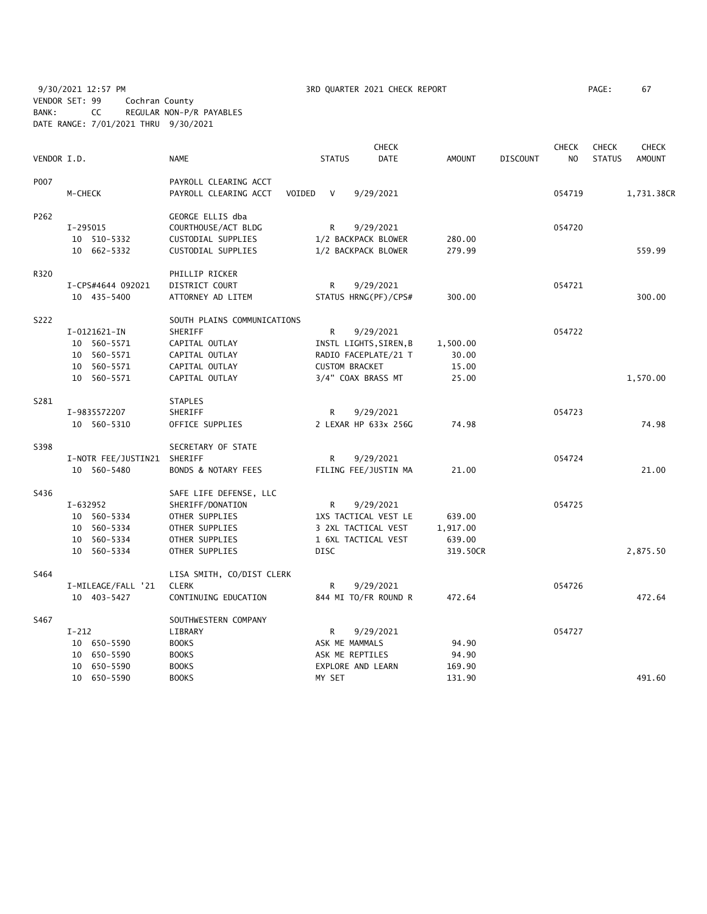9/30/2021 12:57 PM **3RD QUARTER 2021 CHECK REPORT** PAGE: 67 VENDOR SET: 99 Cochran County BANK: CC REGULAR NON-P/R PAYABLES DATE RANGE: 7/01/2021 THRU 9/30/2021

|             |                             |                             |                          | <b>CHECK</b> |               |                 | <b>CHECK</b> | <b>CHECK</b>  | <b>CHECK</b>  |
|-------------|-----------------------------|-----------------------------|--------------------------|--------------|---------------|-----------------|--------------|---------------|---------------|
| VENDOR I.D. |                             | <b>NAME</b>                 | <b>STATUS</b>            | DATE         | <b>AMOUNT</b> | <b>DISCOUNT</b> | NO.          | <b>STATUS</b> | <b>AMOUNT</b> |
| P007        |                             | PAYROLL CLEARING ACCT       |                          |              |               |                 |              |               |               |
|             | M-CHECK                     | PAYROLL CLEARING ACCT       | VOIDED<br>V<br>9/29/2021 |              |               |                 | 054719       |               | 1,731.38CR    |
| P262        |                             | GEORGE ELLIS dba            |                          |              |               |                 |              |               |               |
|             | I-295015                    | COURTHOUSE/ACT BLDG         | R.<br>9/29/2021          |              |               |                 | 054720       |               |               |
|             | 10 510-5332                 | CUSTODIAL SUPPLIES          | 1/2 BACKPACK BLOWER      |              | 280.00        |                 |              |               |               |
|             | 10 662-5332                 | CUSTODIAL SUPPLIES          | 1/2 BACKPACK BLOWER      |              | 279.99        |                 |              |               | 559.99        |
| R320        |                             | PHILLIP RICKER              |                          |              |               |                 |              |               |               |
|             | I-CPS#4644 092021           | DISTRICT COURT              | R<br>9/29/2021           |              |               |                 | 054721       |               |               |
|             | 10 435-5400                 | ATTORNEY AD LITEM           | STATUS HRNG(PF)/CPS#     |              | 300.00        |                 |              |               | 300.00        |
| S222        |                             | SOUTH PLAINS COMMUNICATIONS |                          |              |               |                 |              |               |               |
|             | I-0121621-IN                | SHERIFF                     | 9/29/2021<br>R           |              |               |                 | 054722       |               |               |
|             | 10 560-5571                 | CAPITAL OUTLAY              | INSTL LIGHTS, SIREN, B   |              | 1,500.00      |                 |              |               |               |
|             | 10 560-5571                 | CAPITAL OUTLAY              | RADIO FACEPLATE/21 T     |              | 30.00         |                 |              |               |               |
|             | 10 560-5571                 | CAPITAL OUTLAY              | <b>CUSTOM BRACKET</b>    |              | 15.00         |                 |              |               |               |
|             | 10 560-5571                 | CAPITAL OUTLAY              | 3/4" COAX BRASS MT       |              | 25.00         |                 |              |               | 1,570.00      |
| S281        |                             | <b>STAPLES</b>              |                          |              |               |                 |              |               |               |
|             | I-9835572207                | SHERIFF                     | 9/29/2021<br>R           |              |               |                 | 054723       |               |               |
|             | 10 560-5310                 | OFFICE SUPPLIES             | 2 LEXAR HP 633x 256G     |              | 74.98         |                 |              |               | 74.98         |
| S398        |                             | SECRETARY OF STATE          |                          |              |               |                 |              |               |               |
|             | I-NOTR FEE/JUSTIN21 SHERIFF |                             | R.<br>9/29/2021          |              |               |                 | 054724       |               |               |
|             | 10 560-5480                 | BONDS & NOTARY FEES         | FILING FEE/JUSTIN MA     |              | 21.00         |                 |              |               | 21.00         |
| S436        |                             | SAFE LIFE DEFENSE, LLC      |                          |              |               |                 |              |               |               |
|             | I-632952                    | SHERIFF/DONATION            | 9/29/2021<br>R           |              |               |                 | 054725       |               |               |
|             | 10 560-5334                 | OTHER SUPPLIES              | 1XS TACTICAL VEST LE     |              | 639.00        |                 |              |               |               |
|             | 10 560-5334                 | OTHER SUPPLIES              | 3 2XL TACTICAL VEST      |              | 1,917.00      |                 |              |               |               |
|             | 10 560-5334                 | OTHER SUPPLIES              | 1 6XL TACTICAL VEST      |              | 639.00        |                 |              |               |               |
|             | 10 560-5334                 | OTHER SUPPLIES              | <b>DISC</b>              |              | 319.50CR      |                 |              |               | 2,875.50      |
| S464        |                             | LISA SMITH, CO/DIST CLERK   |                          |              |               |                 |              |               |               |
|             | I-MILEAGE/FALL '21          | <b>CLERK</b>                | R<br>9/29/2021           |              |               |                 | 054726       |               |               |
|             | 10 403-5427                 | CONTINUING EDUCATION        | 844 MI TO/FR ROUND R     |              | 472.64        |                 |              |               | 472.64        |
| S467        |                             | SOUTHWESTERN COMPANY        |                          |              |               |                 |              |               |               |
|             | $I-212$                     | LIBRARY                     | R<br>9/29/2021           |              |               |                 | 054727       |               |               |
|             | 10 650-5590                 | <b>BOOKS</b>                | ASK ME MAMMALS           |              | 94.90         |                 |              |               |               |
|             | 650-5590<br>10              | <b>BOOKS</b>                | ASK ME REPTILES          |              | 94.90         |                 |              |               |               |
|             | 650-5590<br>10              | <b>BOOKS</b>                | EXPLORE AND LEARN        |              | 169.90        |                 |              |               |               |
|             | 10 650-5590                 | <b>BOOKS</b>                | MY SET                   |              | 131.90        |                 |              |               | 491.60        |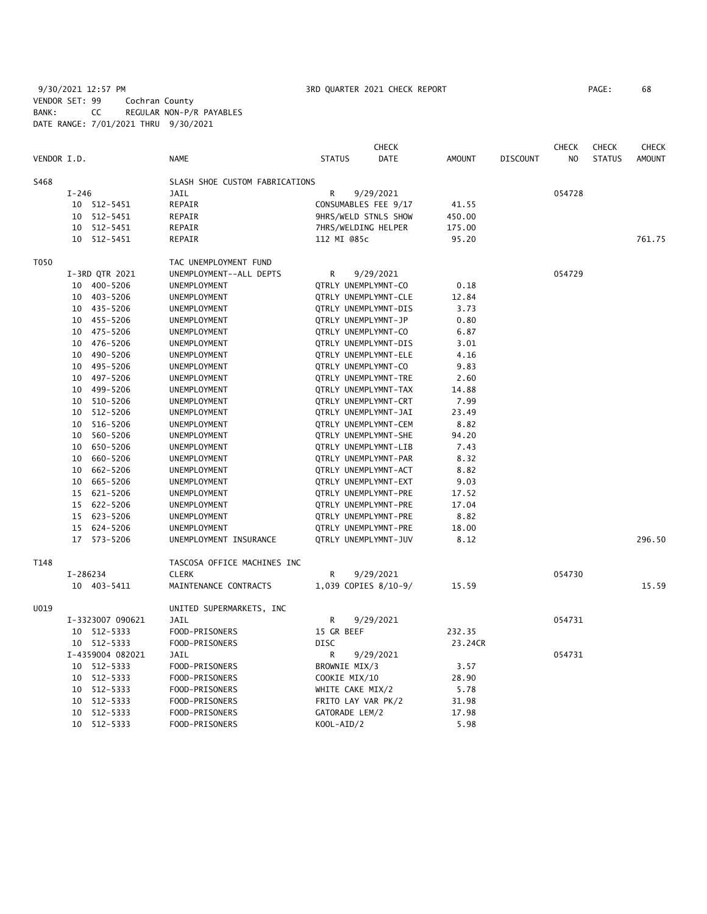9/30/2021 12:57 PM 3RD QUARTER 2021 CHECK REPORT PAGE: 68 VENDOR SET: 99 Cochran County BANK: CC REGULAR NON-P/R PAYABLES DATE RANGE: 7/01/2021 THRU 9/30/2021

|             |          |                  |                                |                     | <b>CHECK</b>                |               |                 | <b>CHECK</b> | <b>CHECK</b>  | <b>CHECK</b>  |
|-------------|----------|------------------|--------------------------------|---------------------|-----------------------------|---------------|-----------------|--------------|---------------|---------------|
| VENDOR I.D. |          |                  | <b>NAME</b>                    | <b>STATUS</b>       | DATE                        | <b>AMOUNT</b> | <b>DISCOUNT</b> | NO.          | <b>STATUS</b> | <b>AMOUNT</b> |
| S468        |          |                  | SLASH SHOE CUSTOM FABRICATIONS |                     |                             |               |                 |              |               |               |
|             | $I-246$  |                  | <b>JAIL</b>                    | R                   | 9/29/2021                   |               |                 | 054728       |               |               |
|             |          | 10 512-5451      | REPAIR                         |                     | CONSUMABLES FEE 9/17        | 41.55         |                 |              |               |               |
|             | 10       | $512 - 5451$     | REPAIR                         |                     | 9HRS/WELD STNLS SHOW        | 450.00        |                 |              |               |               |
|             | 10       | 512-5451         | REPAIR                         | 7HRS/WELDING HELPER |                             | 175.00        |                 |              |               |               |
|             |          | 10 512-5451      | REPAIR                         | 112 MI @85c         |                             | 95.20         |                 |              |               | 761.75        |
| T050        |          |                  | TAC UNEMPLOYMENT FUND          |                     |                             |               |                 |              |               |               |
|             |          | I-3RD QTR 2021   | UNEMPLOYMENT--ALL DEPTS        | R                   | 9/29/2021                   |               |                 | 054729       |               |               |
|             |          | 10 400-5206      | UNEMPLOYMENT                   | QTRLY UNEMPLYMNT-CO |                             | 0.18          |                 |              |               |               |
|             |          | 10 403-5206      | UNEMPLOYMENT                   |                     | QTRLY UNEMPLYMNT-CLE        | 12.84         |                 |              |               |               |
|             |          | 10 435-5206      | UNEMPLOYMENT                   |                     | QTRLY UNEMPLYMNT-DIS        | 3.73          |                 |              |               |               |
|             |          | 10 455-5206      | UNEMPLOYMENT                   | QTRLY UNEMPLYMNT-JP |                             | 0.80          |                 |              |               |               |
|             | 10       | 475-5206         | UNEMPLOYMENT                   | QTRLY UNEMPLYMNT-CO |                             | 6.87          |                 |              |               |               |
|             |          | 10 476-5206      | UNEMPLOYMENT                   |                     | QTRLY UNEMPLYMNT-DIS        | 3.01          |                 |              |               |               |
|             | 10       | 490-5206         | UNEMPLOYMENT                   |                     | QTRLY UNEMPLYMNT-ELE        | 4.16          |                 |              |               |               |
|             |          | 10 495-5206      | UNEMPLOYMENT                   | QTRLY UNEMPLYMNT-CO |                             | 9.83          |                 |              |               |               |
|             | 10       | 497-5206         | UNEMPLOYMENT                   |                     | <b>QTRLY UNEMPLYMNT-TRE</b> | 2.60          |                 |              |               |               |
|             | 10       | 499-5206         | UNEMPLOYMENT                   |                     | QTRLY UNEMPLYMNT-TAX        | 14.88         |                 |              |               |               |
|             | 10       | 510-5206         | UNEMPLOYMENT                   |                     | QTRLY UNEMPLYMNT-CRT        | 7.99          |                 |              |               |               |
|             | 10       | 512-5206         | UNEMPLOYMENT                   |                     | QTRLY UNEMPLYMNT-JAI        | 23.49         |                 |              |               |               |
|             | 10       | 516-5206         | UNEMPLOYMENT                   |                     | QTRLY UNEMPLYMNT-CEM        | 8.82          |                 |              |               |               |
|             | 10       | 560-5206         | UNEMPLOYMENT                   |                     | QTRLY UNEMPLYMNT-SHE        | 94.20         |                 |              |               |               |
|             | 10       | 650-5206         | UNEMPLOYMENT                   |                     | QTRLY UNEMPLYMNT-LIB        | 7.43          |                 |              |               |               |
|             | 10       | 660-5206         | UNEMPLOYMENT                   |                     | QTRLY UNEMPLYMNT-PAR        | 8.32          |                 |              |               |               |
|             | 10       | 662-5206         | UNEMPLOYMENT                   |                     | QTRLY UNEMPLYMNT-ACT        | 8.82          |                 |              |               |               |
|             | 10       | 665-5206         | UNEMPLOYMENT                   |                     | QTRLY UNEMPLYMNT-EXT        | 9.03          |                 |              |               |               |
|             | 15       | 621-5206         | UNEMPLOYMENT                   |                     | QTRLY UNEMPLYMNT-PRE        | 17.52         |                 |              |               |               |
|             | 15       | 622-5206         | UNEMPLOYMENT                   |                     | QTRLY UNEMPLYMNT-PRE        | 17.04         |                 |              |               |               |
|             |          | 15 623-5206      | UNEMPLOYMENT                   |                     | QTRLY UNEMPLYMNT-PRE        | 8.82          |                 |              |               |               |
|             |          | 15 624-5206      | UNEMPLOYMENT                   |                     | QTRLY UNEMPLYMNT-PRE        | 18.00         |                 |              |               |               |
|             |          | 17 573-5206      | UNEMPLOYMENT INSURANCE         |                     | QTRLY UNEMPLYMNT-JUV        | 8.12          |                 |              |               | 296.50        |
| T148        |          |                  | TASCOSA OFFICE MACHINES INC    |                     |                             |               |                 |              |               |               |
|             | I-286234 |                  | <b>CLERK</b>                   | R                   | 9/29/2021                   |               |                 | 054730       |               |               |
|             |          | 10 403-5411      | MAINTENANCE CONTRACTS          |                     | 1,039 COPIES 8/10-9/        | 15.59         |                 |              |               | 15.59         |
| U019        |          |                  | UNITED SUPERMARKETS, INC       |                     |                             |               |                 |              |               |               |
|             |          | I-3323007 090621 | JAIL                           | R                   | 9/29/2021                   |               |                 | 054731       |               |               |
|             |          | 10 512-5333      | FOOD-PRISONERS                 | 15 GR BEEF          |                             | 232.35        |                 |              |               |               |
|             |          | 10 512-5333      | FOOD-PRISONERS                 | <b>DISC</b>         |                             | 23.24CR       |                 |              |               |               |
|             |          | I-4359004 082021 | JAIL                           | R                   | 9/29/2021                   |               |                 | 054731       |               |               |
|             | 10       | 512-5333         | FOOD-PRISONERS                 | BROWNIE MIX/3       |                             | 3.57          |                 |              |               |               |
|             | 10       | 512-5333         | FOOD-PRISONERS                 | COOKIE MIX/10       |                             | 28.90         |                 |              |               |               |
|             | 10       | 512-5333         | FOOD-PRISONERS                 | WHITE CAKE MIX/2    |                             | 5.78          |                 |              |               |               |
|             | 10       | 512-5333         | FOOD-PRISONERS                 | FRITO LAY VAR PK/2  |                             | 31.98         |                 |              |               |               |
|             | 10       | 512-5333         | FOOD-PRISONERS                 | GATORADE LEM/2      |                             | 17.98         |                 |              |               |               |
|             | 10       | 512-5333         | FOOD-PRISONERS                 | KOOL-AID/2          |                             | 5.98          |                 |              |               |               |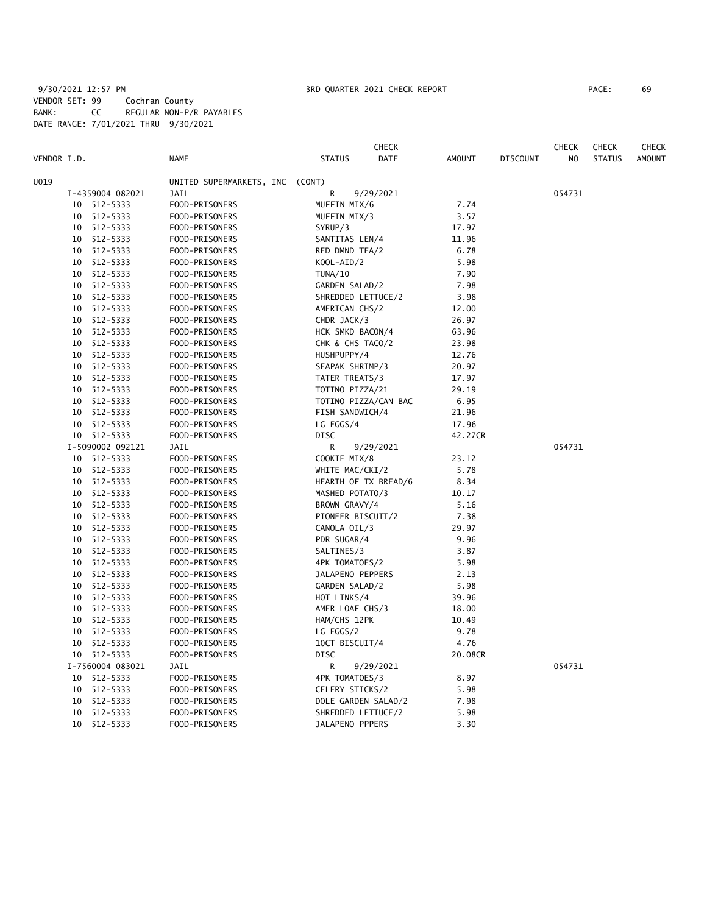# 9/30/2021 12:57 PM 3RD QUARTER 2021 CHECK REPORT PAGE: 69 VENDOR SET: 99 Cochran County BANK: CC REGULAR NON-P/R PAYABLES DATE RANGE: 7/01/2021 THRU 9/30/2021

|      |             |                  |                                 |                      | CHECK |         |                 | CHECK  | <b>CHECK</b>  | <b>CHECK</b>  |
|------|-------------|------------------|---------------------------------|----------------------|-------|---------|-----------------|--------|---------------|---------------|
|      | VENDOR I.D. |                  | <b>NAME</b>                     | <b>STATUS</b>        | DATE  | AMOUNT  | <b>DISCOUNT</b> | NO     | <b>STATUS</b> | <b>AMOUNT</b> |
| U019 |             |                  | UNITED SUPERMARKETS, INC (CONT) |                      |       |         |                 |        |               |               |
|      |             | I-4359004 082021 | JAIL                            | R<br>9/29/2021       |       |         |                 | 054731 |               |               |
|      | 10          | 512-5333         | FOOD-PRISONERS                  | MUFFIN MIX/6         |       | 7.74    |                 |        |               |               |
|      | 10          | 512-5333         | FOOD-PRISONERS                  | MUFFIN MIX/3         |       | 3.57    |                 |        |               |               |
|      | 10          | 512-5333         | FOOD-PRISONERS                  | SYRUP/3              |       | 17.97   |                 |        |               |               |
|      | 10          | 512-5333         | FOOD-PRISONERS                  | SANTITAS LEN/4       |       | 11.96   |                 |        |               |               |
|      | 10          | 512-5333         | FOOD-PRISONERS                  | RED DMND TEA/2       |       | 6.78    |                 |        |               |               |
|      | 10          | 512-5333         | FOOD-PRISONERS                  | KOOL-AID/2           |       | 5.98    |                 |        |               |               |
|      | 10          | 512-5333         | FOOD-PRISONERS                  | <b>TUNA/10</b>       |       | 7.90    |                 |        |               |               |
|      | 10          | 512-5333         | FOOD-PRISONERS                  | GARDEN SALAD/2       |       | 7.98    |                 |        |               |               |
|      | 10          | 512-5333         | FOOD-PRISONERS                  | SHREDDED LETTUCE/2   |       | 3.98    |                 |        |               |               |
|      | 10          | 512-5333         | FOOD-PRISONERS                  | AMERICAN CHS/2       |       | 12.00   |                 |        |               |               |
|      | 10          | 512-5333         | FOOD-PRISONERS                  | CHDR JACK/3          |       | 26.97   |                 |        |               |               |
|      | 10          | 512-5333         | FOOD-PRISONERS                  | HCK SMKD BACON/4     |       | 63.96   |                 |        |               |               |
|      | 10          | 512-5333         | FOOD-PRISONERS                  | CHK & CHS TACO/2     |       | 23.98   |                 |        |               |               |
|      | 10          | 512-5333         | FOOD-PRISONERS                  | HUSHPUPPY/4          |       | 12.76   |                 |        |               |               |
|      | 10          | 512-5333         |                                 |                      |       | 20.97   |                 |        |               |               |
|      |             |                  | FOOD-PRISONERS                  | SEAPAK SHRIMP/3      |       |         |                 |        |               |               |
|      | 10          | 512-5333         | FOOD-PRISONERS                  | TATER TREATS/3       |       | 17.97   |                 |        |               |               |
|      | 10          | 512-5333         | FOOD-PRISONERS                  | TOTINO PIZZA/21      |       | 29.19   |                 |        |               |               |
|      | 10          | 512-5333         | FOOD-PRISONERS                  | TOTINO PIZZA/CAN BAC |       | 6.95    |                 |        |               |               |
|      | 10          | 512-5333         | FOOD-PRISONERS                  | FISH SANDWICH/4      |       | 21.96   |                 |        |               |               |
|      | 10          | 512-5333         | FOOD-PRISONERS                  | LG EGGS/4            |       | 17.96   |                 |        |               |               |
|      |             | 10 512-5333      | FOOD-PRISONERS                  | DISC                 |       | 42.27CR |                 |        |               |               |
|      |             | I-5090002 092121 | JAIL                            | R<br>9/29/2021       |       |         |                 | 054731 |               |               |
|      | 10          | 512-5333         | FOOD-PRISONERS                  | COOKIE MIX/8         |       | 23.12   |                 |        |               |               |
|      | 10          | 512-5333         | FOOD-PRISONERS                  | WHITE MAC/CKI/2      |       | 5.78    |                 |        |               |               |
|      | 10          | 512-5333         | FOOD-PRISONERS                  | HEARTH OF TX BREAD/6 |       | 8.34    |                 |        |               |               |
|      | 10          | 512-5333         | FOOD-PRISONERS                  | MASHED POTATO/3      |       | 10.17   |                 |        |               |               |
|      | 10          | 512-5333         | FOOD-PRISONERS                  | BROWN GRAVY/4        |       | 5.16    |                 |        |               |               |
|      | 10          | 512-5333         | FOOD-PRISONERS                  | PIONEER BISCUIT/2    |       | 7.38    |                 |        |               |               |
|      | 10          | 512-5333         | FOOD-PRISONERS                  | CANOLA OIL/3         |       | 29.97   |                 |        |               |               |
|      | 10          | 512-5333         | FOOD-PRISONERS                  | PDR SUGAR/4          |       | 9.96    |                 |        |               |               |
|      | 10          | 512-5333         | FOOD-PRISONERS                  | SALTINES/3           |       | 3.87    |                 |        |               |               |
|      | 10          | 512-5333         | FOOD-PRISONERS                  | 4PK TOMATOES/2       |       | 5.98    |                 |        |               |               |
|      | 10          | 512-5333         | FOOD-PRISONERS                  | JALAPENO PEPPERS     |       | 2.13    |                 |        |               |               |
|      | 10          | 512-5333         | FOOD-PRISONERS                  | GARDEN SALAD/2       |       | 5.98    |                 |        |               |               |
|      | 10          | 512-5333         | FOOD-PRISONERS                  | HOT LINKS/4          |       | 39.96   |                 |        |               |               |
|      | 10          | 512-5333         | FOOD-PRISONERS                  | AMER LOAF CHS/3      |       | 18.00   |                 |        |               |               |
|      | 10          | 512-5333         | FOOD-PRISONERS                  | HAM/CHS 12PK         |       | 10.49   |                 |        |               |               |
|      | 10          | 512-5333         | FOOD-PRISONERS                  | LG EGGS/2            |       | 9.78    |                 |        |               |               |
|      | 10          | 512-5333         | FOOD-PRISONERS                  | 10CT BISCUIT/4       |       | 4.76    |                 |        |               |               |
|      | 10          | 512-5333         | FOOD-PRISONERS                  | DISC                 |       | 20.08CR |                 |        |               |               |
|      |             | I-7560004 083021 | JAIL                            | R<br>9/29/2021       |       |         |                 | 054731 |               |               |
|      | 10          | 512-5333         | FOOD-PRISONERS                  | 4PK TOMATOES/3       |       | 8.97    |                 |        |               |               |
|      | 10          | 512-5333         | FOOD-PRISONERS                  | CELERY STICKS/2      |       | 5.98    |                 |        |               |               |
|      | 10          | 512-5333         | FOOD-PRISONERS                  | DOLE GARDEN SALAD/2  |       | 7.98    |                 |        |               |               |
|      | 10          | 512-5333         | FOOD-PRISONERS                  | SHREDDED LETTUCE/2   |       | 5.98    |                 |        |               |               |
|      | 10          | 512-5333         | FOOD-PRISONERS                  | JALAPENO PPPERS      |       | 3.30    |                 |        |               |               |
|      |             |                  |                                 |                      |       |         |                 |        |               |               |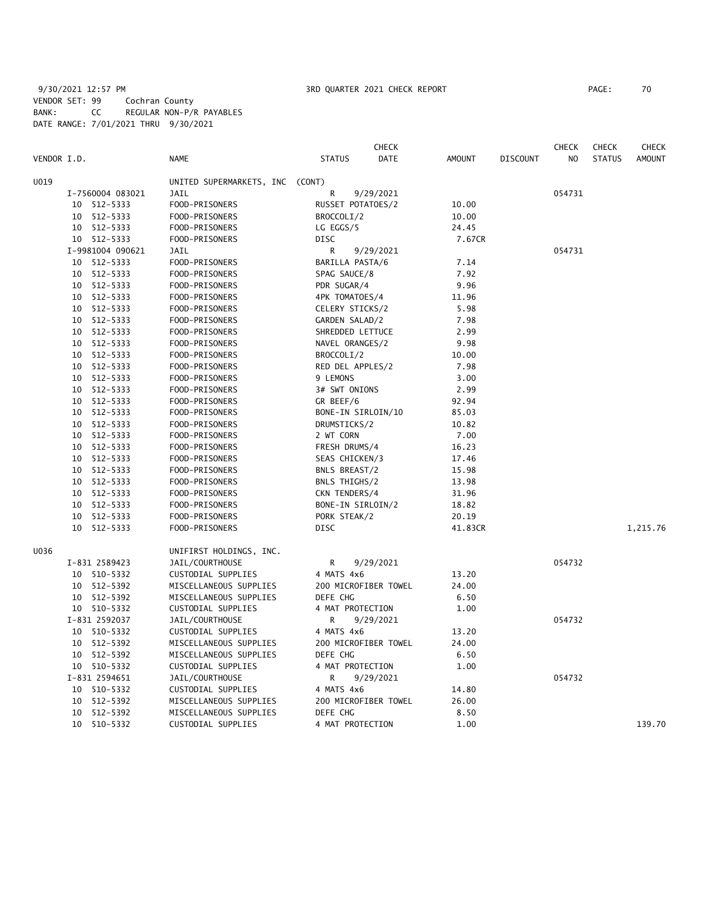# 9/30/2021 12:57 PM **3RD QUARTER 2021 CHECK REPORT** PAGE: 70 VENDOR SET: 99 Cochran County BANK: CC REGULAR NON-P/R PAYABLES DATE RANGE: 7/01/2021 THRU 9/30/2021

|             |    |                      |                          |                                | <b>CHECK</b> |         |                 | <b>CHECK</b> | <b>CHECK</b>  | <b>CHECK</b>  |
|-------------|----|----------------------|--------------------------|--------------------------------|--------------|---------|-----------------|--------------|---------------|---------------|
| VENDOR I.D. |    |                      | <b>NAME</b>              | <b>STATUS</b>                  | DATE         | AMOUNT  | <b>DISCOUNT</b> | NO           | <b>STATUS</b> | <b>AMOUNT</b> |
| U019        |    |                      | UNITED SUPERMARKETS, INC | (CONT)                         |              |         |                 |              |               |               |
|             |    | I-7560004 083021     | JAIL                     | R                              | 9/29/2021    |         |                 | 054731       |               |               |
|             |    | 10 512-5333          | FOOD-PRISONERS           | RUSSET POTATOES/2              |              | 10.00   |                 |              |               |               |
|             | 10 | 512-5333             | FOOD-PRISONERS           | BROCCOLI/2                     |              | 10.00   |                 |              |               |               |
|             |    | 10 512-5333          | FOOD-PRISONERS           | LG EGGS/5                      |              | 24.45   |                 |              |               |               |
|             |    | 10 512-5333          | FOOD-PRISONERS           | DISC                           |              | 7.67CR  |                 |              |               |               |
|             |    | I-9981004 090621     | JAIL                     | R                              | 9/29/2021    |         |                 | 054731       |               |               |
|             | 10 | 512-5333             | FOOD-PRISONERS           | BARILLA PASTA/6                |              | 7.14    |                 |              |               |               |
|             | 10 | 512-5333             | FOOD-PRISONERS           | SPAG SAUCE/8                   |              | 7.92    |                 |              |               |               |
|             | 10 | 512-5333             | FOOD-PRISONERS           | PDR SUGAR/4                    |              | 9.96    |                 |              |               |               |
|             | 10 | 512-5333             | FOOD-PRISONERS           | 4PK TOMATOES/4                 |              | 11.96   |                 |              |               |               |
|             | 10 | 512-5333             | FOOD-PRISONERS           | CELERY STICKS/2                |              | 5.98    |                 |              |               |               |
|             | 10 | 512-5333             | FOOD-PRISONERS           | GARDEN SALAD/2                 |              | 7.98    |                 |              |               |               |
|             | 10 | 512-5333             | FOOD-PRISONERS           | SHREDDED LETTUCE               |              | 2.99    |                 |              |               |               |
|             | 10 | 512-5333             | FOOD-PRISONERS           | NAVEL ORANGES/2                |              | 9.98    |                 |              |               |               |
|             | 10 | 512-5333             | FOOD-PRISONERS           | BROCCOLI/2                     |              | 10.00   |                 |              |               |               |
|             | 10 | 512-5333             | FOOD-PRISONERS           | RED DEL APPLES/2               |              | 7.98    |                 |              |               |               |
|             | 10 | 512-5333             | FOOD-PRISONERS           | 9 LEMONS                       |              | 3.00    |                 |              |               |               |
|             | 10 | 512-5333             | FOOD-PRISONERS           | 3# SWT ONIONS                  |              | 2.99    |                 |              |               |               |
|             | 10 | 512-5333             | FOOD-PRISONERS           | GR BEEF/6                      |              | 92.94   |                 |              |               |               |
|             | 10 | 512-5333             | FOOD-PRISONERS           | BONE-IN SIRLOIN/10             |              | 85.03   |                 |              |               |               |
|             | 10 | 512-5333             | FOOD-PRISONERS           | DRUMSTICKS/2                   |              | 10.82   |                 |              |               |               |
|             | 10 | 512-5333             | FOOD-PRISONERS           | 2 WT CORN                      |              | 7.00    |                 |              |               |               |
|             | 10 | 512-5333             | FOOD-PRISONERS           | FRESH DRUMS/4                  |              | 16.23   |                 |              |               |               |
|             | 10 | 512-5333             | FOOD-PRISONERS           | SEAS CHICKEN/3                 |              | 17.46   |                 |              |               |               |
|             | 10 |                      | FOOD-PRISONERS           |                                |              | 15.98   |                 |              |               |               |
|             | 10 | 512-5333<br>512-5333 | FOOD-PRISONERS           | BNLS BREAST/2<br>BNLS THIGHS/2 |              | 13.98   |                 |              |               |               |
|             | 10 |                      | FOOD-PRISONERS           |                                |              |         |                 |              |               |               |
|             | 10 | 512-5333             |                          | CKN TENDERS/4                  |              | 31.96   |                 |              |               |               |
|             |    | 512-5333             | FOOD-PRISONERS           | BONE-IN SIRLOIN/2              |              | 18.82   |                 |              |               |               |
|             | 10 | 512-5333             | FOOD-PRISONERS           | PORK STEAK/2                   |              | 20.19   |                 |              |               |               |
|             | 10 | 512-5333             | FOOD-PRISONERS           | DISC                           |              | 41.83CR |                 |              |               | 1,215.76      |
| U036        |    |                      | UNIFIRST HOLDINGS, INC.  |                                |              |         |                 |              |               |               |
|             |    | I-831 2589423        | JAIL/COURTHOUSE          | R                              | 9/29/2021    |         |                 | 054732       |               |               |
|             |    | 10 510-5332          | CUSTODIAL SUPPLIES       | 4 MATS 4x6                     |              | 13.20   |                 |              |               |               |
|             |    | 10 512-5392          | MISCELLANEOUS SUPPLIES   | 200 MICROFIBER TOWEL           |              | 24.00   |                 |              |               |               |
|             |    | 10 512-5392          | MISCELLANEOUS SUPPLIES   | DEFE CHG                       |              | 6.50    |                 |              |               |               |
|             |    | 10 510-5332          | CUSTODIAL SUPPLIES       | 4 MAT PROTECTION               |              | 1.00    |                 |              |               |               |
|             |    | I-831 2592037        | JAIL/COURTHOUSE          | R                              | 9/29/2021    |         |                 | 054732       |               |               |
|             |    | 10 510-5332          | CUSTODIAL SUPPLIES       | 4 MATS 4x6                     |              | 13.20   |                 |              |               |               |
|             | 10 | 512-5392             | MISCELLANEOUS SUPPLIES   | 200 MICROFIBER TOWEL           |              | 24.00   |                 |              |               |               |
|             |    | 10 512-5392          | MISCELLANEOUS SUPPLIES   | DEFE CHG                       |              | 6.50    |                 |              |               |               |
|             |    | 10 510-5332          | CUSTODIAL SUPPLIES       | 4 MAT PROTECTION               |              | 1.00    |                 |              |               |               |
|             |    | I-831 2594651        | JAIL/COURTHOUSE          | R                              | 9/29/2021    |         |                 | 054732       |               |               |
|             | 10 | 510-5332             | CUSTODIAL SUPPLIES       | 4 MATS 4x6                     |              | 14.80   |                 |              |               |               |
|             | 10 | 512-5392             | MISCELLANEOUS SUPPLIES   | 200 MICROFIBER TOWEL           |              | 26.00   |                 |              |               |               |
|             | 10 | 512-5392             | MISCELLANEOUS SUPPLIES   | DEFE CHG                       |              | 8.50    |                 |              |               |               |
|             | 10 | 510-5332             | CUSTODIAL SUPPLIES       | 4 MAT PROTECTION               |              | 1.00    |                 |              |               | 139.70        |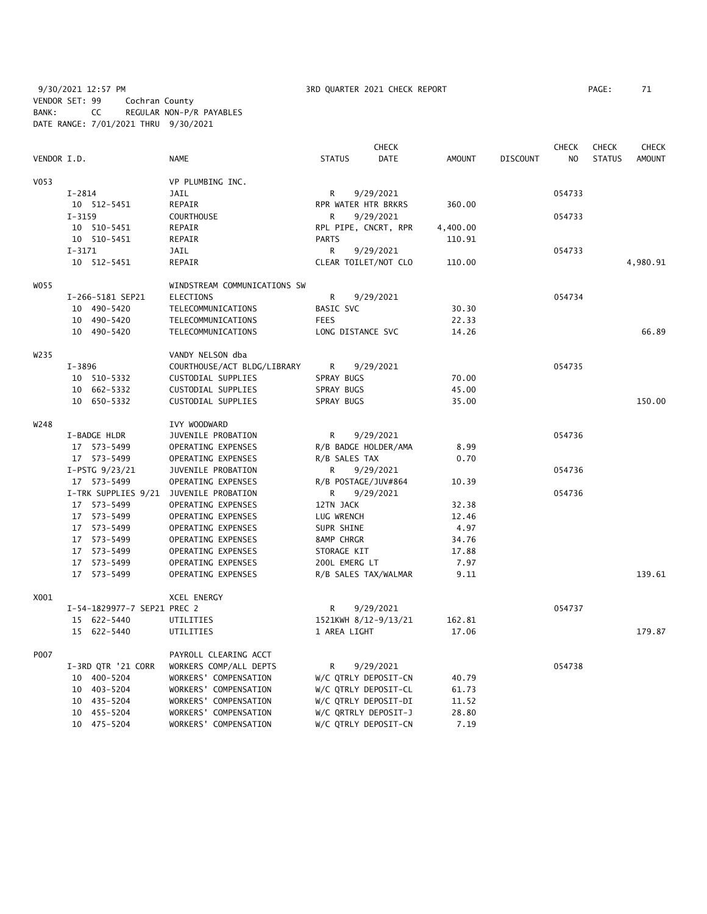9/30/2021 12:57 PM **3RD QUARTER 2021 CHECK REPORT** PAGE: 71 VENDOR SET: 99 Cochran County BANK: CC REGULAR NON-P/R PAYABLES DATE RANGE: 7/01/2021 THRU 9/30/2021

|             |                             |                              | <b>CHECK</b>         |           |          | <b>CHECK</b>    | <b>CHECK</b> | <b>CHECK</b>  |               |
|-------------|-----------------------------|------------------------------|----------------------|-----------|----------|-----------------|--------------|---------------|---------------|
| VENDOR I.D. |                             | <b>NAME</b>                  | <b>STATUS</b>        | DATE      | AMOUNT   | <b>DISCOUNT</b> | NO           | <b>STATUS</b> | <b>AMOUNT</b> |
| V053        |                             | VP PLUMBING INC.             |                      |           |          |                 |              |               |               |
|             | $I - 2814$                  | JAIL                         | R                    | 9/29/2021 |          |                 | 054733       |               |               |
|             | 10 512-5451                 | REPAIR                       | RPR WATER HTR BRKRS  |           | 360.00   |                 |              |               |               |
|             | $I - 3159$                  | <b>COURTHOUSE</b>            | R                    | 9/29/2021 |          |                 | 054733       |               |               |
|             | 10 510-5451                 | REPAIR                       | RPL PIPE, CNCRT, RPR |           | 4,400.00 |                 |              |               |               |
|             | 10 510-5451                 | REPAIR                       | <b>PARTS</b>         |           | 110.91   |                 |              |               |               |
|             | $I - 3171$                  | JAIL                         | R                    | 9/29/2021 |          |                 | 054733       |               |               |
|             | 10 512-5451                 | REPAIR                       | CLEAR TOILET/NOT CLO |           | 110.00   |                 |              |               | 4,980.91      |
| W055        |                             | WINDSTREAM COMMUNICATIONS SW |                      |           |          |                 |              |               |               |
|             | I-266-5181 SEP21            | ELECTIONS                    | R                    | 9/29/2021 |          |                 | 054734       |               |               |
|             | 10 490-5420                 | TELECOMMUNICATIONS           | BASIC SVC            |           | 30.30    |                 |              |               |               |
|             | 10 490-5420                 | TELECOMMUNICATIONS           | <b>FEES</b>          |           | 22.33    |                 |              |               |               |
|             | 10 490-5420                 | TELECOMMUNICATIONS           | LONG DISTANCE SVC    |           | 14.26    |                 |              |               | 66.89         |
| W235        |                             | VANDY NELSON dba             |                      |           |          |                 |              |               |               |
|             | $I - 3896$                  | COURTHOUSE/ACT BLDG/LIBRARY  | R                    | 9/29/2021 |          |                 | 054735       |               |               |
|             | 10 510-5332                 | CUSTODIAL SUPPLIES           | SPRAY BUGS           |           | 70.00    |                 |              |               |               |
|             | 10 662-5332                 | CUSTODIAL SUPPLIES           | SPRAY BUGS           |           | 45.00    |                 |              |               |               |
|             | 10 650-5332                 | CUSTODIAL SUPPLIES           | SPRAY BUGS           |           | 35.00    |                 |              |               | 150.00        |
| W248        |                             | IVY WOODWARD                 |                      |           |          |                 |              |               |               |
|             | I-BADGE HLDR                | JUVENILE PROBATION           | R                    | 9/29/2021 |          |                 | 054736       |               |               |
|             | 17 573-5499                 | OPERATING EXPENSES           | R/B BADGE HOLDER/AMA |           | 8.99     |                 |              |               |               |
|             | 17 573-5499                 | OPERATING EXPENSES           | R/B SALES TAX        |           | 0.70     |                 |              |               |               |
|             | I-PSTG 9/23/21              | JUVENILE PROBATION           | R.                   | 9/29/2021 |          |                 | 054736       |               |               |
|             | 17 573-5499                 | OPERATING EXPENSES           | R/B POSTAGE/JUV#864  |           | 10.39    |                 |              |               |               |
|             | I-TRK SUPPLIES 9/21         | JUVENILE PROBATION           | R                    | 9/29/2021 |          |                 | 054736       |               |               |
|             | 17 573-5499                 | OPERATING EXPENSES           | 12TN JACK            |           | 32.38    |                 |              |               |               |
|             | 17 573-5499                 | OPERATING EXPENSES           | LUG WRENCH           |           | 12.46    |                 |              |               |               |
|             | 17 573-5499                 | OPERATING EXPENSES           | SUPR SHINE           |           | 4.97     |                 |              |               |               |
|             | 17 573-5499                 | OPERATING EXPENSES           | 8AMP CHRGR           |           | 34.76    |                 |              |               |               |
|             | 17 573-5499                 | OPERATING EXPENSES           | STORAGE KIT          |           | 17.88    |                 |              |               |               |
|             | 17 573-5499                 | OPERATING EXPENSES           | 200L EMERG LT        |           | 7.97     |                 |              |               |               |
|             | 17 573-5499                 | OPERATING EXPENSES           | R/B SALES TAX/WALMAR |           | 9.11     |                 |              |               | 139.61        |
| X001        |                             | XCEL ENERGY                  |                      |           |          |                 |              |               |               |
|             | I-54-1829977-7 SEP21 PREC 2 |                              | R                    | 9/29/2021 |          |                 | 054737       |               |               |
|             | 15 622-5440                 | UTILITIES                    | 1521KWH 8/12-9/13/21 |           | 162.81   |                 |              |               |               |
|             | 15 622-5440                 | UTILITIES                    | 1 AREA LIGHT         |           | 17.06    |                 |              |               | 179.87        |
| P007        |                             | PAYROLL CLEARING ACCT        |                      |           |          |                 |              |               |               |
|             | I-3RD QTR '21 CORR          | WORKERS COMP/ALL DEPTS       | R                    | 9/29/2021 |          |                 | 054738       |               |               |
|             | 10 400-5204                 | WORKERS' COMPENSATION        | W/C QTRLY DEPOSIT-CN |           | 40.79    |                 |              |               |               |
|             | 10 403-5204                 | WORKERS' COMPENSATION        | W/C QTRLY DEPOSIT-CL |           | 61.73    |                 |              |               |               |
|             | 10 435-5204                 | WORKERS' COMPENSATION        | W/C QTRLY DEPOSIT-DI |           | 11.52    |                 |              |               |               |
|             | 10 455-5204                 | WORKERS' COMPENSATION        | W/C QRTRLY DEPOSIT-J |           | 28.80    |                 |              |               |               |
|             | 10 475-5204                 | WORKERS' COMPENSATION        | W/C QTRLY DEPOSIT-CN |           | 7.19     |                 |              |               |               |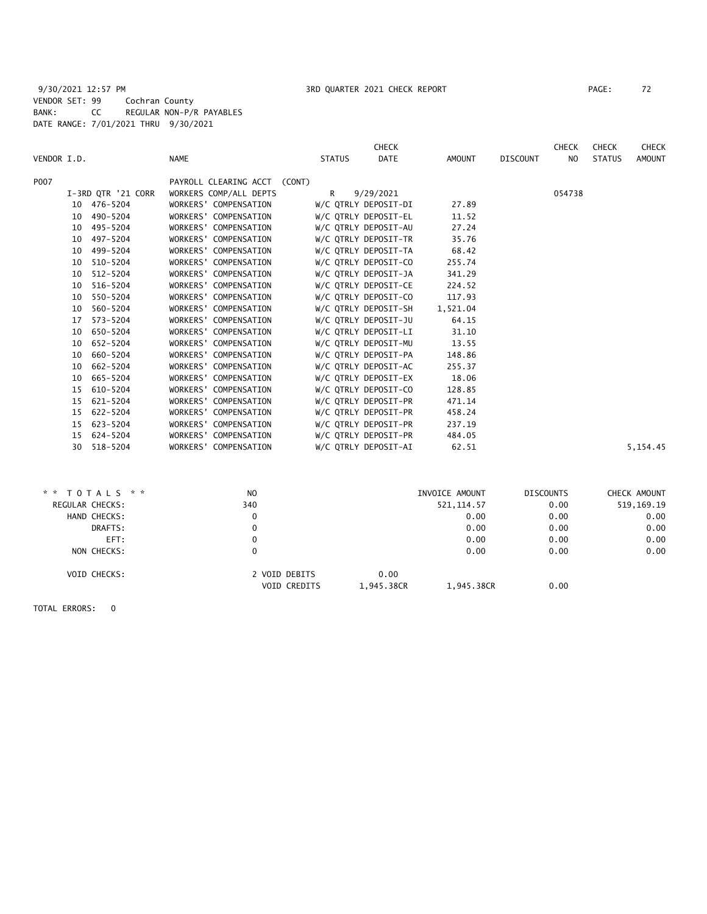# 9/30/2021 12:57 PM **3RD QUARTER 2021 CHECK REPORT** PAGE: 72 VENDOR SET: 99 Cochran County BANK: CC REGULAR NON-P/R PAYABLES DATE RANGE: 7/01/2021 THRU 9/30/2021

| <b>NAME</b><br><b>DATE</b><br>VENDOR I.D.<br><b>STATUS</b><br>AMOUNT<br><b>DISCOUNT</b><br>NO<br><b>STATUS</b><br>P007<br>PAYROLL CLEARING ACCT (CONT)<br>I-3RD QTR '21 CORR<br>WORKERS COMP/ALL DEPTS<br>9/29/2021<br>054738<br>R<br>10 476-5204<br>WORKERS' COMPENSATION<br>W/C QTRLY DEPOSIT-DI<br>27.89<br>W/C QTRLY DEPOSIT-EL<br>490-5204<br>WORKERS' COMPENSATION<br>11.52<br>10<br>495-5204<br>27.24<br>WORKERS' COMPENSATION<br>W/C QTRLY DEPOSIT-AU<br>10<br>W/C QTRLY DEPOSIT-TR<br>497-5204<br>WORKERS' COMPENSATION<br>35.76<br>10<br>499-5204<br>WORKERS' COMPENSATION<br>W/C QTRLY DEPOSIT-TA<br>68.42<br>10<br>W/C QTRLY DEPOSIT-CO<br>255.74<br>510-5204<br>WORKERS' COMPENSATION<br>10<br>512-5204<br>WORKERS' COMPENSATION<br>W/C QTRLY DEPOSIT-JA<br>341.29<br>10<br>W/C OTRLY DEPOSIT-CE<br>516-5204<br>WORKERS' COMPENSATION<br>224.52<br>10<br>550-5204<br>WORKERS' COMPENSATION<br>W/C QTRLY DEPOSIT-CO<br>117.93<br>10<br>560-5204<br>W/C QTRLY DEPOSIT-SH<br>1,521.04<br>WORKERS' COMPENSATION<br>10<br>WORKERS' COMPENSATION<br>W/C QTRLY DEPOSIT-JU<br>$573 - 5204$<br>64.15<br>17<br>W/C QTRLY DEPOSIT-LI<br>31.10<br>650-5204<br>WORKERS' COMPENSATION<br>10<br>652-5204<br>WORKERS' COMPENSATION<br>W/C QTRLY DEPOSIT-MU<br>13.55<br>10<br>W/C QTRLY DEPOSIT-PA<br>660-5204<br>WORKERS' COMPENSATION<br>148.86<br>10<br>WORKERS' COMPENSATION<br>W/C QTRLY DEPOSIT-AC<br>255.37<br>662-5204<br>10 | <b>AMOUNT</b> |
|----------------------------------------------------------------------------------------------------------------------------------------------------------------------------------------------------------------------------------------------------------------------------------------------------------------------------------------------------------------------------------------------------------------------------------------------------------------------------------------------------------------------------------------------------------------------------------------------------------------------------------------------------------------------------------------------------------------------------------------------------------------------------------------------------------------------------------------------------------------------------------------------------------------------------------------------------------------------------------------------------------------------------------------------------------------------------------------------------------------------------------------------------------------------------------------------------------------------------------------------------------------------------------------------------------------------------------------------------------------------------------------------------------------------------------|---------------|
|                                                                                                                                                                                                                                                                                                                                                                                                                                                                                                                                                                                                                                                                                                                                                                                                                                                                                                                                                                                                                                                                                                                                                                                                                                                                                                                                                                                                                                  |               |
|                                                                                                                                                                                                                                                                                                                                                                                                                                                                                                                                                                                                                                                                                                                                                                                                                                                                                                                                                                                                                                                                                                                                                                                                                                                                                                                                                                                                                                  |               |
|                                                                                                                                                                                                                                                                                                                                                                                                                                                                                                                                                                                                                                                                                                                                                                                                                                                                                                                                                                                                                                                                                                                                                                                                                                                                                                                                                                                                                                  |               |
|                                                                                                                                                                                                                                                                                                                                                                                                                                                                                                                                                                                                                                                                                                                                                                                                                                                                                                                                                                                                                                                                                                                                                                                                                                                                                                                                                                                                                                  |               |
|                                                                                                                                                                                                                                                                                                                                                                                                                                                                                                                                                                                                                                                                                                                                                                                                                                                                                                                                                                                                                                                                                                                                                                                                                                                                                                                                                                                                                                  |               |
|                                                                                                                                                                                                                                                                                                                                                                                                                                                                                                                                                                                                                                                                                                                                                                                                                                                                                                                                                                                                                                                                                                                                                                                                                                                                                                                                                                                                                                  |               |
|                                                                                                                                                                                                                                                                                                                                                                                                                                                                                                                                                                                                                                                                                                                                                                                                                                                                                                                                                                                                                                                                                                                                                                                                                                                                                                                                                                                                                                  |               |
|                                                                                                                                                                                                                                                                                                                                                                                                                                                                                                                                                                                                                                                                                                                                                                                                                                                                                                                                                                                                                                                                                                                                                                                                                                                                                                                                                                                                                                  |               |
|                                                                                                                                                                                                                                                                                                                                                                                                                                                                                                                                                                                                                                                                                                                                                                                                                                                                                                                                                                                                                                                                                                                                                                                                                                                                                                                                                                                                                                  |               |
|                                                                                                                                                                                                                                                                                                                                                                                                                                                                                                                                                                                                                                                                                                                                                                                                                                                                                                                                                                                                                                                                                                                                                                                                                                                                                                                                                                                                                                  |               |
|                                                                                                                                                                                                                                                                                                                                                                                                                                                                                                                                                                                                                                                                                                                                                                                                                                                                                                                                                                                                                                                                                                                                                                                                                                                                                                                                                                                                                                  |               |
|                                                                                                                                                                                                                                                                                                                                                                                                                                                                                                                                                                                                                                                                                                                                                                                                                                                                                                                                                                                                                                                                                                                                                                                                                                                                                                                                                                                                                                  |               |
|                                                                                                                                                                                                                                                                                                                                                                                                                                                                                                                                                                                                                                                                                                                                                                                                                                                                                                                                                                                                                                                                                                                                                                                                                                                                                                                                                                                                                                  |               |
|                                                                                                                                                                                                                                                                                                                                                                                                                                                                                                                                                                                                                                                                                                                                                                                                                                                                                                                                                                                                                                                                                                                                                                                                                                                                                                                                                                                                                                  |               |
|                                                                                                                                                                                                                                                                                                                                                                                                                                                                                                                                                                                                                                                                                                                                                                                                                                                                                                                                                                                                                                                                                                                                                                                                                                                                                                                                                                                                                                  |               |
|                                                                                                                                                                                                                                                                                                                                                                                                                                                                                                                                                                                                                                                                                                                                                                                                                                                                                                                                                                                                                                                                                                                                                                                                                                                                                                                                                                                                                                  |               |
|                                                                                                                                                                                                                                                                                                                                                                                                                                                                                                                                                                                                                                                                                                                                                                                                                                                                                                                                                                                                                                                                                                                                                                                                                                                                                                                                                                                                                                  |               |
|                                                                                                                                                                                                                                                                                                                                                                                                                                                                                                                                                                                                                                                                                                                                                                                                                                                                                                                                                                                                                                                                                                                                                                                                                                                                                                                                                                                                                                  |               |
| 665-5204<br>WORKERS' COMPENSATION<br>W/C QTRLY DEPOSIT-EX<br>18.06<br>10                                                                                                                                                                                                                                                                                                                                                                                                                                                                                                                                                                                                                                                                                                                                                                                                                                                                                                                                                                                                                                                                                                                                                                                                                                                                                                                                                         |               |
| W/C QTRLY DEPOSIT-CO<br>128.85<br>610-5204<br>WORKERS' COMPENSATION<br>15                                                                                                                                                                                                                                                                                                                                                                                                                                                                                                                                                                                                                                                                                                                                                                                                                                                                                                                                                                                                                                                                                                                                                                                                                                                                                                                                                        |               |
| W/C QTRLY DEPOSIT-PR<br>621-5204<br>WORKERS' COMPENSATION<br>471.14<br>15                                                                                                                                                                                                                                                                                                                                                                                                                                                                                                                                                                                                                                                                                                                                                                                                                                                                                                                                                                                                                                                                                                                                                                                                                                                                                                                                                        |               |
| W/C QTRLY DEPOSIT-PR<br>458.24<br>622-5204<br>WORKERS' COMPENSATION<br>15                                                                                                                                                                                                                                                                                                                                                                                                                                                                                                                                                                                                                                                                                                                                                                                                                                                                                                                                                                                                                                                                                                                                                                                                                                                                                                                                                        |               |
| W/C QTRLY DEPOSIT-PR<br>237.19<br>623-5204<br>WORKERS' COMPENSATION<br>15                                                                                                                                                                                                                                                                                                                                                                                                                                                                                                                                                                                                                                                                                                                                                                                                                                                                                                                                                                                                                                                                                                                                                                                                                                                                                                                                                        |               |
| W/C QTRLY DEPOSIT-PR<br>15 624-5204<br>WORKERS' COMPENSATION<br>484.05                                                                                                                                                                                                                                                                                                                                                                                                                                                                                                                                                                                                                                                                                                                                                                                                                                                                                                                                                                                                                                                                                                                                                                                                                                                                                                                                                           |               |
| 518-5204<br>WORKERS' COMPENSATION<br>W/C QTRLY DEPOSIT-AI<br>62.51<br>30                                                                                                                                                                                                                                                                                                                                                                                                                                                                                                                                                                                                                                                                                                                                                                                                                                                                                                                                                                                                                                                                                                                                                                                                                                                                                                                                                         | 5,154.45      |
|                                                                                                                                                                                                                                                                                                                                                                                                                                                                                                                                                                                                                                                                                                                                                                                                                                                                                                                                                                                                                                                                                                                                                                                                                                                                                                                                                                                                                                  |               |
|                                                                                                                                                                                                                                                                                                                                                                                                                                                                                                                                                                                                                                                                                                                                                                                                                                                                                                                                                                                                                                                                                                                                                                                                                                                                                                                                                                                                                                  |               |

|                 | * * TOTALS * *      | N <sub>O</sub>                       |                    | INVOICE AMOUNT | <b>DISCOUNTS</b> | CHECK AMOUNT |
|-----------------|---------------------|--------------------------------------|--------------------|----------------|------------------|--------------|
| REGULAR CHECKS: |                     | 340                                  |                    | 521, 114.57    | 0.00             | 519,169.19   |
|                 | HAND CHECKS:        | 0                                    |                    | 0.00           | 0.00             | 0.00         |
|                 | DRAFTS:             | 0                                    |                    | 0.00           | 0.00             | 0.00         |
|                 | EFT:                |                                      |                    | 0.00           | 0.00             | 0.00         |
|                 | NON CHECKS:         | 0                                    |                    | 0.00           | 0.00             | 0.00         |
|                 | <b>VOID CHECKS:</b> | 2 VOID DEBITS<br><b>VOID CREDITS</b> | 0.00<br>1,945.38CR | 1,945.38CR     | 0.00             |              |
|                 |                     |                                      |                    |                |                  |              |

TOTAL ERRORS: 0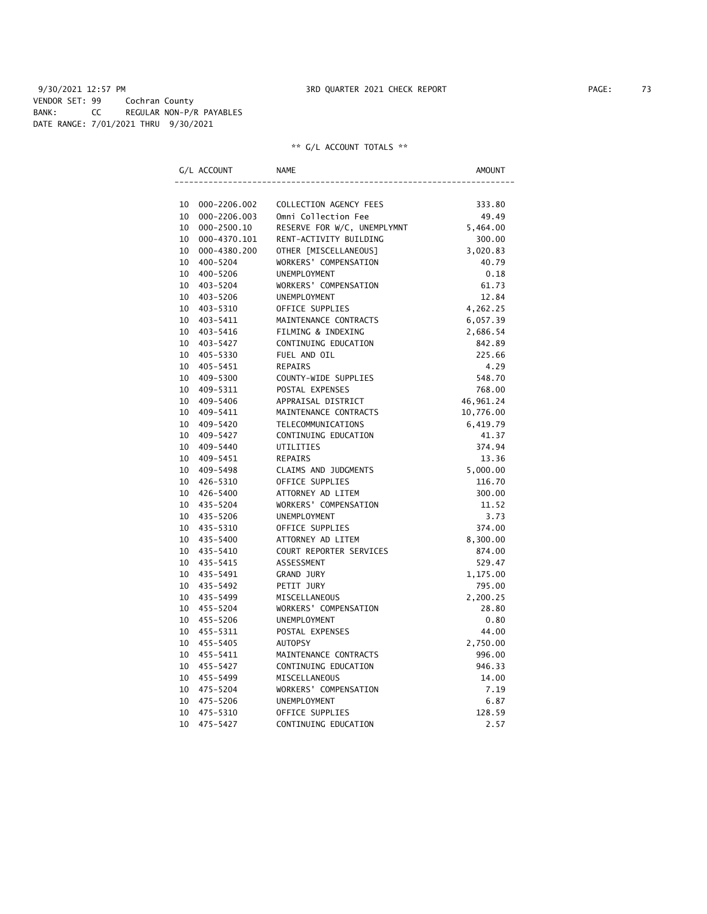9/30/2021 12:57 PM **3RD QUARTER 2021 CHECK REPORT** PAGE: 73 VENDOR SET: 99 Cochran County BANK: CC REGULAR NON-P/R PAYABLES DATE RANGE: 7/01/2021 THRU 9/30/2021

|    | G/L ACCOUNT     | <b>NAME</b>                 | AMOUNT    |
|----|-----------------|-----------------------------|-----------|
|    |                 |                             |           |
|    | 10 000-2206.002 | COLLECTION AGENCY FEES      | 333.80    |
| 10 | 000-2206.003    | Omni Collection Fee         | 49.49     |
|    | 10 000-2500.10  | RESERVE FOR W/C, UNEMPLYMNT | 5,464.00  |
|    | 10 000-4370.101 | RENT-ACTIVITY BUILDING      | 300.00    |
|    | 10 000-4380.200 | OTHER [MISCELLANEOUS]       | 3,020.83  |
|    | 10 400-5204     | WORKERS' COMPENSATION       | 40.79     |
|    | 10 400-5206     | UNEMPLOYMENT                | 0.18      |
|    | 10 403-5204     | WORKERS' COMPENSATION       | 61.73     |
|    | 10 403-5206     | <b>UNEMPLOYMENT</b>         | 12.84     |
|    | 10 403-5310     | OFFICE SUPPLIES             | 4,262.25  |
|    | 10 403-5411     | MAINTENANCE CONTRACTS       | 6,057.39  |
|    | 10 403-5416     | FILMING & INDEXING          | 2,686.54  |
|    | 10 403-5427     | CONTINUING EDUCATION        | 842.89    |
|    | 10 405-5330     | FUEL AND OIL                | 225.66    |
|    | 10 405-5451     | <b>REPAIRS</b>              | 4.29      |
|    | 10 409-5300     | COUNTY-WIDE SUPPLIES        | 548.70    |
|    | 10 409-5311     | POSTAL EXPENSES             | 768.00    |
|    | 10 409-5406     | APPRAISAL DISTRICT          | 46,961.24 |
|    | 10 409-5411     | MAINTENANCE CONTRACTS       | 10,776.00 |
|    | 10 409-5420     | TELECOMMUNICATIONS          | 6,419.79  |
|    | 10 409-5427     | CONTINUING EDUCATION        | 41.37     |
|    | 10 409-5440     | UTILITIES                   | 374.94    |
|    | 10 409-5451     | REPAIRS                     | 13.36     |
|    | 10 409-5498     | CLAIMS AND JUDGMENTS        | 5,000.00  |
|    | 10 426-5310     | OFFICE SUPPLIES             | 116.70    |
|    | 10 426-5400     | ATTORNEY AD LITEM           | 300.00    |
|    | 10 435-5204     | WORKERS' COMPENSATION       | 11.52     |
|    | 10 435-5206     | UNEMPLOYMENT                | 3.73      |
|    | 10 435-5310     | OFFICE SUPPLIES             | 374.00    |
|    | 10 435-5400     | ATTORNEY AD LITEM           | 8,300.00  |
|    | 10 435-5410     | COURT REPORTER SERVICES     | 874.00    |
|    | 10 435-5415     | ASSESSMENT                  | 529.47    |
|    | 10 435-5491     | GRAND JURY                  | 1,175.00  |
|    | 10 435-5492     | PETIT JURY                  | 795.00    |
|    | 10 435-5499     | MISCELLANEOUS               | 2,200.25  |
|    | 10 455-5204     | WORKERS' COMPENSATION       | 28.80     |
|    | 10 455-5206     | UNEMPLOYMENT                | 0.80      |
|    | 10 455-5311     | POSTAL EXPENSES             | 44.00     |
|    | 10 455-5405     | <b>AUTOPSY</b>              | 2,750.00  |
|    | 10 455-5411     | MAINTENANCE CONTRACTS       | 996.00    |
|    | 10 455-5427     | CONTINUING EDUCATION        | 946.33    |
|    | 10 455-5499     | MISCELLANEOUS               | 14.00     |
|    | 10 475-5204     | WORKERS' COMPENSATION       | 7.19      |
| 10 | 475-5206        | <b>UNEMPLOYMENT</b>         | 6.87      |
| 10 | 475-5310        | OFFICE SUPPLIES             | 128.59    |
| 10 | 475-5427        | CONTINUING EDUCATION        | 2.57      |
|    |                 |                             |           |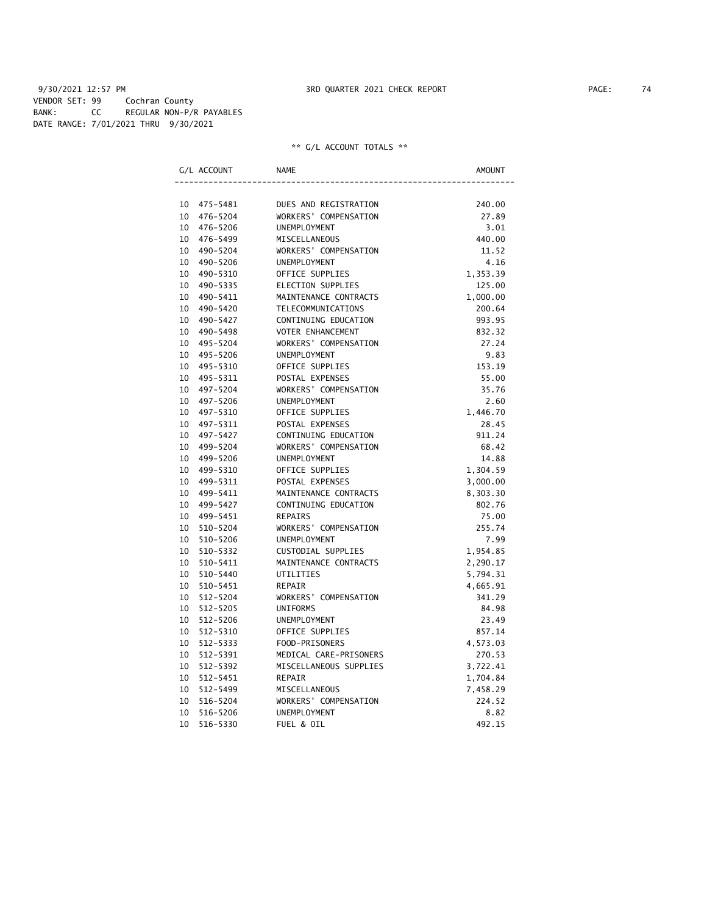9/30/2021 12:57 PM **3RD QUARTER 2021 CHECK REPORT** 9/30/2021 12:57 PM VENDOR SET: 99 Cochran County BANK: CC REGULAR NON-P/R PAYABLES DATE RANGE: 7/01/2021 THRU 9/30/2021

|    | G/L ACCOUNT  | <b>NAME</b>              | <b>AMOUNT</b> |
|----|--------------|--------------------------|---------------|
|    |              |                          |               |
| 10 | 475–5481     | DUES AND REGISTRATION    | 240.00        |
| 10 | 476-5204     | WORKERS' COMPENSATION    | 27.89         |
| 10 | 476-5206     | UNEMPLOYMENT             | 3.01          |
| 10 | 476-5499     | MISCELLANEOUS            | 440.00        |
| 10 | 490-5204     | WORKERS' COMPENSATION    | 11.52         |
| 10 | 490-5206     | <b>UNEMPLOYMENT</b>      | 4.16          |
| 10 | 490-5310     | OFFICE SUPPLIES          | 1,353.39      |
| 10 | 490-5335     | ELECTION SUPPLIES        | 125.00        |
| 10 | 490-5411     | MAINTENANCE CONTRACTS    | 1,000.00      |
| 10 | 490-5420     | TELECOMMUNICATIONS       | 200.64        |
| 10 | 490-5427     | CONTINUING EDUCATION     | 993.95        |
| 10 | 490-5498     | <b>VOTER ENHANCEMENT</b> | 832.32        |
| 10 | 495-5204     | WORKERS' COMPENSATION    | 27.24         |
| 10 | 495-5206     | <b>UNEMPLOYMENT</b>      | 9.83          |
| 10 | 495-5310     | OFFICE SUPPLIES          | 153.19        |
| 10 | 495-5311     | POSTAL EXPENSES          | 55.00         |
| 10 | 497-5204     | WORKERS' COMPENSATION    | 35.76         |
| 10 | 497-5206     | UNEMPLOYMENT             | 2.60          |
| 10 | 497-5310     | OFFICE SUPPLIES          | 1,446.70      |
| 10 | 497-5311     | POSTAL EXPENSES          | 28.45         |
| 10 | 497-5427     | CONTINUING EDUCATION     | 911.24        |
| 10 | 499-5204     | WORKERS' COMPENSATION    | 68.42         |
| 10 | 499-5206     | UNEMPLOYMENT             | 14.88         |
| 10 | 499-5310     | OFFICE SUPPLIES          | 1,304.59      |
| 10 | 499-5311     | POSTAL EXPENSES          | 3,000.00      |
| 10 | 499-5411     | MAINTENANCE CONTRACTS    | 8,303.30      |
| 10 | 499-5427     | CONTINUING EDUCATION     | 802.76        |
| 10 | 499-5451     | <b>REPAIRS</b>           | 75.00         |
| 10 | 510-5204     | WORKERS' COMPENSATION    | 255.74        |
| 10 | 510-5206     | <b>UNEMPLOYMENT</b>      | 7.99          |
| 10 | 510-5332     | CUSTODIAL SUPPLIES       | 1,954.85      |
| 10 | 510-5411     | MAINTENANCE CONTRACTS    | 2,290.17      |
| 10 | 510-5440     | UTILITIES                | 5,794.31      |
| 10 | 510-5451     | <b>REPAIR</b>            | 4,665.91      |
| 10 | $512 - 5204$ | WORKERS' COMPENSATION    | 341.29        |
| 10 | $512 - 5205$ | <b>UNIFORMS</b>          | 84.98         |
| 10 | $512 - 5206$ | UNEMPLOYMENT             | 23.49         |
| 10 | 512-5310     | OFFICE SUPPLIES          | 857.14        |
| 10 | 512-5333     | FOOD-PRISONERS           | 4,573.03      |
| 10 | 512-5391     | MEDICAL CARE-PRISONERS   | 270.53        |
| 10 | 512-5392     | MISCELLANEOUS SUPPLIES   | 3,722.41      |
| 10 | 512-5451     | <b>REPAIR</b>            | 1,704.84      |
| 10 | 512-5499     | MISCELLANEOUS            | 7,458.29      |
| 10 | 516-5204     | WORKERS' COMPENSATION    | 224.52        |
| 10 | 516-5206     | <b>UNEMPLOYMENT</b>      | 8.82          |
| 10 | 516-5330     | FUEL & OIL               | 492.15        |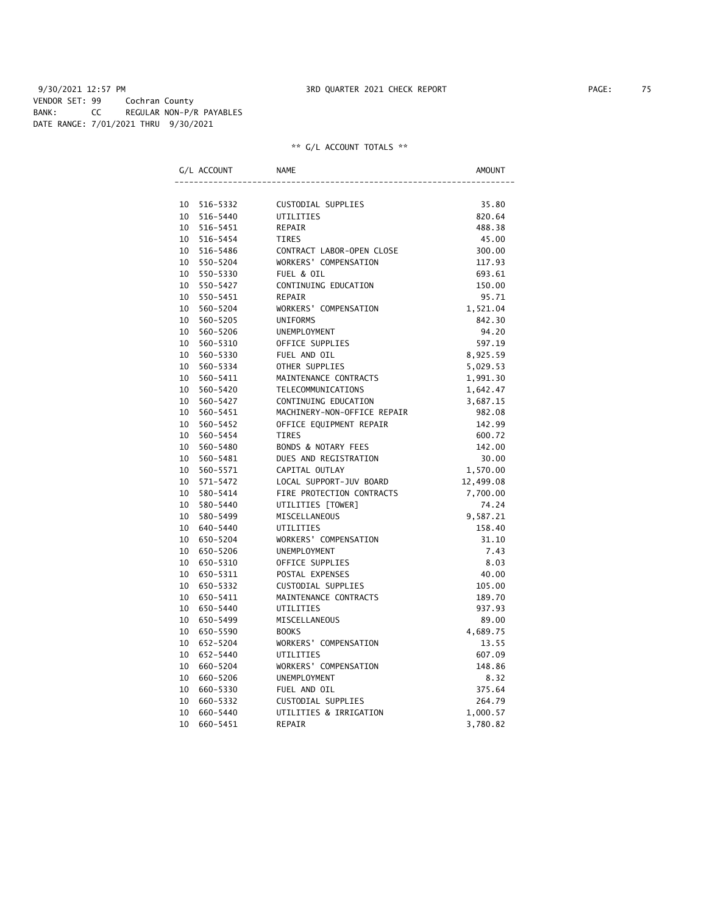### 9/30/2021 12:57 PM **3RD QUARTER 2021 CHECK REPORT** 9/30/2021 12:57 PAGE: 75 VENDOR SET: 99 Cochran County BANK: CC REGULAR NON-P/R PAYABLES DATE RANGE: 7/01/2021 THRU 9/30/2021

|    | G/L ACCOUNT | <b>NAME</b>                 | AMOUNT    |
|----|-------------|-----------------------------|-----------|
|    |             |                             |           |
|    | 10 516-5332 | CUSTODIAL SUPPLIES          | 35.80     |
|    | 10 516-5440 | UTILITIES                   | 820.64    |
|    | 10 516-5451 | REPAIR                      | 488.38    |
|    | 10 516-5454 | <b>TIRES</b>                | 45.00     |
|    | 10 516-5486 | CONTRACT LABOR-OPEN CLOSE   | 300.00    |
|    | 10 550-5204 | WORKERS' COMPENSATION       | 117.93    |
|    | 10 550-5330 | FUEL & OIL                  | 693.61    |
|    | 10 550-5427 | CONTINUING EDUCATION        | 150.00    |
|    | 10 550-5451 | <b>REPAIR</b>               | 95.71     |
|    | 10 560-5204 | WORKERS' COMPENSATION       | 1,521.04  |
|    | 10 560-5205 | <b>UNIFORMS</b>             | 842.30    |
|    | 10 560-5206 | UNEMPLOYMENT                | 94.20     |
|    | 10 560-5310 | OFFICE SUPPLIES             | 597.19    |
|    | 10 560-5330 | FUEL AND OIL                | 8,925.59  |
|    | 10 560-5334 | OTHER SUPPLIES              | 5,029.53  |
|    | 10 560-5411 | MAINTENANCE CONTRACTS       | 1,991.30  |
|    | 10 560-5420 | TELECOMMUNICATIONS          | 1,642.47  |
|    | 10 560-5427 | CONTINUING EDUCATION        | 3,687.15  |
|    | 10 560-5451 | MACHINERY-NON-OFFICE REPAIR | 982.08    |
|    | 10 560-5452 | OFFICE EQUIPMENT REPAIR     | 142.99    |
|    | 10 560-5454 | <b>TIRES</b>                | 600.72    |
|    | 10 560-5480 | BONDS & NOTARY FEES         | 142.00    |
|    | 10 560-5481 | DUES AND REGISTRATION       | 30.00     |
|    | 10 560-5571 | CAPITAL OUTLAY              | 1,570.00  |
|    | 10 571-5472 | LOCAL SUPPORT-JUV BOARD     | 12,499.08 |
|    | 10 580-5414 | FIRE PROTECTION CONTRACTS   | 7,700.00  |
|    | 10 580-5440 | UTILITIES [TOWER]           | 74.24     |
|    | 10 580-5499 | MISCELLANEOUS               | 9,587.21  |
|    | 10 640-5440 | UTILITIES                   | 158.40    |
|    | 10 650-5204 | WORKERS' COMPENSATION       | 31.10     |
|    | 10 650-5206 | UNEMPLOYMENT                | 7.43      |
|    | 10 650-5310 | OFFICE SUPPLIES             | 8.03      |
|    | 10 650-5311 | POSTAL EXPENSES             | 40.00     |
|    | 10 650-5332 | CUSTODIAL SUPPLIES          | 105.00    |
|    | 10 650-5411 | MAINTENANCE CONTRACTS       | 189.70    |
|    | 10 650-5440 | UTILITIES                   | 937.93    |
|    | 10 650-5499 | MISCELLANEOUS               | 89.00     |
|    | 10 650-5590 | <b>BOOKS</b>                | 4,689.75  |
|    | 10 652-5204 | WORKERS' COMPENSATION       | 13.55     |
|    | 10 652-5440 | UTILITIES                   | 607.09    |
|    | 10 660-5204 | WORKERS' COMPENSATION       | 148.86    |
| 10 | 660-5206    | <b>UNEMPLOYMENT</b>         | 8.32      |
| 10 | 660-5330    | FUEL AND OIL                | 375.64    |
| 10 | 660-5332    | CUSTODIAL SUPPLIES          | 264.79    |
| 10 | 660-5440    | UTILITIES & IRRIGATION      | 1,000.57  |
| 10 | 660-5451    | <b>REPAIR</b>               | 3,780.82  |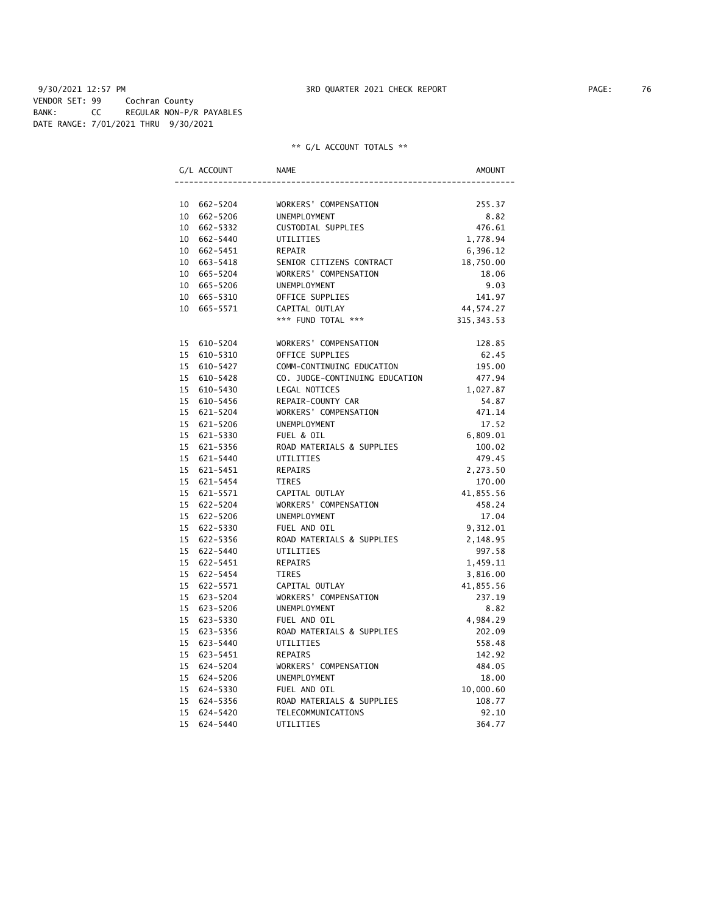| G/L ACCOUNT |             | NAME                           | AMOUNT      |
|-------------|-------------|--------------------------------|-------------|
|             |             |                                |             |
|             | 10 662-5204 | WORKERS' COMPENSATION          | 255.37      |
|             | 10 662-5206 | <b>UNEMPLOYMENT</b>            | 8.82        |
|             | 10 662-5332 | CUSTODIAL SUPPLIES             | 476.61      |
|             | 10 662-5440 | UTILITIES                      | 1,778.94    |
|             | 10 662-5451 | REPAIR                         | 6,396.12    |
|             | 10 663-5418 | SENIOR CITIZENS CONTRACT       | 18,750.00   |
|             | 10 665-5204 | WORKERS' COMPENSATION          | 18.06       |
|             | 10 665-5206 | UNEMPLOYMENT                   | 9.03        |
|             | 10 665-5310 | OFFICE SUPPLIES                | 141.97      |
|             | 10 665-5571 | CAPITAL OUTLAY                 | 44,574.27   |
|             |             | *** FUND TOTAL ***             | 315, 343.53 |
|             | 15 610-5204 | WORKERS' COMPENSATION          | 128.85      |
|             | 15 610-5310 | OFFICE SUPPLIES                | 62.45       |
|             | 15 610-5427 | COMM-CONTINUING EDUCATION      | 195.00      |
|             | 15 610-5428 | CO. JUDGE-CONTINUING EDUCATION | 477.94      |
|             | 15 610-5430 | LEGAL NOTICES                  | 1,027.87    |
|             | 15 610-5456 | REPAIR-COUNTY CAR              | 54.87       |
|             | 15 621-5204 | WORKERS' COMPENSATION          | 471.14      |
|             | 15 621-5206 | UNEMPLOYMENT                   | 17.52       |
|             | 15 621-5330 | FUEL & OIL                     | 6,809.01    |
|             | 15 621-5356 | ROAD MATERIALS & SUPPLIES      | 100.02      |
|             | 15 621-5440 | UTILITIES                      | 479.45      |
|             | 15 621-5451 | REPAIRS                        | 2,273.50    |
|             | 15 621-5454 | <b>TIRES</b>                   | 170.00      |
|             | 15 621-5571 | CAPITAL OUTLAY                 | 41,855.56   |
|             | 15 622-5204 | WORKERS' COMPENSATION          | 458.24      |
|             | 15 622-5206 | UNEMPLOYMENT                   | 17.04       |
|             | 15 622-5330 | FUEL AND OIL                   | 9,312.01    |
|             | 15 622-5356 | ROAD MATERIALS & SUPPLIES      | 2,148.95    |
|             | 15 622-5440 | UTILITIES                      | 997.58      |
|             | 15 622-5451 | REPAIRS                        | 1,459.11    |
|             | 15 622-5454 | <b>TIRES</b>                   | 3,816.00    |
|             | 15 622-5571 | CAPITAL OUTLAY                 | 41,855.56   |
|             | 15 623-5204 | WORKERS' COMPENSATION          | 237.19      |
|             | 15 623-5206 | UNEMPLOYMENT                   | 8.82        |
|             | 15 623-5330 | FUEL AND OIL                   | 4,984.29    |
|             | 15 623-5356 | ROAD MATERIALS & SUPPLIES      | 202.09      |
|             | 15 623-5440 | UTILITIES                      | 558.48      |
|             | 15 623-5451 | REPAIRS                        | 142.92      |
|             | 15 624-5204 | WORKERS' COMPENSATION          | 484.05      |
|             | 15 624-5206 | <b>UNEMPLOYMENT</b>            | 18.00       |
|             | 15 624-5330 | FUEL AND OIL                   | 10,000.60   |
|             | 15 624-5356 | ROAD MATERIALS & SUPPLIES      | 108.77      |
|             | 15 624-5420 | TELECOMMUNICATIONS             | 92.10       |
| 15          | 624-5440    | UTILITIES                      | 364.77      |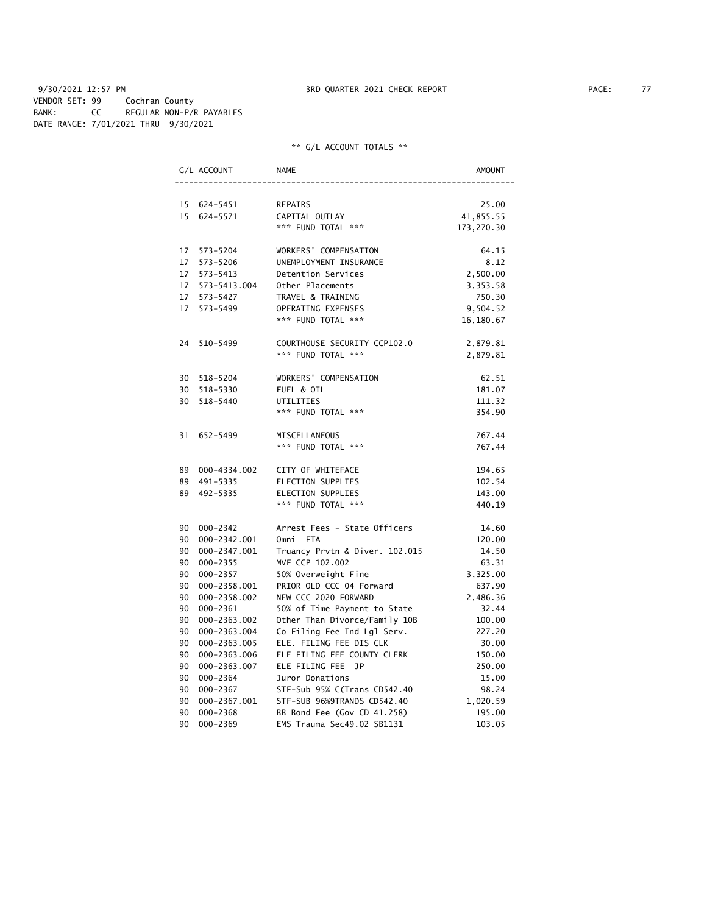9/30/2021 12:57 PM **3RD QUARTER 2021 CHECK REPORT** PAGE: 77 VENDOR SET: 99 Cochran County BANK: CC REGULAR NON-P/R PAYABLES DATE RANGE: 7/01/2021 THRU 9/30/2021

|    | G/L ACCOUNT     | <b>NAME</b>                    | <b>AMOUNT</b> |
|----|-----------------|--------------------------------|---------------|
|    |                 |                                |               |
|    | 15 624-5451     | REPAIRS                        | 25.00         |
|    | 15 624-5571     | CAPITAL OUTLAY                 | 41,855.55     |
|    |                 | *** FUND TOTAL ***             | 173,270.30    |
|    | 17 573-5204     | WORKERS' COMPENSATION          | 64.15         |
|    | 17 573-5206     | UNEMPLOYMENT INSURANCE         | 8.12          |
|    | 17 573-5413     | Detention Services             | 2,500.00      |
|    | 17 573-5413.004 | Other Placements               | 3,353.58      |
|    | 17 573-5427     | TRAVEL & TRAINING              | 750.30        |
|    | 17 573-5499     | OPERATING EXPENSES             | 9,504.52      |
|    |                 | *** FUND TOTAL ***             | 16,180.67     |
|    | 24 510-5499     | COURTHOUSE SECURITY CCP102.0   | 2,879.81      |
|    |                 | *** FUND TOTAL ***             | 2,879.81      |
|    | 30 518-5204     | WORKERS' COMPENSATION          | 62.51         |
|    | 30 518-5330     | FUEL & OIL                     | 181.07        |
|    | 30 518-5440     | UTILITIES                      | 111.32        |
|    |                 | *** FUND TOTAL ***             | 354.90        |
|    | 31 652-5499     | MISCELLANEOUS                  | 767.44        |
|    |                 | *** FUND TOTAL ***             | 767.44        |
|    | 89 000-4334.002 | CITY OF WHITEFACE              | 194.65        |
|    | 89 491-5335     | ELECTION SUPPLIES              | 102.54        |
|    | 89 492-5335     | ELECTION SUPPLIES              | 143.00        |
|    |                 | *** FUND TOTAL ***             | 440.19        |
|    | 90 000-2342     | Arrest Fees - State Officers   | 14.60         |
|    | 90 000-2342.001 | Omni FTA                       | 120.00        |
|    | 90 000-2347.001 | Truancy Prvtn & Diver. 102.015 | 14.50         |
|    | 90 000-2355     | MVF CCP 102.002                | 63.31         |
|    | 90 000-2357     | 50% Overweight Fine            | 3,325.00      |
|    | 90 000-2358.001 | PRIOR OLD CCC 04 Forward       | 637.90        |
|    | 90 000-2358.002 | NEW CCC 2020 FORWARD           | 2,486.36      |
|    | 90 000-2361     | 50% of Time Payment to State   | 32.44         |
|    | 90 000-2363.002 | Other Than Divorce/Family 10B  | 100.00        |
|    | 90 000-2363.004 | Co Filing Fee Ind Lgl Serv.    | 227.20        |
|    | 90 000-2363.005 | ELE. FILING FEE DIS CLK        | 30.00         |
|    | 90 000-2363.006 | ELE FILING FEE COUNTY CLERK    | 150.00        |
|    | 90 000-2363.007 | ELE FILING FEE JP              | 250.00        |
| 90 | 000-2364        | Juror Donations                | 15.00         |
| 90 | 000-2367        | STF-Sub 95% C(Trans CD542.40   | 98.24         |
| 90 | 000-2367.001    | STF-SUB 96%9TRANDS CD542.40    | 1,020.59      |
| 90 | 000-2368        | BB Bond Fee (Gov CD 41.258)    | 195.00        |
| 90 | $000 - 2369$    | EMS Trauma Sec49.02 SB1131     | 103.05        |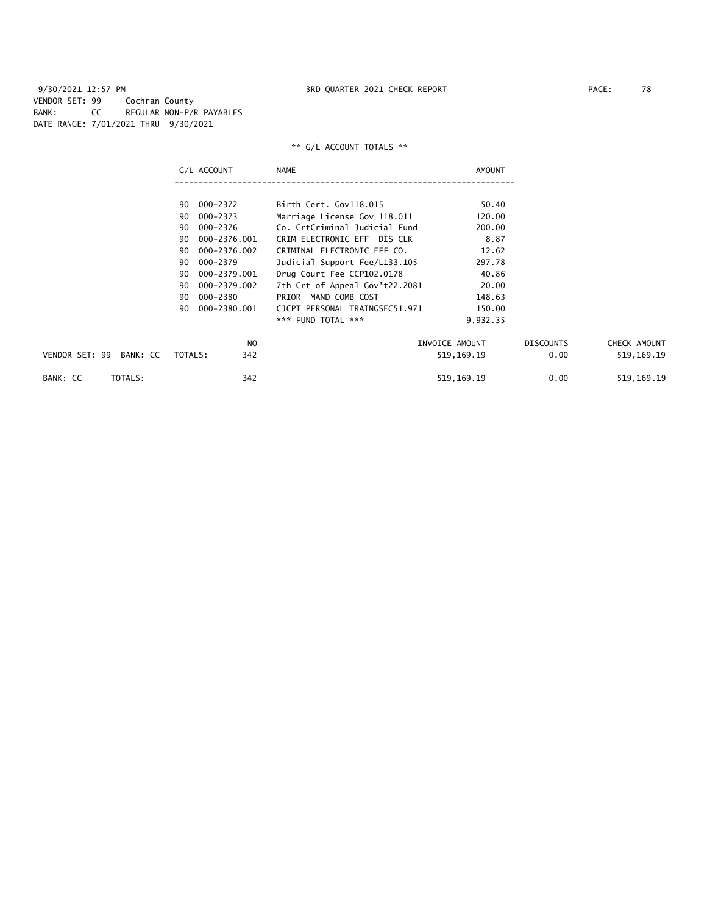9/30/2021 12:57 PM 3RD QUARTER 2021 CHECK REPORT PAGE: 78 VENDOR SET: 99 Cochran County BANK: CC REGULAR NON-P/R PAYABLES DATE RANGE: 7/01/2021 THRU 9/30/2021

|                            | G/L ACCOUNT        | <b>NAME</b>                    | AMOUNT         |                  |              |
|----------------------------|--------------------|--------------------------------|----------------|------------------|--------------|
|                            | 000-2372<br>90     | Birth Cert. Gov118.015         | 50.40          |                  |              |
|                            |                    |                                |                |                  |              |
|                            | 000-2373<br>90     | Marriage License Gov 118.011   | 120.00         |                  |              |
|                            | 000-2376<br>90     | Co. CrtCriminal Judicial Fund  | 200.00         |                  |              |
|                            | 000-2376.001<br>90 | CRIM ELECTRONIC EFF DIS CLK    | 8.87           |                  |              |
|                            | 000-2376.002<br>90 | CRIMINAL ELECTRONIC EFF CO.    | 12.62          |                  |              |
|                            | 90<br>000-2379     | Judicial Support Fee/L133.105  | 297.78         |                  |              |
|                            | 000-2379.001<br>90 | Drug Court Fee CCP102.0178     | 40.86          |                  |              |
|                            | 000-2379.002<br>90 | 7th Crt of Appeal Gov't22.2081 | 20.00          |                  |              |
|                            | 000-2380<br>90     | MAND COMB COST<br>PRIOR        | 148.63         |                  |              |
|                            | 000-2380.001<br>90 | CJCPT PERSONAL TRAINGSEC51.971 | 150.00         |                  |              |
|                            |                    | *** FUND TOTAL ***             | 9,932.35       |                  |              |
|                            | N <sub>O</sub>     |                                | INVOICE AMOUNT | <b>DISCOUNTS</b> | CHECK AMOUNT |
| VENDOR SET: 99<br>BANK: CC | 342<br>TOTALS:     |                                | 519,169.19     | 0.00             | 519, 169. 19 |
| TOTALS:<br>BANK: CC        | 342                |                                | 519, 169. 19   | 0.00             | 519, 169. 19 |
|                            |                    |                                |                |                  |              |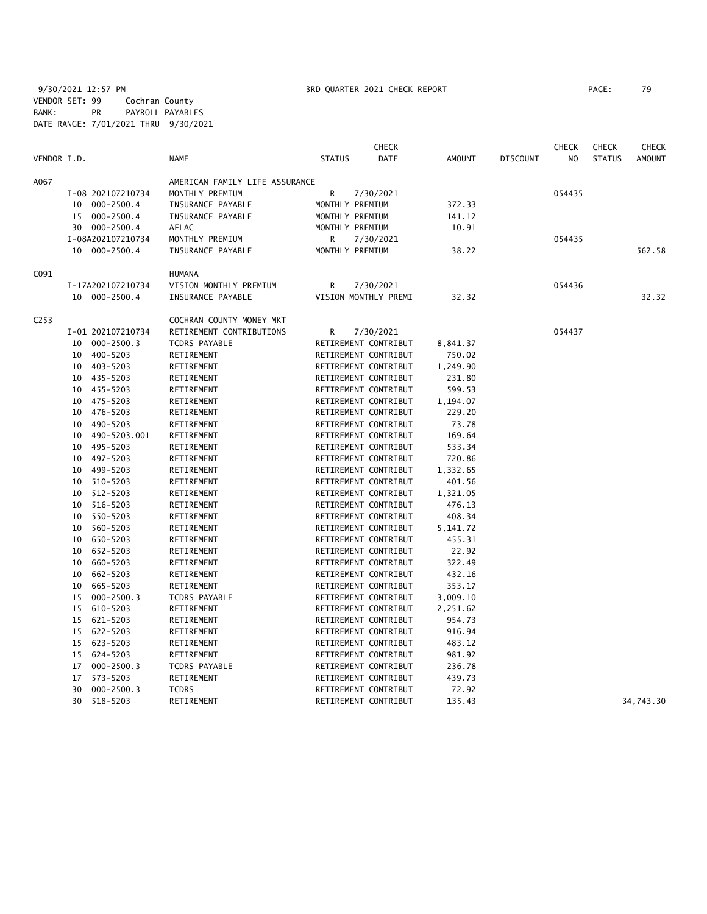9/30/2021 12:57 PM 3RD QUARTER 2021 CHECK REPORT PAGE: 79 VENDOR SET: 99 Cochran County BANK: PR PAYROLL PAYABLES DATE RANGE: 7/01/2021 THRU 9/30/2021

|                  |    |                   |                                |                 | <b>CHECK</b>         |               |                 | <b>CHECK</b>   | <b>CHECK</b>  | CHECK         |
|------------------|----|-------------------|--------------------------------|-----------------|----------------------|---------------|-----------------|----------------|---------------|---------------|
| VENDOR I.D.      |    |                   | <b>NAME</b>                    | <b>STATUS</b>   | <b>DATE</b>          | <b>AMOUNT</b> | <b>DISCOUNT</b> | N <sub>O</sub> | <b>STATUS</b> | <b>AMOUNT</b> |
| A067             |    |                   | AMERICAN FAMILY LIFE ASSURANCE |                 |                      |               |                 |                |               |               |
|                  |    | I-08 202107210734 | MONTHLY PREMIUM                | R               | 7/30/2021            |               |                 | 054435         |               |               |
|                  |    | 10 000-2500.4     | INSURANCE PAYABLE              | MONTHLY PREMIUM |                      | 372.33        |                 |                |               |               |
|                  |    | 15 000-2500.4     | INSURANCE PAYABLE              | MONTHLY PREMIUM |                      | 141.12        |                 |                |               |               |
|                  |    | 30 000-2500.4     | AFLAC                          | MONTHLY PREMIUM |                      | 10.91         |                 |                |               |               |
|                  |    | I-08A202107210734 | MONTHLY PREMIUM                | R               | 7/30/2021            |               |                 | 054435         |               |               |
|                  |    | 10 000-2500.4     | INSURANCE PAYABLE              | MONTHLY PREMIUM |                      | 38.22         |                 |                |               | 562.58        |
| C091             |    |                   | <b>HUMANA</b>                  |                 |                      |               |                 |                |               |               |
|                  |    | I-17A202107210734 | VISION MONTHLY PREMIUM         | R               | 7/30/2021            |               |                 | 054436         |               |               |
|                  |    | 10 000-2500.4     | INSURANCE PAYABLE              |                 | VISION MONTHLY PREMI | 32.32         |                 |                |               | 32.32         |
| C <sub>253</sub> |    |                   | COCHRAN COUNTY MONEY MKT       |                 |                      |               |                 |                |               |               |
|                  |    | I-01 202107210734 | RETIREMENT CONTRIBUTIONS       | R               | 7/30/2021            |               |                 | 054437         |               |               |
|                  |    | 10 000-2500.3     | TCDRS PAYABLE                  |                 | RETIREMENT CONTRIBUT | 8,841.37      |                 |                |               |               |
|                  | 10 | 400-5203          | RETIREMENT                     |                 | RETIREMENT CONTRIBUT | 750.02        |                 |                |               |               |
|                  | 10 | 403-5203          | RETIREMENT                     |                 | RETIREMENT CONTRIBUT | 1,249.90      |                 |                |               |               |
|                  |    | 10 435-5203       | RETIREMENT                     |                 | RETIREMENT CONTRIBUT | 231.80        |                 |                |               |               |
|                  | 10 | 455-5203          | RETIREMENT                     |                 | RETIREMENT CONTRIBUT | 599.53        |                 |                |               |               |
|                  | 10 | 475-5203          | RETIREMENT                     |                 | RETIREMENT CONTRIBUT | 1,194.07      |                 |                |               |               |
|                  | 10 | 476-5203          | RETIREMENT                     |                 | RETIREMENT CONTRIBUT | 229.20        |                 |                |               |               |
|                  | 10 | 490-5203          | RETIREMENT                     |                 | RETIREMENT CONTRIBUT | 73.78         |                 |                |               |               |
|                  | 10 | 490-5203.001      | RETIREMENT                     |                 | RETIREMENT CONTRIBUT | 169.64        |                 |                |               |               |
|                  | 10 | 495-5203          | RETIREMENT                     |                 | RETIREMENT CONTRIBUT | 533.34        |                 |                |               |               |
|                  | 10 | 497-5203          | RETIREMENT                     |                 | RETIREMENT CONTRIBUT | 720.86        |                 |                |               |               |
|                  | 10 | 499-5203          | RETIREMENT                     |                 | RETIREMENT CONTRIBUT | 1,332.65      |                 |                |               |               |
|                  | 10 | 510-5203          | RETIREMENT                     |                 | RETIREMENT CONTRIBUT | 401.56        |                 |                |               |               |
|                  | 10 | 512-5203          | RETIREMENT                     |                 | RETIREMENT CONTRIBUT | 1,321.05      |                 |                |               |               |
|                  | 10 | 516-5203          | RETIREMENT                     |                 | RETIREMENT CONTRIBUT | 476.13        |                 |                |               |               |
|                  | 10 | 550-5203          | RETIREMENT                     |                 | RETIREMENT CONTRIBUT | 408.34        |                 |                |               |               |
|                  | 10 | 560-5203          | RETIREMENT                     |                 | RETIREMENT CONTRIBUT | 5,141.72      |                 |                |               |               |
|                  | 10 | 650-5203          | RETIREMENT                     |                 | RETIREMENT CONTRIBUT | 455.31        |                 |                |               |               |
|                  | 10 | 652-5203          | RETIREMENT                     |                 | RETIREMENT CONTRIBUT | 22.92         |                 |                |               |               |
|                  | 10 | 660-5203          | RETIREMENT                     |                 | RETIREMENT CONTRIBUT | 322.49        |                 |                |               |               |
|                  | 10 | 662-5203          | RETIREMENT                     |                 | RETIREMENT CONTRIBUT | 432.16        |                 |                |               |               |
|                  | 10 | 665-5203          | RETIREMENT                     |                 | RETIREMENT CONTRIBUT | 353.17        |                 |                |               |               |
|                  | 15 | $000 - 2500.3$    | TCDRS PAYABLE                  |                 | RETIREMENT CONTRIBUT | 3,009.10      |                 |                |               |               |
|                  | 15 | 610-5203          | RETIREMENT                     |                 | RETIREMENT CONTRIBUT | 2,251.62      |                 |                |               |               |
|                  | 15 | 621-5203          | RETIREMENT                     |                 | RETIREMENT CONTRIBUT | 954.73        |                 |                |               |               |
|                  | 15 | 622-5203          | RETIREMENT                     |                 | RETIREMENT CONTRIBUT | 916.94        |                 |                |               |               |
|                  |    | 15 623-5203       | RETIREMENT                     |                 | RETIREMENT CONTRIBUT | 483.12        |                 |                |               |               |
|                  |    | 15 624-5203       | RETIREMENT                     |                 | RETIREMENT CONTRIBUT | 981.92        |                 |                |               |               |
|                  | 17 | $000 - 2500.3$    | TCDRS PAYABLE                  |                 | RETIREMENT CONTRIBUT | 236.78        |                 |                |               |               |
|                  | 17 | $573 - 5203$      | RETIREMENT                     |                 | RETIREMENT CONTRIBUT | 439.73        |                 |                |               |               |
|                  | 30 | $000 - 2500.3$    | <b>TCDRS</b>                   |                 | RETIREMENT CONTRIBUT | 72.92         |                 |                |               |               |
|                  | 30 | 518-5203          | RETIREMENT                     |                 | RETIREMENT CONTRIBUT | 135.43        |                 |                |               | 34,743.30     |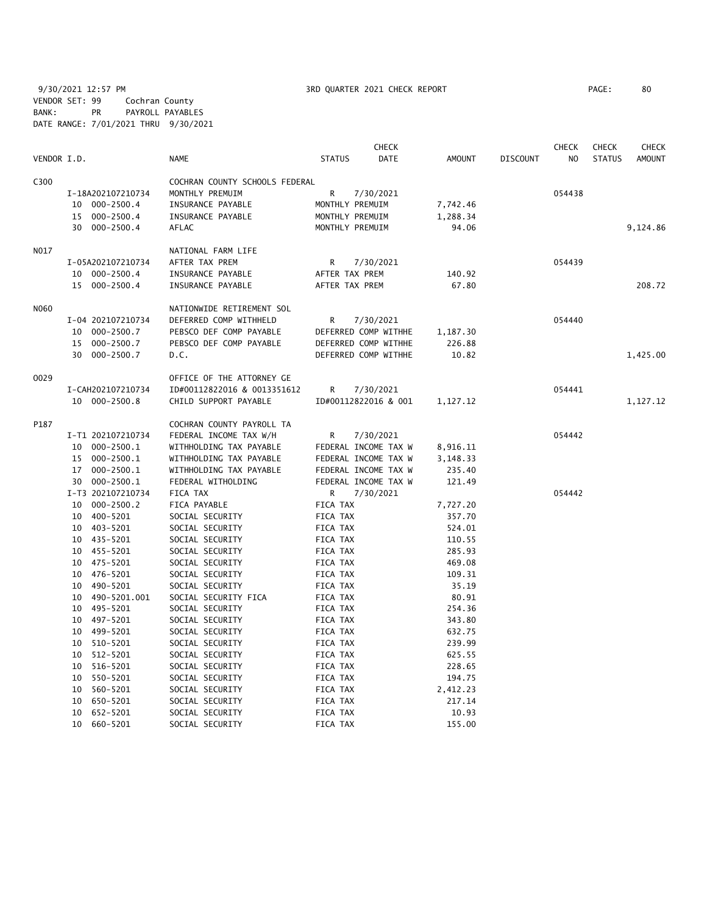9/30/2021 12:57 PM **3RD QUARTER 2021 CHECK REPORT** PAGE: 80 VENDOR SET: 99 Cochran County BANK: PR PAYROLL PAYABLES DATE RANGE: 7/01/2021 THRU 9/30/2021

|             |                            |                                |                      | <b>CHECK</b> |                  |                 | CHECK          | <b>CHECK</b>  | <b>CHECK</b>  |
|-------------|----------------------------|--------------------------------|----------------------|--------------|------------------|-----------------|----------------|---------------|---------------|
| VENDOR I.D. |                            | NAME                           | <b>STATUS</b>        | <b>DATE</b>  | <b>AMOUNT</b>    | <b>DISCOUNT</b> | N <sub>O</sub> | <b>STATUS</b> | <b>AMOUNT</b> |
| C300        |                            | COCHRAN COUNTY SCHOOLS FEDERAL |                      |              |                  |                 |                |               |               |
|             | I-18A202107210734          | MONTHLY PREMUIM                | R                    | 7/30/2021    |                  |                 | 054438         |               |               |
|             | 10 000-2500.4              | INSURANCE PAYABLE              | MONTHLY PREMUIM      |              | 7,742.46         |                 |                |               |               |
|             | 15 000-2500.4              | INSURANCE PAYABLE              | MONTHLY PREMUIM      |              | 1,288.34         |                 |                |               |               |
|             | 000-2500.4<br>30           | <b>AFLAC</b>                   | MONTHLY PREMUIM      |              | 94.06            |                 |                |               | 9,124.86      |
| N017        |                            | NATIONAL FARM LIFE             |                      |              |                  |                 |                |               |               |
|             | I-05A202107210734          | AFTER TAX PREM                 | R                    | 7/30/2021    |                  |                 | 054439         |               |               |
|             | 10 000-2500.4              | INSURANCE PAYABLE              | AFTER TAX PREM       |              | 140.92           |                 |                |               |               |
|             | 15 000-2500.4              | INSURANCE PAYABLE              | AFTER TAX PREM       |              | 67.80            |                 |                |               | 208.72        |
|             |                            |                                |                      |              |                  |                 |                |               |               |
| N060        |                            | NATIONWIDE RETIREMENT SOL      |                      |              |                  |                 |                |               |               |
|             | I-04 202107210734          | DEFERRED COMP WITHHELD         | R                    | 7/30/2021    |                  |                 | 054440         |               |               |
|             | 10 000-2500.7              | PEBSCO DEF COMP PAYABLE        | DEFERRED COMP WITHHE |              | 1,187.30         |                 |                |               |               |
|             | 15<br>$000 - 2500.7$       | PEBSCO DEF COMP PAYABLE        | DEFERRED COMP WITHHE |              | 226.88           |                 |                |               |               |
|             | 30 000-2500.7              | D.C.                           | DEFERRED COMP WITHHE |              | 10.82            |                 |                |               | 1,425.00      |
| 0029        |                            | OFFICE OF THE ATTORNEY GE      |                      |              |                  |                 |                |               |               |
|             | I-CAH202107210734          | ID#00112822016 & 0013351612    | R                    | 7/30/2021    |                  |                 | 054441         |               |               |
|             | 10 000-2500.8              | CHILD SUPPORT PAYABLE          | ID#00112822016 & 001 |              | 1,127.12         |                 |                |               | 1,127.12      |
| P187        |                            | COCHRAN COUNTY PAYROLL TA      |                      |              |                  |                 |                |               |               |
|             | I-T1 202107210734          | FEDERAL INCOME TAX W/H         | R                    | 7/30/2021    |                  |                 | 054442         |               |               |
|             | 000-2500.1<br>10           | WITHHOLDING TAX PAYABLE        | FEDERAL INCOME TAX W |              | 8,916.11         |                 |                |               |               |
|             | 000-2500.1<br>15           | WITHHOLDING TAX PAYABLE        | FEDERAL INCOME TAX W |              | 3,148.33         |                 |                |               |               |
|             | 000-2500.1<br>17           | WITHHOLDING TAX PAYABLE        | FEDERAL INCOME TAX W |              | 235.40           |                 |                |               |               |
|             | 30 000-2500.1              | FEDERAL WITHOLDING             | FEDERAL INCOME TAX W |              | 121.49           |                 |                |               |               |
|             | I-T3 202107210734          | FICA TAX                       | R                    | 7/30/2021    |                  |                 | 054442         |               |               |
|             | 10 000-2500.2              | FICA PAYABLE                   | FICA TAX             |              | 7,727.20         |                 |                |               |               |
|             | 400-5201<br>10             | SOCIAL SECURITY                | FICA TAX             |              | 357.70           |                 |                |               |               |
|             | 403-5201<br>10             | SOCIAL SECURITY                | FICA TAX             |              | 524.01           |                 |                |               |               |
|             | 10 435-5201                | SOCIAL SECURITY                | FICA TAX             |              | 110.55           |                 |                |               |               |
|             | 10 455-5201                | SOCIAL SECURITY                | FICA TAX             |              | 285.93           |                 |                |               |               |
|             | 10 475-5201                | SOCIAL SECURITY                | FICA TAX             |              | 469.08           |                 |                |               |               |
|             | 476-5201<br>10             | SOCIAL SECURITY                | FICA TAX             |              | 109.31           |                 |                |               |               |
|             | 490-5201<br>10             | SOCIAL SECURITY                | FICA TAX             |              | 35.19            |                 |                |               |               |
|             | 490-5201.001<br>10         | SOCIAL SECURITY FICA           | FICA TAX             |              | 80.91            |                 |                |               |               |
|             | 495-5201<br>10             | SOCIAL SECURITY                | FICA TAX             |              | 254.36           |                 |                |               |               |
|             | 497-5201<br>10             | SOCIAL SECURITY                | FICA TAX             |              | 343.80           |                 |                |               |               |
|             | 499-5201<br>10             | SOCIAL SECURITY                | FICA TAX             |              | 632.75           |                 |                |               |               |
|             | 10                         | SOCIAL SECURITY                | FICA TAX             |              |                  |                 |                |               |               |
|             | 510-5201<br>512-5201<br>10 | SOCIAL SECURITY                | FICA TAX             |              | 239.99<br>625.55 |                 |                |               |               |
|             | 516-5201<br>10             | SOCIAL SECURITY                | FICA TAX             |              | 228.65           |                 |                |               |               |
|             | 550-5201<br>10             | SOCIAL SECURITY                | FICA TAX             |              | 194.75           |                 |                |               |               |
|             |                            |                                |                      |              |                  |                 |                |               |               |
|             | 560-5201<br>10             | SOCIAL SECURITY                | FICA TAX             |              | 2,412.23         |                 |                |               |               |
|             | 650-5201<br>10             | SOCIAL SECURITY                | FICA TAX             |              | 217.14           |                 |                |               |               |
|             | 652-5201<br>10             | SOCIAL SECURITY                | FICA TAX             |              | 10.93            |                 |                |               |               |
|             | 10<br>660-5201             | SOCIAL SECURITY                | FICA TAX             |              | 155.00           |                 |                |               |               |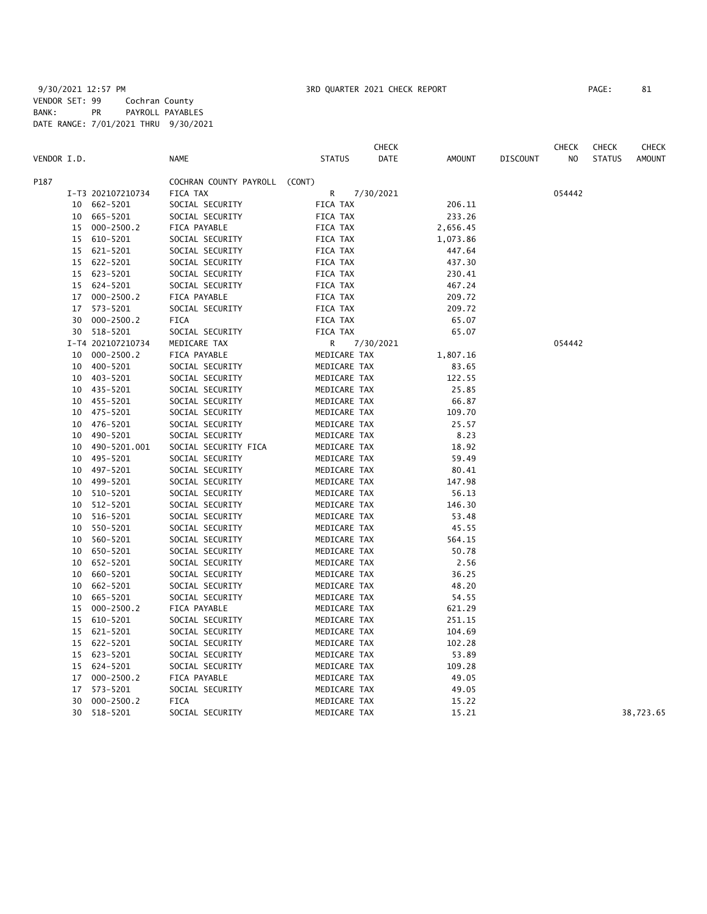|             |    |                            |                                 |                              | <b>CHECK</b> |               |          | <b>CHECK</b> | <b>CHECK</b>  | <b>CHECK</b>  |
|-------------|----|----------------------------|---------------------------------|------------------------------|--------------|---------------|----------|--------------|---------------|---------------|
| VENDOR I.D. |    |                            | <b>NAME</b>                     | <b>STATUS</b>                | DATE         | <b>AMOUNT</b> | DISCOUNT | NO           | <b>STATUS</b> | <b>AMOUNT</b> |
| P187        |    |                            | COCHRAN COUNTY PAYROLL (CONT)   |                              |              |               |          |              |               |               |
|             |    | I-T3 202107210734          | FICA TAX                        | R                            | 7/30/2021    |               |          | 054442       |               |               |
|             | 10 | 662-5201                   | SOCIAL SECURITY                 | FICA TAX                     |              | 206.11        |          |              |               |               |
|             | 10 | 665-5201                   | SOCIAL SECURITY                 | FICA TAX                     |              | 233.26        |          |              |               |               |
|             |    | 15 000-2500.2              | FICA PAYABLE                    | FICA TAX                     |              | 2,656.45      |          |              |               |               |
|             |    | 15 610-5201                | SOCIAL SECURITY                 | FICA TAX                     |              | 1,073.86      |          |              |               |               |
|             |    | 15 621-5201                | SOCIAL SECURITY                 | FICA TAX                     |              | 447.64        |          |              |               |               |
|             | 15 | 622-5201                   | SOCIAL SECURITY                 | FICA TAX                     |              | 437.30        |          |              |               |               |
|             |    | 15 623-5201                | SOCIAL SECURITY                 | FICA TAX                     |              | 230.41        |          |              |               |               |
|             |    | 15 624-5201                | SOCIAL SECURITY                 | FICA TAX                     |              | 467.24        |          |              |               |               |
|             | 17 | $000 - 2500.2$             | FICA PAYABLE                    | FICA TAX                     |              | 209.72        |          |              |               |               |
|             | 17 | 573-5201                   | SOCIAL SECURITY                 | FICA TAX                     |              | 209.72        |          |              |               |               |
|             | 30 | 000-2500.2                 | FICA                            | FICA TAX                     |              | 65.07         |          |              |               |               |
|             | 30 | 518-5201                   | SOCIAL SECURITY                 | FICA TAX                     |              | 65.07         |          |              |               |               |
|             |    | I-T4 202107210734          | MEDICARE TAX                    | R                            | 7/30/2021    |               |          | 054442       |               |               |
|             | 10 | $000 - 2500.2$             | FICA PAYABLE                    | MEDICARE TAX                 |              | 1,807.16      |          |              |               |               |
|             | 10 | 400-5201                   | SOCIAL SECURITY                 | MEDICARE TAX                 |              | 83.65         |          |              |               |               |
|             | 10 | 403-5201                   | SOCIAL SECURITY                 | MEDICARE TAX                 |              | 122.55        |          |              |               |               |
|             | 10 | 435-5201                   | SOCIAL SECURITY                 | MEDICARE TAX                 |              | 25.85         |          |              |               |               |
|             | 10 | 455-5201                   | SOCIAL SECURITY                 | MEDICARE TAX                 |              | 66.87         |          |              |               |               |
|             | 10 | 475-5201                   | SOCIAL SECURITY                 | MEDICARE TAX                 |              | 109.70        |          |              |               |               |
|             | 10 | 476-5201                   | SOCIAL SECURITY                 | MEDICARE TAX                 |              | 25.57         |          |              |               |               |
|             | 10 | 490-5201                   | SOCIAL SECURITY                 | MEDICARE TAX                 |              | 8.23          |          |              |               |               |
|             | 10 | 490-5201.001               | SOCIAL SECURITY FICA            | MEDICARE TAX                 |              | 18.92         |          |              |               |               |
|             | 10 | 495-5201                   | SOCIAL SECURITY                 | MEDICARE TAX                 |              | 59.49         |          |              |               |               |
|             | 10 | 497-5201                   | SOCIAL SECURITY                 | MEDICARE TAX                 |              | 80.41         |          |              |               |               |
|             | 10 | 499–5201                   | SOCIAL SECURITY                 | MEDICARE TAX                 |              | 147.98        |          |              |               |               |
|             | 10 | 510-5201                   | SOCIAL SECURITY                 | MEDICARE TAX                 |              | 56.13         |          |              |               |               |
|             | 10 | 512-5201                   | SOCIAL SECURITY                 | MEDICARE TAX                 |              | 146.30        |          |              |               |               |
|             | 10 | 516-5201                   | SOCIAL SECURITY                 | MEDICARE TAX                 |              | 53.48         |          |              |               |               |
|             | 10 | 550-5201                   | SOCIAL SECURITY                 | MEDICARE TAX                 |              | 45.55         |          |              |               |               |
|             | 10 | 560-5201                   | SOCIAL SECURITY                 | MEDICARE TAX                 |              | 564.15        |          |              |               |               |
|             | 10 | 650-5201                   | SOCIAL SECURITY                 | MEDICARE TAX                 |              | 50.78         |          |              |               |               |
|             | 10 | 652-5201                   | SOCIAL SECURITY                 | MEDICARE TAX                 |              | 2.56          |          |              |               |               |
|             | 10 | 660-5201                   | SOCIAL SECURITY                 | MEDICARE TAX                 |              | 36.25         |          |              |               |               |
|             | 10 | 662-5201                   | SOCIAL SECURITY                 | MEDICARE TAX                 |              | 48.20         |          |              |               |               |
|             | 10 | 665-5201                   | SOCIAL SECURITY                 | MEDICARE TAX                 |              | 54.55         |          |              |               |               |
|             | 15 | $000 - 2500.2$             | FICA PAYABLE                    | MEDICARE TAX                 |              | 621.29        |          |              |               |               |
|             | 15 | 610-5201                   | SOCIAL SECURITY                 | MEDICARE TAX                 |              | 251.15        |          |              |               |               |
|             | 15 | 621-5201                   | SOCIAL SECURITY                 | MEDICARE TAX                 |              | 104.69        |          |              |               |               |
|             | 15 | 622-5201                   | SOCIAL SECURITY                 | MEDICARE TAX                 |              | 102.28        |          |              |               |               |
|             | 15 | 623-5201                   | SOCIAL SECURITY                 | MEDICARE TAX                 |              | 53.89         |          |              |               |               |
|             | 15 | 624-5201                   | SOCIAL SECURITY                 | MEDICARE TAX                 |              | 109.28        |          |              |               |               |
|             | 17 | $000 - 2500.2$<br>573-5201 | FICA PAYABLE<br>SOCIAL SECURITY | MEDICARE TAX<br>MEDICARE TAX |              | 49.05         |          |              |               |               |
|             | 17 |                            | <b>FICA</b>                     |                              |              | 49.05         |          |              |               |               |
|             | 30 | $000 - 2500.2$             |                                 | MEDICARE TAX                 |              | 15.22         |          |              |               |               |
|             | 30 | 518-5201                   | SOCIAL SECURITY                 | MEDICARE TAX                 |              | 15.21         |          |              |               | 38,723.65     |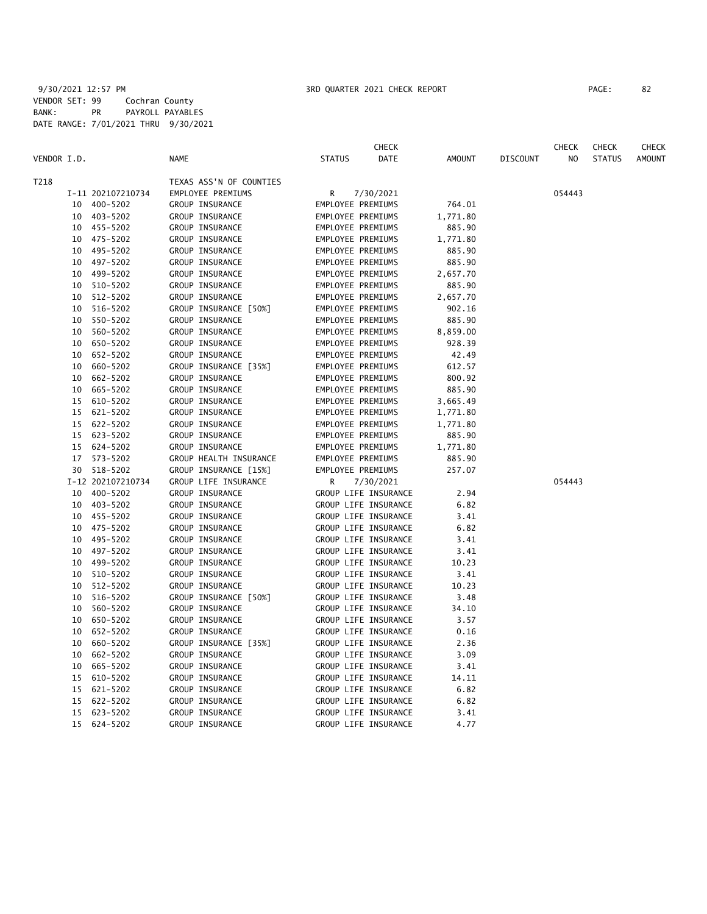|             |    |                   |                         |               | <b>CHECK</b>         |          |                 | <b>CHECK</b> | <b>CHECK</b>  | <b>CHECK</b>  |
|-------------|----|-------------------|-------------------------|---------------|----------------------|----------|-----------------|--------------|---------------|---------------|
| VENDOR I.D. |    |                   | <b>NAME</b>             | <b>STATUS</b> | <b>DATE</b>          | AMOUNT   | <b>DISCOUNT</b> | NO.          | <b>STATUS</b> | <b>AMOUNT</b> |
| T218        |    |                   | TEXAS ASS'N OF COUNTIES |               |                      |          |                 |              |               |               |
|             |    | I-11 202107210734 | EMPLOYEE PREMIUMS       | R             | 7/30/2021            |          |                 | 054443       |               |               |
|             |    | 10 400-5202       | GROUP INSURANCE         |               | EMPLOYEE PREMIUMS    | 764.01   |                 |              |               |               |
|             | 10 | 403-5202          | GROUP INSURANCE         |               | EMPLOYEE PREMIUMS    | 1,771.80 |                 |              |               |               |
|             |    | 10 455-5202       | GROUP INSURANCE         |               | EMPLOYEE PREMIUMS    | 885.90   |                 |              |               |               |
|             |    | 10 475-5202       | GROUP INSURANCE         |               | EMPLOYEE PREMIUMS    | 1,771.80 |                 |              |               |               |
|             |    | 10 495-5202       | GROUP INSURANCE         |               | EMPLOYEE PREMIUMS    | 885.90   |                 |              |               |               |
|             |    | 10 497-5202       | GROUP INSURANCE         |               | EMPLOYEE PREMIUMS    | 885.90   |                 |              |               |               |
|             | 10 | 499-5202          | GROUP INSURANCE         |               | EMPLOYEE PREMIUMS    | 2,657.70 |                 |              |               |               |
|             | 10 | 510-5202          | GROUP INSURANCE         |               | EMPLOYEE PREMIUMS    | 885.90   |                 |              |               |               |
|             | 10 | 512-5202          | GROUP INSURANCE         |               | EMPLOYEE PREMIUMS    | 2,657.70 |                 |              |               |               |
|             | 10 | 516-5202          | GROUP INSURANCE [50%]   |               | EMPLOYEE PREMIUMS    | 902.16   |                 |              |               |               |
|             | 10 | 550-5202          | GROUP INSURANCE         |               | EMPLOYEE PREMIUMS    | 885.90   |                 |              |               |               |
|             | 10 | 560-5202          | GROUP INSURANCE         |               | EMPLOYEE PREMIUMS    | 8,859.00 |                 |              |               |               |
|             | 10 | 650-5202          | GROUP INSURANCE         |               | EMPLOYEE PREMIUMS    | 928.39   |                 |              |               |               |
|             | 10 | 652-5202          | GROUP INSURANCE         |               | EMPLOYEE PREMIUMS    | 42.49    |                 |              |               |               |
|             |    | 10 660-5202       | GROUP INSURANCE [35%]   |               | EMPLOYEE PREMIUMS    | 612.57   |                 |              |               |               |
|             | 10 | 662-5202          | GROUP INSURANCE         |               | EMPLOYEE PREMIUMS    | 800.92   |                 |              |               |               |
|             | 10 | 665-5202          | GROUP INSURANCE         |               | EMPLOYEE PREMIUMS    | 885.90   |                 |              |               |               |
|             | 15 | 610-5202          | GROUP INSURANCE         |               | EMPLOYEE PREMIUMS    | 3,665.49 |                 |              |               |               |
|             | 15 | 621-5202          | GROUP INSURANCE         |               | EMPLOYEE PREMIUMS    | 1,771.80 |                 |              |               |               |
|             | 15 | 622-5202          | GROUP INSURANCE         |               | EMPLOYEE PREMIUMS    | 1,771.80 |                 |              |               |               |
|             | 15 | 623-5202          | GROUP INSURANCE         |               | EMPLOYEE PREMIUMS    | 885.90   |                 |              |               |               |
|             |    | 15 624-5202       | GROUP INSURANCE         |               | EMPLOYEE PREMIUMS    | 1,771.80 |                 |              |               |               |
|             |    | 17 573-5202       | GROUP HEALTH INSURANCE  |               | EMPLOYEE PREMIUMS    | 885.90   |                 |              |               |               |
|             |    | 30 518-5202       | GROUP INSURANCE [15%]   |               | EMPLOYEE PREMIUMS    | 257.07   |                 |              |               |               |
|             |    | I-12 202107210734 | GROUP LIFE INSURANCE    | R             | 7/30/2021            |          |                 | 054443       |               |               |
|             |    | 10 400-5202       | GROUP INSURANCE         |               | GROUP LIFE INSURANCE | 2.94     |                 |              |               |               |
|             |    | 10 403-5202       | GROUP INSURANCE         |               | GROUP LIFE INSURANCE | 6.82     |                 |              |               |               |
|             |    | 10 455-5202       | GROUP INSURANCE         |               | GROUP LIFE INSURANCE | 3.41     |                 |              |               |               |
|             |    | 10 475-5202       | GROUP INSURANCE         |               | GROUP LIFE INSURANCE | 6.82     |                 |              |               |               |
|             |    | 10 495-5202       | GROUP INSURANCE         |               | GROUP LIFE INSURANCE | 3.41     |                 |              |               |               |
|             | 10 | 497-5202          | GROUP INSURANCE         |               | GROUP LIFE INSURANCE | 3.41     |                 |              |               |               |
|             | 10 | 499-5202          | GROUP INSURANCE         |               | GROUP LIFE INSURANCE | 10.23    |                 |              |               |               |
|             | 10 | 510-5202          | GROUP INSURANCE         |               | GROUP LIFE INSURANCE | 3.41     |                 |              |               |               |
|             | 10 | 512-5202          | GROUP INSURANCE         |               | GROUP LIFE INSURANCE | 10.23    |                 |              |               |               |
|             | 10 | 516-5202          | GROUP INSURANCE [50%]   |               | GROUP LIFE INSURANCE | 3.48     |                 |              |               |               |
|             | 10 | 560-5202          | GROUP INSURANCE         |               | GROUP LIFE INSURANCE | 34.10    |                 |              |               |               |
|             | 10 | 650-5202          | GROUP INSURANCE         |               | GROUP LIFE INSURANCE | 3.57     |                 |              |               |               |
|             | 10 | 652-5202          | GROUP INSURANCE         |               | GROUP LIFE INSURANCE | 0.16     |                 |              |               |               |
|             | 10 | 660-5202          | GROUP INSURANCE [35%]   |               | GROUP LIFE INSURANCE | 2.36     |                 |              |               |               |
|             | 10 | 662-5202          | GROUP INSURANCE         |               | GROUP LIFE INSURANCE | 3.09     |                 |              |               |               |
|             | 10 | 665-5202          | GROUP INSURANCE         |               | GROUP LIFE INSURANCE | 3.41     |                 |              |               |               |
|             | 15 | 610-5202          | GROUP INSURANCE         |               | GROUP LIFE INSURANCE | 14.11    |                 |              |               |               |
|             | 15 | 621-5202          | GROUP INSURANCE         |               | GROUP LIFE INSURANCE | 6.82     |                 |              |               |               |
|             | 15 | 622-5202          | GROUP INSURANCE         |               | GROUP LIFE INSURANCE | 6.82     |                 |              |               |               |
|             | 15 | 623-5202          | GROUP INSURANCE         |               | GROUP LIFE INSURANCE | 3.41     |                 |              |               |               |
|             | 15 | 624-5202          | GROUP INSURANCE         |               | GROUP LIFE INSURANCE | 4.77     |                 |              |               |               |
|             |    |                   |                         |               |                      |          |                 |              |               |               |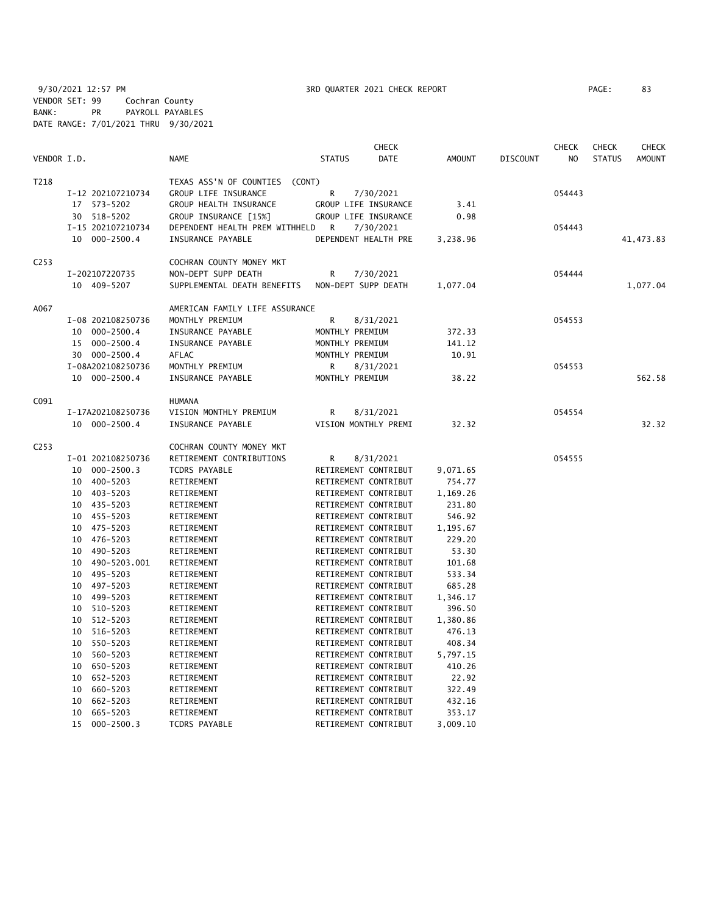9/30/2021 12:57 PM 3RD QUARTER 2021 CHECK REPORT PAGE: 83 VENDOR SET: 99 Cochran County BANK: PR PAYROLL PAYABLES DATE RANGE: 7/01/2021 THRU 9/30/2021

|                  |                    |                                   |                      | <b>CHECK</b> |               |                 | <b>CHECK</b> | <b>CHECK</b>  | <b>CHECK</b>  |
|------------------|--------------------|-----------------------------------|----------------------|--------------|---------------|-----------------|--------------|---------------|---------------|
| VENDOR I.D.      |                    | <b>NAME</b>                       | <b>STATUS</b>        | DATE         | <b>AMOUNT</b> | <b>DISCOUNT</b> | NO           | <b>STATUS</b> | <b>AMOUNT</b> |
| T218             |                    | TEXAS ASS'N OF COUNTIES<br>(CONT) |                      |              |               |                 |              |               |               |
|                  | I-12 202107210734  | GROUP LIFE INSURANCE              | R                    | 7/30/2021    |               |                 | 054443       |               |               |
|                  | 17 573-5202        | GROUP HEALTH INSURANCE            | GROUP LIFE INSURANCE |              | 3.41          |                 |              |               |               |
|                  | 30 518-5202        | GROUP INSURANCE [15%]             | GROUP LIFE INSURANCE |              | 0.98          |                 |              |               |               |
|                  | I-15 202107210734  | DEPENDENT HEALTH PREM WITHHELD    | R                    | 7/30/2021    |               |                 | 054443       |               |               |
|                  | 10 000-2500.4      | INSURANCE PAYABLE                 | DEPENDENT HEALTH PRE |              | 3,238.96      |                 |              |               | 41, 473.83    |
| C <sub>253</sub> |                    | COCHRAN COUNTY MONEY MKT          |                      |              |               |                 |              |               |               |
|                  | I-202107220735     | NON-DEPT SUPP DEATH               | R                    | 7/30/2021    |               |                 | 054444       |               |               |
|                  | 10 409-5207        | SUPPLEMENTAL DEATH BENEFITS       | NON-DEPT SUPP DEATH  |              | 1,077.04      |                 |              |               | 1,077.04      |
| A067             |                    | AMERICAN FAMILY LIFE ASSURANCE    |                      |              |               |                 |              |               |               |
|                  | I-08 202108250736  | MONTHLY PREMIUM                   | R                    | 8/31/2021    |               |                 | 054553       |               |               |
|                  | 10 000-2500.4      | INSURANCE PAYABLE                 | MONTHLY PREMIUM      |              | 372.33        |                 |              |               |               |
|                  | 15 000-2500.4      | INSURANCE PAYABLE                 | MONTHLY PREMIUM      |              | 141.12        |                 |              |               |               |
|                  | 30 000-2500.4      | AFLAC                             | MONTHLY PREMIUM      |              | 10.91         |                 |              |               |               |
|                  | I-08A202108250736  | MONTHLY PREMIUM                   | R                    | 8/31/2021    |               |                 | 054553       |               |               |
|                  | 10 000-2500.4      | INSURANCE PAYABLE                 | MONTHLY PREMIUM      |              | 38.22         |                 |              |               | 562.58        |
| C091             |                    | <b>HUMANA</b>                     |                      |              |               |                 |              |               |               |
|                  | I-17A202108250736  | VISION MONTHLY PREMIUM            | R                    | 8/31/2021    |               |                 | 054554       |               |               |
|                  | 10 000-2500.4      | INSURANCE PAYABLE                 | VISION MONTHLY PREMI |              | 32.32         |                 |              |               | 32.32         |
| C <sub>253</sub> |                    | COCHRAN COUNTY MONEY MKT          |                      |              |               |                 |              |               |               |
|                  | I-01 202108250736  | RETIREMENT CONTRIBUTIONS          | R                    | 8/31/2021    |               |                 | 054555       |               |               |
|                  | 10 000-2500.3      | <b>TCDRS PAYABLE</b>              | RETIREMENT CONTRIBUT |              | 9,071.65      |                 |              |               |               |
|                  | 10 400-5203        | RETIREMENT                        | RETIREMENT CONTRIBUT |              | 754.77        |                 |              |               |               |
|                  | 10 403-5203        | RETIREMENT                        | RETIREMENT CONTRIBUT |              | 1,169.26      |                 |              |               |               |
|                  | 10 435-5203        | RETIREMENT                        | RETIREMENT CONTRIBUT |              | 231.80        |                 |              |               |               |
|                  | 10 455-5203        | RETIREMENT                        | RETIREMENT CONTRIBUT |              | 546.92        |                 |              |               |               |
|                  | 475-5203<br>10     | RETIREMENT                        | RETIREMENT CONTRIBUT |              | 1,195.67      |                 |              |               |               |
|                  | 476-5203<br>10     | RETIREMENT                        | RETIREMENT CONTRIBUT |              | 229.20        |                 |              |               |               |
|                  | 10<br>490-5203     | RETIREMENT                        | RETIREMENT CONTRIBUT |              | 53.30         |                 |              |               |               |
|                  | 490-5203.001<br>10 | RETIREMENT                        | RETIREMENT CONTRIBUT |              | 101.68        |                 |              |               |               |
|                  | 495-5203<br>10     | RETIREMENT                        | RETIREMENT CONTRIBUT |              | 533.34        |                 |              |               |               |
|                  | 497-5203<br>10     | RETIREMENT                        | RETIREMENT CONTRIBUT |              | 685.28        |                 |              |               |               |
|                  | 499-5203<br>10     | RETIREMENT                        | RETIREMENT CONTRIBUT |              | 1,346.17      |                 |              |               |               |
|                  | 510-5203<br>10     | RETIREMENT                        | RETIREMENT CONTRIBUT |              | 396.50        |                 |              |               |               |
|                  | 512-5203<br>10     | RETIREMENT                        | RETIREMENT CONTRIBUT |              | 1,380.86      |                 |              |               |               |
|                  | 516-5203<br>10     | RETIREMENT                        | RETIREMENT CONTRIBUT |              | 476.13        |                 |              |               |               |
|                  | 550-5203<br>10     | RETIREMENT                        | RETIREMENT CONTRIBUT |              | 408.34        |                 |              |               |               |
|                  | 10<br>560-5203     | RETIREMENT                        | RETIREMENT CONTRIBUT |              | 5,797.15      |                 |              |               |               |
|                  | 650-5203<br>10     | RETIREMENT                        | RETIREMENT CONTRIBUT |              | 410.26        |                 |              |               |               |
|                  | 652-5203<br>10     | RETIREMENT                        | RETIREMENT CONTRIBUT |              | 22.92         |                 |              |               |               |
|                  | 10<br>660-5203     | RETIREMENT                        | RETIREMENT CONTRIBUT |              | 322.49        |                 |              |               |               |
|                  | 662-5203<br>10     | RETIREMENT                        | RETIREMENT CONTRIBUT |              | 432.16        |                 |              |               |               |
|                  | 10<br>665-5203     | RETIREMENT                        | RETIREMENT CONTRIBUT |              | 353.17        |                 |              |               |               |

15 000-2500.3 TCDRS PAYABLE RETIREMENT CONTRIBUT 3,009.10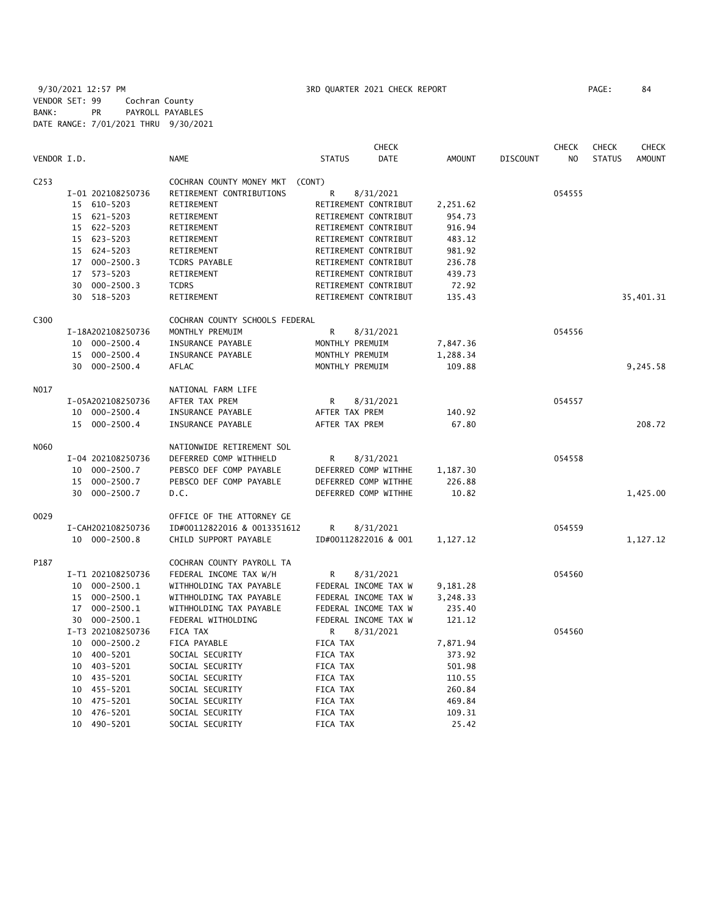9/30/2021 12:57 PM **3RD QUARTER 2021 CHECK REPORT** PAGE: 84 VENDOR SET: 99 Cochran County BANK: PR PAYROLL PAYABLES DATE RANGE: 7/01/2021 THRU 9/30/2021

|                  |                      |                                | <b>CHECK</b>                 |               |                 | <b>CHECK</b>   | <b>CHECK</b>  | <b>CHECK</b>  |
|------------------|----------------------|--------------------------------|------------------------------|---------------|-----------------|----------------|---------------|---------------|
| VENDOR I.D.      |                      | <b>NAME</b>                    | <b>STATUS</b><br><b>DATE</b> | <b>AMOUNT</b> | <b>DISCOUNT</b> | N <sub>O</sub> | <b>STATUS</b> | <b>AMOUNT</b> |
| C <sub>253</sub> |                      | COCHRAN COUNTY MONEY MKT       | (CONT)                       |               |                 |                |               |               |
|                  | I-01 202108250736    | RETIREMENT CONTRIBUTIONS       | R<br>8/31/2021               |               |                 | 054555         |               |               |
|                  | 15 610-5203          | RETIREMENT                     | RETIREMENT CONTRIBUT         | 2,251.62      |                 |                |               |               |
|                  | 15 621-5203          | RETIREMENT                     | RETIREMENT CONTRIBUT         | 954.73        |                 |                |               |               |
|                  | 15 622-5203          | RETIREMENT                     | RETIREMENT CONTRIBUT         | 916.94        |                 |                |               |               |
|                  | 15 623-5203          | RETIREMENT                     | RETIREMENT CONTRIBUT         | 483.12        |                 |                |               |               |
|                  | 15 624-5203          | RETIREMENT                     | RETIREMENT CONTRIBUT         | 981.92        |                 |                |               |               |
|                  | 17 000-2500.3        | TCDRS PAYABLE                  | RETIREMENT CONTRIBUT         | 236.78        |                 |                |               |               |
|                  | 17 573-5203          | RETIREMENT                     | RETIREMENT CONTRIBUT         | 439.73        |                 |                |               |               |
|                  | $000 - 2500.3$<br>30 | <b>TCDRS</b>                   | RETIREMENT CONTRIBUT         | 72.92         |                 |                |               |               |
|                  | 30 518-5203          | RETIREMENT                     | RETIREMENT CONTRIBUT         | 135.43        |                 |                |               | 35,401.31     |
| C300             |                      | COCHRAN COUNTY SCHOOLS FEDERAL |                              |               |                 |                |               |               |
|                  | I-18A202108250736    | MONTHLY PREMUIM                | R<br>8/31/2021               |               |                 | 054556         |               |               |
|                  | 10 000-2500.4        | INSURANCE PAYABLE              | MONTHLY PREMUIM              | 7,847.36      |                 |                |               |               |
|                  | 15 000-2500.4        | INSURANCE PAYABLE              | MONTHLY PREMUIM              | 1,288.34      |                 |                |               |               |
|                  | 30 000-2500.4        | AFLAC                          | MONTHLY PREMUIM              | 109.88        |                 |                |               | 9,245.58      |
| N017             |                      | NATIONAL FARM LIFE             |                              |               |                 |                |               |               |
|                  | I-05A202108250736    | AFTER TAX PREM                 | R<br>8/31/2021               |               |                 | 054557         |               |               |
|                  | 10 000-2500.4        | INSURANCE PAYABLE              | AFTER TAX PREM               | 140.92        |                 |                |               |               |
|                  | 15 000-2500.4        | INSURANCE PAYABLE              | AFTER TAX PREM               | 67.80         |                 |                |               | 208.72        |
| N060             |                      | NATIONWIDE RETIREMENT SOL      |                              |               |                 |                |               |               |
|                  | I-04 202108250736    | DEFERRED COMP WITHHELD         | R<br>8/31/2021               |               |                 | 054558         |               |               |
|                  | 10 000-2500.7        | PEBSCO DEF COMP PAYABLE        | DEFERRED COMP WITHHE         | 1,187.30      |                 |                |               |               |
|                  | 15 000-2500.7        | PEBSCO DEF COMP PAYABLE        | DEFERRED COMP WITHHE         | 226.88        |                 |                |               |               |
|                  | 30 000-2500.7        | D.C.                           | DEFERRED COMP WITHHE         | 10.82         |                 |                |               | 1,425.00      |
| 0029             |                      | OFFICE OF THE ATTORNEY GE      |                              |               |                 |                |               |               |
|                  | I-CAH202108250736    | ID#00112822016 & 0013351612    | R<br>8/31/2021               |               |                 | 054559         |               |               |
|                  | 10 000-2500.8        | CHILD SUPPORT PAYABLE          | ID#00112822016 & 001         | 1,127.12      |                 |                |               | 1,127.12      |
| P187             |                      | COCHRAN COUNTY PAYROLL TA      |                              |               |                 |                |               |               |
|                  | I-T1 202108250736    | FEDERAL INCOME TAX W/H         | 8/31/2021<br>R               |               |                 | 054560         |               |               |
|                  | 10 000-2500.1        | WITHHOLDING TAX PAYABLE        | FEDERAL INCOME TAX W         | 9,181.28      |                 |                |               |               |
|                  | 15 000-2500.1        | WITHHOLDING TAX PAYABLE        | FEDERAL INCOME TAX W         | 3,248.33      |                 |                |               |               |
|                  | 17 000-2500.1        | WITHHOLDING TAX PAYABLE        | FEDERAL INCOME TAX W         | 235.40        |                 |                |               |               |
|                  | 30 000-2500.1        | FEDERAL WITHOLDING             | FEDERAL INCOME TAX W         | 121.12        |                 |                |               |               |
|                  | I-T3 202108250736    | FICA TAX                       | 8/31/2021<br>R               |               |                 | 054560         |               |               |
|                  | 10 000-2500.2        | FICA PAYABLE                   | FICA TAX                     | 7,871.94      |                 |                |               |               |
|                  | 10 400-5201          | SOCIAL SECURITY                | FICA TAX                     | 373.92        |                 |                |               |               |
|                  | 10 403-5201          | SOCIAL SECURITY                | FICA TAX                     | 501.98        |                 |                |               |               |
|                  | 10 435-5201          | SOCIAL SECURITY                | FICA TAX                     | 110.55        |                 |                |               |               |
|                  | 10 455-5201          | SOCIAL SECURITY                | FICA TAX                     | 260.84        |                 |                |               |               |
|                  | 475-5201<br>10       | SOCIAL SECURITY                | FICA TAX                     | 469.84        |                 |                |               |               |
|                  | 476-5201<br>10       | SOCIAL SECURITY                | FICA TAX                     | 109.31        |                 |                |               |               |
|                  | 10 490-5201          | SOCIAL SECURITY                | FICA TAX                     | 25.42         |                 |                |               |               |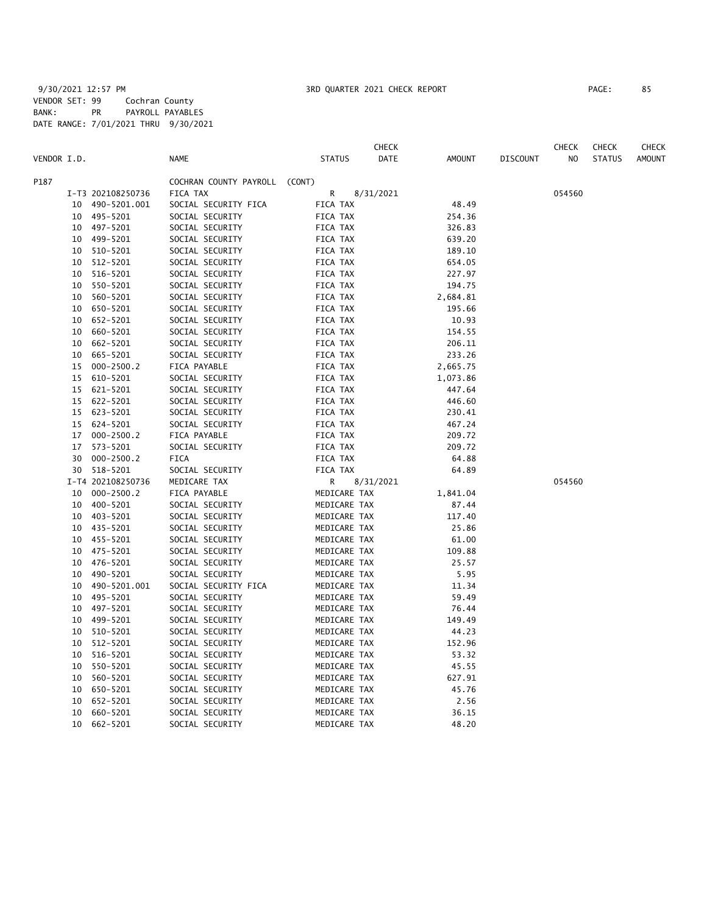|             |    |                   |                               |               | CHECK     |          |                 | CHECK  | <b>CHECK</b>  | <b>CHECK</b>  |
|-------------|----|-------------------|-------------------------------|---------------|-----------|----------|-----------------|--------|---------------|---------------|
| VENDOR I.D. |    |                   | <b>NAME</b>                   | <b>STATUS</b> | DATE      | AMOUNT   | <b>DISCOUNT</b> | NO.    | <b>STATUS</b> | <b>AMOUNT</b> |
| P187        |    |                   | COCHRAN COUNTY PAYROLL (CONT) |               |           |          |                 |        |               |               |
|             |    | I-T3 202108250736 | FICA TAX                      | R             | 8/31/2021 |          |                 | 054560 |               |               |
|             | 10 | 490-5201.001      | SOCIAL SECURITY FICA          | FICA TAX      |           | 48.49    |                 |        |               |               |
|             |    | 10 495-5201       | SOCIAL SECURITY               | FICA TAX      |           | 254.36   |                 |        |               |               |
|             |    | 10 497-5201       | SOCIAL SECURITY               | FICA TAX      |           | 326.83   |                 |        |               |               |
|             | 10 | 499-5201          | SOCIAL SECURITY               | FICA TAX      |           | 639.20   |                 |        |               |               |
|             | 10 | 510-5201          | SOCIAL SECURITY               | FICA TAX      |           | 189.10   |                 |        |               |               |
|             | 10 | 512-5201          | SOCIAL SECURITY               | FICA TAX      |           | 654.05   |                 |        |               |               |
|             | 10 | 516-5201          | SOCIAL SECURITY               | FICA TAX      |           | 227.97   |                 |        |               |               |
|             | 10 | 550-5201          | SOCIAL SECURITY               | FICA TAX      |           | 194.75   |                 |        |               |               |
|             | 10 | 560-5201          | SOCIAL SECURITY               | FICA TAX      |           | 2,684.81 |                 |        |               |               |
|             | 10 | 650-5201          | SOCIAL SECURITY               | FICA TAX      |           | 195.66   |                 |        |               |               |
|             | 10 | 652-5201          | SOCIAL SECURITY               | FICA TAX      |           | 10.93    |                 |        |               |               |
|             | 10 | 660-5201          | SOCIAL SECURITY               | FICA TAX      |           | 154.55   |                 |        |               |               |
|             | 10 | 662-5201          | SOCIAL SECURITY               | FICA TAX      |           | 206.11   |                 |        |               |               |
|             | 10 | 665-5201          | SOCIAL SECURITY               | FICA TAX      |           | 233.26   |                 |        |               |               |
|             | 15 | $000 - 2500.2$    | FICA PAYABLE                  | FICA TAX      |           | 2,665.75 |                 |        |               |               |
|             | 15 | 610-5201          | SOCIAL SECURITY               | FICA TAX      |           | 1,073.86 |                 |        |               |               |
|             | 15 | 621-5201          | SOCIAL SECURITY               | FICA TAX      |           | 447.64   |                 |        |               |               |
|             | 15 | 622-5201          | SOCIAL SECURITY               | FICA TAX      |           | 446.60   |                 |        |               |               |
|             | 15 | 623-5201          | SOCIAL SECURITY               | FICA TAX      |           | 230.41   |                 |        |               |               |
|             | 15 | 624-5201          | SOCIAL SECURITY               | FICA TAX      |           | 467.24   |                 |        |               |               |
|             | 17 | $000 - 2500.2$    | FICA PAYABLE                  | FICA TAX      |           | 209.72   |                 |        |               |               |
|             | 17 | 573-5201          | SOCIAL SECURITY               | FICA TAX      |           | 209.72   |                 |        |               |               |
|             | 30 | $000 - 2500.2$    | FICA                          | FICA TAX      |           | 64.88    |                 |        |               |               |
|             | 30 | 518-5201          | SOCIAL SECURITY               | FICA TAX      |           | 64.89    |                 |        |               |               |
|             |    | I-T4 202108250736 | MEDICARE TAX                  | R             | 8/31/2021 |          |                 | 054560 |               |               |
|             | 10 | $000 - 2500.2$    | FICA PAYABLE                  | MEDICARE TAX  |           | 1,841.04 |                 |        |               |               |
|             | 10 | 400-5201          | SOCIAL SECURITY               | MEDICARE TAX  |           | 87.44    |                 |        |               |               |
|             | 10 | 403-5201          | SOCIAL SECURITY               | MEDICARE TAX  |           | 117.40   |                 |        |               |               |
|             | 10 | 435-5201          | SOCIAL SECURITY               | MEDICARE TAX  |           | 25.86    |                 |        |               |               |
|             | 10 | 455-5201          | SOCIAL SECURITY               | MEDICARE TAX  |           | 61.00    |                 |        |               |               |
|             | 10 | 475-5201          | SOCIAL SECURITY               | MEDICARE TAX  |           | 109.88   |                 |        |               |               |
|             | 10 | 476-5201          | SOCIAL SECURITY               | MEDICARE TAX  |           | 25.57    |                 |        |               |               |
|             | 10 | 490-5201          | SOCIAL SECURITY               | MEDICARE TAX  |           | 5.95     |                 |        |               |               |
|             | 10 | 490-5201.001      | SOCIAL SECURITY FICA          | MEDICARE TAX  |           | 11.34    |                 |        |               |               |
|             | 10 | 495-5201          | SOCIAL SECURITY               | MEDICARE TAX  |           | 59.49    |                 |        |               |               |
|             | 10 | 497-5201          | SOCIAL SECURITY               | MEDICARE TAX  |           | 76.44    |                 |        |               |               |
|             | 10 | 499-5201          | SOCIAL SECURITY               | MEDICARE TAX  |           | 149.49   |                 |        |               |               |
|             | 10 | 510-5201          | SOCIAL SECURITY               | MEDICARE TAX  |           | 44.23    |                 |        |               |               |
|             | 10 | 512-5201          | SOCIAL SECURITY               | MEDICARE TAX  |           | 152.96   |                 |        |               |               |
|             | 10 | 516-5201          | SOCIAL SECURITY               | MEDICARE TAX  |           | 53.32    |                 |        |               |               |
|             | 10 | 550-5201          | SOCIAL SECURITY               | MEDICARE TAX  |           | 45.55    |                 |        |               |               |
|             | 10 | 560-5201          | SOCIAL SECURITY               | MEDICARE TAX  |           | 627.91   |                 |        |               |               |
|             | 10 | 650-5201          | SOCIAL SECURITY               | MEDICARE TAX  |           | 45.76    |                 |        |               |               |
|             | 10 | 652-5201          | SOCIAL SECURITY               | MEDICARE TAX  |           | 2.56     |                 |        |               |               |
|             | 10 | 660-5201          | SOCIAL SECURITY               | MEDICARE TAX  |           | 36.15    |                 |        |               |               |
|             | 10 | 662-5201          | SOCIAL SECURITY               | MEDICARE TAX  |           | 48.20    |                 |        |               |               |
|             |    |                   |                               |               |           |          |                 |        |               |               |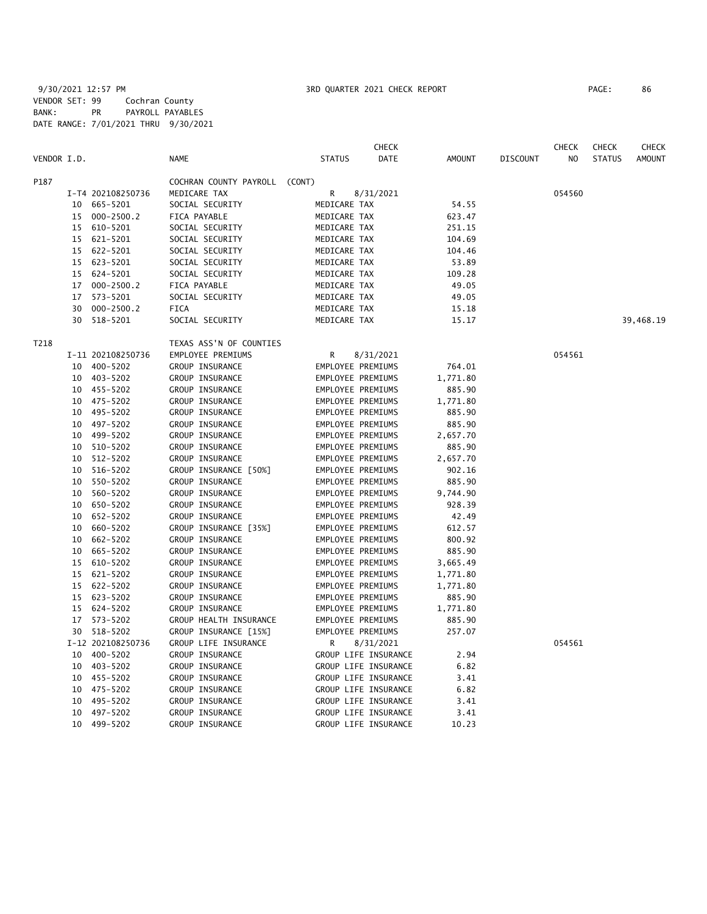|             |    |                   |                               |                   | <b>CHECK</b>         |               |                 | <b>CHECK</b>   | <b>CHECK</b>  | <b>CHECK</b>  |
|-------------|----|-------------------|-------------------------------|-------------------|----------------------|---------------|-----------------|----------------|---------------|---------------|
| VENDOR I.D. |    |                   | <b>NAME</b>                   | <b>STATUS</b>     | <b>DATE</b>          | <b>AMOUNT</b> | <b>DISCOUNT</b> | N <sub>O</sub> | <b>STATUS</b> | <b>AMOUNT</b> |
| P187        |    |                   | COCHRAN COUNTY PAYROLL (CONT) |                   |                      |               |                 |                |               |               |
|             |    | I-T4 202108250736 | MEDICARE TAX                  | R                 | 8/31/2021            |               |                 | 054560         |               |               |
|             |    | 10 665-5201       | SOCIAL SECURITY               | MEDICARE TAX      |                      | 54.55         |                 |                |               |               |
|             |    | 15 000-2500.2     | FICA PAYABLE                  | MEDICARE TAX      |                      | 623.47        |                 |                |               |               |
|             |    | 15 610-5201       | SOCIAL SECURITY               | MEDICARE TAX      |                      | 251.15        |                 |                |               |               |
|             |    | 15 621-5201       | SOCIAL SECURITY               | MEDICARE TAX      |                      | 104.69        |                 |                |               |               |
|             |    | 15 622-5201       | SOCIAL SECURITY               | MEDICARE TAX      |                      | 104.46        |                 |                |               |               |
|             |    | 15 623-5201       | SOCIAL SECURITY               | MEDICARE TAX      |                      | 53.89         |                 |                |               |               |
|             |    | 15 624-5201       | SOCIAL SECURITY               | MEDICARE TAX      |                      | 109.28        |                 |                |               |               |
|             | 17 | $000 - 2500.2$    | FICA PAYABLE                  | MEDICARE TAX      |                      | 49.05         |                 |                |               |               |
|             | 17 | 573-5201          | SOCIAL SECURITY               | MEDICARE TAX      |                      | 49.05         |                 |                |               |               |
|             | 30 | $000 - 2500.2$    | <b>FICA</b>                   | MEDICARE TAX      |                      | 15.18         |                 |                |               |               |
|             |    | 30 518-5201       | SOCIAL SECURITY               | MEDICARE TAX      |                      | 15.17         |                 |                |               | 39,468.19     |
| T218        |    |                   | TEXAS ASS'N OF COUNTIES       |                   |                      |               |                 |                |               |               |
|             |    | I-11 202108250736 | EMPLOYEE PREMIUMS             | R                 | 8/31/2021            |               |                 | 054561         |               |               |
|             |    | 10 400-5202       | GROUP INSURANCE               | EMPLOYEE PREMIUMS |                      | 764.01        |                 |                |               |               |
|             |    | 10 403-5202       | GROUP INSURANCE               | EMPLOYEE PREMIUMS |                      | 1,771.80      |                 |                |               |               |
|             |    | 10 455-5202       | GROUP INSURANCE               | EMPLOYEE PREMIUMS |                      | 885.90        |                 |                |               |               |
|             |    | 10 475-5202       | GROUP INSURANCE               | EMPLOYEE PREMIUMS |                      | 1,771.80      |                 |                |               |               |
|             |    | 10 495-5202       | GROUP INSURANCE               | EMPLOYEE PREMIUMS |                      | 885.90        |                 |                |               |               |
|             |    | 10 497-5202       | GROUP INSURANCE               | EMPLOYEE PREMIUMS |                      | 885.90        |                 |                |               |               |
|             |    | 10 499-5202       | GROUP INSURANCE               | EMPLOYEE PREMIUMS |                      | 2,657.70      |                 |                |               |               |
|             |    | 10 510-5202       | GROUP INSURANCE               | EMPLOYEE PREMIUMS |                      | 885.90        |                 |                |               |               |
|             | 10 | 512-5202          | GROUP INSURANCE               | EMPLOYEE PREMIUMS |                      | 2,657.70      |                 |                |               |               |
|             | 10 | 516-5202          | GROUP INSURANCE [50%]         | EMPLOYEE PREMIUMS |                      | 902.16        |                 |                |               |               |
|             | 10 | 550-5202          | GROUP INSURANCE               | EMPLOYEE PREMIUMS |                      | 885.90        |                 |                |               |               |
|             | 10 | 560-5202          | GROUP INSURANCE               | EMPLOYEE PREMIUMS |                      | 9,744.90      |                 |                |               |               |
|             | 10 | 650-5202          | GROUP INSURANCE               | EMPLOYEE PREMIUMS |                      | 928.39        |                 |                |               |               |
|             |    | 10 652-5202       | GROUP INSURANCE               | EMPLOYEE PREMIUMS |                      | 42.49         |                 |                |               |               |
|             |    | 10 660-5202       | GROUP INSURANCE [35%]         | EMPLOYEE PREMIUMS |                      | 612.57        |                 |                |               |               |
|             |    | 10 662-5202       | GROUP INSURANCE               | EMPLOYEE PREMIUMS |                      | 800.92        |                 |                |               |               |
|             | 10 | 665-5202          | GROUP INSURANCE               | EMPLOYEE PREMIUMS |                      | 885.90        |                 |                |               |               |
|             | 15 | 610-5202          | GROUP INSURANCE               | EMPLOYEE PREMIUMS |                      | 3,665.49      |                 |                |               |               |
|             | 15 | 621-5202          | GROUP INSURANCE               | EMPLOYEE PREMIUMS |                      | 1,771.80      |                 |                |               |               |
|             |    | 15 622-5202       | GROUP INSURANCE               | EMPLOYEE PREMIUMS |                      | 1,771.80      |                 |                |               |               |
|             |    | 15 623-5202       | GROUP INSURANCE               | EMPLOYEE PREMIUMS |                      | 885.90        |                 |                |               |               |
|             |    | 15 624-5202       | GROUP INSURANCE               | EMPLOYEE PREMIUMS |                      | 1,771.80      |                 |                |               |               |
|             |    | 17 573-5202       | GROUP HEALTH INSURANCE        | EMPLOYEE PREMIUMS |                      | 885.90        |                 |                |               |               |
|             |    | 30 518-5202       | GROUP INSURANCE [15%]         | EMPLOYEE PREMIUMS |                      | 257.07        |                 |                |               |               |
|             |    | I-12 202108250736 | GROUP LIFE INSURANCE          | R.                | 8/31/2021            |               |                 | 054561         |               |               |
|             |    | 10 400-5202       | GROUP INSURANCE               |                   | GROUP LIFE INSURANCE | 2.94          |                 |                |               |               |
|             |    | 10 403-5202       | GROUP INSURANCE               |                   | GROUP LIFE INSURANCE | 6.82          |                 |                |               |               |
|             |    | 10 455-5202       | GROUP INSURANCE               |                   | GROUP LIFE INSURANCE | 3.41          |                 |                |               |               |
|             |    | 10 475-5202       | GROUP INSURANCE               |                   | GROUP LIFE INSURANCE | 6.82          |                 |                |               |               |
|             | 10 | 495-5202          | GROUP INSURANCE               |                   | GROUP LIFE INSURANCE | 3.41          |                 |                |               |               |
|             |    | 10 497-5202       | GROUP INSURANCE               |                   | GROUP LIFE INSURANCE | 3.41          |                 |                |               |               |
|             |    | 10 499-5202       | GROUP INSURANCE               |                   | GROUP LIFE INSURANCE | 10.23         |                 |                |               |               |
|             |    |                   |                               |                   |                      |               |                 |                |               |               |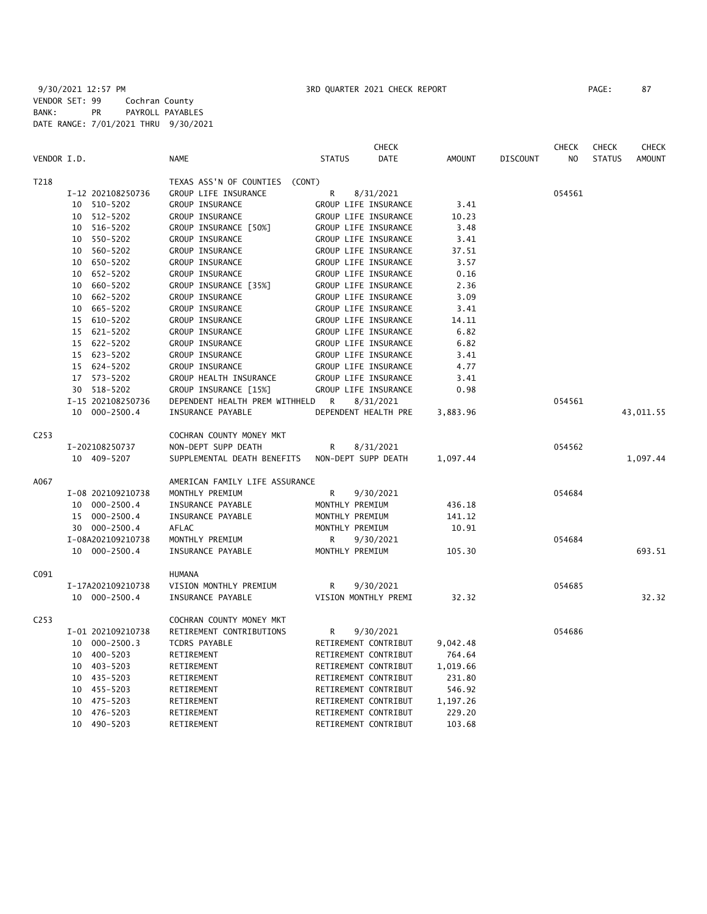|                  |                    |                                   |                      | <b>CHECK</b> |               |          | CHECK  | <b>CHECK</b>  | <b>CHECK</b>  |
|------------------|--------------------|-----------------------------------|----------------------|--------------|---------------|----------|--------|---------------|---------------|
| VENDOR I.D.      |                    | <b>NAME</b>                       | <b>STATUS</b>        | DATE         | <b>AMOUNT</b> | DISCOUNT | NO     | <b>STATUS</b> | <b>AMOUNT</b> |
| T218             |                    | TEXAS ASS'N OF COUNTIES<br>(CONT) |                      |              |               |          |        |               |               |
|                  | I-12 202108250736  | GROUP LIFE INSURANCE              | R                    | 8/31/2021    |               |          | 054561 |               |               |
|                  | 10<br>510-5202     | GROUP INSURANCE                   | GROUP LIFE INSURANCE |              | 3.41          |          |        |               |               |
|                  | $512 - 5202$<br>10 | GROUP INSURANCE                   | GROUP LIFE INSURANCE |              | 10.23         |          |        |               |               |
|                  | 10 516-5202        | GROUP INSURANCE [50%]             | GROUP LIFE INSURANCE |              | 3.48          |          |        |               |               |
|                  | 550-5202<br>10     | GROUP INSURANCE                   | GROUP LIFE INSURANCE |              | 3.41          |          |        |               |               |
|                  | 560-5202<br>10     | GROUP INSURANCE                   | GROUP LIFE INSURANCE |              | 37.51         |          |        |               |               |
|                  | 10 650-5202        | GROUP INSURANCE                   | GROUP LIFE INSURANCE |              | 3.57          |          |        |               |               |
|                  | 10 652-5202        | GROUP INSURANCE                   | GROUP LIFE INSURANCE |              | 0.16          |          |        |               |               |
|                  | 660-5202<br>10     | GROUP INSURANCE [35%]             | GROUP LIFE INSURANCE |              | 2.36          |          |        |               |               |
|                  | 662-5202<br>10     | GROUP INSURANCE                   | GROUP LIFE INSURANCE |              | 3.09          |          |        |               |               |
|                  | 665-5202<br>10     | GROUP INSURANCE                   | GROUP LIFE INSURANCE |              | 3.41          |          |        |               |               |
|                  | 15 610-5202        | GROUP INSURANCE                   | GROUP LIFE INSURANCE |              | 14.11         |          |        |               |               |
|                  | 15 621-5202        | GROUP INSURANCE                   | GROUP LIFE INSURANCE |              | 6.82          |          |        |               |               |
|                  | 15 622-5202        | GROUP INSURANCE                   | GROUP LIFE INSURANCE |              | 6.82          |          |        |               |               |
|                  | 15 623-5202        | GROUP INSURANCE                   | GROUP LIFE INSURANCE |              | 3.41          |          |        |               |               |
|                  | 15 624-5202        | GROUP INSURANCE                   | GROUP LIFE INSURANCE |              | 4.77          |          |        |               |               |
|                  | 17 573-5202        | GROUP HEALTH INSURANCE            | GROUP LIFE INSURANCE |              | 3.41          |          |        |               |               |
|                  | 518-5202<br>30     | GROUP INSURANCE [15%]             | GROUP LIFE INSURANCE |              | 0.98          |          |        |               |               |
|                  | I-15 202108250736  | DEPENDENT HEALTH PREM WITHHELD    | R                    | 8/31/2021    |               |          | 054561 |               |               |
|                  | 000-2500.4<br>10   | INSURANCE PAYABLE                 | DEPENDENT HEALTH PRE |              | 3,883.96      |          |        |               | 43,011.55     |
| C <sub>253</sub> |                    | COCHRAN COUNTY MONEY MKT          |                      |              |               |          |        |               |               |
|                  | I-202108250737     | NON-DEPT SUPP DEATH               | R                    | 8/31/2021    |               |          | 054562 |               |               |
|                  | 10 409-5207        | SUPPLEMENTAL DEATH BENEFITS       | NON-DEPT SUPP DEATH  |              | 1,097.44      |          |        |               | 1,097.44      |
| A067             |                    | AMERICAN FAMILY LIFE ASSURANCE    |                      |              |               |          |        |               |               |
|                  | I-08 202109210738  | MONTHLY PREMIUM                   | R                    | 9/30/2021    |               |          | 054684 |               |               |
|                  | 10 000-2500.4      | INSURANCE PAYABLE                 | MONTHLY PREMIUM      |              | 436.18        |          |        |               |               |
|                  | 15 000-2500.4      | INSURANCE PAYABLE                 | MONTHLY PREMIUM      |              | 141.12        |          |        |               |               |
|                  | 30 000-2500.4      | AFLAC                             | MONTHLY PREMIUM      |              | 10.91         |          |        |               |               |
|                  | I-08A202109210738  | MONTHLY PREMIUM                   | R                    | 9/30/2021    |               |          | 054684 |               |               |
|                  | 10 000-2500.4      | INSURANCE PAYABLE                 | MONTHLY PREMIUM      |              | 105.30        |          |        |               | 693.51        |
| C091             |                    | <b>HUMANA</b>                     |                      |              |               |          |        |               |               |
|                  | I-17A202109210738  | VISION MONTHLY PREMIUM            | R                    | 9/30/2021    |               |          | 054685 |               |               |
|                  | 10 000-2500.4      | INSURANCE PAYABLE                 | VISION MONTHLY PREMI |              | 32.32         |          |        |               | 32.32         |
| C <sub>253</sub> |                    | COCHRAN COUNTY MONEY MKT          |                      |              |               |          |        |               |               |
|                  | I-01 202109210738  | RETIREMENT CONTRIBUTIONS          | R                    | 9/30/2021    |               |          | 054686 |               |               |
|                  | 10 000-2500.3      | TCDRS PAYABLE                     | RETIREMENT CONTRIBUT |              | 9,042.48      |          |        |               |               |
|                  | 10 400-5203        | RETIREMENT                        | RETIREMENT CONTRIBUT |              | 764.64        |          |        |               |               |
|                  | 10 403-5203        | RETIREMENT                        | RETIREMENT CONTRIBUT |              | 1,019.66      |          |        |               |               |
|                  | 10 435-5203        | RETIREMENT                        | RETIREMENT CONTRIBUT |              | 231.80        |          |        |               |               |
|                  | 10 455-5203        | RETIREMENT                        | RETIREMENT CONTRIBUT |              | 546.92        |          |        |               |               |
|                  | 475-5203<br>10     | RETIREMENT                        | RETIREMENT CONTRIBUT |              | 1,197.26      |          |        |               |               |
|                  | 476-5203<br>10     | RETIREMENT                        | RETIREMENT CONTRIBUT |              | 229.20        |          |        |               |               |
|                  | 10<br>490-5203     | RETIREMENT                        | RETIREMENT CONTRIBUT |              | 103.68        |          |        |               |               |
|                  |                    |                                   |                      |              |               |          |        |               |               |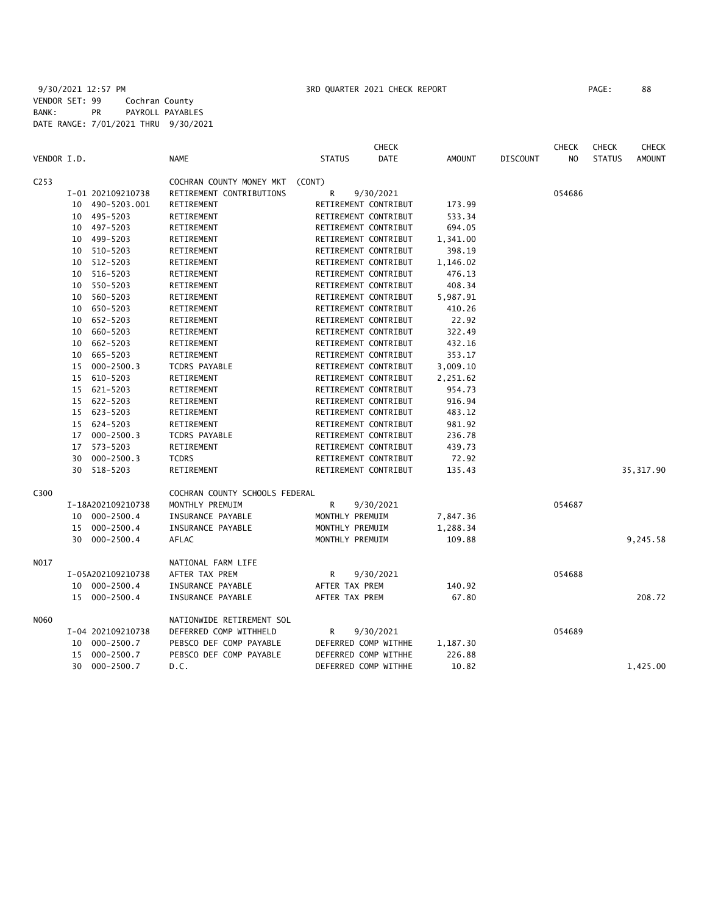|                  |    |                   |                                 |                      | <b>CHECK</b>         |               |                 | <b>CHECK</b>   | <b>CHECK</b>  | <b>CHECK</b>  |
|------------------|----|-------------------|---------------------------------|----------------------|----------------------|---------------|-----------------|----------------|---------------|---------------|
| VENDOR I.D.      |    |                   | <b>NAME</b>                     | <b>STATUS</b>        | <b>DATE</b>          | <b>AMOUNT</b> | <b>DISCOUNT</b> | N <sub>O</sub> | <b>STATUS</b> | <b>AMOUNT</b> |
| C <sub>253</sub> |    |                   | COCHRAN COUNTY MONEY MKT (CONT) |                      |                      |               |                 |                |               |               |
|                  |    | I-01 202109210738 | RETIREMENT CONTRIBUTIONS        | R                    | 9/30/2021            |               |                 | 054686         |               |               |
|                  |    | 10 490-5203.001   | RETIREMENT                      |                      | RETIREMENT CONTRIBUT | 173.99        |                 |                |               |               |
|                  |    | 10 495-5203       | RETIREMENT                      |                      | RETIREMENT CONTRIBUT | 533.34        |                 |                |               |               |
|                  |    | 10 497-5203       | RETIREMENT                      |                      | RETIREMENT CONTRIBUT | 694.05        |                 |                |               |               |
|                  | 10 | 499-5203          | RETIREMENT                      |                      | RETIREMENT CONTRIBUT | 1,341.00      |                 |                |               |               |
|                  | 10 | 510-5203          | RETIREMENT                      |                      | RETIREMENT CONTRIBUT | 398.19        |                 |                |               |               |
|                  | 10 | 512-5203          | RETIREMENT                      |                      | RETIREMENT CONTRIBUT | 1,146.02      |                 |                |               |               |
|                  | 10 | 516-5203          | RETIREMENT                      |                      | RETIREMENT CONTRIBUT | 476.13        |                 |                |               |               |
|                  | 10 | 550-5203          | RETIREMENT                      |                      | RETIREMENT CONTRIBUT | 408.34        |                 |                |               |               |
|                  | 10 | 560-5203          | RETIREMENT                      |                      | RETIREMENT CONTRIBUT | 5,987.91      |                 |                |               |               |
|                  | 10 | 650-5203          | RETIREMENT                      |                      | RETIREMENT CONTRIBUT | 410.26        |                 |                |               |               |
|                  |    | 10 652-5203       | RETIREMENT                      |                      | RETIREMENT CONTRIBUT | 22.92         |                 |                |               |               |
|                  | 10 | 660-5203          | RETIREMENT                      |                      | RETIREMENT CONTRIBUT | 322.49        |                 |                |               |               |
|                  | 10 | 662-5203          | RETIREMENT                      |                      | RETIREMENT CONTRIBUT | 432.16        |                 |                |               |               |
|                  | 10 | 665-5203          | RETIREMENT                      |                      | RETIREMENT CONTRIBUT | 353.17        |                 |                |               |               |
|                  | 15 | $000 - 2500.3$    | TCDRS PAYABLE                   |                      | RETIREMENT CONTRIBUT | 3,009.10      |                 |                |               |               |
|                  | 15 | 610-5203          | RETIREMENT                      |                      | RETIREMENT CONTRIBUT | 2,251.62      |                 |                |               |               |
|                  |    | 15 621-5203       | RETIREMENT                      |                      | RETIREMENT CONTRIBUT | 954.73        |                 |                |               |               |
|                  |    | 15 622-5203       | RETIREMENT                      | RETIREMENT CONTRIBUT |                      | 916.94        |                 |                |               |               |
|                  |    | 15 623-5203       | RETIREMENT                      |                      | RETIREMENT CONTRIBUT | 483.12        |                 |                |               |               |
|                  |    | 15 624-5203       | RETIREMENT                      |                      | RETIREMENT CONTRIBUT | 981.92        |                 |                |               |               |
|                  | 17 | $000 - 2500.3$    | TCDRS PAYABLE                   |                      | RETIREMENT CONTRIBUT | 236.78        |                 |                |               |               |
|                  |    | 17 573-5203       | RETIREMENT                      |                      | RETIREMENT CONTRIBUT | 439.73        |                 |                |               |               |
|                  | 30 | $000 - 2500.3$    | <b>TCDRS</b>                    |                      | RETIREMENT CONTRIBUT | 72.92         |                 |                |               |               |
|                  | 30 | 518-5203          | RETIREMENT                      |                      | RETIREMENT CONTRIBUT | 135.43        |                 |                |               | 35, 317.90    |
| C300             |    |                   | COCHRAN COUNTY SCHOOLS FEDERAL  |                      |                      |               |                 |                |               |               |
|                  |    | I-18A202109210738 | MONTHLY PREMUIM                 | R                    | 9/30/2021            |               |                 | 054687         |               |               |
|                  |    | 10 000-2500.4     | INSURANCE PAYABLE               | MONTHLY PREMUIM      |                      | 7,847.36      |                 |                |               |               |
|                  |    | 15 000-2500.4     | INSURANCE PAYABLE               | MONTHLY PREMUIM      |                      | 1,288.34      |                 |                |               |               |
|                  | 30 | $000 - 2500.4$    | AFLAC                           | MONTHLY PREMUIM      |                      | 109.88        |                 |                |               | 9,245.58      |
| N017             |    |                   | NATIONAL FARM LIFE              |                      |                      |               |                 |                |               |               |
|                  |    | I-05A202109210738 | AFTER TAX PREM                  | R                    | 9/30/2021            |               |                 | 054688         |               |               |
|                  |    | 10 000-2500.4     | INSURANCE PAYABLE               | AFTER TAX PREM       |                      | 140.92        |                 |                |               |               |
|                  |    | 15 000-2500.4     | INSURANCE PAYABLE               | AFTER TAX PREM       |                      | 67.80         |                 |                |               | 208.72        |
| N060             |    |                   | NATIONWIDE RETIREMENT SOL       |                      |                      |               |                 |                |               |               |
|                  |    | I-04 202109210738 | DEFERRED COMP WITHHELD          | R                    | 9/30/2021            |               |                 | 054689         |               |               |
|                  |    | 10 000-2500.7     | PEBSCO DEF COMP PAYABLE         |                      | DEFERRED COMP WITHHE | 1,187.30      |                 |                |               |               |
|                  | 15 | 000-2500.7        | PEBSCO DEF COMP PAYABLE         |                      | DEFERRED COMP WITHHE | 226.88        |                 |                |               |               |
|                  | 30 | 000-2500.7        | D.C.                            |                      | DEFERRED COMP WITHHE | 10.82         |                 |                |               | 1,425.00      |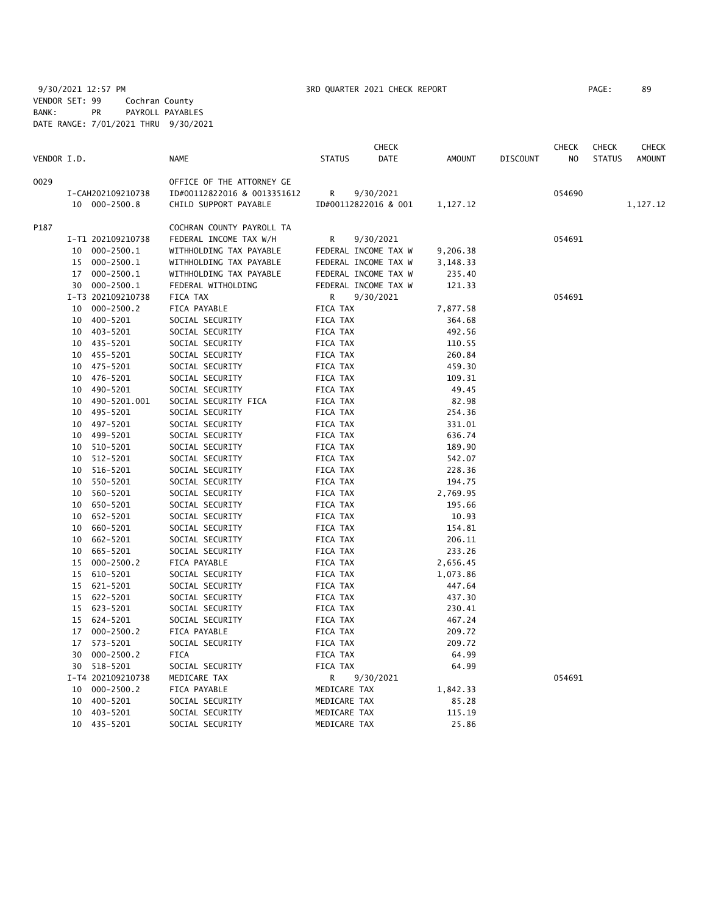|             |    |                   |                             |               | <b>CHECK</b>         |               |                 | <b>CHECK</b>   | <b>CHECK</b>  | <b>CHECK</b>  |
|-------------|----|-------------------|-----------------------------|---------------|----------------------|---------------|-----------------|----------------|---------------|---------------|
| VENDOR I.D. |    |                   | NAME                        | <b>STATUS</b> | DATE                 | <b>AMOUNT</b> | <b>DISCOUNT</b> | N <sub>O</sub> | <b>STATUS</b> | <b>AMOUNT</b> |
| 0029        |    |                   | OFFICE OF THE ATTORNEY GE   |               |                      |               |                 |                |               |               |
|             |    | I-CAH202109210738 | ID#00112822016 & 0013351612 | R             | 9/30/2021            |               |                 | 054690         |               |               |
|             |    | 10 000-2500.8     | CHILD SUPPORT PAYABLE       |               | ID#00112822016 & 001 | 1,127.12      |                 |                |               | 1,127.12      |
| P187        |    |                   | COCHRAN COUNTY PAYROLL TA   |               |                      |               |                 |                |               |               |
|             |    | I-T1 202109210738 | FEDERAL INCOME TAX W/H      | R             | 9/30/2021            |               |                 | 054691         |               |               |
|             |    | 10 000-2500.1     | WITHHOLDING TAX PAYABLE     |               | FEDERAL INCOME TAX W | 9,206.38      |                 |                |               |               |
|             | 15 | 000-2500.1        | WITHHOLDING TAX PAYABLE     |               | FEDERAL INCOME TAX W | 3,148.33      |                 |                |               |               |
|             |    | 17 000-2500.1     | WITHHOLDING TAX PAYABLE     |               | FEDERAL INCOME TAX W | 235.40        |                 |                |               |               |
|             |    | 30 000-2500.1     | FEDERAL WITHOLDING          |               | FEDERAL INCOME TAX W | 121.33        |                 |                |               |               |
|             |    | I-T3 202109210738 | FICA TAX                    | R             | 9/30/2021            |               |                 | 054691         |               |               |
|             |    | 10 000-2500.2     | FICA PAYABLE                | FICA TAX      |                      | 7,877.58      |                 |                |               |               |
|             |    | 10 400-5201       | SOCIAL SECURITY             | FICA TAX      |                      | 364.68        |                 |                |               |               |
|             |    | 10 403-5201       | SOCIAL SECURITY             | FICA TAX      |                      | 492.56        |                 |                |               |               |
|             |    | 10 435-5201       | SOCIAL SECURITY             | FICA TAX      |                      | 110.55        |                 |                |               |               |
|             |    | 10 455-5201       | SOCIAL SECURITY             | FICA TAX      |                      | 260.84        |                 |                |               |               |
|             | 10 | 475-5201          | SOCIAL SECURITY             | FICA TAX      |                      | 459.30        |                 |                |               |               |
|             | 10 | 476-5201          | SOCIAL SECURITY             | FICA TAX      |                      | 109.31        |                 |                |               |               |
|             | 10 | 490-5201          | SOCIAL SECURITY             | FICA TAX      |                      | 49.45         |                 |                |               |               |
|             | 10 | 490-5201.001      | SOCIAL SECURITY FICA        | FICA TAX      |                      | 82.98         |                 |                |               |               |
|             |    | 10 495-5201       | SOCIAL SECURITY             | FICA TAX      |                      | 254.36        |                 |                |               |               |
|             | 10 | 497-5201          | SOCIAL SECURITY             | FICA TAX      |                      | 331.01        |                 |                |               |               |
|             | 10 | 499-5201          | SOCIAL SECURITY             | FICA TAX      |                      | 636.74        |                 |                |               |               |
|             | 10 | 510-5201          | SOCIAL SECURITY             | FICA TAX      |                      | 189.90        |                 |                |               |               |
|             | 10 | 512-5201          | SOCIAL SECURITY             | FICA TAX      |                      | 542.07        |                 |                |               |               |
|             | 10 | 516-5201          | SOCIAL SECURITY             | FICA TAX      |                      | 228.36        |                 |                |               |               |
|             |    | 10 550-5201       | SOCIAL SECURITY             | FICA TAX      |                      | 194.75        |                 |                |               |               |
|             |    | 10 560-5201       | SOCIAL SECURITY             | FICA TAX      |                      | 2,769.95      |                 |                |               |               |
|             | 10 | 650-5201          | SOCIAL SECURITY             | FICA TAX      |                      | 195.66        |                 |                |               |               |
|             | 10 | 652-5201          | SOCIAL SECURITY             | FICA TAX      |                      | 10.93         |                 |                |               |               |
|             | 10 | 660-5201          | SOCIAL SECURITY             | FICA TAX      |                      | 154.81        |                 |                |               |               |
|             | 10 | 662-5201          | SOCIAL SECURITY             | FICA TAX      |                      | 206.11        |                 |                |               |               |
|             | 10 | 665-5201          | SOCIAL SECURITY             | FICA TAX      |                      | 233.26        |                 |                |               |               |
|             | 15 | $000 - 2500.2$    | FICA PAYABLE                | FICA TAX      |                      | 2,656.45      |                 |                |               |               |
|             |    | 15 610-5201       | SOCIAL SECURITY             | FICA TAX      |                      | 1,073.86      |                 |                |               |               |
|             |    | 15 621-5201       | SOCIAL SECURITY             | FICA TAX      |                      | 447.64        |                 |                |               |               |
|             |    | 15 622-5201       | SOCIAL SECURITY             | FICA TAX      |                      | 437.30        |                 |                |               |               |
|             |    | 15 623-5201       | SOCIAL SECURITY             | FICA TAX      |                      | 230.41        |                 |                |               |               |
|             | 15 | 624-5201          | SOCIAL SECURITY             | FICA TAX      |                      | 467.24        |                 |                |               |               |
|             | 17 | $000 - 2500.2$    | FICA PAYABLE                | FICA TAX      |                      | 209.72        |                 |                |               |               |
|             | 17 | 573-5201          | SOCIAL SECURITY             | FICA TAX      |                      | 209.72        |                 |                |               |               |
|             | 30 | $000 - 2500.2$    | <b>FICA</b>                 | FICA TAX      |                      | 64.99         |                 |                |               |               |
|             |    | 30 518-5201       | SOCIAL SECURITY             | FICA TAX      |                      | 64.99         |                 |                |               |               |
|             |    | I-T4 202109210738 | MEDICARE TAX                | R             | 9/30/2021            |               |                 | 054691         |               |               |
|             |    | 10 000-2500.2     | FICA PAYABLE                | MEDICARE TAX  |                      | 1,842.33      |                 |                |               |               |
|             | 10 | 400-5201          | SOCIAL SECURITY             | MEDICARE TAX  |                      | 85.28         |                 |                |               |               |
|             | 10 | 403-5201          | SOCIAL SECURITY             | MEDICARE TAX  |                      | 115.19        |                 |                |               |               |
|             |    | 10 435-5201       | SOCIAL SECURITY             | MEDICARE TAX  |                      | 25.86         |                 |                |               |               |
|             |    |                   |                             |               |                      |               |                 |                |               |               |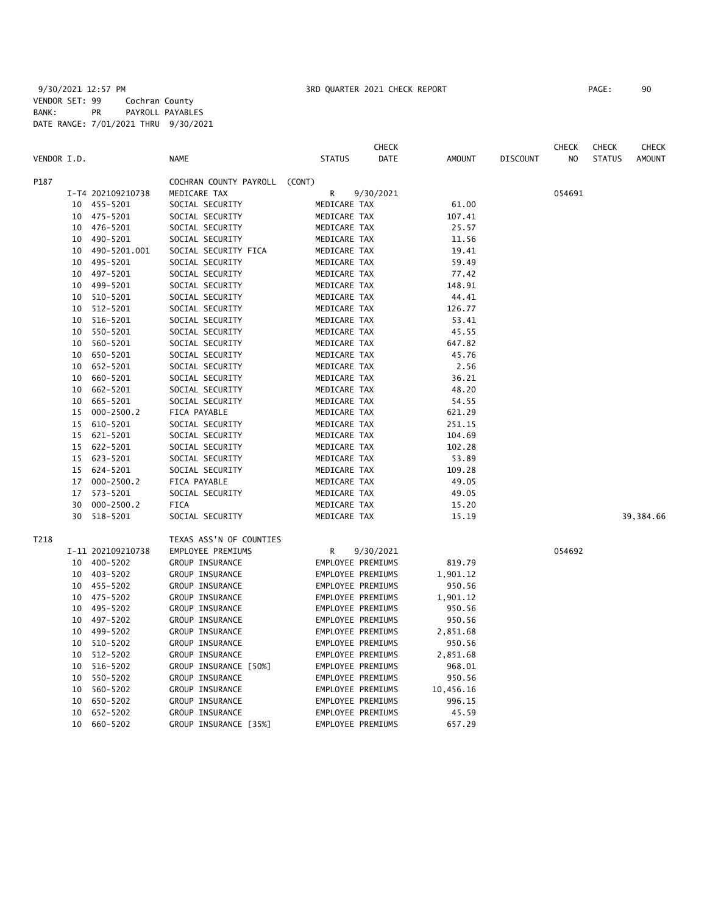|             |    |                   |                               |                   | <b>CHECK</b> |           |                 | <b>CHECK</b> | <b>CHECK</b>  | <b>CHECK</b>  |
|-------------|----|-------------------|-------------------------------|-------------------|--------------|-----------|-----------------|--------------|---------------|---------------|
| VENDOR I.D. |    |                   | <b>NAME</b>                   | <b>STATUS</b>     | DATE         | AMOUNT    | <b>DISCOUNT</b> | NO           | <b>STATUS</b> | <b>AMOUNT</b> |
| P187        |    |                   | COCHRAN COUNTY PAYROLL (CONT) |                   |              |           |                 |              |               |               |
|             |    | I-T4 202109210738 | MEDICARE TAX                  | R                 | 9/30/2021    |           |                 | 054691       |               |               |
|             |    | 10 455-5201       | SOCIAL SECURITY               | MEDICARE TAX      |              | 61.00     |                 |              |               |               |
|             | 10 | 475–5201          | SOCIAL SECURITY               | MEDICARE TAX      |              | 107.41    |                 |              |               |               |
|             | 10 | 476-5201          | SOCIAL SECURITY               | MEDICARE TAX      |              | 25.57     |                 |              |               |               |
|             | 10 | 490-5201          | SOCIAL SECURITY               | MEDICARE TAX      |              | 11.56     |                 |              |               |               |
|             | 10 | 490-5201.001      | SOCIAL SECURITY FICA          | MEDICARE TAX      |              | 19.41     |                 |              |               |               |
|             | 10 | 495-5201          | SOCIAL SECURITY               | MEDICARE TAX      |              | 59.49     |                 |              |               |               |
|             | 10 | 497-5201          | SOCIAL SECURITY               | MEDICARE TAX      |              | 77.42     |                 |              |               |               |
|             | 10 | 499-5201          | SOCIAL SECURITY               | MEDICARE TAX      |              | 148.91    |                 |              |               |               |
|             | 10 | 510-5201          | SOCIAL SECURITY               | MEDICARE TAX      |              | 44.41     |                 |              |               |               |
|             | 10 | 512-5201          | SOCIAL SECURITY               | MEDICARE TAX      |              | 126.77    |                 |              |               |               |
|             | 10 | 516-5201          | SOCIAL SECURITY               | MEDICARE TAX      |              | 53.41     |                 |              |               |               |
|             | 10 | 550-5201          | SOCIAL SECURITY               | MEDICARE TAX      |              | 45.55     |                 |              |               |               |
|             | 10 | 560-5201          | SOCIAL SECURITY               | MEDICARE TAX      |              | 647.82    |                 |              |               |               |
|             | 10 | 650-5201          | SOCIAL SECURITY               | MEDICARE TAX      |              | 45.76     |                 |              |               |               |
|             | 10 | 652-5201          | SOCIAL SECURITY               | MEDICARE TAX      |              | 2.56      |                 |              |               |               |
|             | 10 | 660-5201          | SOCIAL SECURITY               | MEDICARE TAX      |              | 36.21     |                 |              |               |               |
|             | 10 | 662-5201          | SOCIAL SECURITY               | MEDICARE TAX      |              | 48.20     |                 |              |               |               |
|             | 10 | 665-5201          | SOCIAL SECURITY               | MEDICARE TAX      |              | 54.55     |                 |              |               |               |
|             | 15 | $000 - 2500.2$    | FICA PAYABLE                  | MEDICARE TAX      |              | 621.29    |                 |              |               |               |
|             |    | 15 610-5201       | SOCIAL SECURITY               | MEDICARE TAX      |              | 251.15    |                 |              |               |               |
|             |    | 15 621-5201       | SOCIAL SECURITY               | MEDICARE TAX      |              | 104.69    |                 |              |               |               |
|             |    | 15 622-5201       | SOCIAL SECURITY               | MEDICARE TAX      |              | 102.28    |                 |              |               |               |
|             |    | 15 623-5201       | SOCIAL SECURITY               | MEDICARE TAX      |              | 53.89     |                 |              |               |               |
|             |    | 15 624-5201       | SOCIAL SECURITY               | MEDICARE TAX      |              | 109.28    |                 |              |               |               |
|             | 17 | $000 - 2500.2$    | FICA PAYABLE                  | MEDICARE TAX      |              | 49.05     |                 |              |               |               |
|             | 17 | 573-5201          | SOCIAL SECURITY               | MEDICARE TAX      |              | 49.05     |                 |              |               |               |
|             | 30 | $000 - 2500.2$    | <b>FICA</b>                   | MEDICARE TAX      |              | 15.20     |                 |              |               |               |
|             | 30 | 518-5201          | SOCIAL SECURITY               | MEDICARE TAX      |              | 15.19     |                 |              |               | 39,384.66     |
| T218        |    |                   | TEXAS ASS'N OF COUNTIES       |                   |              |           |                 |              |               |               |
|             |    | I-11 202109210738 | EMPLOYEE PREMIUMS             | R                 | 9/30/2021    |           |                 | 054692       |               |               |
|             | 10 | 400-5202          | GROUP INSURANCE               | EMPLOYEE PREMIUMS |              | 819.79    |                 |              |               |               |
|             | 10 | 403-5202          | GROUP INSURANCE               | EMPLOYEE PREMIUMS |              | 1,901.12  |                 |              |               |               |
|             | 10 | 455-5202          | GROUP INSURANCE               | EMPLOYEE PREMIUMS |              | 950.56    |                 |              |               |               |
|             | 10 | 475-5202          | GROUP INSURANCE               | EMPLOYEE PREMIUMS |              | 1,901.12  |                 |              |               |               |
|             | 10 | 495-5202          | GROUP INSURANCE               | EMPLOYEE PREMIUMS |              | 950.56    |                 |              |               |               |
|             | 10 | 497-5202          | GROUP INSURANCE               | EMPLOYEE PREMIUMS |              | 950.56    |                 |              |               |               |
|             | 10 | 499-5202          | GROUP INSURANCE               | EMPLOYEE PREMIUMS |              | 2,851.68  |                 |              |               |               |
|             | 10 | 510-5202          | GROUP INSURANCE               | EMPLOYEE PREMIUMS |              | 950.56    |                 |              |               |               |
|             | 10 | 512-5202          | GROUP INSURANCE               | EMPLOYEE PREMIUMS |              | 2,851.68  |                 |              |               |               |
|             | 10 | 516-5202          | GROUP INSURANCE [50%]         | EMPLOYEE PREMIUMS |              | 968.01    |                 |              |               |               |
|             | 10 | 550-5202          | GROUP INSURANCE               | EMPLOYEE PREMIUMS |              | 950.56    |                 |              |               |               |
|             | 10 | 560-5202          | GROUP INSURANCE               | EMPLOYEE PREMIUMS |              | 10,456.16 |                 |              |               |               |
|             | 10 | 650-5202          | <b>GROUP INSURANCE</b>        | EMPLOYEE PREMIUMS |              | 996.15    |                 |              |               |               |
|             | 10 | 652-5202          | GROUP INSURANCE               | EMPLOYEE PREMIUMS |              | 45.59     |                 |              |               |               |

10 660-5202 GROUP INSURANCE [35%] EMPLOYEE PREMIUMS 657.29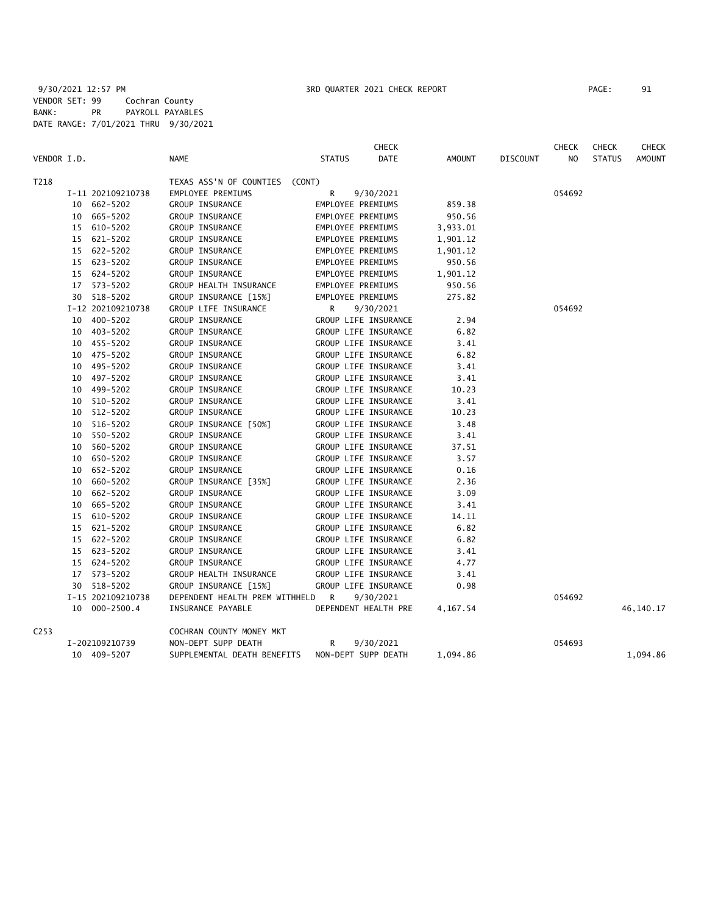|             |                   |                                  |                      | <b>CHECK</b> |          |          | <b>CHECK</b>   | <b>CHECK</b>  | <b>CHECK</b>  |
|-------------|-------------------|----------------------------------|----------------------|--------------|----------|----------|----------------|---------------|---------------|
| VENDOR I.D. |                   | <b>NAME</b>                      | <b>STATUS</b>        | DATE         | AMOUNT   | DISCOUNT | N <sub>O</sub> | <b>STATUS</b> | <b>AMOUNT</b> |
| T218        |                   | TEXAS ASS'N OF COUNTIES (CONT)   |                      |              |          |          |                |               |               |
|             | I-11 202109210738 | EMPLOYEE PREMIUMS                | R                    | 9/30/2021    |          |          | 054692         |               |               |
|             | 10 662-5202       | GROUP INSURANCE                  | EMPLOYEE PREMIUMS    |              | 859.38   |          |                |               |               |
|             | 10 665-5202       | GROUP INSURANCE                  | EMPLOYEE PREMIUMS    |              | 950.56   |          |                |               |               |
|             | 15 610-5202       | GROUP INSURANCE                  | EMPLOYEE PREMIUMS    |              | 3,933.01 |          |                |               |               |
|             | 15 621-5202       | GROUP INSURANCE                  | EMPLOYEE PREMIUMS    |              | 1,901.12 |          |                |               |               |
|             | 15 622-5202       | GROUP INSURANCE                  | EMPLOYEE PREMIUMS    |              | 1,901.12 |          |                |               |               |
|             | 15 623-5202       | GROUP INSURANCE                  | EMPLOYEE PREMIUMS    |              | 950.56   |          |                |               |               |
|             | 15 624-5202       | GROUP INSURANCE                  | EMPLOYEE PREMIUMS    |              | 1,901.12 |          |                |               |               |
|             | 17 573-5202       | GROUP HEALTH INSURANCE           | EMPLOYEE PREMIUMS    |              | 950.56   |          |                |               |               |
|             | 30 518-5202       | GROUP INSURANCE [15%]            | EMPLOYEE PREMIUMS    |              | 275.82   |          |                |               |               |
|             | I-12 202109210738 | GROUP LIFE INSURANCE             | R                    | 9/30/2021    |          |          | 054692         |               |               |
|             | 10 400-5202       | GROUP INSURANCE                  | GROUP LIFE INSURANCE |              | 2.94     |          |                |               |               |
|             | 10 403-5202       | GROUP INSURANCE                  | GROUP LIFE INSURANCE |              | 6.82     |          |                |               |               |
|             | 10 455-5202       | GROUP INSURANCE                  | GROUP LIFE INSURANCE |              | 3.41     |          |                |               |               |
|             | 10 475-5202       | GROUP INSURANCE                  | GROUP LIFE INSURANCE |              | 6.82     |          |                |               |               |
|             | 10 495-5202       | GROUP INSURANCE                  | GROUP LIFE INSURANCE |              | 3.41     |          |                |               |               |
|             | 10 497-5202       | GROUP INSURANCE                  | GROUP LIFE INSURANCE |              | 3.41     |          |                |               |               |
|             | 10 499-5202       | GROUP INSURANCE                  | GROUP LIFE INSURANCE |              | 10.23    |          |                |               |               |
|             | 10 510-5202       | GROUP INSURANCE                  | GROUP LIFE INSURANCE |              | 3.41     |          |                |               |               |
|             | 10 512-5202       | GROUP INSURANCE                  | GROUP LIFE INSURANCE |              | 10.23    |          |                |               |               |
|             | 10 516-5202       | GROUP INSURANCE [50%]            | GROUP LIFE INSURANCE |              | 3.48     |          |                |               |               |
|             | 10 550-5202       | GROUP INSURANCE                  | GROUP LIFE INSURANCE |              | 3.41     |          |                |               |               |
|             | 10 560-5202       | GROUP INSURANCE                  | GROUP LIFE INSURANCE |              | 37.51    |          |                |               |               |
|             | 10 650-5202       | GROUP INSURANCE                  | GROUP LIFE INSURANCE |              | 3.57     |          |                |               |               |
|             | 10 652-5202       | GROUP INSURANCE                  | GROUP LIFE INSURANCE |              | 0.16     |          |                |               |               |
|             | 10 660-5202       | GROUP INSURANCE [35%]            | GROUP LIFE INSURANCE |              | 2.36     |          |                |               |               |
|             | 10 662-5202       | GROUP INSURANCE                  | GROUP LIFE INSURANCE |              | 3.09     |          |                |               |               |
|             | 10 665-5202       | GROUP INSURANCE                  | GROUP LIFE INSURANCE |              | 3.41     |          |                |               |               |
|             | 15 610-5202       | GROUP INSURANCE                  | GROUP LIFE INSURANCE |              | 14.11    |          |                |               |               |
|             | 15 621-5202       | GROUP INSURANCE                  | GROUP LIFE INSURANCE |              | 6.82     |          |                |               |               |
|             | 15 622-5202       | GROUP INSURANCE                  | GROUP LIFE INSURANCE |              | 6.82     |          |                |               |               |
|             | 15 623-5202       | GROUP INSURANCE                  | GROUP LIFE INSURANCE |              | 3.41     |          |                |               |               |
|             | 15 624-5202       | GROUP INSURANCE                  | GROUP LIFE INSURANCE |              | 4.77     |          |                |               |               |
|             | 17 573-5202       | GROUP HEALTH INSURANCE           | GROUP LIFE INSURANCE |              | 3.41     |          |                |               |               |
|             | 30 518-5202       | GROUP INSURANCE [15%]            | GROUP LIFE INSURANCE |              | 0.98     |          |                |               |               |
|             | I-15 202109210738 | DEPENDENT HEALTH PREM WITHHELD R |                      | 9/30/2021    |          |          | 054692         |               |               |
|             | 10 000-2500.4     | INSURANCE PAYABLE                | DEPENDENT HEALTH PRE |              | 4,167.54 |          |                |               | 46,140.17     |
| C253        |                   | COCHRAN COUNTY MONEY MKT         |                      |              |          |          |                |               |               |
|             | I-202109210739    | NON-DEPT SUPP DEATH              | R.                   | 9/30/2021    |          |          | 054693         |               |               |
|             | 10 409-5207       | SUPPLEMENTAL DEATH BENEFITS      | NON-DEPT SUPP DEATH  |              | 1,094.86 |          |                |               | 1,094.86      |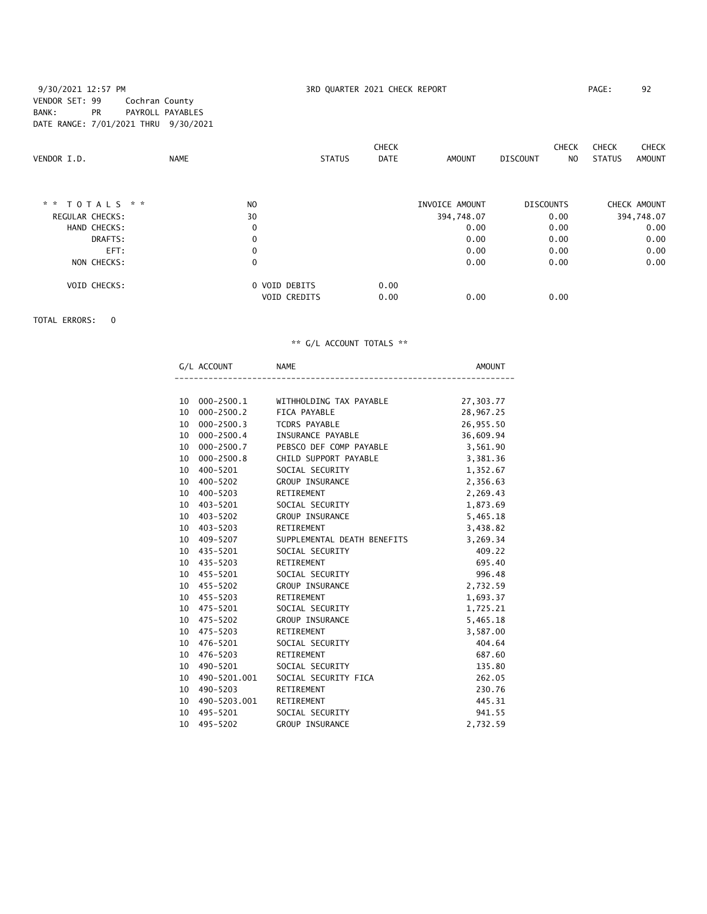## 9/30/2021 12:57 PM **3RD QUARTER 2021 CHECK REPORT** PAGE: 92 VENDOR SET: 99 Cochran County BANK: PR PAYROLL PAYABLES DATE RANGE: 7/01/2021 THRU 9/30/2021

| VENDOR I.D.            | <b>NAME</b>    | <b>STATUS</b>       | <b>CHECK</b><br><b>DATE</b> | <b>AMOUNT</b>  | <b>CHECK</b><br><b>DISCOUNT</b> | <b>CHECK</b><br><b>STATUS</b><br>N <sub>0</sub> | <b>CHECK</b><br>AMOUNT |
|------------------------|----------------|---------------------|-----------------------------|----------------|---------------------------------|-------------------------------------------------|------------------------|
| * * TOTALS * *         | N <sub>O</sub> |                     |                             | INVOICE AMOUNT | <b>DISCOUNTS</b>                |                                                 | CHECK AMOUNT           |
| <b>REGULAR CHECKS:</b> | 30             |                     |                             | 394,748.07     | 0.00                            |                                                 | 394,748.07             |
| HAND CHECKS:           | $\mathbf 0$    |                     |                             | 0.00           | 0.00                            |                                                 | 0.00                   |
| DRAFTS:                | 0              |                     |                             | 0.00           | 0.00                            |                                                 | 0.00                   |
| EFT:                   | $\mathbf 0$    |                     |                             | 0.00           | 0.00                            |                                                 | 0.00                   |
| NON CHECKS:            | 0              |                     |                             | 0.00           | 0.00                            |                                                 | 0.00                   |
| <b>VOID CHECKS:</b>    |                | 0 VOID DEBITS       | 0.00                        |                |                                 |                                                 |                        |
|                        |                | <b>VOID CREDITS</b> | 0.00                        | 0.00           | 0.00                            |                                                 |                        |

TOTAL ERRORS: 0

|    | G/L ACCOUNT     | <b>NAME</b>                                     | AMOUNT    |
|----|-----------------|-------------------------------------------------|-----------|
|    |                 |                                                 |           |
|    |                 | 10 000-2500.1 WITHHOLDING TAX PAYABLE 27,303.77 |           |
|    | 10 000-2500.2   | FICA PAYABLE                                    | 28,967.25 |
|    | 10 000-2500.3   | TCDRS PAYABLE                                   | 26,955.50 |
|    | 10 000-2500.4   | INSURANCE PAYABLE                               | 36,609.94 |
|    | 10 000-2500.7   | PEBSCO DEF COMP PAYABLE                         | 3,561.90  |
| 10 | 000-2500.8      | CHILD SUPPORT PAYABLE                           | 3,381.36  |
|    | 10 400-5201     | SOCIAL SECURITY                                 | 1,352.67  |
|    | 10 400-5202     | GROUP INSURANCE                                 | 2,356.63  |
|    | 10 400-5203     | RETIREMENT                                      | 2,269.43  |
|    | 10 403-5201     | SOCIAL SECURITY                                 | 1,873.69  |
|    | 10 403-5202     | GROUP INSURANCE                                 | 5,465.18  |
|    | 10 403-5203     | RETIREMENT                                      | 3,438.82  |
|    | 10 409-5207     | SUPPLEMENTAL DEATH BENEFITS                     | 3,269.34  |
|    | 10 435-5201     | SOCIAL SECURITY                                 | 409.22    |
|    | 10 435-5203     | RETIREMENT                                      | 695.40    |
|    | 10 455-5201     | SOCIAL SECURITY                                 | 996.48    |
|    | 10 455-5202     | GROUP INSURANCE                                 | 2,732.59  |
|    | 10 455-5203     | RETIREMENT                                      | 1,693.37  |
|    | 10 475-5201     | SOCIAL SECURITY                                 | 1,725.21  |
|    | 10 475-5202     | GROUP INSURANCE                                 | 5,465.18  |
|    | 10 475-5203     | RETIREMENT                                      | 3,587.00  |
|    | 10 476-5201     | SOCIAL SECURITY                                 | 404.64    |
|    | 10 476-5203     | RETIREMENT                                      | 687.60    |
|    | 10 490-5201     | SOCIAL SECURITY                                 | 135.80    |
| 10 | 490-5201.001    | SOCIAL SECURITY FICA                            | 262.05    |
|    | 10 490-5203     | RETIREMENT                                      | 230.76    |
|    | 10 490-5203.001 | RETIREMENT                                      | 445.31    |
|    | 10 495-5201     | SOCIAL SECURITY                                 | 941.55    |
|    | 10 495-5202     | <b>GROUP INSURANCE</b>                          | 2.732.59  |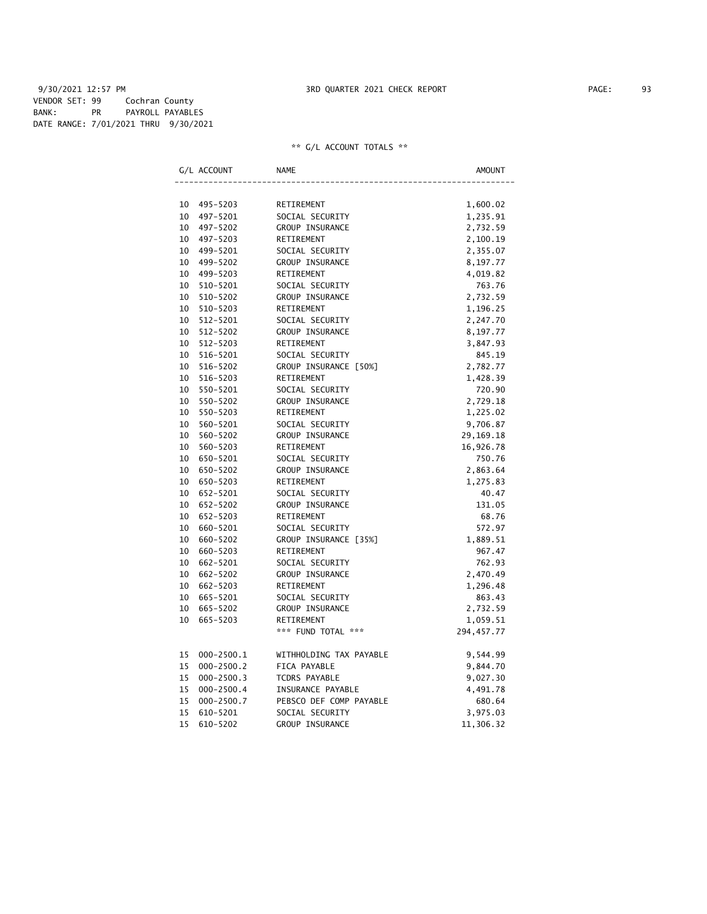9/30/2021 12:57 PM **3RD QUARTER 2021 CHECK REPORT** 93 VENDOR SET: 99 Cochran County BANK: PR PAYROLL PAYABLES DATE RANGE: 7/01/2021 THRU 9/30/2021

|    | G/L ACCOUNT    | <b>NAME</b>             | AMOUNT      |
|----|----------------|-------------------------|-------------|
|    |                |                         |             |
|    | 10 495-5203    | RETIREMENT              | 1,600.02    |
| 10 | 497-5201       | SOCIAL SECURITY         | 1,235.91    |
| 10 | 497–5202       | GROUP INSURANCE         | 2,732.59    |
| 10 | 497-5203       | RETIREMENT              | 2,100.19    |
| 10 | 499-5201       | SOCIAL SECURITY         | 2,355.07    |
|    | 10 499-5202    | GROUP INSURANCE         | 8,197.77    |
| 10 | 499-5203       | RETIREMENT              | 4,019.82    |
| 10 | 510-5201       | SOCIAL SECURITY         | 763.76      |
| 10 | 510-5202       | GROUP INSURANCE         | 2,732.59    |
| 10 | 510-5203       | RETIREMENT              | 1,196.25    |
| 10 | 512-5201       | SOCIAL SECURITY         | 2,247.70    |
| 10 | 512-5202       | GROUP INSURANCE         | 8,197.77    |
| 10 | 512-5203       | RETIREMENT              | 3,847.93    |
| 10 | 516-5201       | SOCIAL SECURITY         | 845.19      |
| 10 | 516-5202       | GROUP INSURANCE [50%]   | 2,782.77    |
| 10 | 516-5203       | RETIREMENT              | 1,428.39    |
| 10 | 550-5201       | SOCIAL SECURITY         | 720.90      |
| 10 | 550-5202       | GROUP INSURANCE         | 2,729.18    |
| 10 | 550-5203       | RETIREMENT              | 1,225.02    |
| 10 | 560-5201       | SOCIAL SECURITY         | 9,706.87    |
| 10 | 560-5202       | GROUP INSURANCE         | 29, 169. 18 |
| 10 | 560-5203       | RETIREMENT              | 16,926.78   |
| 10 | 650-5201       | SOCIAL SECURITY         | 750.76      |
| 10 | 650-5202       | GROUP INSURANCE         | 2,863.64    |
| 10 | 650-5203       | RETIREMENT              | 1,275.83    |
| 10 | 652-5201       | SOCIAL SECURITY         | 40.47       |
| 10 | 652-5202       | GROUP INSURANCE         | 131.05      |
| 10 | 652-5203       | RETIREMENT              | 68.76       |
| 10 | 660-5201       | SOCIAL SECURITY         | 572.97      |
| 10 | 660-5202       | GROUP INSURANCE [35%]   | 1,889.51    |
| 10 | 660-5203       | RETIREMENT              | 967.47      |
| 10 | 662-5201       | SOCIAL SECURITY         | 762.93      |
| 10 | 662-5202       | GROUP INSURANCE         | 2,470.49    |
| 10 | 662-5203       | RETIREMENT              | 1,296.48    |
| 10 | 665-5201       | SOCIAL SECURITY         | 863.43      |
| 10 | 665-5202       | GROUP INSURANCE         | 2,732.59    |
| 10 | 665-5203       | RETIREMENT              | 1,059.51    |
|    |                | *** FUND TOTAL ***      | 294, 457.77 |
| 15 | $000 - 2500.1$ | WITHHOLDING TAX PAYABLE | 9,544.99    |
| 15 | $000 - 2500.2$ | FICA PAYABLE            | 9,844.70    |
| 15 | $000 - 2500.3$ | TCDRS PAYABLE           | 9,027.30    |
| 15 | $000 - 2500.4$ | INSURANCE PAYABLE       | 4,491.78    |
| 15 | $000 - 2500.7$ | PEBSCO DEF COMP PAYABLE | 680.64      |
| 15 | 610-5201       | SOCIAL SECURITY         | 3,975.03    |
| 15 | 610-5202       | <b>GROUP INSURANCE</b>  | 11,306.32   |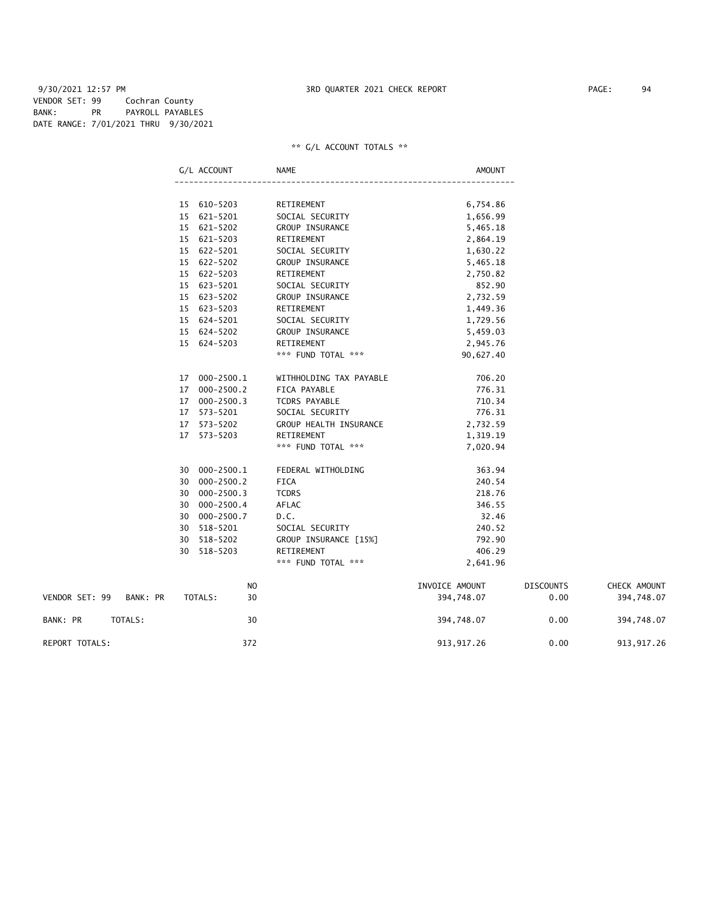9/30/2021 12:57 PM 3RD QUARTER 2021 CHECK REPORT PAGE: 94 VENDOR SET: 99 Cochran County BANK: PR PAYROLL PAYABLES DATE RANGE: 7/01/2021 THRU 9/30/2021

|                         | G/L ACCOUNT    | NAME                    | <b>AMOUNT</b>  |                  |              |
|-------------------------|----------------|-------------------------|----------------|------------------|--------------|
|                         |                |                         |                |                  |              |
|                         | 15 610-5203    | RETIREMENT              | 6,754.86       |                  |              |
|                         | 15 621-5201    | SOCIAL SECURITY         | 1,656.99       |                  |              |
|                         | 15 621-5202    | <b>GROUP INSURANCE</b>  | 5,465.18       |                  |              |
|                         | 15 621-5203    | RETIREMENT              | 2,864.19       |                  |              |
|                         | 15 622-5201    | SOCIAL SECURITY         | 1,630.22       |                  |              |
|                         | 15 622-5202    | <b>GROUP INSURANCE</b>  | 5,465.18       |                  |              |
|                         | 15 622-5203    | RETIREMENT              | 2,750.82       |                  |              |
|                         | 15 623-5201    | SOCIAL SECURITY         | 852.90         |                  |              |
|                         | 15 623-5202    | <b>GROUP INSURANCE</b>  | 2,732.59       |                  |              |
|                         | 15 623-5203    | RETIREMENT              | 1,449.36       |                  |              |
|                         | 15 624-5201    | SOCIAL SECURITY         | 1,729.56       |                  |              |
|                         | 15 624-5202    | <b>GROUP INSURANCE</b>  | 5,459.03       |                  |              |
|                         | 15 624-5203    | RETIREMENT              | 2,945.76       |                  |              |
|                         |                | *** FUND TOTAL ***      | 90,627.40      |                  |              |
|                         | 17 000-2500.1  | WITHHOLDING TAX PAYABLE | 706.20         |                  |              |
|                         | 17 000-2500.2  | FICA PAYABLE            | 776.31         |                  |              |
|                         | 17 000-2500.3  | TCDRS PAYABLE           | 710.34         |                  |              |
|                         | 17 573-5201    | SOCIAL SECURITY         | 776.31         |                  |              |
|                         | 17 573-5202    | GROUP HEALTH INSURANCE  | 2,732.59       |                  |              |
|                         | 17 573-5203    | RETIREMENT              | 1,319.19       |                  |              |
|                         |                | *** FUND TOTAL ***      | 7,020.94       |                  |              |
|                         | 30 000-2500.1  | FEDERAL WITHOLDING      | 363.94         |                  |              |
|                         | 30 000-2500.2  | <b>FICA</b>             | 240.54         |                  |              |
|                         | 30 000-2500.3  | <b>TCDRS</b>            | 218.76         |                  |              |
|                         | 30 000-2500.4  | AFLAC                   | 346.55         |                  |              |
|                         | 30 000-2500.7  | D.C.                    | 32.46          |                  |              |
|                         | 30 518-5201    | SOCIAL SECURITY         | 240.52         |                  |              |
|                         | 30 518-5202    | GROUP INSURANCE [15%]   | 792.90         |                  |              |
|                         | 30 518-5203    | RETIREMENT              | 406.29         |                  |              |
|                         |                | *** FUND TOTAL ***      | 2,641.96       |                  |              |
|                         | N <sub>O</sub> |                         | INVOICE AMOUNT | <b>DISCOUNTS</b> | CHECK AMOUNT |
| VENDOR SET: 99 BANK: PR | TOTALS:<br>30  |                         | 394,748.07     | 0.00             | 394,748.07   |
| BANK: PR<br>TOTALS:     | 30             |                         | 394,748.07     | 0.00             | 394,748.07   |
| REPORT TOTALS:          | 372            |                         | 913, 917.26    | 0.00             | 913, 917.26  |